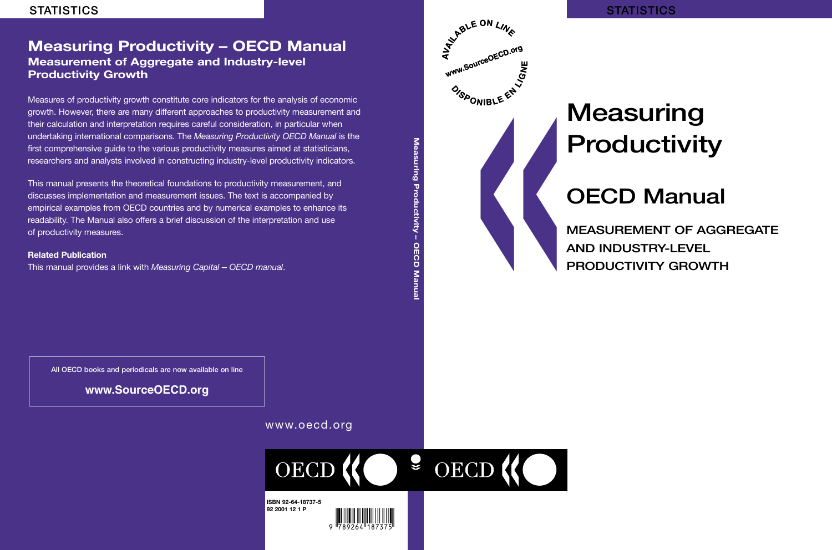

### **STATISTICS**

# **Measuring Productivity**

# **OECD Manual**

**MEASUREMENT OF AGGREGATE AND INDUSTRY-LEVEL PRODUCTIVITY GROWTH**

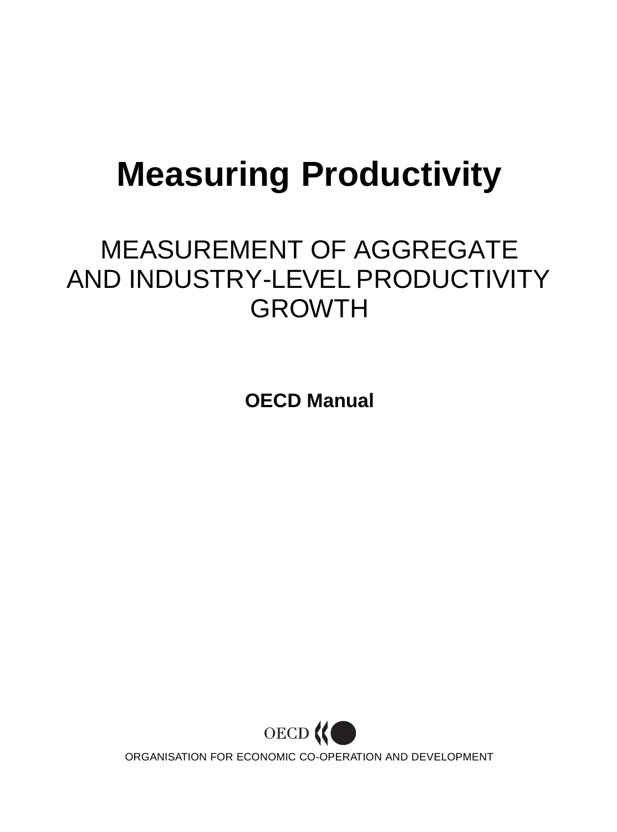# **Measuring Productivity**

# MEASUREMENT OF AGGREGATE AND INDUSTRY-LEVEL PRODUCTIVITY GROWTH

**OECD Manual**



ORGANISATION FOR ECONOMIC CO-OPERATION AND DEVELOPMENT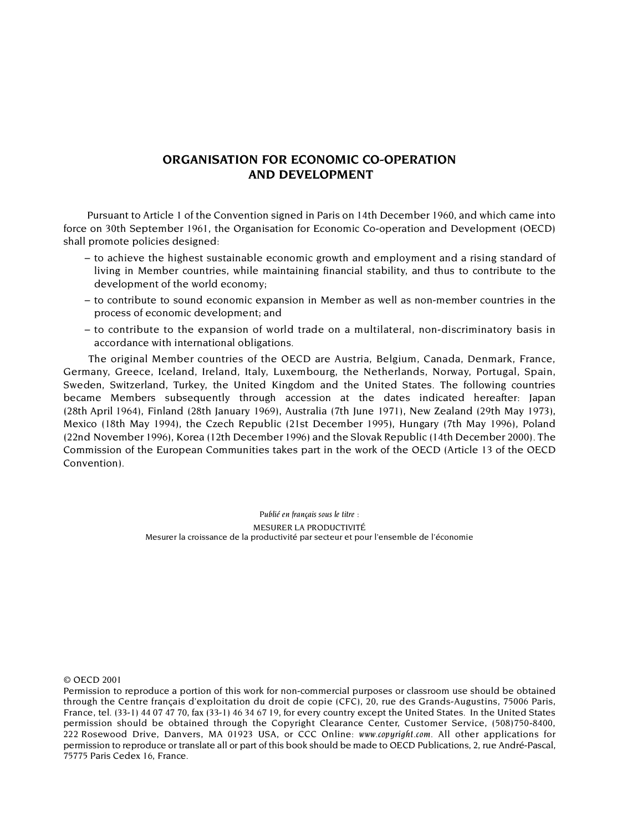#### **ORGANISATION FOR ECONOMIC CO-OPERATION AND DEVELOPMENT**

 Pursuant to Article 1 of the Convention signed in Paris on 14th December 1960, and which came into force on 30th September 1961, the Organisation for Economic Co-operation and Development (OECD) shall promote policies designed:

- to achieve the highest sustainable economic growth and employment and a rising standard of living in Member countries, while maintaining financial stability, and thus to contribute to the development of the world economy;
- to contribute to sound economic expansion in Member as well as non-member countries in the process of economic development; and
- to contribute to the expansion of world trade on a multilateral, non-discriminatory basis in accordance with international obligations.

 The original Member countries of the OECD are Austria, Belgium, Canada, Denmark, France, Germany, Greece, Iceland, Ireland, Italy, Luxembourg, the Netherlands, Norway, Portugal, Spain, Sweden, Switzerland, Turkey, the United Kingdom and the United States. The following countries became Members subsequently through accession at the dates indicated hereafter: Japan (28th April 1964), Finland (28th January 1969), Australia (7th June 1971), New Zealand (29th May 1973), Mexico (18th May 1994), the Czech Republic (21st December 1995), Hungary (7th May 1996), Poland (22nd November 1996), Korea (12th December 1996) and the Slovak Republic (14th December 2000). The Commission of the European Communities takes part in the work of the OECD (Article 13 of the OECD Convention).

> *Publié en français sous le titre : MESURER LA PRODUCTIVITÉ* Mesurer la croissance de la productivité par secteur et pour l'ensemble de l'économie

© OECD 2001

Permission to reproduce a portion of this work for non-commercial purposes or classroom use should be obtained through the Centre français d'exploitation du droit de copie (CFC), 20, rue des Grands-Augustins, 75006 Paris, France, tel. (33-1) 44 07 47 70, fax (33-1) 46 34 67 19, for every country except the United States. In the United States permission should be obtained through the Copyright Clearance Center, Customer Service, (508)750-8400, 222 Rosewood Drive, Danvers, MA 01923 USA, or CCC Online: *www.copyright.com*. All other applications for permission to reproduce or translate all or part of this book should be made to OECD Publications, 2, rue André-Pascal, 75775 Paris Cedex 16, France.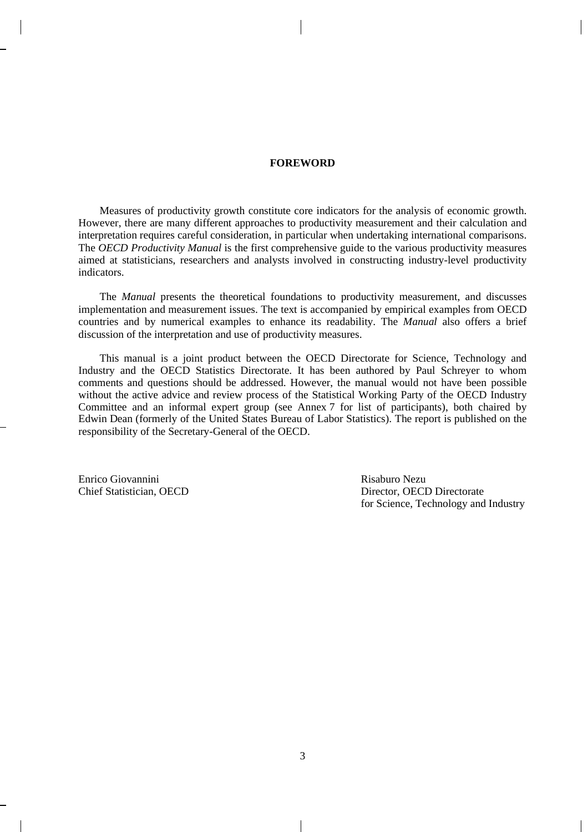#### **FOREWORD**

Measures of productivity growth constitute core indicators for the analysis of economic growth. However, there are many different approaches to productivity measurement and their calculation and interpretation requires careful consideration, in particular when undertaking international comparisons. The *OECD Productivity Manual* is the first comprehensive guide to the various productivity measures aimed at statisticians, researchers and analysts involved in constructing industry-level productivity indicators.

The *Manual* presents the theoretical foundations to productivity measurement, and discusses implementation and measurement issues. The text is accompanied by empirical examples from OECD countries and by numerical examples to enhance its readability. The *Manual* also offers a brief discussion of the interpretation and use of productivity measures.

This manual is a joint product between the OECD Directorate for Science, Technology and Industry and the OECD Statistics Directorate. It has been authored by Paul Schreyer to whom comments and questions should be addressed. However, the manual would not have been possible without the active advice and review process of the Statistical Working Party of the OECD Industry Committee and an informal expert group (see Annex 7 for list of participants), both chaired by Edwin Dean (formerly of the United States Bureau of Labor Statistics). The report is published on the responsibility of the Secretary-General of the OECD.

Enrico Giovannini Risaburo Nezu<br>Chief Statistician. OECD Director. OECI

Director, OECD Directorate for Science, Technology and Industry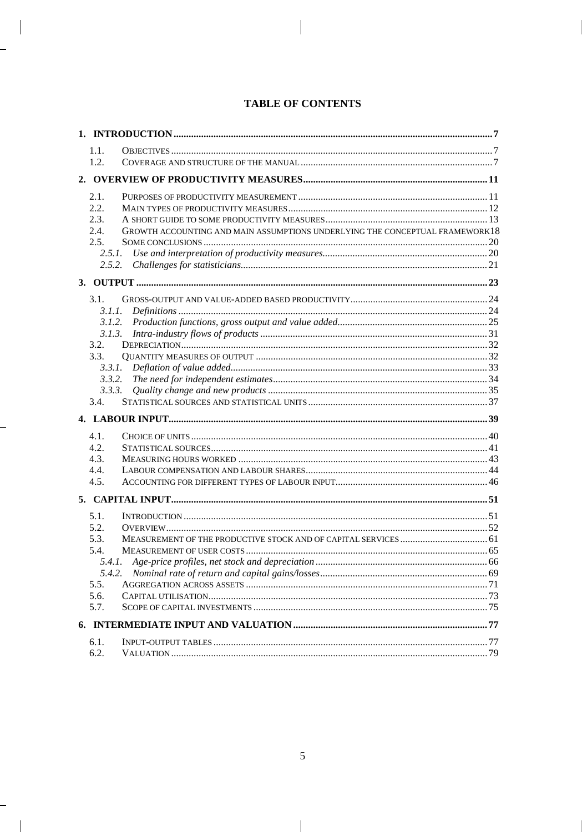#### **TABLE OF CONTENTS**

| 1.1.   |                                                                              |  |
|--------|------------------------------------------------------------------------------|--|
| 1.2.   |                                                                              |  |
|        |                                                                              |  |
| 2.1.   |                                                                              |  |
| 2.2.   |                                                                              |  |
| 2.3.   |                                                                              |  |
| 2.4.   | GROWTH ACCOUNTING AND MAIN ASSUMPTIONS UNDERLYING THE CONCEPTUAL FRAMEWORK18 |  |
| 2.5.   |                                                                              |  |
| 2.5.1. |                                                                              |  |
|        |                                                                              |  |
|        |                                                                              |  |
| 3.1.   |                                                                              |  |
| 3.1.1. |                                                                              |  |
| 3.1.2. |                                                                              |  |
| 3.1.3. |                                                                              |  |
| 3.2.   |                                                                              |  |
| 3.3.   |                                                                              |  |
| 3.3.1. |                                                                              |  |
| 3.3.2. |                                                                              |  |
| 3.3.3. |                                                                              |  |
| 3.4.   |                                                                              |  |
|        |                                                                              |  |
| 4.1.   |                                                                              |  |
| 4.2.   |                                                                              |  |
| 4.3.   |                                                                              |  |
| 4.4.   |                                                                              |  |
| 4.5.   |                                                                              |  |
|        |                                                                              |  |
| 5.1.   |                                                                              |  |
| 5.2.   |                                                                              |  |
| 5.3.   | MEASUREMENT OF THE PRODUCTIVE STOCK AND OF CAPITAL SERVICES  61              |  |
| 5.4.   |                                                                              |  |
|        |                                                                              |  |
| 5.4.2. |                                                                              |  |
| 5.5.   |                                                                              |  |
| 5.6.   |                                                                              |  |
| 5.7.   |                                                                              |  |
|        |                                                                              |  |
| 6.1.   |                                                                              |  |
| 6.2.   |                                                                              |  |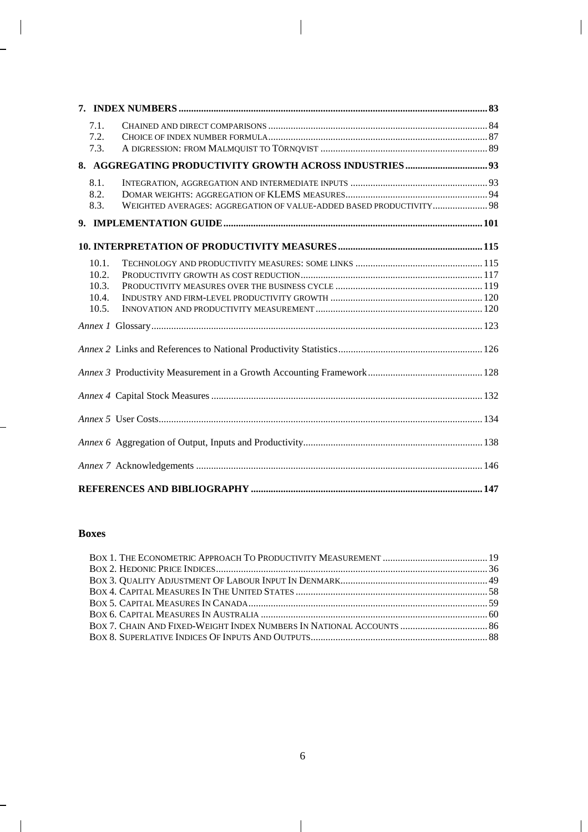| 7.1.  |                                                                     |  |
|-------|---------------------------------------------------------------------|--|
| 7.2.  |                                                                     |  |
| 7.3.  |                                                                     |  |
|       |                                                                     |  |
| 8.1.  |                                                                     |  |
| 8.2.  |                                                                     |  |
| 8.3.  | WEIGHTED AVERAGES: AGGREGATION OF VALUE-ADDED BASED PRODUCTIVITY 98 |  |
|       |                                                                     |  |
|       |                                                                     |  |
|       |                                                                     |  |
| 10.1. |                                                                     |  |
| 10.2. |                                                                     |  |
| 10.3. |                                                                     |  |
| 10.4. |                                                                     |  |
| 10.5. |                                                                     |  |
|       |                                                                     |  |
|       |                                                                     |  |
|       |                                                                     |  |
|       |                                                                     |  |
|       |                                                                     |  |
|       |                                                                     |  |
|       |                                                                     |  |
|       |                                                                     |  |

#### **Boxes**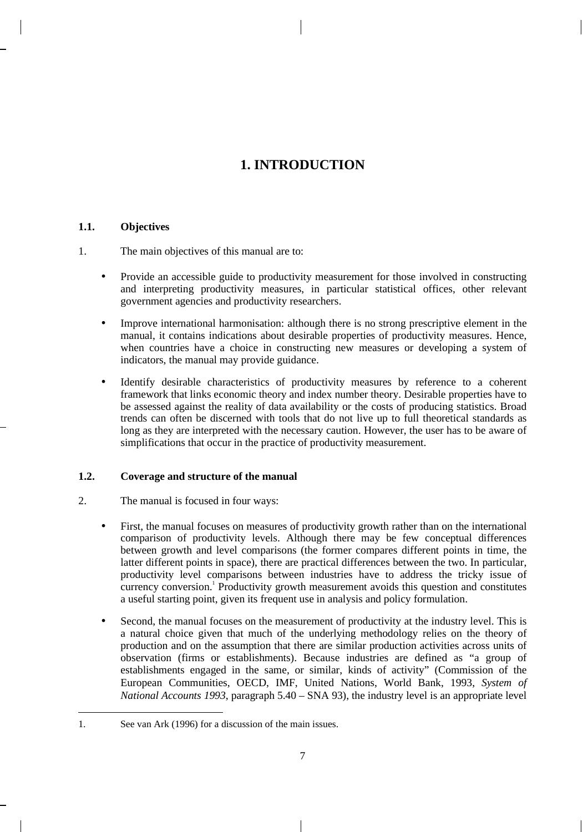### **1. INTRODUCTION**

#### **1.1. Objectives**

- 1. The main objectives of this manual are to:
	- Provide an accessible guide to productivity measurement for those involved in constructing and interpreting productivity measures, in particular statistical offices, other relevant government agencies and productivity researchers.
	- Improve international harmonisation: although there is no strong prescriptive element in the manual, it contains indications about desirable properties of productivity measures. Hence, when countries have a choice in constructing new measures or developing a system of indicators, the manual may provide guidance.
	- Identify desirable characteristics of productivity measures by reference to a coherent framework that links economic theory and index number theory. Desirable properties have to be assessed against the reality of data availability or the costs of producing statistics. Broad trends can often be discerned with tools that do not live up to full theoretical standards as long as they are interpreted with the necessary caution. However, the user has to be aware of simplifications that occur in the practice of productivity measurement.

#### **1.2. Coverage and structure of the manual**

- 2. The manual is focused in four ways:
	- First, the manual focuses on measures of productivity growth rather than on the international comparison of productivity levels. Although there may be few conceptual differences between growth and level comparisons (the former compares different points in time, the latter different points in space), there are practical differences between the two. In particular, productivity level comparisons between industries have to address the tricky issue of currency conversion.<sup>1</sup> Productivity growth measurement avoids this question and constitutes a useful starting point, given its frequent use in analysis and policy formulation.
	- Second, the manual focuses on the measurement of productivity at the industry level. This is a natural choice given that much of the underlying methodology relies on the theory of production and on the assumption that there are similar production activities across units of observation (firms or establishments). Because industries are defined as "a group of establishments engaged in the same, or similar, kinds of activity" (Commission of the European Communities, OECD, IMF, United Nations, World Bank, 1993, *System of National Accounts 1993*, paragraph 5.40 – SNA 93), the industry level is an appropriate level

j 1. See van Ark (1996) for a discussion of the main issues.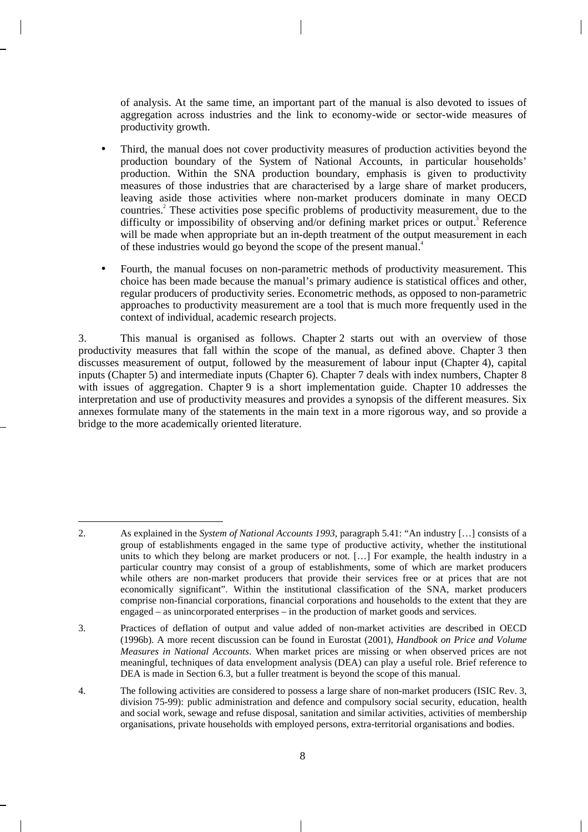of analysis. At the same time, an important part of the manual is also devoted to issues of aggregation across industries and the link to economy-wide or sector-wide measures of productivity growth.

- Third, the manual does not cover productivity measures of production activities beyond the production boundary of the System of National Accounts, in particular households' production. Within the SNA production boundary, emphasis is given to productivity measures of those industries that are characterised by a large share of market producers, leaving aside those activities where non-market producers dominate in many OECD countries.<sup>2</sup> These activities pose specific problems of productivity measurement, due to the difficulty or impossibility of observing and/or defining market prices or output.<sup>3</sup> Reference will be made when appropriate but an in-depth treatment of the output measurement in each of these industries would go beyond the scope of the present manual.<sup>4</sup>
- Fourth, the manual focuses on non-parametric methods of productivity measurement. This choice has been made because the manual's primary audience is statistical offices and other, regular producers of productivity series. Econometric methods, as opposed to non-parametric approaches to productivity measurement are a tool that is much more frequently used in the context of individual, academic research projects.

3. This manual is organised as follows. Chapter 2 starts out with an overview of those productivity measures that fall within the scope of the manual, as defined above. Chapter 3 then discusses measurement of output, followed by the measurement of labour input (Chapter 4), capital inputs (Chapter 5) and intermediate inputs (Chapter 6). Chapter 7 deals with index numbers, Chapter 8 with issues of aggregation. Chapter 9 is a short implementation guide. Chapter 10 addresses the interpretation and use of productivity measures and provides a synopsis of the different measures. Six annexes formulate many of the statements in the main text in a more rigorous way, and so provide a bridge to the more academically oriented literature.

-

<sup>2.</sup> As explained in the *System of National Accounts 1993*, paragraph 5.41: "An industry […] consists of a group of establishments engaged in the same type of productive activity, whether the institutional units to which they belong are market producers or not. […] For example, the health industry in a particular country may consist of a group of establishments, some of which are market producers while others are non-market producers that provide their services free or at prices that are not economically significant". Within the institutional classification of the SNA, market producers comprise non-financial corporations, financial corporations and households to the extent that they are engaged – as unincorporated enterprises – in the production of market goods and services.

<sup>3.</sup> Practices of deflation of output and value added of non-market activities are described in OECD (1996b). A more recent discussion can be found in Eurostat (2001), *Handbook on Price and Volume Measures in National Accounts*. When market prices are missing or when observed prices are not meaningful, techniques of data envelopment analysis (DEA) can play a useful role. Brief reference to DEA is made in Section 6.3, but a fuller treatment is beyond the scope of this manual.

<sup>4.</sup> The following activities are considered to possess a large share of non-market producers (ISIC Rev. 3, division 75-99): public administration and defence and compulsory social security, education, health and social work, sewage and refuse disposal, sanitation and similar activities, activities of membership organisations, private households with employed persons, extra-territorial organisations and bodies.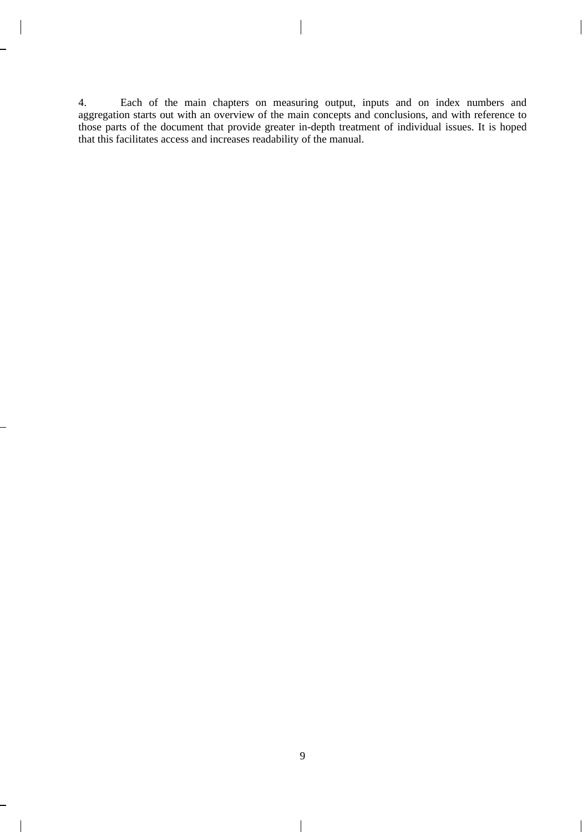4. Each of the main chapters on measuring output, inputs and on index numbers and aggregation starts out with an overview of the main concepts and conclusions, and with reference to those parts of the document that provide greater in-depth treatment of individual issues. It is hoped that this facilitates access and increases readability of the manual.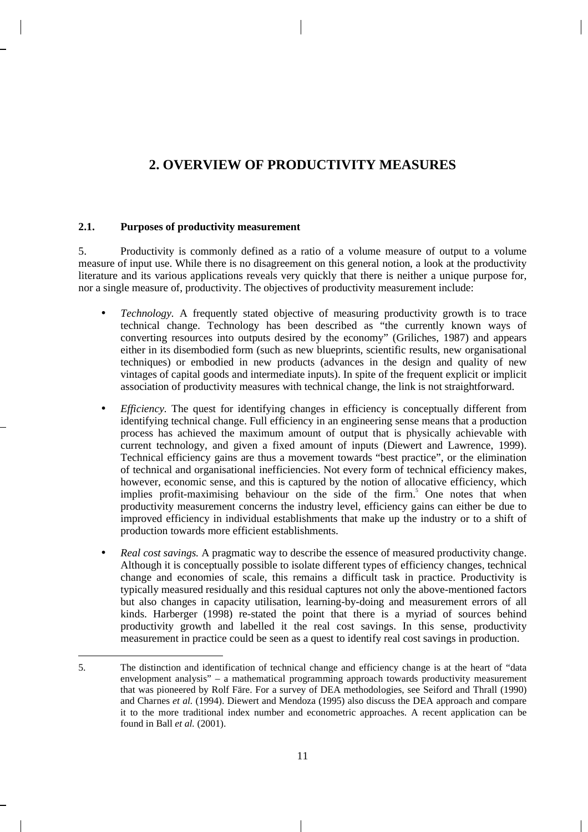### **2. OVERVIEW OF PRODUCTIVITY MEASURES**

#### **2.1. Purposes of productivity measurement**

5. Productivity is commonly defined as a ratio of a volume measure of output to a volume measure of input use. While there is no disagreement on this general notion, a look at the productivity literature and its various applications reveals very quickly that there is neither a unique purpose for, nor a single measure of, productivity. The objectives of productivity measurement include:

- *Technology.* A frequently stated objective of measuring productivity growth is to trace technical change. Technology has been described as "the currently known ways of converting resources into outputs desired by the economy" (Griliches, 1987) and appears either in its disembodied form (such as new blueprints, scientific results, new organisational techniques) or embodied in new products (advances in the design and quality of new vintages of capital goods and intermediate inputs). In spite of the frequent explicit or implicit association of productivity measures with technical change, the link is not straightforward.
- *Efficiency*. The quest for identifying changes in efficiency is conceptually different from identifying technical change. Full efficiency in an engineering sense means that a production process has achieved the maximum amount of output that is physically achievable with current technology, and given a fixed amount of inputs (Diewert and Lawrence, 1999). Technical efficiency gains are thus a movement towards "best practice", or the elimination of technical and organisational inefficiencies. Not every form of technical efficiency makes, however, economic sense, and this is captured by the notion of allocative efficiency, which implies profit-maximising behaviour on the side of the firm.<sup>5</sup> One notes that when productivity measurement concerns the industry level, efficiency gains can either be due to improved efficiency in individual establishments that make up the industry or to a shift of production towards more efficient establishments.
- *Real cost savings.* A pragmatic way to describe the essence of measured productivity change. Although it is conceptually possible to isolate different types of efficiency changes, technical change and economies of scale, this remains a difficult task in practice. Productivity is typically measured residually and this residual captures not only the above-mentioned factors but also changes in capacity utilisation, learning-by-doing and measurement errors of all kinds. Harberger (1998) re-stated the point that there is a myriad of sources behind productivity growth and labelled it the real cost savings. In this sense, productivity measurement in practice could be seen as a quest to identify real cost savings in production.

<sup>-</sup>5. The distinction and identification of technical change and efficiency change is at the heart of "data envelopment analysis" – a mathematical programming approach towards productivity measurement that was pioneered by Rolf Färe. For a survey of DEA methodologies, see Seiford and Thrall (1990) and Charnes *et al.* (1994). Diewert and Mendoza (1995) also discuss the DEA approach and compare it to the more traditional index number and econometric approaches. A recent application can be found in Ball *et al.* (2001).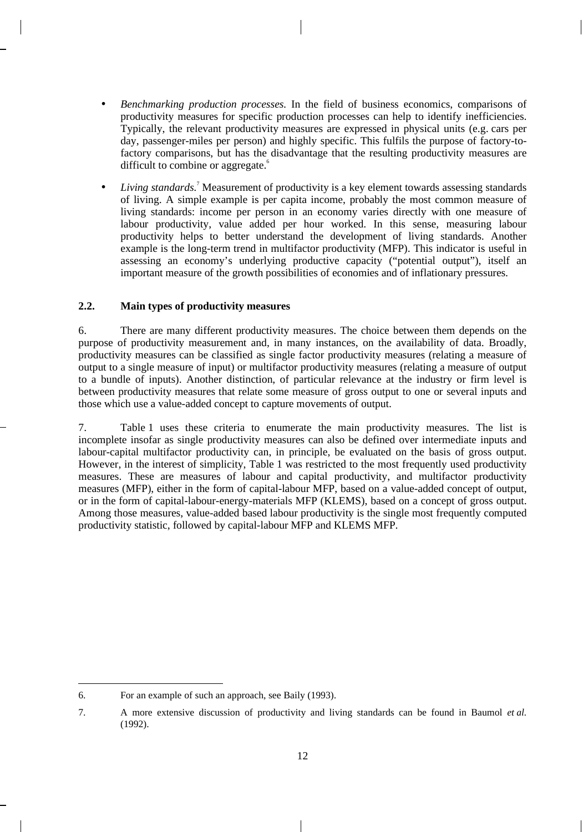- *Benchmarking production processes.* In the field of business economics, comparisons of productivity measures for specific production processes can help to identify inefficiencies. Typically, the relevant productivity measures are expressed in physical units (e.g. cars per day, passenger-miles per person) and highly specific. This fulfils the purpose of factory-tofactory comparisons, but has the disadvantage that the resulting productivity measures are difficult to combine or aggregate.<sup>6</sup>
- *Living standards.*<sup>7</sup> Measurement of productivity is a key element towards assessing standards of living. A simple example is per capita income, probably the most common measure of living standards: income per person in an economy varies directly with one measure of labour productivity, value added per hour worked. In this sense, measuring labour productivity helps to better understand the development of living standards. Another example is the long-term trend in multifactor productivity (MFP). This indicator is useful in assessing an economy's underlying productive capacity ("potential output"), itself an important measure of the growth possibilities of economies and of inflationary pressures.

#### **2.2. Main types of productivity measures**

6. There are many different productivity measures. The choice between them depends on the purpose of productivity measurement and, in many instances, on the availability of data. Broadly, productivity measures can be classified as single factor productivity measures (relating a measure of output to a single measure of input) or multifactor productivity measures (relating a measure of output to a bundle of inputs). Another distinction, of particular relevance at the industry or firm level is between productivity measures that relate some measure of gross output to one or several inputs and those which use a value-added concept to capture movements of output.

7. Table 1 uses these criteria to enumerate the main productivity measures. The list is incomplete insofar as single productivity measures can also be defined over intermediate inputs and labour-capital multifactor productivity can, in principle, be evaluated on the basis of gross output. However, in the interest of simplicity, Table 1 was restricted to the most frequently used productivity measures. These are measures of labour and capital productivity, and multifactor productivity measures (MFP), either in the form of capital-labour MFP, based on a value-added concept of output, or in the form of capital-labour-energy-materials MFP (KLEMS), based on a concept of gross output. Among those measures, value-added based labour productivity is the single most frequently computed productivity statistic, followed by capital-labour MFP and KLEMS MFP.

<sup>-</sup>6. For an example of such an approach, see Baily (1993).

<sup>7.</sup> A more extensive discussion of productivity and living standards can be found in Baumol *et al.* (1992).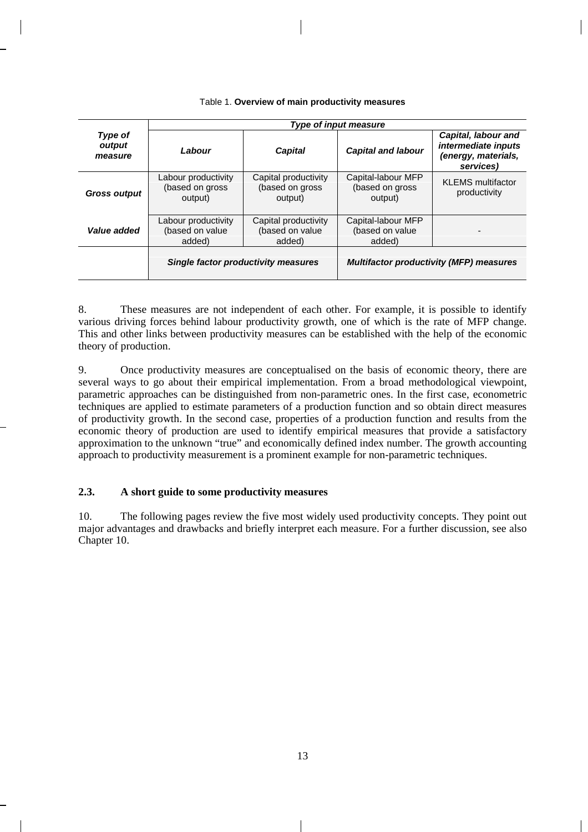|                              | <b>Type of input measure</b>                       |                                                    |                                                   |                                                                                |
|------------------------------|----------------------------------------------------|----------------------------------------------------|---------------------------------------------------|--------------------------------------------------------------------------------|
| Type of<br>output<br>measure | Labour                                             | <b>Capital</b>                                     | <b>Capital and labour</b>                         | Capital, labour and<br>intermediate inputs<br>(energy, materials,<br>services) |
| <b>Gross output</b>          | Labour productivity<br>(based on gross)<br>output) | Capital productivity<br>(based on gross<br>output) | Capital-labour MFP<br>(based on gross)<br>output) | <b>KLEMS</b> multifactor<br>productivity                                       |
| Value added                  | Labour productivity<br>(based on value)<br>added)  | Capital productivity<br>(based on value<br>added)  | Capital-labour MFP<br>(based on value<br>added)   |                                                                                |
|                              | <b>Single factor productivity measures</b>         |                                                    |                                                   | <b>Multifactor productivity (MFP) measures</b>                                 |

#### Table 1. **Overview of main productivity measures**

8. These measures are not independent of each other. For example, it is possible to identify various driving forces behind labour productivity growth, one of which is the rate of MFP change. This and other links between productivity measures can be established with the help of the economic theory of production.

9. Once productivity measures are conceptualised on the basis of economic theory, there are several ways to go about their empirical implementation. From a broad methodological viewpoint, parametric approaches can be distinguished from non-parametric ones. In the first case, econometric techniques are applied to estimate parameters of a production function and so obtain direct measures of productivity growth. In the second case, properties of a production function and results from the economic theory of production are used to identify empirical measures that provide a satisfactory approximation to the unknown "true" and economically defined index number. The growth accounting approach to productivity measurement is a prominent example for non-parametric techniques.

#### **2.3. A short guide to some productivity measures**

10. The following pages review the five most widely used productivity concepts. They point out major advantages and drawbacks and briefly interpret each measure. For a further discussion, see also Chapter 10.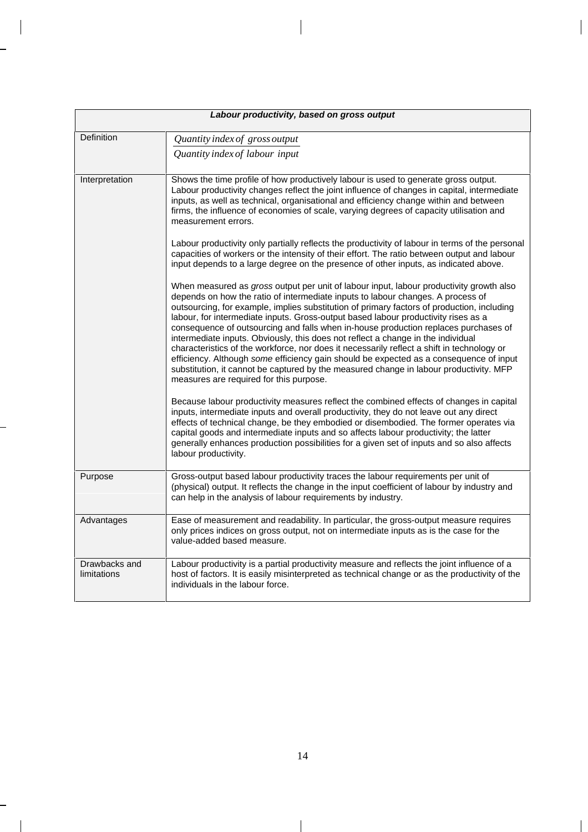| Labour productivity, based on gross output |                                                                                                                                                                                                                                                                                                                                                                                                                                                                                                                                                                                                                                                                                                                                                                                                                                                                        |  |  |
|--------------------------------------------|------------------------------------------------------------------------------------------------------------------------------------------------------------------------------------------------------------------------------------------------------------------------------------------------------------------------------------------------------------------------------------------------------------------------------------------------------------------------------------------------------------------------------------------------------------------------------------------------------------------------------------------------------------------------------------------------------------------------------------------------------------------------------------------------------------------------------------------------------------------------|--|--|
| Definition                                 | Quantity index of gross output                                                                                                                                                                                                                                                                                                                                                                                                                                                                                                                                                                                                                                                                                                                                                                                                                                         |  |  |
|                                            | Quantity index of labour input                                                                                                                                                                                                                                                                                                                                                                                                                                                                                                                                                                                                                                                                                                                                                                                                                                         |  |  |
| Interpretation                             | Shows the time profile of how productively labour is used to generate gross output.<br>Labour productivity changes reflect the joint influence of changes in capital, intermediate<br>inputs, as well as technical, organisational and efficiency change within and between<br>firms, the influence of economies of scale, varying degrees of capacity utilisation and<br>measurement errors.                                                                                                                                                                                                                                                                                                                                                                                                                                                                          |  |  |
|                                            | Labour productivity only partially reflects the productivity of labour in terms of the personal<br>capacities of workers or the intensity of their effort. The ratio between output and labour<br>input depends to a large degree on the presence of other inputs, as indicated above.                                                                                                                                                                                                                                                                                                                                                                                                                                                                                                                                                                                 |  |  |
|                                            | When measured as gross output per unit of labour input, labour productivity growth also<br>depends on how the ratio of intermediate inputs to labour changes. A process of<br>outsourcing, for example, implies substitution of primary factors of production, including<br>labour, for intermediate inputs. Gross-output based labour productivity rises as a<br>consequence of outsourcing and falls when in-house production replaces purchases of<br>intermediate inputs. Obviously, this does not reflect a change in the individual<br>characteristics of the workforce, nor does it necessarily reflect a shift in technology or<br>efficiency. Although some efficiency gain should be expected as a consequence of input<br>substitution, it cannot be captured by the measured change in labour productivity. MFP<br>measures are required for this purpose. |  |  |
|                                            | Because labour productivity measures reflect the combined effects of changes in capital<br>inputs, intermediate inputs and overall productivity, they do not leave out any direct<br>effects of technical change, be they embodied or disembodied. The former operates via<br>capital goods and intermediate inputs and so affects labour productivity; the latter<br>generally enhances production possibilities for a given set of inputs and so also affects<br>labour productivity.                                                                                                                                                                                                                                                                                                                                                                                |  |  |
| Purpose                                    | Gross-output based labour productivity traces the labour requirements per unit of<br>(physical) output. It reflects the change in the input coefficient of labour by industry and<br>can help in the analysis of labour requirements by industry.                                                                                                                                                                                                                                                                                                                                                                                                                                                                                                                                                                                                                      |  |  |
| Advantages                                 | Ease of measurement and readability. In particular, the gross-output measure requires<br>only prices indices on gross output, not on intermediate inputs as is the case for the<br>value-added based measure.                                                                                                                                                                                                                                                                                                                                                                                                                                                                                                                                                                                                                                                          |  |  |
| Drawbacks and<br>limitations               | Labour productivity is a partial productivity measure and reflects the joint influence of a<br>host of factors. It is easily misinterpreted as technical change or as the productivity of the<br>individuals in the labour force.                                                                                                                                                                                                                                                                                                                                                                                                                                                                                                                                                                                                                                      |  |  |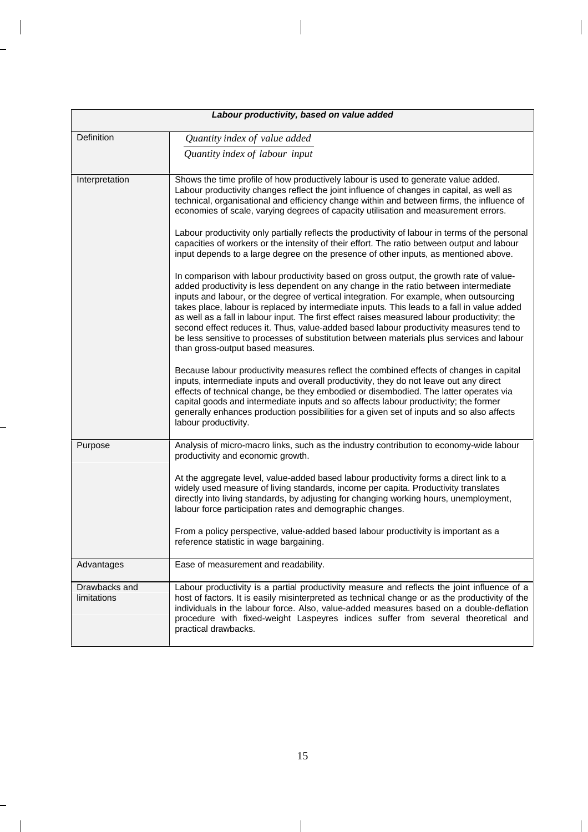| Labour productivity, based on value added |                                                                                                                                                                                                                                                                                                                                                                                                                                                                                                                                                                                                                                                                                                       |  |  |
|-------------------------------------------|-------------------------------------------------------------------------------------------------------------------------------------------------------------------------------------------------------------------------------------------------------------------------------------------------------------------------------------------------------------------------------------------------------------------------------------------------------------------------------------------------------------------------------------------------------------------------------------------------------------------------------------------------------------------------------------------------------|--|--|
| Definition                                | Quantity index of value added                                                                                                                                                                                                                                                                                                                                                                                                                                                                                                                                                                                                                                                                         |  |  |
|                                           | Quantity index of labour input                                                                                                                                                                                                                                                                                                                                                                                                                                                                                                                                                                                                                                                                        |  |  |
| Interpretation                            | Shows the time profile of how productively labour is used to generate value added.<br>Labour productivity changes reflect the joint influence of changes in capital, as well as<br>technical, organisational and efficiency change within and between firms, the influence of<br>economies of scale, varying degrees of capacity utilisation and measurement errors.                                                                                                                                                                                                                                                                                                                                  |  |  |
|                                           | Labour productivity only partially reflects the productivity of labour in terms of the personal<br>capacities of workers or the intensity of their effort. The ratio between output and labour<br>input depends to a large degree on the presence of other inputs, as mentioned above.                                                                                                                                                                                                                                                                                                                                                                                                                |  |  |
|                                           | In comparison with labour productivity based on gross output, the growth rate of value-<br>added productivity is less dependent on any change in the ratio between intermediate<br>inputs and labour, or the degree of vertical integration. For example, when outsourcing<br>takes place, labour is replaced by intermediate inputs. This leads to a fall in value added<br>as well as a fall in labour input. The first effect raises measured labour productivity; the<br>second effect reduces it. Thus, value-added based labour productivity measures tend to<br>be less sensitive to processes of substitution between materials plus services and labour<br>than gross-output based measures. |  |  |
|                                           | Because labour productivity measures reflect the combined effects of changes in capital<br>inputs, intermediate inputs and overall productivity, they do not leave out any direct<br>effects of technical change, be they embodied or disembodied. The latter operates via<br>capital goods and intermediate inputs and so affects labour productivity; the former<br>generally enhances production possibilities for a given set of inputs and so also affects<br>labour productivity.                                                                                                                                                                                                               |  |  |
| Purpose                                   | Analysis of micro-macro links, such as the industry contribution to economy-wide labour<br>productivity and economic growth.                                                                                                                                                                                                                                                                                                                                                                                                                                                                                                                                                                          |  |  |
|                                           | At the aggregate level, value-added based labour productivity forms a direct link to a<br>widely used measure of living standards, income per capita. Productivity translates<br>directly into living standards, by adjusting for changing working hours, unemployment,<br>labour force participation rates and demographic changes.                                                                                                                                                                                                                                                                                                                                                                  |  |  |
|                                           | From a policy perspective, value-added based labour productivity is important as a<br>reference statistic in wage bargaining.                                                                                                                                                                                                                                                                                                                                                                                                                                                                                                                                                                         |  |  |
| Advantages                                | Ease of measurement and readability.                                                                                                                                                                                                                                                                                                                                                                                                                                                                                                                                                                                                                                                                  |  |  |
| Drawbacks and<br>limitations              | Labour productivity is a partial productivity measure and reflects the joint influence of a<br>host of factors. It is easily misinterpreted as technical change or as the productivity of the<br>individuals in the labour force. Also, value-added measures based on a double-deflation<br>procedure with fixed-weight Laspeyres indices suffer from several theoretical and<br>practical drawbacks.                                                                                                                                                                                                                                                                                                 |  |  |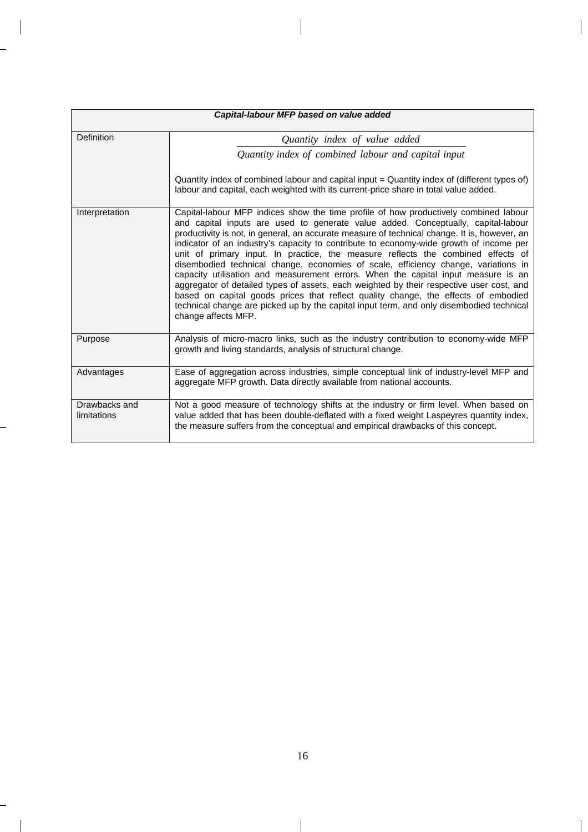| Capital-labour MFP based on value added            |                                                                                                                                                                                                                                                                                                                                                                                                                                                                                                                                                                                                                                                                                                                                                                                                                                                                                                                                         |  |
|----------------------------------------------------|-----------------------------------------------------------------------------------------------------------------------------------------------------------------------------------------------------------------------------------------------------------------------------------------------------------------------------------------------------------------------------------------------------------------------------------------------------------------------------------------------------------------------------------------------------------------------------------------------------------------------------------------------------------------------------------------------------------------------------------------------------------------------------------------------------------------------------------------------------------------------------------------------------------------------------------------|--|
| <b>Definition</b><br>Quantity index of value added |                                                                                                                                                                                                                                                                                                                                                                                                                                                                                                                                                                                                                                                                                                                                                                                                                                                                                                                                         |  |
|                                                    | Quantity index of combined labour and capital input                                                                                                                                                                                                                                                                                                                                                                                                                                                                                                                                                                                                                                                                                                                                                                                                                                                                                     |  |
|                                                    | Quantity index of combined labour and capital input = Quantity index of (different types of)<br>labour and capital, each weighted with its current-price share in total value added.                                                                                                                                                                                                                                                                                                                                                                                                                                                                                                                                                                                                                                                                                                                                                    |  |
| Interpretation                                     | Capital-labour MFP indices show the time profile of how productively combined labour<br>and capital inputs are used to generate value added. Conceptually, capital-labour<br>productivity is not, in general, an accurate measure of technical change. It is, however, an<br>indicator of an industry's capacity to contribute to economy-wide growth of income per<br>unit of primary input. In practice, the measure reflects the combined effects of<br>disembodied technical change, economies of scale, efficiency change, variations in<br>capacity utilisation and measurement errors. When the capital input measure is an<br>aggregator of detailed types of assets, each weighted by their respective user cost, and<br>based on capital goods prices that reflect quality change, the effects of embodied<br>technical change are picked up by the capital input term, and only disembodied technical<br>change affects MFP. |  |
| Purpose                                            | Analysis of micro-macro links, such as the industry contribution to economy-wide MFP<br>growth and living standards, analysis of structural change.                                                                                                                                                                                                                                                                                                                                                                                                                                                                                                                                                                                                                                                                                                                                                                                     |  |
| Advantages                                         | Ease of aggregation across industries, simple conceptual link of industry-level MFP and<br>aggregate MFP growth. Data directly available from national accounts.                                                                                                                                                                                                                                                                                                                                                                                                                                                                                                                                                                                                                                                                                                                                                                        |  |
| Drawbacks and<br>limitations                       | Not a good measure of technology shifts at the industry or firm level. When based on<br>value added that has been double-deflated with a fixed weight Laspeyres quantity index,<br>the measure suffers from the conceptual and empirical drawbacks of this concept.                                                                                                                                                                                                                                                                                                                                                                                                                                                                                                                                                                                                                                                                     |  |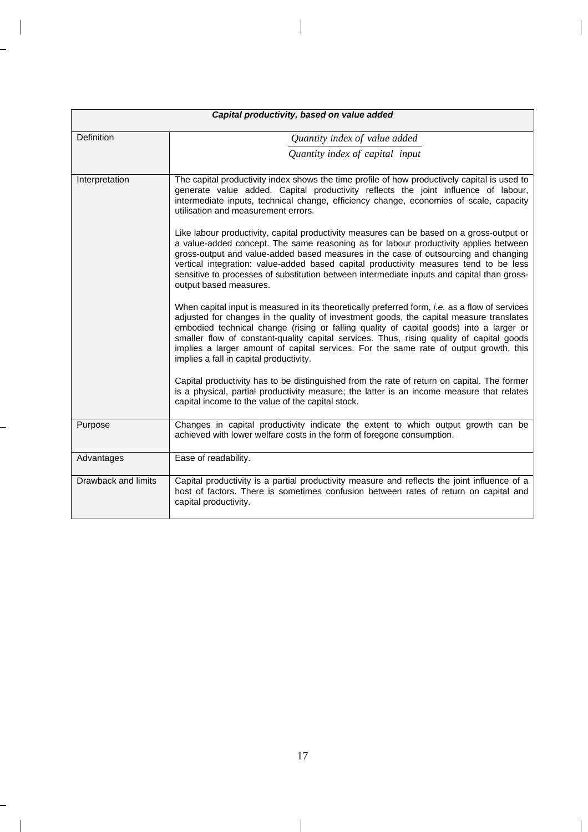| Capital productivity, based on value added         |                                                                                                                                                                                                                                                                                                                                                                                                                                                                                                                             |  |
|----------------------------------------------------|-----------------------------------------------------------------------------------------------------------------------------------------------------------------------------------------------------------------------------------------------------------------------------------------------------------------------------------------------------------------------------------------------------------------------------------------------------------------------------------------------------------------------------|--|
| <b>Definition</b><br>Quantity index of value added |                                                                                                                                                                                                                                                                                                                                                                                                                                                                                                                             |  |
|                                                    | Quantity index of capital input                                                                                                                                                                                                                                                                                                                                                                                                                                                                                             |  |
| Interpretation                                     | The capital productivity index shows the time profile of how productively capital is used to<br>generate value added. Capital productivity reflects the joint influence of labour,<br>intermediate inputs, technical change, efficiency change, economies of scale, capacity<br>utilisation and measurement errors.                                                                                                                                                                                                         |  |
|                                                    | Like labour productivity, capital productivity measures can be based on a gross-output or<br>a value-added concept. The same reasoning as for labour productivity applies between<br>gross-output and value-added based measures in the case of outsourcing and changing<br>vertical integration: value-added based capital productivity measures tend to be less<br>sensitive to processes of substitution between intermediate inputs and capital than gross-<br>output based measures.                                   |  |
|                                                    | When capital input is measured in its theoretically preferred form, <i>i.e.</i> as a flow of services<br>adjusted for changes in the quality of investment goods, the capital measure translates<br>embodied technical change (rising or falling quality of capital goods) into a larger or<br>smaller flow of constant-quality capital services. Thus, rising quality of capital goods<br>implies a larger amount of capital services. For the same rate of output growth, this<br>implies a fall in capital productivity. |  |
|                                                    | Capital productivity has to be distinguished from the rate of return on capital. The former<br>is a physical, partial productivity measure; the latter is an income measure that relates<br>capital income to the value of the capital stock.                                                                                                                                                                                                                                                                               |  |
| Purpose                                            | Changes in capital productivity indicate the extent to which output growth can be<br>achieved with lower welfare costs in the form of foregone consumption.                                                                                                                                                                                                                                                                                                                                                                 |  |
| Advantages                                         | Ease of readability.                                                                                                                                                                                                                                                                                                                                                                                                                                                                                                        |  |
| Drawback and limits                                | Capital productivity is a partial productivity measure and reflects the joint influence of a<br>host of factors. There is sometimes confusion between rates of return on capital and<br>capital productivity.                                                                                                                                                                                                                                                                                                               |  |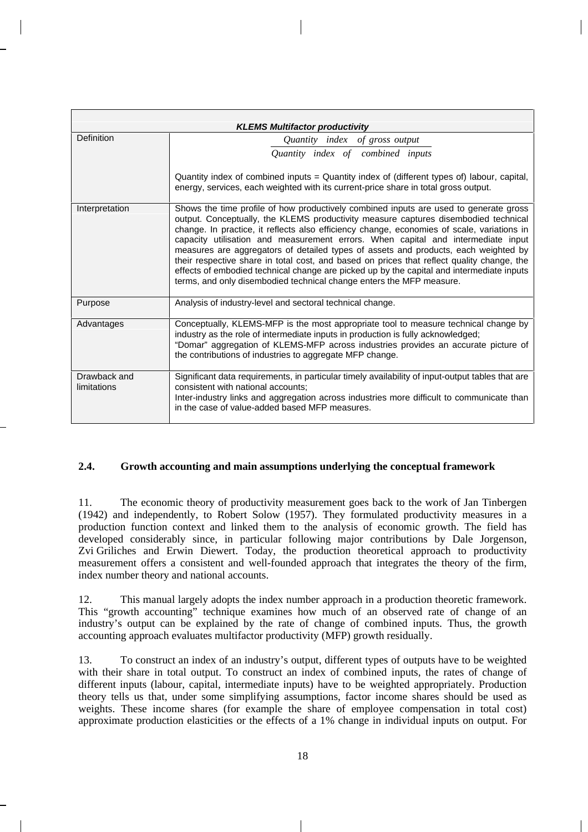|                                              | <b>KLEMS Multifactor productivity</b>                                                                                                                                                                                                                                                                                                                                                                                                                                                                                                                                                                                                                                                                                    |
|----------------------------------------------|--------------------------------------------------------------------------------------------------------------------------------------------------------------------------------------------------------------------------------------------------------------------------------------------------------------------------------------------------------------------------------------------------------------------------------------------------------------------------------------------------------------------------------------------------------------------------------------------------------------------------------------------------------------------------------------------------------------------------|
| Definition<br>Quantity index of gross output |                                                                                                                                                                                                                                                                                                                                                                                                                                                                                                                                                                                                                                                                                                                          |
|                                              | Quantity index of combined inputs                                                                                                                                                                                                                                                                                                                                                                                                                                                                                                                                                                                                                                                                                        |
|                                              | Quantity index of combined inputs = Quantity index of (different types of) labour, capital,<br>energy, services, each weighted with its current-price share in total gross output.                                                                                                                                                                                                                                                                                                                                                                                                                                                                                                                                       |
| Interpretation                               | Shows the time profile of how productively combined inputs are used to generate gross<br>output. Conceptually, the KLEMS productivity measure captures disembodied technical<br>change. In practice, it reflects also efficiency change, economies of scale, variations in<br>capacity utilisation and measurement errors. When capital and intermediate input<br>measures are aggregators of detailed types of assets and products, each weighted by<br>their respective share in total cost, and based on prices that reflect quality change, the<br>effects of embodied technical change are picked up by the capital and intermediate inputs<br>terms, and only disembodied technical change enters the MFP measure. |
| Purpose                                      | Analysis of industry-level and sectoral technical change.                                                                                                                                                                                                                                                                                                                                                                                                                                                                                                                                                                                                                                                                |
| Advantages                                   | Conceptually, KLEMS-MFP is the most appropriate tool to measure technical change by<br>industry as the role of intermediate inputs in production is fully acknowledged;<br>"Domar" aggregation of KLEMS-MFP across industries provides an accurate picture of<br>the contributions of industries to aggregate MFP change.                                                                                                                                                                                                                                                                                                                                                                                                |
| Drawback and<br>limitations                  | Significant data requirements, in particular timely availability of input-output tables that are<br>consistent with national accounts:<br>Inter-industry links and aggregation across industries more difficult to communicate than<br>in the case of value-added based MFP measures.                                                                                                                                                                                                                                                                                                                                                                                                                                    |

#### **2.4. Growth accounting and main assumptions underlying the conceptual framework**

11. The economic theory of productivity measurement goes back to the work of Jan Tinbergen (1942) and independently, to Robert Solow (1957). They formulated productivity measures in a production function context and linked them to the analysis of economic growth. The field has developed considerably since, in particular following major contributions by Dale Jorgenson, Zvi Griliches and Erwin Diewert. Today, the production theoretical approach to productivity measurement offers a consistent and well-founded approach that integrates the theory of the firm, index number theory and national accounts.

12. This manual largely adopts the index number approach in a production theoretic framework. This "growth accounting" technique examines how much of an observed rate of change of an industry's output can be explained by the rate of change of combined inputs. Thus, the growth accounting approach evaluates multifactor productivity (MFP) growth residually.

13. To construct an index of an industry's output, different types of outputs have to be weighted with their share in total output. To construct an index of combined inputs, the rates of change of different inputs (labour, capital, intermediate inputs) have to be weighted appropriately. Production theory tells us that, under some simplifying assumptions, factor income shares should be used as weights. These income shares (for example the share of employee compensation in total cost) approximate production elasticities or the effects of a 1% change in individual inputs on output. For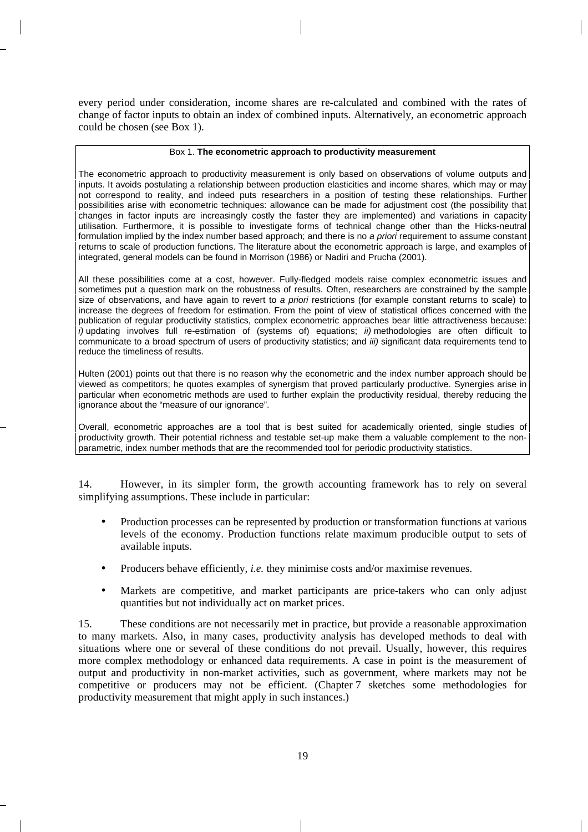every period under consideration, income shares are re-calculated and combined with the rates of change of factor inputs to obtain an index of combined inputs. Alternatively, an econometric approach could be chosen (see Box 1).

#### Box 1. **The econometric approach to productivity measurement**

The econometric approach to productivity measurement is only based on observations of volume outputs and inputs. It avoids postulating a relationship between production elasticities and income shares, which may or may not correspond to reality, and indeed puts researchers in a position of testing these relationships. Further possibilities arise with econometric techniques: allowance can be made for adjustment cost (the possibility that changes in factor inputs are increasingly costly the faster they are implemented) and variations in capacity utilisation. Furthermore, it is possible to investigate forms of technical change other than the Hicks-neutral formulation implied by the index number based approach; and there is no a priori requirement to assume constant returns to scale of production functions. The literature about the econometric approach is large, and examples of integrated, general models can be found in Morrison (1986) or Nadiri and Prucha (2001).

All these possibilities come at a cost, however. Fully-fledged models raise complex econometric issues and sometimes put a question mark on the robustness of results. Often, researchers are constrained by the sample size of observations, and have again to revert to a priori restrictions (for example constant returns to scale) to increase the degrees of freedom for estimation. From the point of view of statistical offices concerned with the publication of regular productivity statistics, complex econometric approaches bear little attractiveness because:  $i)$  updating involves full re-estimation of (systems of) equations;  $ii)$  methodologies are often difficult to communicate to a broad spectrum of users of productivity statistics; and *iii*) significant data requirements tend to reduce the timeliness of results.

Hulten (2001) points out that there is no reason why the econometric and the index number approach should be viewed as competitors; he quotes examples of synergism that proved particularly productive. Synergies arise in particular when econometric methods are used to further explain the productivity residual, thereby reducing the ignorance about the "measure of our ignorance".

Overall, econometric approaches are a tool that is best suited for academically oriented, single studies of productivity growth. Their potential richness and testable set-up make them a valuable complement to the nonparametric, index number methods that are the recommended tool for periodic productivity statistics.

14. However, in its simpler form, the growth accounting framework has to rely on several simplifying assumptions. These include in particular:

- Production processes can be represented by production or transformation functions at various levels of the economy. Production functions relate maximum producible output to sets of available inputs.
- Producers behave efficiently, *i.e.* they minimise costs and/or maximise revenues.
- Markets are competitive, and market participants are price-takers who can only adjust quantities but not individually act on market prices.

15. These conditions are not necessarily met in practice, but provide a reasonable approximation to many markets. Also, in many cases, productivity analysis has developed methods to deal with situations where one or several of these conditions do not prevail. Usually, however, this requires more complex methodology or enhanced data requirements. A case in point is the measurement of output and productivity in non-market activities, such as government, where markets may not be competitive or producers may not be efficient. (Chapter 7 sketches some methodologies for productivity measurement that might apply in such instances.)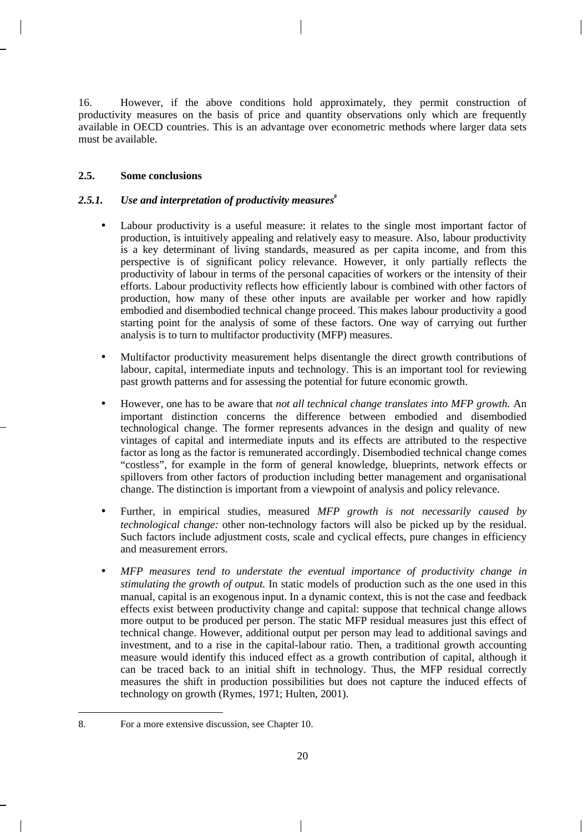16. However, if the above conditions hold approximately, they permit construction of productivity measures on the basis of price and quantity observations only which are frequently available in OECD countries. This is an advantage over econometric methods where larger data sets must be available.

#### **2.5. Some conclusions**

#### 2.5.1. Use and interpretation of productivity measures<sup>8</sup>

- Labour productivity is a useful measure: it relates to the single most important factor of production, is intuitively appealing and relatively easy to measure. Also, labour productivity is a key determinant of living standards, measured as per capita income, and from this perspective is of significant policy relevance. However, it only partially reflects the productivity of labour in terms of the personal capacities of workers or the intensity of their efforts. Labour productivity reflects how efficiently labour is combined with other factors of production, how many of these other inputs are available per worker and how rapidly embodied and disembodied technical change proceed. This makes labour productivity a good starting point for the analysis of some of these factors. One way of carrying out further analysis is to turn to multifactor productivity (MFP) measures.
- Multifactor productivity measurement helps disentangle the direct growth contributions of labour, capital, intermediate inputs and technology. This is an important tool for reviewing past growth patterns and for assessing the potential for future economic growth.
- However, one has to be aware that *not all technical change translates into MFP growth.* An important distinction concerns the difference between embodied and disembodied technological change. The former represents advances in the design and quality of new vintages of capital and intermediate inputs and its effects are attributed to the respective factor as long as the factor is remunerated accordingly. Disembodied technical change comes "costless", for example in the form of general knowledge, blueprints, network effects or spillovers from other factors of production including better management and organisational change. The distinction is important from a viewpoint of analysis and policy relevance.
- Further, in empirical studies, measured *MFP growth is not necessarily caused by technological change:* other non-technology factors will also be picked up by the residual. Such factors include adjustment costs, scale and cyclical effects, pure changes in efficiency and measurement errors.
- *MFP measures tend to understate the eventual importance of productivity change in stimulating the growth of output.* In static models of production such as the one used in this manual, capital is an exogenous input. In a dynamic context, this is not the case and feedback effects exist between productivity change and capital: suppose that technical change allows more output to be produced per person. The static MFP residual measures just this effect of technical change. However, additional output per person may lead to additional savings and investment, and to a rise in the capital-labour ratio. Then, a traditional growth accounting measure would identify this induced effect as a growth contribution of capital, although it can be traced back to an initial shift in technology. Thus, the MFP residual correctly measures the shift in production possibilities but does not capture the induced effects of technology on growth (Rymes, 1971; Hulten, 2001).

j 8. For a more extensive discussion, see Chapter 10.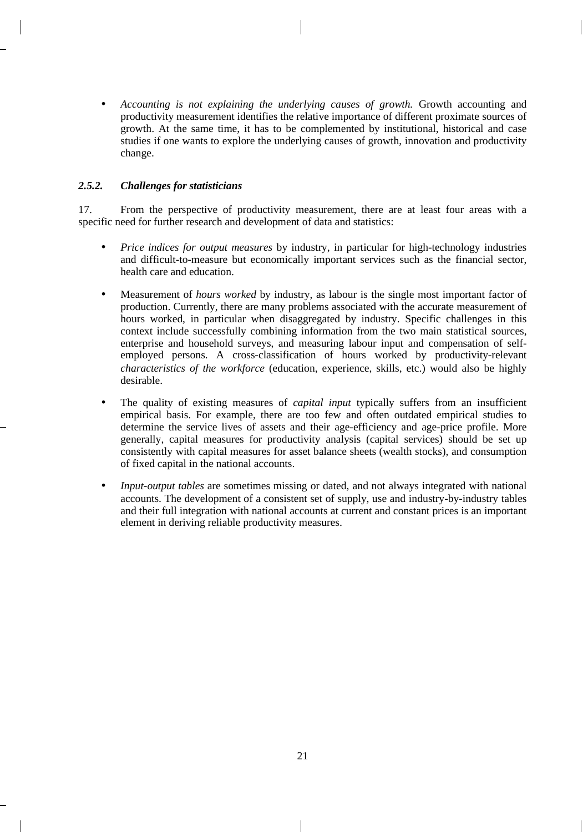• *Accounting is not explaining the underlying causes of growth.* Growth accounting and productivity measurement identifies the relative importance of different proximate sources of growth. At the same time, it has to be complemented by institutional, historical and case studies if one wants to explore the underlying causes of growth, innovation and productivity change.

#### *2.5.2. Challenges for statisticians*

17. From the perspective of productivity measurement, there are at least four areas with a specific need for further research and development of data and statistics:

- *Price indices for output measures* by industry, in particular for high-technology industries and difficult-to-measure but economically important services such as the financial sector, health care and education.
- Measurement of *hours worked* by industry, as labour is the single most important factor of production. Currently, there are many problems associated with the accurate measurement of hours worked, in particular when disaggregated by industry. Specific challenges in this context include successfully combining information from the two main statistical sources, enterprise and household surveys, and measuring labour input and compensation of selfemployed persons. A cross-classification of hours worked by productivity-relevant *characteristics of the workforce* (education, experience, skills, etc.) would also be highly desirable.
- The quality of existing measures of *capital input* typically suffers from an insufficient empirical basis. For example, there are too few and often outdated empirical studies to determine the service lives of assets and their age-efficiency and age-price profile. More generally, capital measures for productivity analysis (capital services) should be set up consistently with capital measures for asset balance sheets (wealth stocks), and consumption of fixed capital in the national accounts.
- *Input-output tables* are sometimes missing or dated, and not always integrated with national accounts. The development of a consistent set of supply, use and industry-by-industry tables and their full integration with national accounts at current and constant prices is an important element in deriving reliable productivity measures.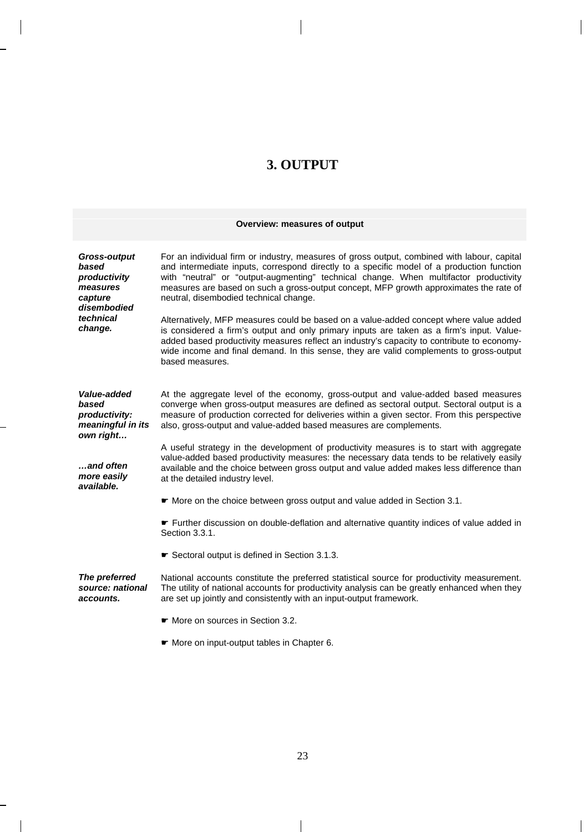# **3. OUTPUT**

| Overview: measures of output                                                       |                                                                                                                                                                                                                                                                                                                                                                                                                       |  |  |  |
|------------------------------------------------------------------------------------|-----------------------------------------------------------------------------------------------------------------------------------------------------------------------------------------------------------------------------------------------------------------------------------------------------------------------------------------------------------------------------------------------------------------------|--|--|--|
| <b>Gross-output</b><br>based<br>productivity<br>measures<br>capture<br>disembodied | For an individual firm or industry, measures of gross output, combined with labour, capital<br>and intermediate inputs, correspond directly to a specific model of a production function<br>with "neutral" or "output-augmenting" technical change. When multifactor productivity<br>measures are based on such a gross-output concept, MFP growth approximates the rate of<br>neutral, disembodied technical change. |  |  |  |
| technical<br>change.                                                               | Alternatively, MFP measures could be based on a value-added concept where value added<br>is considered a firm's output and only primary inputs are taken as a firm's input. Value-<br>added based productivity measures reflect an industry's capacity to contribute to economy-<br>wide income and final demand. In this sense, they are valid complements to gross-output<br>based measures.                        |  |  |  |
| Value-added<br>based<br>productivity:<br>meaningful in its<br>own right            | At the aggregate level of the economy, gross-output and value-added based measures<br>converge when gross-output measures are defined as sectoral output. Sectoral output is a<br>measure of production corrected for deliveries within a given sector. From this perspective<br>also, gross-output and value-added based measures are complements.                                                                   |  |  |  |
| and often<br>more easily<br>available.                                             | A useful strategy in the development of productivity measures is to start with aggregate<br>value-added based productivity measures: the necessary data tends to be relatively easily<br>available and the choice between gross output and value added makes less difference than<br>at the detailed industry level.                                                                                                  |  |  |  |
|                                                                                    | • More on the choice between gross output and value added in Section 3.1.                                                                                                                                                                                                                                                                                                                                             |  |  |  |
|                                                                                    | Further discussion on double-deflation and alternative quantity indices of value added in<br>Section 3.3.1.                                                                                                                                                                                                                                                                                                           |  |  |  |
|                                                                                    | ← Sectoral output is defined in Section 3.1.3.                                                                                                                                                                                                                                                                                                                                                                        |  |  |  |
| The preferred<br>source: national<br>accounts.                                     | National accounts constitute the preferred statistical source for productivity measurement.<br>The utility of national accounts for productivity analysis can be greatly enhanced when they<br>are set up jointly and consistently with an input-output framework.                                                                                                                                                    |  |  |  |
|                                                                                    | • More on sources in Section 3.2.                                                                                                                                                                                                                                                                                                                                                                                     |  |  |  |
|                                                                                    | More on input-output tables in Chapter 6.                                                                                                                                                                                                                                                                                                                                                                             |  |  |  |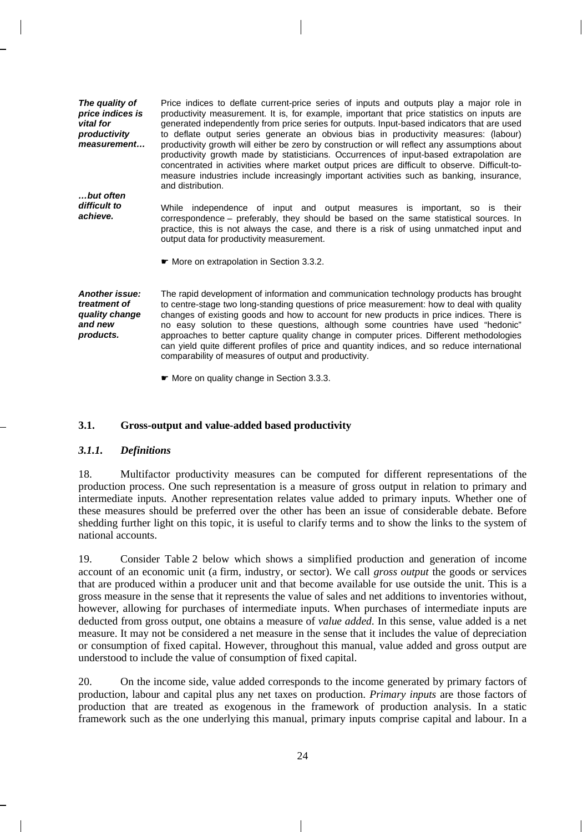| The quality of<br>price indices is<br>vital for<br>productivity<br>measurement<br>but often | Price indices to deflate current-price series of inputs and outputs play a major role in<br>productivity measurement. It is, for example, important that price statistics on inputs are<br>generated independently from price series for outputs. Input-based indicators that are used<br>to deflate output series generate an obvious bias in productivity measures: (labour)<br>productivity growth will either be zero by construction or will reflect any assumptions about<br>productivity growth made by statisticians. Occurrences of input-based extrapolation are<br>concentrated in activities where market output prices are difficult to observe. Difficult-to-<br>measure industries include increasingly important activities such as banking, insurance,<br>and distribution. |
|---------------------------------------------------------------------------------------------|----------------------------------------------------------------------------------------------------------------------------------------------------------------------------------------------------------------------------------------------------------------------------------------------------------------------------------------------------------------------------------------------------------------------------------------------------------------------------------------------------------------------------------------------------------------------------------------------------------------------------------------------------------------------------------------------------------------------------------------------------------------------------------------------|
| difficult to<br>achieve.                                                                    | While independence of input and output measures is important, so is their<br>correspondence – preferably, they should be based on the same statistical sources. In<br>practice, this is not always the case, and there is a risk of using unmatched input and<br>output data for productivity measurement.<br>More on extrapolation in Section 3.3.2.                                                                                                                                                                                                                                                                                                                                                                                                                                        |
| <b>Another issue:</b><br>treatment of<br>quality change<br>and new<br>products.             | The rapid development of information and communication technology products has brought<br>to centre-stage two long-standing questions of price measurement: how to deal with quality<br>changes of existing goods and how to account for new products in price indices. There is<br>no easy solution to these questions, although some countries have used "hedonic"<br>approaches to better capture quality change in computer prices. Different methodologies<br>can yield quite different profiles of price and quantity indices, and so reduce international<br>comparability of measures of output and productivity.                                                                                                                                                                    |
|                                                                                             | • More on quality change in Section 3.3.3.                                                                                                                                                                                                                                                                                                                                                                                                                                                                                                                                                                                                                                                                                                                                                   |

#### **3.1. Gross-output and value-added based productivity**

#### *3.1.1. Definitions*

18. Multifactor productivity measures can be computed for different representations of the production process. One such representation is a measure of gross output in relation to primary and intermediate inputs. Another representation relates value added to primary inputs. Whether one of these measures should be preferred over the other has been an issue of considerable debate. Before shedding further light on this topic, it is useful to clarify terms and to show the links to the system of national accounts.

19. Consider Table 2 below which shows a simplified production and generation of income account of an economic unit (a firm, industry, or sector). We call *gross output* the goods or services that are produced within a producer unit and that become available for use outside the unit. This is a gross measure in the sense that it represents the value of sales and net additions to inventories without, however, allowing for purchases of intermediate inputs. When purchases of intermediate inputs are deducted from gross output, one obtains a measure of *value added*. In this sense, value added is a net measure. It may not be considered a net measure in the sense that it includes the value of depreciation or consumption of fixed capital. However, throughout this manual, value added and gross output are understood to include the value of consumption of fixed capital.

20. On the income side, value added corresponds to the income generated by primary factors of production, labour and capital plus any net taxes on production. *Primary inputs* are those factors of production that are treated as exogenous in the framework of production analysis. In a static framework such as the one underlying this manual, primary inputs comprise capital and labour. In a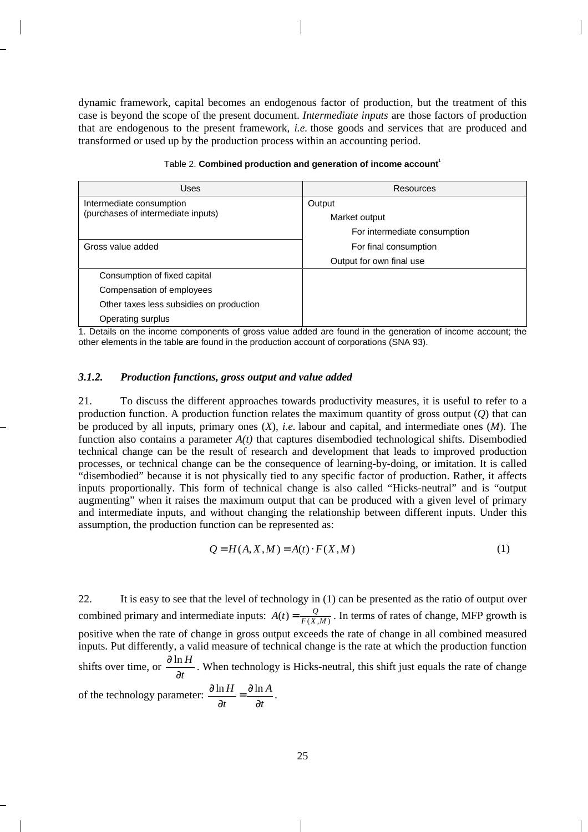dynamic framework, capital becomes an endogenous factor of production, but the treatment of this case is beyond the scope of the present document. *Intermediate inputs* are those factors of production that are endogenous to the present framework, *i.e.* those goods and services that are produced and transformed or used up by the production process within an accounting period.

| Uses                                     | Resources                    |
|------------------------------------------|------------------------------|
| Intermediate consumption                 | Output                       |
| (purchases of intermediate inputs)       | Market output                |
|                                          | For intermediate consumption |
| Gross value added                        | For final consumption        |
|                                          | Output for own final use     |
| Consumption of fixed capital             |                              |
| Compensation of employees                |                              |
| Other taxes less subsidies on production |                              |
| Operating surplus                        |                              |

#### Table 2. **Combined production and generation of income account<sup>1</sup>**

1. Details on the income components of gross value added are found in the generation of income account; the other elements in the table are found in the production account of corporations (SNA 93).

#### *3.1.2. Production functions, gross output and value added*

21. To discuss the different approaches towards productivity measures, it is useful to refer to a production function. A production function relates the maximum quantity of gross output (*Q*) that can be produced by all inputs, primary ones (*X*), *i.e.* labour and capital, and intermediate ones (*M*). The function also contains a parameter *A(t)* that captures disembodied technological shifts. Disembodied technical change can be the result of research and development that leads to improved production processes, or technical change can be the consequence of learning-by-doing, or imitation. It is called "disembodied" because it is not physically tied to any specific factor of production. Rather, it affects inputs proportionally. This form of technical change is also called "Hicks-neutral" and is "output augmenting" when it raises the maximum output that can be produced with a given level of primary and intermediate inputs, and without changing the relationship between different inputs. Under this assumption, the production function can be represented as:

$$
Q = H(A, X, M) = A(t) \cdot F(X, M)
$$
\n<sup>(1)</sup>

22. It is easy to see that the level of technology in (1) can be presented as the ratio of output over combined primary and intermediate inputs:  $A(t) = \frac{Q}{F(X,M)}$ . In terms of rates of change, MFP growth is positive when the rate of change in gross output exceeds the rate of change in all combined measured inputs. Put differently, a valid measure of technical change is the rate at which the production function shifts over time, or *t H* ∂  $\frac{\partial \ln H}{\partial \rho}$ . When technology is Hicks-neutral, this shift just equals the rate of change of the technology parameter: *t A t H*  $\frac{\partial \ln H}{\partial t} = \frac{\partial \ln A}{\partial t}$ .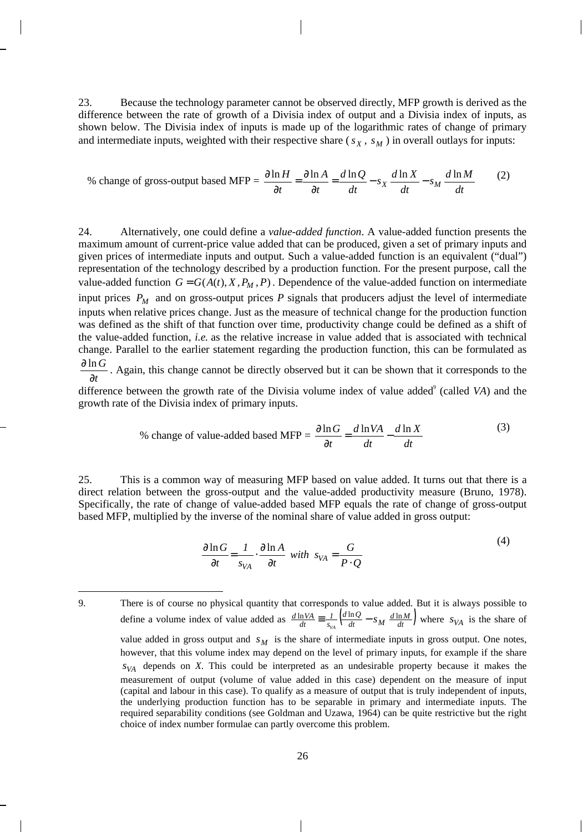23. Because the technology parameter cannot be observed directly, MFP growth is derived as the difference between the rate of growth of a Divisia index of output and a Divisia index of inputs, as shown below. The Divisia index of inputs is made up of the logarithmic rates of change of primary and intermediate inputs, weighted with their respective share ( $s_X$ ,  $s_M$ ) in overall outlays for inputs:

% change of gross-output based MFP = 
$$
\frac{\partial \ln H}{\partial t} = \frac{\partial \ln A}{\partial t} = \frac{d \ln Q}{dt} - s_X \frac{d \ln X}{dt} - s_M \frac{d \ln M}{dt}
$$
 (2)

24. Alternatively, one could define a *value-added function*. A value-added function presents the maximum amount of current-price value added that can be produced, given a set of primary inputs and given prices of intermediate inputs and output. Such a value-added function is an equivalent ("dual") representation of the technology described by a production function. For the present purpose, call the value-added function  $G = G(A(t), X, P_M, P)$ . Dependence of the value-added function on intermediate input prices  $P_M$  and on gross-output prices  $P$  signals that producers adjust the level of intermediate inputs when relative prices change. Just as the measure of technical change for the production function was defined as the shift of that function over time, productivity change could be defined as a shift of the value-added function, *i.e.* as the relative increase in value added that is associated with technical change. Parallel to the earlier statement regarding the production function, this can be formulated as *t G* ∂  $\frac{\partial \ln G}{\partial \rho}$ . Again, this change cannot be directly observed but it can be shown that it corresponds to the

difference between the growth rate of the Divisia volume index of value added<sup>9</sup> (called *VA*) and the growth rate of the Divisia index of primary inputs.

% change of value-added based MFP = 
$$
\frac{\partial \ln G}{\partial t} = \frac{d \ln VA}{dt} - \frac{d \ln X}{dt}
$$
 (3)

25. This is a common way of measuring MFP based on value added. It turns out that there is a direct relation between the gross-output and the value-added productivity measure (Bruno, 1978). Specifically, the rate of change of value-added based MFP equals the rate of change of gross-output based MFP, multiplied by the inverse of the nominal share of value added in gross output:

$$
\frac{\partial \ln G}{\partial t} = \frac{1}{s_{VA}} \cdot \frac{\partial \ln A}{\partial t} \quad \text{with} \quad s_{VA} = \frac{G}{P \cdot Q} \tag{4}
$$

9. There is of course no physical quantity that corresponds to value added. But it is always possible to define a volume index of value added as  $\frac{d \ln VA}{dt} \equiv \frac{1}{s_{va}} \left( \frac{d \ln Q}{dt} - s_M \frac{d \ln M}{dt} \right)$ *d Q s 1*  $\frac{d \ln V}{dt} \equiv \frac{I}{s_{VA}} \left( \frac{d \ln Q}{dt} - s_M \frac{d \ln M}{dt} \right)$  where  $s_{VA}$  is the share of value added in gross output and  $s_M$  is the share of intermediate inputs in gross output. One notes, however, that this volume index may depend on the level of primary inputs, for example if the share  $S_{VA}$  depends on *X*. This could be interpreted as an undesirable property because it makes the measurement of output (volume of value added in this case) dependent on the measure of input (capital and labour in this case). To qualify as a measure of output that is truly independent of inputs, the underlying production function has to be separable in primary and intermediate inputs. The required separability conditions (see Goldman and Uzawa, 1964) can be quite restrictive but the right choice of index number formulae can partly overcome this problem.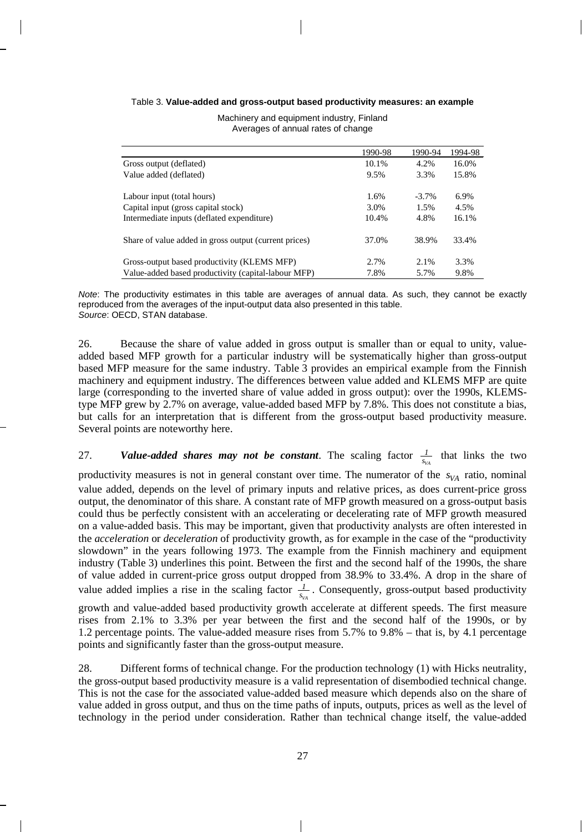#### Table 3. **Value-added and gross-output based productivity measures: an example**

|                                                       | 1990-98 | 1990-94  | 1994-98 |
|-------------------------------------------------------|---------|----------|---------|
| Gross output (deflated)                               | 10.1%   | 4.2%     | 16.0%   |
| Value added (deflated)                                | 9.5%    | 3.3%     | 15.8%   |
| Labour input (total hours)                            | 1.6%    | $-3.7\%$ | 6.9%    |
| Capital input (gross capital stock)                   | 3.0%    | 1.5%     | 4.5%    |
| Intermediate inputs (deflated expenditure)            | 10.4%   | 4.8%     | 16.1%   |
| Share of value added in gross output (current prices) | 37.0%   | 38.9%    | 33.4%   |
| Gross-output based productivity (KLEMS MFP)           | 2.7%    | 2.1%     | 3.3%    |
| Value-added based productivity (capital-labour MFP)   | 7.8%    | 5.7%     | 9.8%    |

Machinery and equipment industry, Finland Averages of annual rates of change

Note: The productivity estimates in this table are averages of annual data. As such, they cannot be exactly reproduced from the averages of the input-output data also presented in this table. Source: OECD, STAN database.

26. Because the share of value added in gross output is smaller than or equal to unity, valueadded based MFP growth for a particular industry will be systematically higher than gross-output based MFP measure for the same industry. Table 3 provides an empirical example from the Finnish machinery and equipment industry. The differences between value added and KLEMS MFP are quite large (corresponding to the inverted share of value added in gross output): over the 1990s, KLEMStype MFP grew by 2.7% on average, value-added based MFP by 7.8%. This does not constitute a bias, but calls for an interpretation that is different from the gross-output based productivity measure. Several points are noteworthy here.

## 27. **Value-added shares may not be constant**. The scaling factor  $\frac{1}{s_{VA}}$  that links the two

productivity measures is not in general constant over time. The numerator of the  $s_{VA}$  ratio, nominal value added, depends on the level of primary inputs and relative prices, as does current-price gross output, the denominator of this share. A constant rate of MFP growth measured on a gross-output basis could thus be perfectly consistent with an accelerating or decelerating rate of MFP growth measured on a value-added basis. This may be important, given that productivity analysts are often interested in the *acceleration* or *deceleration* of productivity growth, as for example in the case of the "productivity slowdown" in the years following 1973. The example from the Finnish machinery and equipment industry (Table 3) underlines this point. Between the first and the second half of the 1990s, the share of value added in current-price gross output dropped from 38.9% to 33.4%. A drop in the share of value added implies a rise in the scaling factor  $\frac{1}{s_{\nu A}}$ . Consequently, gross-output based productivity

growth and value-added based productivity growth accelerate at different speeds. The first measure rises from 2.1% to 3.3% per year between the first and the second half of the 1990s, or by 1.2 percentage points. The value-added measure rises from 5.7% to 9.8% – that is, by 4.1 percentage points and significantly faster than the gross-output measure.

28. Different forms of technical change. For the production technology (1) with Hicks neutrality, the gross-output based productivity measure is a valid representation of disembodied technical change. This is not the case for the associated value-added based measure which depends also on the share of value added in gross output, and thus on the time paths of inputs, outputs, prices as well as the level of technology in the period under consideration. Rather than technical change itself, the value-added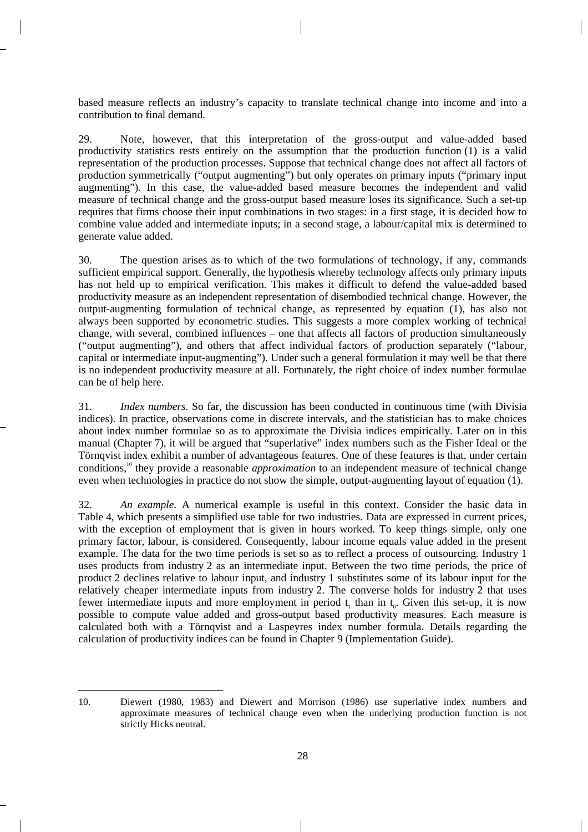based measure reflects an industry's capacity to translate technical change into income and into a contribution to final demand.

29. Note, however, that this interpretation of the gross-output and value-added based productivity statistics rests entirely on the assumption that the production function (1) is a valid representation of the production processes. Suppose that technical change does not affect all factors of production symmetrically ("output augmenting") but only operates on primary inputs ("primary input augmenting"). In this case, the value-added based measure becomes the independent and valid measure of technical change and the gross-output based measure loses its significance. Such a set-up requires that firms choose their input combinations in two stages: in a first stage, it is decided how to combine value added and intermediate inputs; in a second stage, a labour/capital mix is determined to generate value added.

30. The question arises as to which of the two formulations of technology, if any, commands sufficient empirical support. Generally, the hypothesis whereby technology affects only primary inputs has not held up to empirical verification. This makes it difficult to defend the value-added based productivity measure as an independent representation of disembodied technical change. However, the output-augmenting formulation of technical change, as represented by equation (1), has also not always been supported by econometric studies. This suggests a more complex working of technical change, with several, combined influences – one that affects all factors of production simultaneously ("output augmenting"), and others that affect individual factors of production separately ("labour, capital or intermediate input-augmenting"). Under such a general formulation it may well be that there is no independent productivity measure at all. Fortunately, the right choice of index number formulae can be of help here.

31. *Index numbers.* So far, the discussion has been conducted in continuous time (with Divisia indices). In practice, observations come in discrete intervals, and the statistician has to make choices about index number formulae so as to approximate the Divisia indices empirically. Later on in this manual (Chapter 7), it will be argued that "superlative" index numbers such as the Fisher Ideal or the Törnqvist index exhibit a number of advantageous features. One of these features is that, under certain conditions,<sup>10</sup> they provide a reasonable *approximation* to an independent measure of technical change even when technologies in practice do not show the simple, output-augmenting layout of equation (1).

32. *An example.* A numerical example is useful in this context. Consider the basic data in Table 4, which presents a simplified use table for two industries. Data are expressed in current prices, with the exception of employment that is given in hours worked. To keep things simple, only one primary factor, labour, is considered. Consequently, labour income equals value added in the present example. The data for the two time periods is set so as to reflect a process of outsourcing. Industry 1 uses products from industry 2 as an intermediate input. Between the two time periods, the price of product 2 declines relative to labour input, and industry 1 substitutes some of its labour input for the relatively cheaper intermediate inputs from industry 2. The converse holds for industry 2 that uses fewer intermediate inputs and more employment in period  $t_1$  than in  $t_0$ . Given this set-up, it is now possible to compute value added and gross-output based productivity measures. Each measure is calculated both with a Törnqvist and a Laspeyres index number formula. Details regarding the calculation of productivity indices can be found in Chapter 9 (Implementation Guide).

 10. Diewert (1980, 1983) and Diewert and Morrison (1986) use superlative index numbers and approximate measures of technical change even when the underlying production function is not strictly Hicks neutral.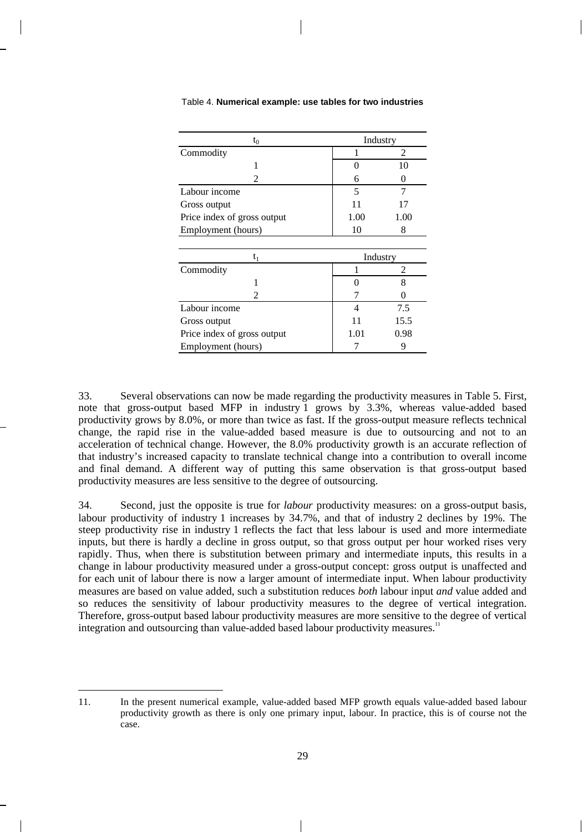| $t_0$                       | Industry |      |  |
|-----------------------------|----------|------|--|
| Commodity                   |          | 2    |  |
|                             | 0        | 10   |  |
| $\mathfrak{D}$              | 6        | 0    |  |
| Labour income               | 5        |      |  |
| Gross output                |          | 17   |  |
| Price index of gross output | 1.00     | 1.00 |  |
| Employment (hours)          | 10       | 8    |  |
|                             |          |      |  |
| $t_1$                       | Industry |      |  |
| Commodity                   |          | 2    |  |
|                             |          | 8    |  |
| 2                           |          |      |  |
| Labour income               | 4        | 7.5  |  |
| Gross output                | 11       | 15.5 |  |
|                             |          |      |  |
| Price index of gross output | 1.01     | 0.98 |  |

Table 4. **Numerical example: use tables for two industries**

33. Several observations can now be made regarding the productivity measures in Table 5. First, note that gross-output based MFP in industry 1 grows by 3.3%, whereas value-added based productivity grows by 8.0%, or more than twice as fast. If the gross-output measure reflects technical change, the rapid rise in the value-added based measure is due to outsourcing and not to an acceleration of technical change. However, the 8.0% productivity growth is an accurate reflection of that industry's increased capacity to translate technical change into a contribution to overall income and final demand. A different way of putting this same observation is that gross-output based productivity measures are less sensitive to the degree of outsourcing.

34. Second, just the opposite is true for *labour* productivity measures: on a gross-output basis, labour productivity of industry 1 increases by 34.7%, and that of industry 2 declines by 19%. The steep productivity rise in industry 1 reflects the fact that less labour is used and more intermediate inputs, but there is hardly a decline in gross output, so that gross output per hour worked rises very rapidly. Thus, when there is substitution between primary and intermediate inputs, this results in a change in labour productivity measured under a gross-output concept: gross output is unaffected and for each unit of labour there is now a larger amount of intermediate input. When labour productivity measures are based on value added, such a substitution reduces *both* labour input *and* value added and so reduces the sensitivity of labour productivity measures to the degree of vertical integration. Therefore, gross-output based labour productivity measures are more sensitive to the degree of vertical integration and outsourcing than value-added based labour productivity measures.<sup>11</sup>

 11. In the present numerical example, value-added based MFP growth equals value-added based labour productivity growth as there is only one primary input, labour. In practice, this is of course not the case.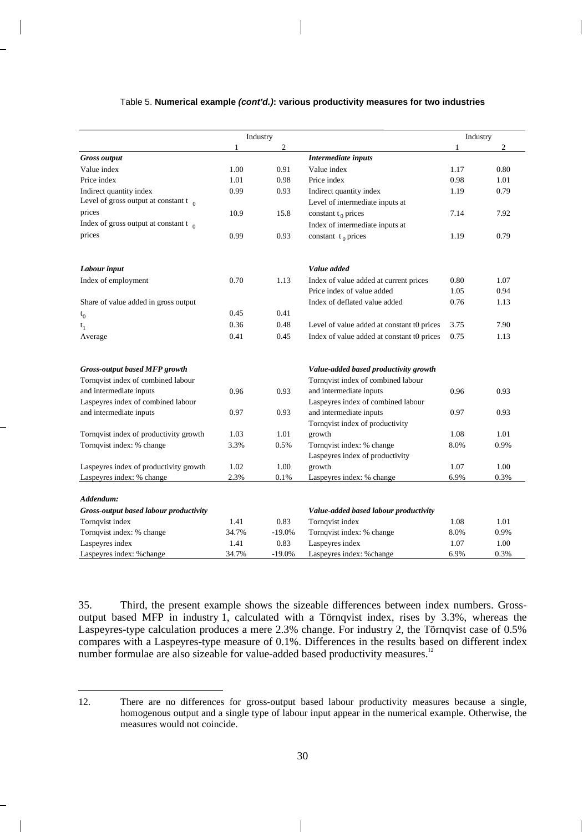#### Table 5. **Numerical example (cont'd.): various productivity measures for two industries**

|                                           | Industry |                |                                            | Industry |                |
|-------------------------------------------|----------|----------------|--------------------------------------------|----------|----------------|
|                                           | 1        | $\overline{c}$ |                                            | 1        | $\overline{c}$ |
| <b>Gross output</b>                       |          |                | Intermediate inputs                        |          |                |
| Value index                               | 1.00     | 0.91           | Value index                                | 1.17     | 0.80           |
| Price index                               | 1.01     | 0.98           | Price index                                | 0.98     | 1.01           |
| Indirect quantity index                   | 0.99     | 0.93           | Indirect quantity index                    | 1.19     | 0.79           |
| Level of gross output at constant $t_{0}$ |          |                | Level of intermediate inputs at            |          |                |
| prices                                    | 10.9     | 15.8           | constant $t_0$ prices                      | 7.14     | 7.92           |
| Index of gross output at constant $t_0$   |          |                | Index of intermediate inputs at            |          |                |
| prices                                    | 0.99     | 0.93           | constant $t_0$ prices                      | 1.19     | 0.79           |
| Labour input                              |          |                | Value added                                |          |                |
| Index of employment                       | 0.70     | 1.13           | Index of value added at current prices     | 0.80     | 1.07           |
|                                           |          |                | Price index of value added                 | 1.05     | 0.94           |
| Share of value added in gross output      |          |                | Index of deflated value added              | 0.76     | 1.13           |
| $t_0$                                     | 0.45     | 0.41           |                                            |          |                |
| $t_1$                                     | 0.36     | 0.48           | Level of value added at constant t0 prices | 3.75     | 7.90           |
| Average                                   | 0.41     | 0.45           | Index of value added at constant t0 prices | 0.75     | 1.13           |
| <b>Gross-output based MFP growth</b>      |          |                | Value-added based productivity growth      |          |                |
| Tornqvist index of combined labour        |          |                | Tornqvist index of combined labour         |          |                |
| and intermediate inputs                   | 0.96     | 0.93           | and intermediate inputs                    | 0.96     | 0.93           |
| Laspeyres index of combined labour        |          |                | Laspeyres index of combined labour         |          |                |
| and intermediate inputs                   | 0.97     | 0.93           | and intermediate inputs                    | 0.97     | 0.93           |
|                                           |          |                | Tornqvist index of productivity            |          |                |
| Tornqvist index of productivity growth    | 1.03     | 1.01           | growth                                     | 1.08     | 1.01           |
| Tornqvist index: % change                 | 3.3%     | 0.5%           | Tornqvist index: % change                  | 8.0%     | 0.9%           |
|                                           |          |                | Laspeyres index of productivity            |          |                |
| Laspeyres index of productivity growth    | 1.02     | 1.00           | growth                                     | 1.07     | 1.00           |
| Laspeyres index: % change                 | 2.3%     | 0.1%           | Laspeyres index: % change                  | 6.9%     | 0.3%           |
| Addendum:                                 |          |                |                                            |          |                |
| Gross-output based labour productivity    |          |                | Value-added based labour productivity      |          |                |
| Tornqvist index                           | 1.41     | 0.83           | Tornqvist index                            | 1.08     | 1.01           |
| Tornqvist index: % change                 | 34.7%    | $-19.0%$       | Tornqvist index: % change                  | 8.0%     | 0.9%           |
| Laspeyres index                           | 1.41     | 0.83           | Laspeyres index                            | 1.07     | 1.00           |
| Laspeyres index: % change                 | 34.7%    | $-19.0%$       | Laspeyres index: % change                  | 6.9%     | 0.3%           |

35. Third, the present example shows the sizeable differences between index numbers. Grossoutput based MFP in industry 1, calculated with a Törnqvist index, rises by 3.3%, whereas the Laspeyres-type calculation produces a mere 2.3% change. For industry 2, the Törnqvist case of 0.5% compares with a Laspeyres-type measure of 0.1%. Differences in the results based on different index number formulae are also sizeable for value-added based productivity measures.<sup>12</sup>

 12. There are no differences for gross-output based labour productivity measures because a single, homogenous output and a single type of labour input appear in the numerical example. Otherwise, the measures would not coincide.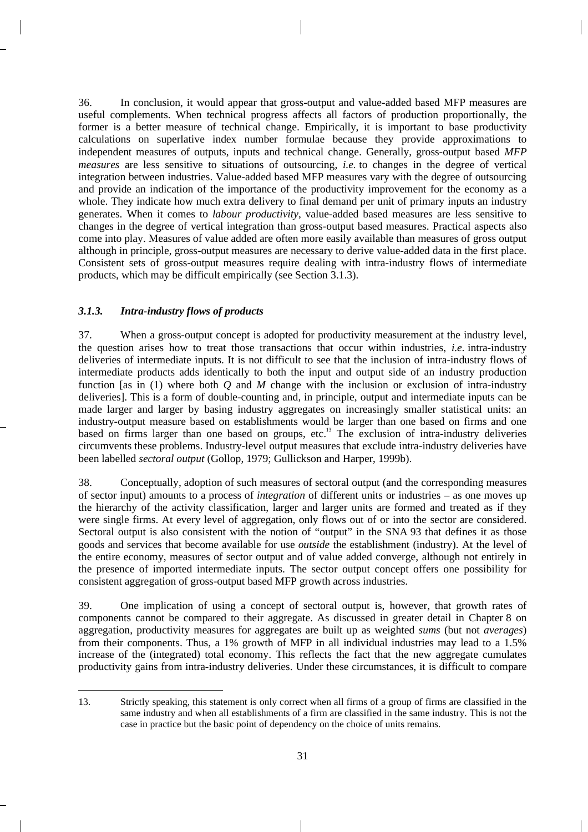36. In conclusion, it would appear that gross-output and value-added based MFP measures are useful complements. When technical progress affects all factors of production proportionally, the former is a better measure of technical change. Empirically, it is important to base productivity calculations on superlative index number formulae because they provide approximations to independent measures of outputs, inputs and technical change. Generally, gross-output based *MFP measures* are less sensitive to situations of outsourcing, *i.e.* to changes in the degree of vertical integration between industries. Value-added based MFP measures vary with the degree of outsourcing and provide an indication of the importance of the productivity improvement for the economy as a whole. They indicate how much extra delivery to final demand per unit of primary inputs an industry generates. When it comes to *labour productivity*, value-added based measures are less sensitive to changes in the degree of vertical integration than gross-output based measures. Practical aspects also come into play. Measures of value added are often more easily available than measures of gross output although in principle, gross-output measures are necessary to derive value-added data in the first place. Consistent sets of gross-output measures require dealing with intra-industry flows of intermediate products, which may be difficult empirically (see Section 3.1.3).

#### *3.1.3. Intra-industry flows of products*

37. When a gross-output concept is adopted for productivity measurement at the industry level, the question arises how to treat those transactions that occur within industries, *i.e.* intra-industry deliveries of intermediate inputs. It is not difficult to see that the inclusion of intra-industry flows of intermediate products adds identically to both the input and output side of an industry production function [as in (1) where both *Q* and *M* change with the inclusion or exclusion of intra-industry deliveries]. This is a form of double-counting and, in principle, output and intermediate inputs can be made larger and larger by basing industry aggregates on increasingly smaller statistical units: an industry-output measure based on establishments would be larger than one based on firms and one based on firms larger than one based on groups, etc.<sup>13</sup> The exclusion of intra-industry deliveries circumvents these problems. Industry-level output measures that exclude intra-industry deliveries have been labelled *sectoral output* (Gollop, 1979; Gullickson and Harper, 1999b).

38. Conceptually, adoption of such measures of sectoral output (and the corresponding measures of sector input) amounts to a process of *integration* of different units or industries – as one moves up the hierarchy of the activity classification, larger and larger units are formed and treated as if they were single firms. At every level of aggregation, only flows out of or into the sector are considered. Sectoral output is also consistent with the notion of "output" in the SNA 93 that defines it as those goods and services that become available for use *outside* the establishment (industry). At the level of the entire economy, measures of sector output and of value added converge, although not entirely in the presence of imported intermediate inputs. The sector output concept offers one possibility for consistent aggregation of gross-output based MFP growth across industries.

39. One implication of using a concept of sectoral output is, however, that growth rates of components cannot be compared to their aggregate. As discussed in greater detail in Chapter 8 on aggregation, productivity measures for aggregates are built up as weighted *sums* (but not *averages*) from their components. Thus, a 1% growth of MFP in all individual industries may lead to a 1.5% increase of the (integrated) total economy. This reflects the fact that the new aggregate cumulates productivity gains from intra-industry deliveries. Under these circumstances, it is difficult to compare

 13. Strictly speaking, this statement is only correct when all firms of a group of firms are classified in the same industry and when all establishments of a firm are classified in the same industry. This is not the case in practice but the basic point of dependency on the choice of units remains.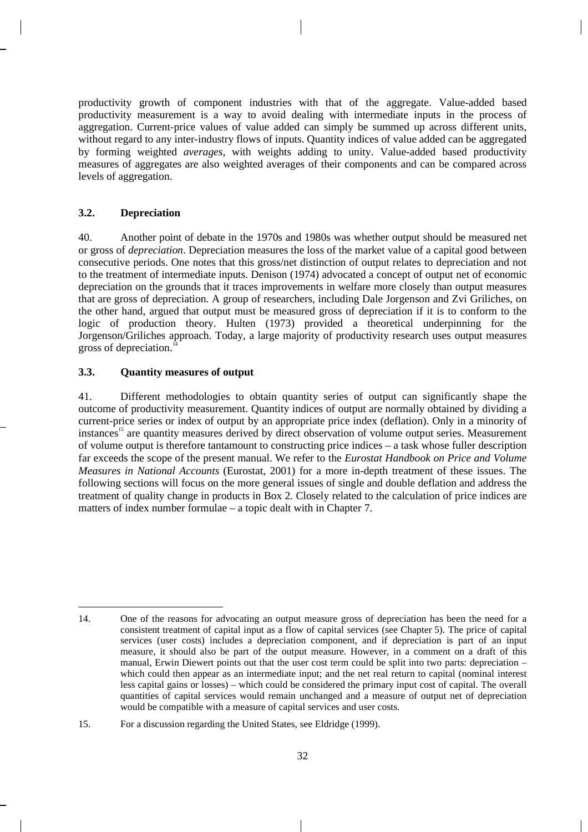productivity growth of component industries with that of the aggregate. Value-added based productivity measurement is a way to avoid dealing with intermediate inputs in the process of aggregation. Current-price values of value added can simply be summed up across different units, without regard to any inter-industry flows of inputs. Quantity indices of value added can be aggregated by forming weighted *averages*, with weights adding to unity. Value-added based productivity measures of aggregates are also weighted averages of their components and can be compared across levels of aggregation.

#### **3.2. Depreciation**

40. Another point of debate in the 1970s and 1980s was whether output should be measured net or gross of *depreciation*. Depreciation measures the loss of the market value of a capital good between consecutive periods. One notes that this gross/net distinction of output relates to depreciation and not to the treatment of intermediate inputs. Denison (1974) advocated a concept of output net of economic depreciation on the grounds that it traces improvements in welfare more closely than output measures that are gross of depreciation. A group of researchers, including Dale Jorgenson and Zvi Griliches, on the other hand, argued that output must be measured gross of depreciation if it is to conform to the logic of production theory. Hulten (1973) provided a theoretical underpinning for the Jorgenson/Griliches approach. Today, a large majority of productivity research uses output measures gross of depreciation. $\frac{1}{4}$ 

#### **3.3. Quantity measures of output**

41. Different methodologies to obtain quantity series of output can significantly shape the outcome of productivity measurement. Quantity indices of output are normally obtained by dividing a current-price series or index of output by an appropriate price index (deflation). Only in a minority of instances<sup>15</sup> are quantity measures derived by direct observation of volume output series. Measurement of volume output is therefore tantamount to constructing price indices – a task whose fuller description far exceeds the scope of the present manual. We refer to the *Eurostat Handbook on Price and Volume Measures in National Accounts* (Eurostat, 2001) for a more in-depth treatment of these issues. The following sections will focus on the more general issues of single and double deflation and address the treatment of quality change in products in Box 2*.* Closely related to the calculation of price indices are matters of index number formulae – a topic dealt with in Chapter 7.

 14. One of the reasons for advocating an output measure gross of depreciation has been the need for a consistent treatment of capital input as a flow of capital services (see Chapter 5). The price of capital services (user costs) includes a depreciation component, and if depreciation is part of an input measure, it should also be part of the output measure. However, in a comment on a draft of this manual, Erwin Diewert points out that the user cost term could be split into two parts: depreciation – which could then appear as an intermediate input; and the net real return to capital (nominal interest less capital gains or losses) – which could be considered the primary input cost of capital. The overall quantities of capital services would remain unchanged and a measure of output net of depreciation would be compatible with a measure of capital services and user costs.

<sup>15.</sup> For a discussion regarding the United States, see Eldridge (1999).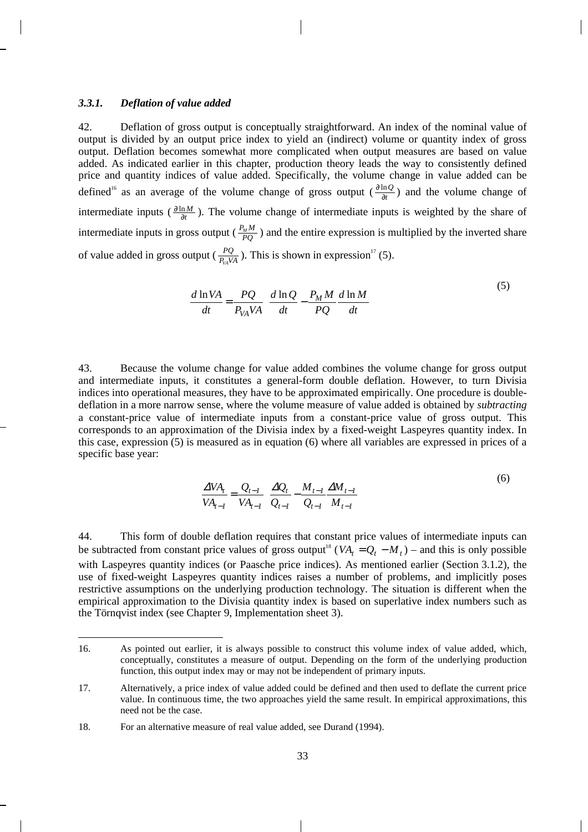#### *3.3.1. Deflation of value added*

42. Deflation of gross output is conceptually straightforward. An index of the nominal value of output is divided by an output price index to yield an (indirect) volume or quantity index of gross output. Deflation becomes somewhat more complicated when output measures are based on value added. As indicated earlier in this chapter, production theory leads the way to consistently defined price and quantity indices of value added. Specifically, the volume change in value added can be defined<sup>16</sup> as an average of the volume change of gross output  $\left(\frac{\partial \ln Q}{\partial t}\right)$  $\frac{\partial \ln Q}{\partial t}$ ) and the volume change of intermediate inputs  $\left(\frac{\partial \ln M}{\partial t}\right)$  $\frac{\partial \ln M}{\partial t}$ ). The volume change of intermediate inputs is weighted by the share of intermediate inputs in gross output ( $\frac{P_M M}{PQ}$ ) and the entire expression is multiplied by the inverted share of value added in gross output ( $\frac{PQ}{P_{VA}VA}$  $\frac{PQ}{V_A V_A}$ ). This is shown in expression<sup>17</sup> (5).

$$
\frac{d \ln VA}{dt} = \frac{PQ}{P_{VA}VA} \left( \frac{d \ln Q}{dt} - \frac{P_M M}{PQ} \frac{d \ln M}{dt} \right)
$$
\n(5)

43. Because the volume change for value added combines the volume change for gross output and intermediate inputs, it constitutes a general-form double deflation. However, to turn Divisia indices into operational measures, they have to be approximated empirically. One procedure is doubledeflation in a more narrow sense, where the volume measure of value added is obtained by *subtracting* a constant-price value of intermediate inputs from a constant-price value of gross output. This corresponds to an approximation of the Divisia index by a fixed-weight Laspeyres quantity index. In this case, expression (5) is measured as in equation (6) where all variables are expressed in prices of a specific base year:

$$
\frac{\Delta VA_t}{VA_{t-1}} = \frac{Q_{t-1}}{VA_{t-1}} \left( \frac{\Delta Q_t}{Q_{t-1}} - \frac{M_{t-1}}{Q_{t-1}} \frac{\Delta M_{t-1}}{M_{t-1}} \right)
$$
(6)

44. This form of double deflation requires that constant price values of intermediate inputs can be subtracted from constant price values of gross output<sup>18</sup> ( $VA<sub>t</sub> = Q<sub>t</sub> - M<sub>t</sub>$ ) – and this is only possible with Laspeyres quantity indices (or Paasche price indices). As mentioned earlier (Section 3.1.2), the use of fixed-weight Laspeyres quantity indices raises a number of problems, and implicitly poses restrictive assumptions on the underlying production technology. The situation is different when the empirical approximation to the Divisia quantity index is based on superlative index numbers such as the Törnqvist index (see Chapter 9, Implementation sheet 3).

-

<sup>16.</sup> As pointed out earlier, it is always possible to construct this volume index of value added, which, conceptually, constitutes a measure of output. Depending on the form of the underlying production function, this output index may or may not be independent of primary inputs.

<sup>17.</sup> Alternatively, a price index of value added could be defined and then used to deflate the current price value. In continuous time, the two approaches yield the same result. In empirical approximations, this need not be the case.

<sup>18.</sup> For an alternative measure of real value added, see Durand (1994).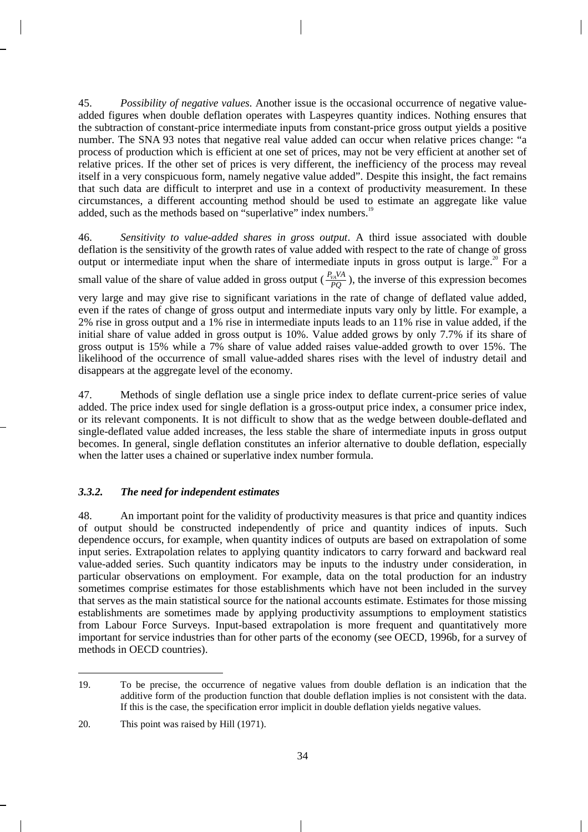45. *Possibility of negative values*. Another issue is the occasional occurrence of negative valueadded figures when double deflation operates with Laspeyres quantity indices. Nothing ensures that the subtraction of constant-price intermediate inputs from constant-price gross output yields a positive number. The SNA 93 notes that negative real value added can occur when relative prices change: "a process of production which is efficient at one set of prices, may not be very efficient at another set of relative prices. If the other set of prices is very different, the inefficiency of the process may reveal itself in a very conspicuous form, namely negative value added". Despite this insight, the fact remains that such data are difficult to interpret and use in a context of productivity measurement. In these circumstances, a different accounting method should be used to estimate an aggregate like value added, such as the methods based on "superlative" index numbers.<sup>19</sup>

46. *Sensitivity to value-added shares in gross output*. A third issue associated with double deflation is the sensitivity of the growth rates of value added with respect to the rate of change of gross output or intermediate input when the share of intermediate inputs in gross output is large.<sup>20</sup> For a small value of the share of value added in gross output  $(\frac{P_{VA}VA}{PQ})$ , the inverse of this expression becomes

very large and may give rise to significant variations in the rate of change of deflated value added, even if the rates of change of gross output and intermediate inputs vary only by little. For example, a 2% rise in gross output and a 1% rise in intermediate inputs leads to an 11% rise in value added, if the initial share of value added in gross output is 10%. Value added grows by only 7.7% if its share of gross output is 15% while a 7% share of value added raises value-added growth to over 15%. The likelihood of the occurrence of small value-added shares rises with the level of industry detail and disappears at the aggregate level of the economy.

47. Methods of single deflation use a single price index to deflate current-price series of value added. The price index used for single deflation is a gross-output price index, a consumer price index, or its relevant components. It is not difficult to show that as the wedge between double-deflated and single-deflated value added increases, the less stable the share of intermediate inputs in gross output becomes. In general, single deflation constitutes an inferior alternative to double deflation, especially when the latter uses a chained or superlative index number formula.

#### *3.3.2. The need for independent estimates*

48. An important point for the validity of productivity measures is that price and quantity indices of output should be constructed independently of price and quantity indices of inputs. Such dependence occurs, for example, when quantity indices of outputs are based on extrapolation of some input series. Extrapolation relates to applying quantity indicators to carry forward and backward real value-added series. Such quantity indicators may be inputs to the industry under consideration, in particular observations on employment. For example, data on the total production for an industry sometimes comprise estimates for those establishments which have not been included in the survey that serves as the main statistical source for the national accounts estimate. Estimates for those missing establishments are sometimes made by applying productivity assumptions to employment statistics from Labour Force Surveys. Input-based extrapolation is more frequent and quantitatively more important for service industries than for other parts of the economy (see OECD, 1996b, for a survey of methods in OECD countries).

<sup>-</sup>19. To be precise, the occurrence of negative values from double deflation is an indication that the additive form of the production function that double deflation implies is not consistent with the data. If this is the case, the specification error implicit in double deflation yields negative values.

<sup>20.</sup> This point was raised by Hill (1971).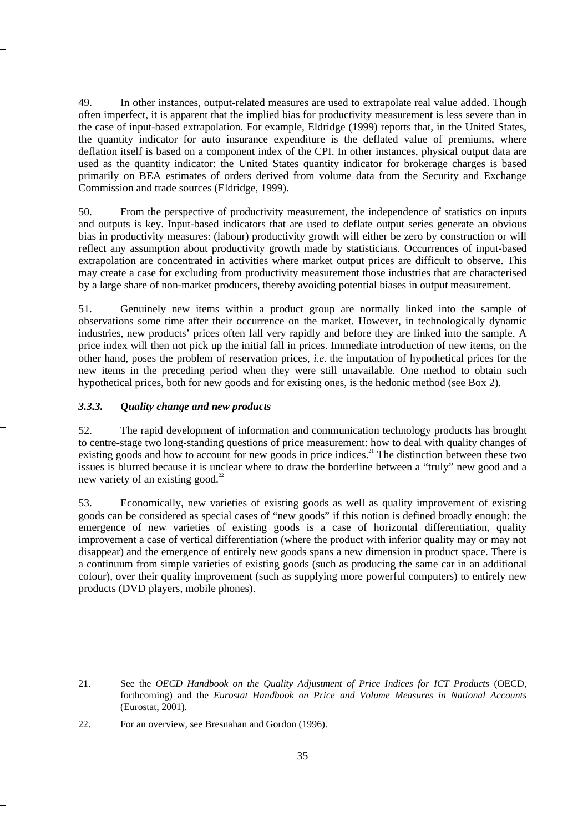49. In other instances, output-related measures are used to extrapolate real value added. Though often imperfect, it is apparent that the implied bias for productivity measurement is less severe than in the case of input-based extrapolation. For example, Eldridge (1999) reports that, in the United States, the quantity indicator for auto insurance expenditure is the deflated value of premiums, where deflation itself is based on a component index of the CPI. In other instances, physical output data are used as the quantity indicator: the United States quantity indicator for brokerage charges is based primarily on BEA estimates of orders derived from volume data from the Security and Exchange Commission and trade sources (Eldridge, 1999).

50. From the perspective of productivity measurement, the independence of statistics on inputs and outputs is key. Input-based indicators that are used to deflate output series generate an obvious bias in productivity measures: (labour) productivity growth will either be zero by construction or will reflect any assumption about productivity growth made by statisticians. Occurrences of input-based extrapolation are concentrated in activities where market output prices are difficult to observe. This may create a case for excluding from productivity measurement those industries that are characterised by a large share of non-market producers, thereby avoiding potential biases in output measurement.

51. Genuinely new items within a product group are normally linked into the sample of observations some time after their occurrence on the market. However, in technologically dynamic industries, new products' prices often fall very rapidly and before they are linked into the sample. A price index will then not pick up the initial fall in prices. Immediate introduction of new items, on the other hand, poses the problem of reservation prices, *i.e.* the imputation of hypothetical prices for the new items in the preceding period when they were still unavailable. One method to obtain such hypothetical prices, both for new goods and for existing ones, is the hedonic method (see Box 2).

#### *3.3.3. Quality change and new products*

52. The rapid development of information and communication technology products has brought to centre-stage two long-standing questions of price measurement: how to deal with quality changes of existing goods and how to account for new goods in price indices.<sup>21</sup> The distinction between these two issues is blurred because it is unclear where to draw the borderline between a "truly" new good and a new variety of an existing good. $^{22}$ 

53. Economically, new varieties of existing goods as well as quality improvement of existing goods can be considered as special cases of "new goods" if this notion is defined broadly enough: the emergence of new varieties of existing goods is a case of horizontal differentiation, quality improvement a case of vertical differentiation (where the product with inferior quality may or may not disappear) and the emergence of entirely new goods spans a new dimension in product space. There is a continuum from simple varieties of existing goods (such as producing the same car in an additional colour), over their quality improvement (such as supplying more powerful computers) to entirely new products (DVD players, mobile phones).

j 21. See the *OECD Handbook on the Quality Adjustment of Price Indices for ICT Products* (OECD, forthcoming) and the *Eurostat Handbook on Price and Volume Measures in National Accounts* (Eurostat, 2001).

<sup>22.</sup> For an overview, see Bresnahan and Gordon (1996).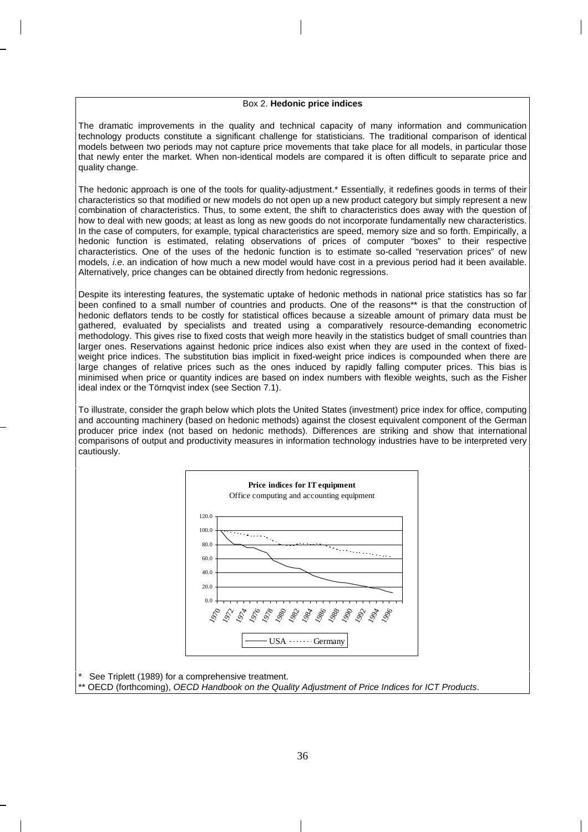#### Box 2. **Hedonic price indices**

The dramatic improvements in the quality and technical capacity of many information and communication technology products constitute a significant challenge for statisticians. The traditional comparison of identical models between two periods may not capture price movements that take place for all models, in particular those that newly enter the market. When non-identical models are compared it is often difficult to separate price and quality change.

The hedonic approach is one of the tools for quality-adjustment.\* Essentially, it redefines goods in terms of their characteristics so that modified or new models do not open up a new product category but simply represent a new combination of characteristics. Thus, to some extent, the shift to characteristics does away with the question of how to deal with new goods; at least as long as new goods do not incorporate fundamentally new characteristics. In the case of computers, for example, typical characteristics are speed, memory size and so forth. Empirically, a hedonic function is estimated, relating observations of prices of computer "boxes" to their respective characteristics. One of the uses of the hedonic function is to estimate so-called "reservation prices" of new models, i.e. an indication of how much a new model would have cost in a previous period had it been available. Alternatively, price changes can be obtained directly from hedonic regressions.

Despite its interesting features, the systematic uptake of hedonic methods in national price statistics has so far been confined to a small number of countries and products. One of the reasons\*\* is that the construction of hedonic deflators tends to be costly for statistical offices because a sizeable amount of primary data must be gathered, evaluated by specialists and treated using a comparatively resource-demanding econometric methodology. This gives rise to fixed costs that weigh more heavily in the statistics budget of small countries than larger ones. Reservations against hedonic price indices also exist when they are used in the context of fixedweight price indices. The substitution bias implicit in fixed-weight price indices is compounded when there are large changes of relative prices such as the ones induced by rapidly falling computer prices. This bias is minimised when price or quantity indices are based on index numbers with flexible weights, such as the Fisher ideal index or the Törnqvist index (see Section 7.1).

To illustrate, consider the graph below which plots the United States (investment) price index for office, computing and accounting machinery (based on hedonic methods) against the closest equivalent component of the German producer price index (not based on hedonic methods). Differences are striking and show that international comparisons of output and productivity measures in information technology industries have to be interpreted very cautiously.



See Triplett (1989) for a comprehensive treatment.

OECD (forthcoming), OECD Handbook on the Quality Adjustment of Price Indices for ICT Products.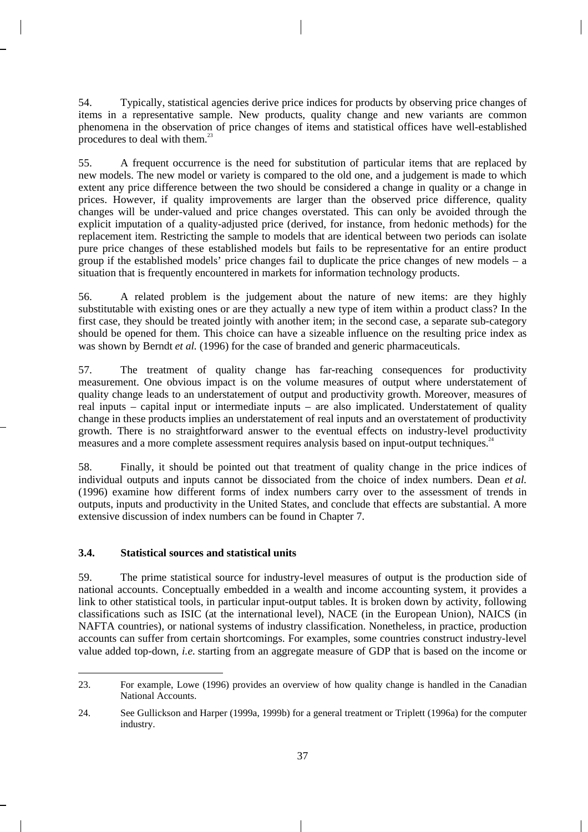54. Typically, statistical agencies derive price indices for products by observing price changes of items in a representative sample. New products, quality change and new variants are common phenomena in the observation of price changes of items and statistical offices have well-established procedures to deal with them.<sup>23</sup>

55. A frequent occurrence is the need for substitution of particular items that are replaced by new models. The new model or variety is compared to the old one, and a judgement is made to which extent any price difference between the two should be considered a change in quality or a change in prices. However, if quality improvements are larger than the observed price difference, quality changes will be under-valued and price changes overstated. This can only be avoided through the explicit imputation of a quality-adjusted price (derived, for instance, from hedonic methods) for the replacement item. Restricting the sample to models that are identical between two periods can isolate pure price changes of these established models but fails to be representative for an entire product group if the established models' price changes fail to duplicate the price changes of new models  $- a$ situation that is frequently encountered in markets for information technology products.

56. A related problem is the judgement about the nature of new items: are they highly substitutable with existing ones or are they actually a new type of item within a product class? In the first case, they should be treated jointly with another item; in the second case, a separate sub-category should be opened for them. This choice can have a sizeable influence on the resulting price index as was shown by Berndt *et al.* (1996) for the case of branded and generic pharmaceuticals.

57. The treatment of quality change has far-reaching consequences for productivity measurement. One obvious impact is on the volume measures of output where understatement of quality change leads to an understatement of output and productivity growth. Moreover, measures of real inputs – capital input or intermediate inputs – are also implicated. Understatement of quality change in these products implies an understatement of real inputs and an overstatement of productivity growth. There is no straightforward answer to the eventual effects on industry-level productivity measures and a more complete assessment requires analysis based on input-output techniques.<sup>24</sup>

58. Finally, it should be pointed out that treatment of quality change in the price indices of individual outputs and inputs cannot be dissociated from the choice of index numbers. Dean *et al.* (1996) examine how different forms of index numbers carry over to the assessment of trends in outputs, inputs and productivity in the United States, and conclude that effects are substantial. A more extensive discussion of index numbers can be found in Chapter 7.

# **3.4. Statistical sources and statistical units**

59. The prime statistical source for industry-level measures of output is the production side of national accounts. Conceptually embedded in a wealth and income accounting system, it provides a link to other statistical tools, in particular input-output tables. It is broken down by activity, following classifications such as ISIC (at the international level), NACE (in the European Union), NAICS (in NAFTA countries), or national systems of industry classification. Nonetheless, in practice, production accounts can suffer from certain shortcomings. For examples, some countries construct industry-level value added top-down, *i.e.* starting from an aggregate measure of GDP that is based on the income or

<sup>-</sup>23. For example, Lowe (1996) provides an overview of how quality change is handled in the Canadian National Accounts.

<sup>24.</sup> See Gullickson and Harper (1999a, 1999b) for a general treatment or Triplett (1996a) for the computer industry.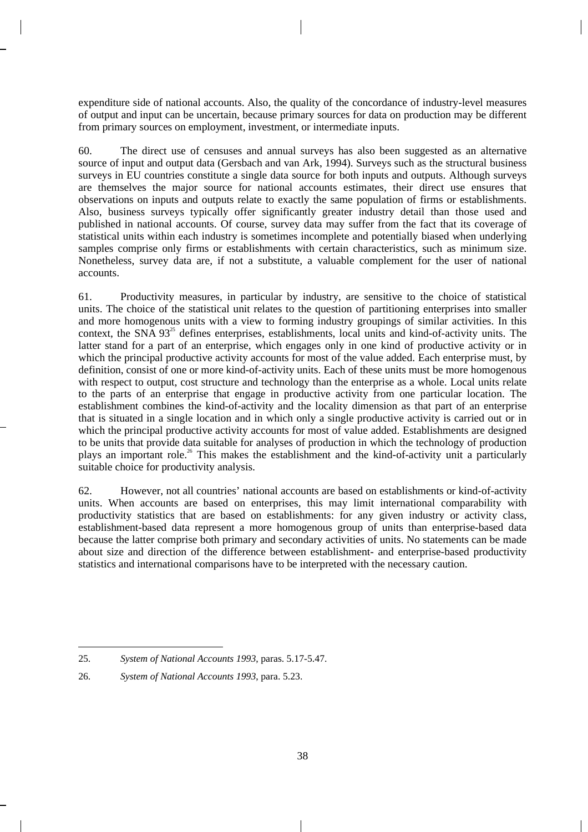expenditure side of national accounts. Also, the quality of the concordance of industry-level measures of output and input can be uncertain, because primary sources for data on production may be different from primary sources on employment, investment, or intermediate inputs.

60. The direct use of censuses and annual surveys has also been suggested as an alternative source of input and output data (Gersbach and van Ark, 1994). Surveys such as the structural business surveys in EU countries constitute a single data source for both inputs and outputs. Although surveys are themselves the major source for national accounts estimates, their direct use ensures that observations on inputs and outputs relate to exactly the same population of firms or establishments. Also, business surveys typically offer significantly greater industry detail than those used and published in national accounts. Of course, survey data may suffer from the fact that its coverage of statistical units within each industry is sometimes incomplete and potentially biased when underlying samples comprise only firms or establishments with certain characteristics, such as minimum size. Nonetheless, survey data are, if not a substitute, a valuable complement for the user of national accounts.

61. Productivity measures, in particular by industry, are sensitive to the choice of statistical units. The choice of the statistical unit relates to the question of partitioning enterprises into smaller and more homogenous units with a view to forming industry groupings of similar activities. In this context, the SNA  $93^{25}$  defines enterprises, establishments, local units and kind-of-activity units. The latter stand for a part of an enterprise, which engages only in one kind of productive activity or in which the principal productive activity accounts for most of the value added. Each enterprise must, by definition, consist of one or more kind-of-activity units. Each of these units must be more homogenous with respect to output, cost structure and technology than the enterprise as a whole. Local units relate to the parts of an enterprise that engage in productive activity from one particular location. The establishment combines the kind-of-activity and the locality dimension as that part of an enterprise that is situated in a single location and in which only a single productive activity is carried out or in which the principal productive activity accounts for most of value added. Establishments are designed to be units that provide data suitable for analyses of production in which the technology of production plays an important role.<sup>26</sup> This makes the establishment and the kind-of-activity unit a particularly suitable choice for productivity analysis.

62. However, not all countries' national accounts are based on establishments or kind-of-activity units. When accounts are based on enterprises, this may limit international comparability with productivity statistics that are based on establishments: for any given industry or activity class, establishment-based data represent a more homogenous group of units than enterprise-based data because the latter comprise both primary and secondary activities of units. No statements can be made about size and direction of the difference between establishment- and enterprise-based productivity statistics and international comparisons have to be interpreted with the necessary caution.

-

<sup>25.</sup> *System of National Accounts 1993*, paras. 5.17-5.47.

<sup>26.</sup> *System of National Accounts 1993*, para. 5.23.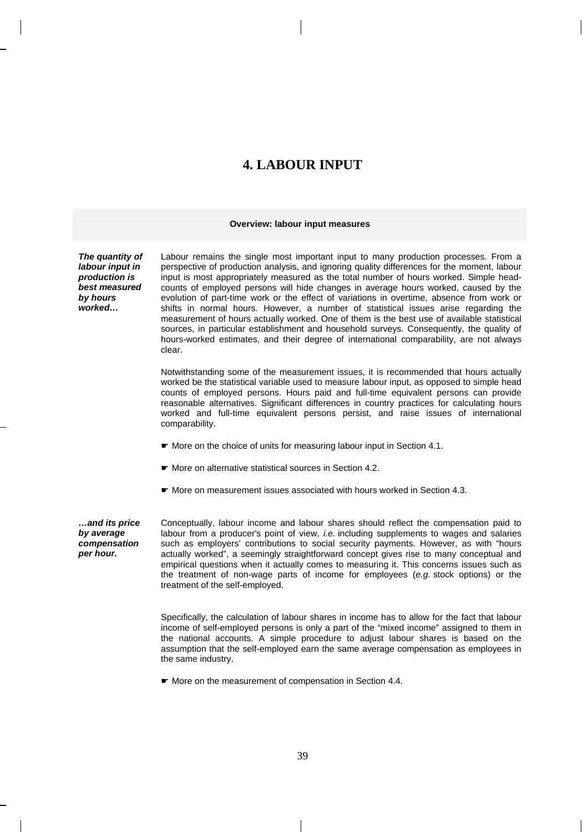# **4. LABOUR INPUT**

#### **Overview: labour input measures**

**The quantity of labour input in production is best measured by hours worked…**

Labour remains the single most important input to many production processes. From a perspective of production analysis, and ignoring quality differences for the moment, labour input is most appropriately measured as the total number of hours worked. Simple headcounts of employed persons will hide changes in average hours worked, caused by the evolution of part-time work or the effect of variations in overtime, absence from work or shifts in normal hours. However, a number of statistical issues arise regarding the measurement of hours actually worked. One of them is the best use of available statistical sources, in particular establishment and household surveys. Consequently, the quality of hours-worked estimates, and their degree of international comparability, are not always clear.

Notwithstanding some of the measurement issues, it is recommended that hours actually worked be the statistical variable used to measure labour input, as opposed to simple head counts of employed persons. Hours paid and full-time equivalent persons can provide reasonable alternatives. Significant differences in country practices for calculating hours worked and full-time equivalent persons persist, and raise issues of international comparability.

- ☛ More on the choice of units for measuring labour input in Section 4.1.
- ☛ More on alternative statistical sources in Section 4.2.
- ☛ More on measurement issues associated with hours worked in Section 4.3.

**…and its price by average compensation per hour.**

Conceptually, labour income and labour shares should reflect the compensation paid to labour from a producer's point of view, *i.e.* including supplements to wages and salaries such as employers' contributions to social security payments. However, as with "hours actually worked", a seemingly straightforward concept gives rise to many conceptual and empirical questions when it actually comes to measuring it. This concerns issues such as the treatment of non-wage parts of income for employees (e.g. stock options) or the treatment of the self-employed.

Specifically, the calculation of labour shares in income has to allow for the fact that labour income of self-employed persons is only a part of the "mixed income" assigned to them in the national accounts. A simple procedure to adjust labour shares is based on the assumption that the self-employed earn the same average compensation as employees in the same industry.

☛ More on the measurement of compensation in Section 4.4.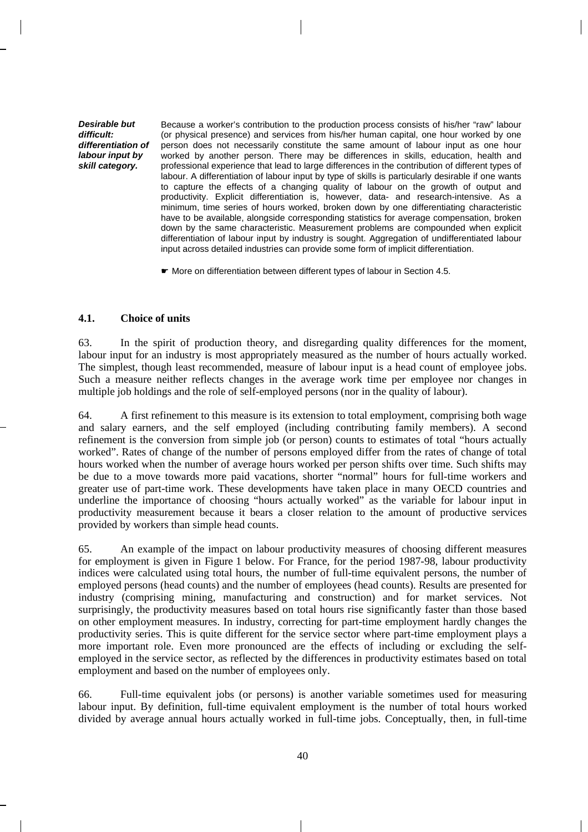**Desirable but difficult: differentiation of labour input by skill category.**

Because a worker's contribution to the production process consists of his/her "raw" labour (or physical presence) and services from his/her human capital, one hour worked by one person does not necessarily constitute the same amount of labour input as one hour worked by another person. There may be differences in skills, education, health and professional experience that lead to large differences in the contribution of different types of labour. A differentiation of labour input by type of skills is particularly desirable if one wants to capture the effects of a changing quality of labour on the growth of output and productivity. Explicit differentiation is, however, data- and research-intensive. As a minimum, time series of hours worked, broken down by one differentiating characteristic have to be available, alongside corresponding statistics for average compensation, broken down by the same characteristic. Measurement problems are compounded when explicit differentiation of labour input by industry is sought. Aggregation of undifferentiated labour input across detailed industries can provide some form of implicit differentiation.

☛ More on differentiation between different types of labour in Section 4.5.

# **4.1. Choice of units**

63. In the spirit of production theory, and disregarding quality differences for the moment, labour input for an industry is most appropriately measured as the number of hours actually worked. The simplest, though least recommended, measure of labour input is a head count of employee jobs. Such a measure neither reflects changes in the average work time per employee nor changes in multiple job holdings and the role of self-employed persons (nor in the quality of labour).

64. A first refinement to this measure is its extension to total employment, comprising both wage and salary earners, and the self employed (including contributing family members). A second refinement is the conversion from simple job (or person) counts to estimates of total "hours actually worked". Rates of change of the number of persons employed differ from the rates of change of total hours worked when the number of average hours worked per person shifts over time. Such shifts may be due to a move towards more paid vacations, shorter "normal" hours for full-time workers and greater use of part-time work. These developments have taken place in many OECD countries and underline the importance of choosing "hours actually worked" as the variable for labour input in productivity measurement because it bears a closer relation to the amount of productive services provided by workers than simple head counts.

65. An example of the impact on labour productivity measures of choosing different measures for employment is given in Figure 1 below. For France, for the period 1987-98, labour productivity indices were calculated using total hours, the number of full-time equivalent persons, the number of employed persons (head counts) and the number of employees (head counts). Results are presented for industry (comprising mining, manufacturing and construction) and for market services. Not surprisingly, the productivity measures based on total hours rise significantly faster than those based on other employment measures. In industry, correcting for part-time employment hardly changes the productivity series. This is quite different for the service sector where part-time employment plays a more important role. Even more pronounced are the effects of including or excluding the selfemployed in the service sector, as reflected by the differences in productivity estimates based on total employment and based on the number of employees only.

66. Full-time equivalent jobs (or persons) is another variable sometimes used for measuring labour input. By definition, full-time equivalent employment is the number of total hours worked divided by average annual hours actually worked in full-time jobs. Conceptually, then, in full-time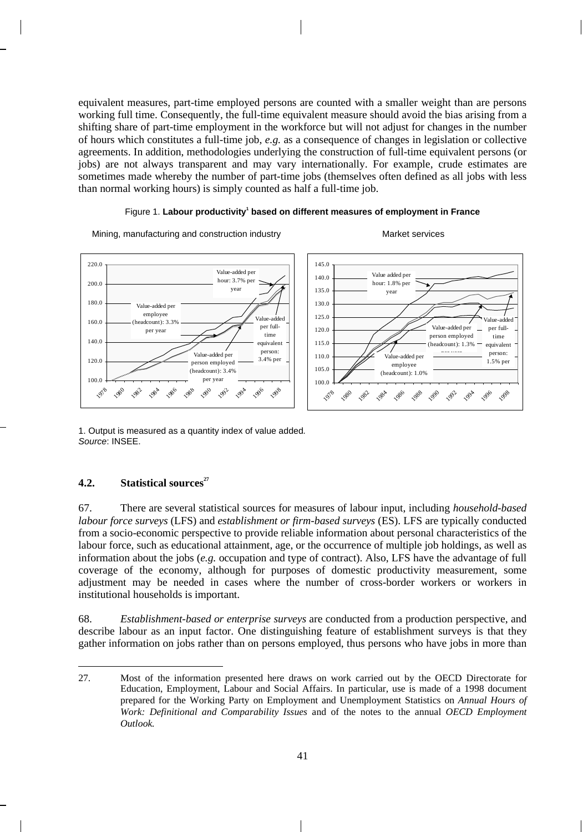equivalent measures, part-time employed persons are counted with a smaller weight than are persons working full time. Consequently, the full-time equivalent measure should avoid the bias arising from a shifting share of part-time employment in the workforce but will not adjust for changes in the number of hours which constitutes a full-time job, *e.g.* as a consequence of changes in legislation or collective agreements. In addition, methodologies underlying the construction of full-time equivalent persons (or jobs) are not always transparent and may vary internationally. For example, crude estimates are sometimes made whereby the number of part-time jobs (themselves often defined as all jobs with less than normal working hours) is simply counted as half a full-time job.

### Figure 1. **Labour productivity<sup>1</sup> based on different measures of employment in France**

Mining, manufacturing and construction industry entity and Market services





1. Output is measured as a quantity index of value added. Source: INSEE.

# **4.2.** Statistical sources<sup>27</sup>

67. There are several statistical sources for measures of labour input, including *household-based labour force surveys* (LFS) and *establishment or firm-based surveys* (ES). LFS are typically conducted from a socio-economic perspective to provide reliable information about personal characteristics of the labour force, such as educational attainment, age, or the occurrence of multiple job holdings, as well as information about the jobs (*e.g.* occupation and type of contract). Also, LFS have the advantage of full coverage of the economy, although for purposes of domestic productivity measurement, some adjustment may be needed in cases where the number of cross-border workers or workers in institutional households is important.

68. *Establishment-based or enterprise surveys* are conducted from a production perspective, and describe labour as an input factor. One distinguishing feature of establishment surveys is that they gather information on jobs rather than on persons employed, thus persons who have jobs in more than

<sup>-</sup>27. Most of the information presented here draws on work carried out by the OECD Directorate for Education, Employment, Labour and Social Affairs. In particular, use is made of a 1998 document prepared for the Working Party on Employment and Unemployment Statistics on *Annual Hours of Work: Definitional and Comparability Issues* and of the notes to the annual *OECD Employment Outlook.*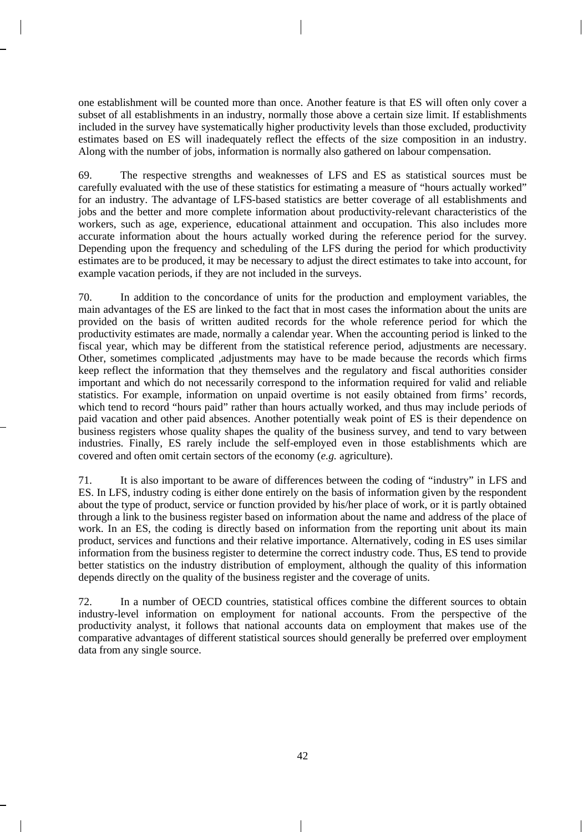one establishment will be counted more than once. Another feature is that ES will often only cover a subset of all establishments in an industry, normally those above a certain size limit. If establishments included in the survey have systematically higher productivity levels than those excluded, productivity estimates based on ES will inadequately reflect the effects of the size composition in an industry. Along with the number of jobs, information is normally also gathered on labour compensation.

69. The respective strengths and weaknesses of LFS and ES as statistical sources must be carefully evaluated with the use of these statistics for estimating a measure of "hours actually worked" for an industry. The advantage of LFS-based statistics are better coverage of all establishments and jobs and the better and more complete information about productivity-relevant characteristics of the workers, such as age, experience, educational attainment and occupation. This also includes more accurate information about the hours actually worked during the reference period for the survey. Depending upon the frequency and scheduling of the LFS during the period for which productivity estimates are to be produced, it may be necessary to adjust the direct estimates to take into account, for example vacation periods, if they are not included in the surveys.

70. In addition to the concordance of units for the production and employment variables, the main advantages of the ES are linked to the fact that in most cases the information about the units are provided on the basis of written audited records for the whole reference period for which the productivity estimates are made, normally a calendar year. When the accounting period is linked to the fiscal year, which may be different from the statistical reference period, adjustments are necessary. Other, sometimes complicated ,adjustments may have to be made because the records which firms keep reflect the information that they themselves and the regulatory and fiscal authorities consider important and which do not necessarily correspond to the information required for valid and reliable statistics. For example, information on unpaid overtime is not easily obtained from firms' records, which tend to record "hours paid" rather than hours actually worked, and thus may include periods of paid vacation and other paid absences. Another potentially weak point of ES is their dependence on business registers whose quality shapes the quality of the business survey, and tend to vary between industries. Finally, ES rarely include the self-employed even in those establishments which are covered and often omit certain sectors of the economy (*e.g.* agriculture).

71. It is also important to be aware of differences between the coding of "industry" in LFS and ES. In LFS, industry coding is either done entirely on the basis of information given by the respondent about the type of product, service or function provided by his/her place of work, or it is partly obtained through a link to the business register based on information about the name and address of the place of work. In an ES, the coding is directly based on information from the reporting unit about its main product, services and functions and their relative importance. Alternatively, coding in ES uses similar information from the business register to determine the correct industry code. Thus, ES tend to provide better statistics on the industry distribution of employment, although the quality of this information depends directly on the quality of the business register and the coverage of units.

72. In a number of OECD countries, statistical offices combine the different sources to obtain industry-level information on employment for national accounts. From the perspective of the productivity analyst, it follows that national accounts data on employment that makes use of the comparative advantages of different statistical sources should generally be preferred over employment data from any single source.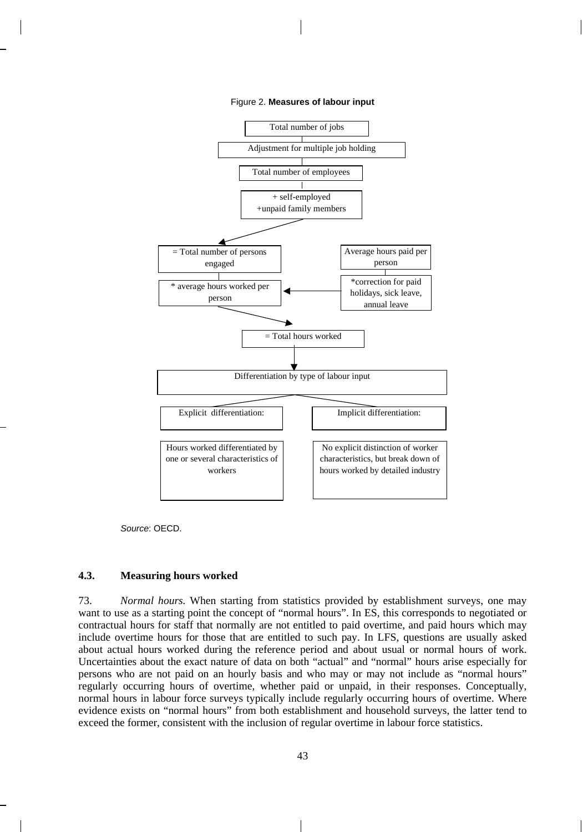



Source: OECD.

# **4.3. Measuring hours worked**

73. *Normal hours.* When starting from statistics provided by establishment surveys, one may want to use as a starting point the concept of "normal hours". In ES, this corresponds to negotiated or contractual hours for staff that normally are not entitled to paid overtime, and paid hours which may include overtime hours for those that are entitled to such pay. In LFS, questions are usually asked about actual hours worked during the reference period and about usual or normal hours of work. Uncertainties about the exact nature of data on both "actual" and "normal" hours arise especially for persons who are not paid on an hourly basis and who may or may not include as "normal hours" regularly occurring hours of overtime, whether paid or unpaid, in their responses. Conceptually, normal hours in labour force surveys typically include regularly occurring hours of overtime. Where evidence exists on "normal hours" from both establishment and household surveys, the latter tend to exceed the former, consistent with the inclusion of regular overtime in labour force statistics.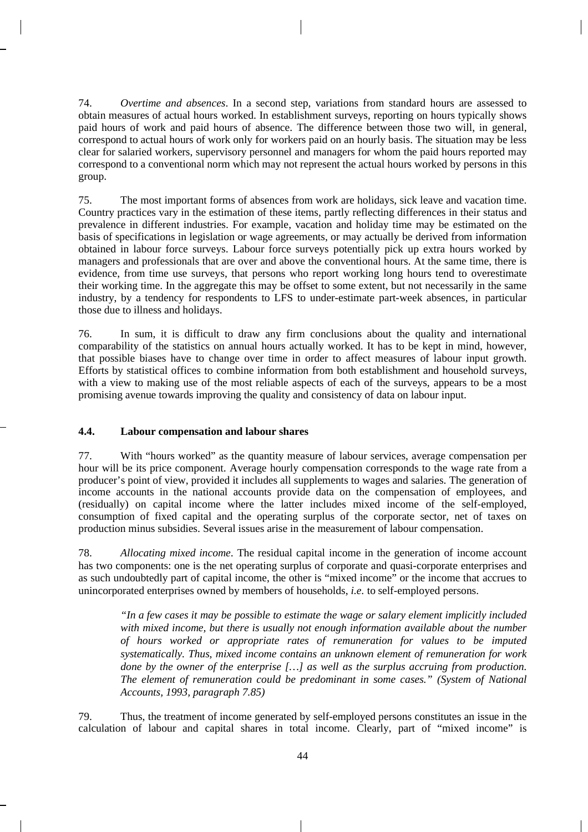74. *Overtime and absences*. In a second step, variations from standard hours are assessed to obtain measures of actual hours worked. In establishment surveys, reporting on hours typically shows paid hours of work and paid hours of absence. The difference between those two will, in general, correspond to actual hours of work only for workers paid on an hourly basis. The situation may be less clear for salaried workers, supervisory personnel and managers for whom the paid hours reported may correspond to a conventional norm which may not represent the actual hours worked by persons in this group.

75. The most important forms of absences from work are holidays, sick leave and vacation time. Country practices vary in the estimation of these items, partly reflecting differences in their status and prevalence in different industries. For example, vacation and holiday time may be estimated on the basis of specifications in legislation or wage agreements, or may actually be derived from information obtained in labour force surveys. Labour force surveys potentially pick up extra hours worked by managers and professionals that are over and above the conventional hours. At the same time, there is evidence, from time use surveys, that persons who report working long hours tend to overestimate their working time. In the aggregate this may be offset to some extent, but not necessarily in the same industry, by a tendency for respondents to LFS to under-estimate part-week absences, in particular those due to illness and holidays.

76. In sum, it is difficult to draw any firm conclusions about the quality and international comparability of the statistics on annual hours actually worked. It has to be kept in mind, however, that possible biases have to change over time in order to affect measures of labour input growth. Efforts by statistical offices to combine information from both establishment and household surveys, with a view to making use of the most reliable aspects of each of the surveys, appears to be a most promising avenue towards improving the quality and consistency of data on labour input.

# **4.4. Labour compensation and labour shares**

77. With "hours worked" as the quantity measure of labour services, average compensation per hour will be its price component. Average hourly compensation corresponds to the wage rate from a producer's point of view, provided it includes all supplements to wages and salaries. The generation of income accounts in the national accounts provide data on the compensation of employees, and (residually) on capital income where the latter includes mixed income of the self-employed, consumption of fixed capital and the operating surplus of the corporate sector, net of taxes on production minus subsidies. Several issues arise in the measurement of labour compensation.

78. *Allocating mixed income*. The residual capital income in the generation of income account has two components: one is the net operating surplus of corporate and quasi-corporate enterprises and as such undoubtedly part of capital income, the other is "mixed income" or the income that accrues to unincorporated enterprises owned by members of households, *i.e.* to self-employed persons.

*"In a few cases it may be possible to estimate the wage or salary element implicitly included with mixed income, but there is usually not enough information available about the number of hours worked or appropriate rates of remuneration for values to be imputed systematically. Thus, mixed income contains an unknown element of remuneration for work done by the owner of the enterprise […] as well as the surplus accruing from production. The element of remuneration could be predominant in some cases." (System of National Accounts, 1993, paragraph 7.85)*

79. Thus, the treatment of income generated by self-employed persons constitutes an issue in the calculation of labour and capital shares in total income. Clearly, part of "mixed income" is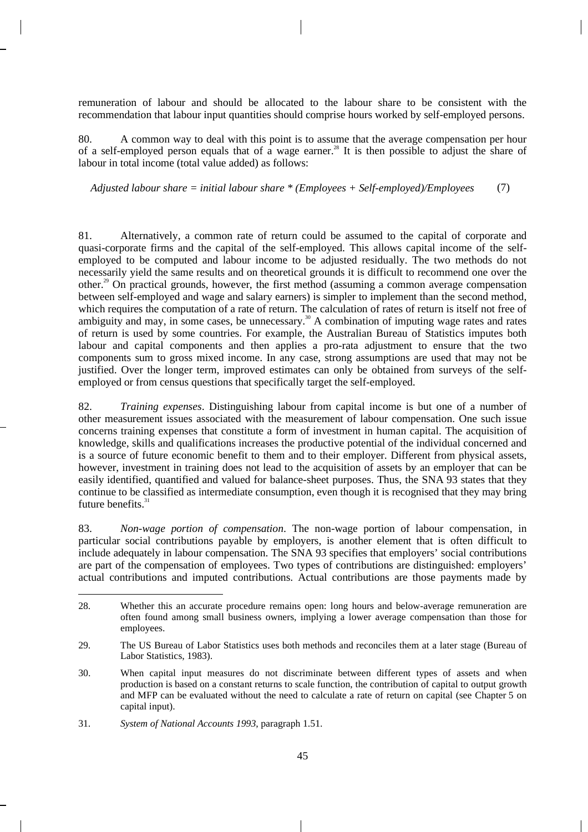remuneration of labour and should be allocated to the labour share to be consistent with the recommendation that labour input quantities should comprise hours worked by self-employed persons.

80. A common way to deal with this point is to assume that the average compensation per hour of a self-employed person equals that of a wage earner.<sup>28</sup> It is then possible to adjust the share of labour in total income (total value added) as follows:

*Adjusted labour share = initial labour share \* (Employees + Self-employed)/Employees* (7)

81. Alternatively, a common rate of return could be assumed to the capital of corporate and quasi-corporate firms and the capital of the self-employed. This allows capital income of the selfemployed to be computed and labour income to be adjusted residually. The two methods do not necessarily yield the same results and on theoretical grounds it is difficult to recommend one over the other.<sup>29</sup> On practical grounds, however, the first method (assuming a common average compensation between self-employed and wage and salary earners) is simpler to implement than the second method, which requires the computation of a rate of return. The calculation of rates of return is itself not free of ambiguity and may, in some cases, be unnecessary.<sup>30</sup> A combination of imputing wage rates and rates of return is used by some countries. For example, the Australian Bureau of Statistics imputes both labour and capital components and then applies a pro-rata adjustment to ensure that the two components sum to gross mixed income. In any case, strong assumptions are used that may not be justified. Over the longer term, improved estimates can only be obtained from surveys of the selfemployed or from census questions that specifically target the self-employed.

82. *Training expenses*. Distinguishing labour from capital income is but one of a number of other measurement issues associated with the measurement of labour compensation. One such issue concerns training expenses that constitute a form of investment in human capital. The acquisition of knowledge, skills and qualifications increases the productive potential of the individual concerned and is a source of future economic benefit to them and to their employer. Different from physical assets, however, investment in training does not lead to the acquisition of assets by an employer that can be easily identified, quantified and valued for balance-sheet purposes. Thus, the SNA 93 states that they continue to be classified as intermediate consumption, even though it is recognised that they may bring future benefits. $31$ 

83. *Non-wage portion of compensation*. The non-wage portion of labour compensation, in particular social contributions payable by employers, is another element that is often difficult to include adequately in labour compensation. The SNA 93 specifies that employers' social contributions are part of the compensation of employees. Two types of contributions are distinguished: employers' actual contributions and imputed contributions. Actual contributions are those payments made by

<sup>-</sup>28. Whether this an accurate procedure remains open: long hours and below-average remuneration are often found among small business owners, implying a lower average compensation than those for employees.

<sup>29.</sup> The US Bureau of Labor Statistics uses both methods and reconciles them at a later stage (Bureau of Labor Statistics, 1983).

<sup>30.</sup> When capital input measures do not discriminate between different types of assets and when production is based on a constant returns to scale function, the contribution of capital to output growth and MFP can be evaluated without the need to calculate a rate of return on capital (see Chapter 5 on capital input).

<sup>31.</sup> *System of National Accounts 1993*, paragraph 1.51.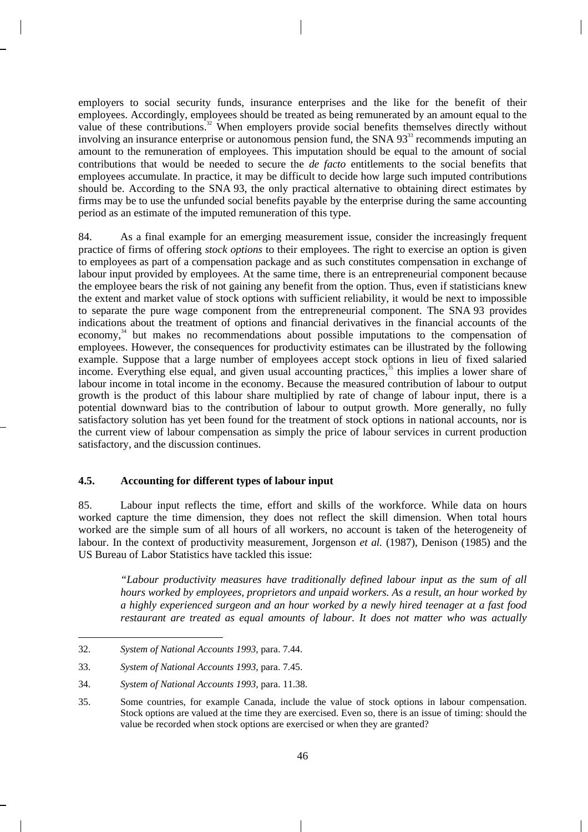employers to social security funds, insurance enterprises and the like for the benefit of their employees. Accordingly, employees should be treated as being remunerated by an amount equal to the value of these contributions.<sup>32</sup> When employers provide social benefits themselves directly without involving an insurance enterprise or autonomous pension fund, the SNA  $93<sup>33</sup>$  recommends imputing an amount to the remuneration of employees. This imputation should be equal to the amount of social contributions that would be needed to secure the *de facto* entitlements to the social benefits that employees accumulate. In practice, it may be difficult to decide how large such imputed contributions should be. According to the SNA 93, the only practical alternative to obtaining direct estimates by firms may be to use the unfunded social benefits payable by the enterprise during the same accounting period as an estimate of the imputed remuneration of this type.

84. As a final example for an emerging measurement issue, consider the increasingly frequent practice of firms of offering *stock options* to their employees. The right to exercise an option is given to employees as part of a compensation package and as such constitutes compensation in exchange of labour input provided by employees. At the same time, there is an entrepreneurial component because the employee bears the risk of not gaining any benefit from the option. Thus, even if statisticians knew the extent and market value of stock options with sufficient reliability, it would be next to impossible to separate the pure wage component from the entrepreneurial component. The SNA 93 provides indications about the treatment of options and financial derivatives in the financial accounts of the economy, $34$  but makes no recommendations about possible imputations to the compensation of employees. However, the consequences for productivity estimates can be illustrated by the following example. Suppose that a large number of employees accept stock options in lieu of fixed salaried income. Everything else equal, and given usual accounting practices, $35$  this implies a lower share of labour income in total income in the economy. Because the measured contribution of labour to output growth is the product of this labour share multiplied by rate of change of labour input, there is a potential downward bias to the contribution of labour to output growth. More generally, no fully satisfactory solution has yet been found for the treatment of stock options in national accounts, nor is the current view of labour compensation as simply the price of labour services in current production satisfactory, and the discussion continues.

# **4.5. Accounting for different types of labour input**

85. Labour input reflects the time, effort and skills of the workforce. While data on hours worked capture the time dimension, they does not reflect the skill dimension. When total hours worked are the simple sum of all hours of all workers, no account is taken of the heterogeneity of labour. In the context of productivity measurement, Jorgenson *et al.* (1987), Denison (1985) and the US Bureau of Labor Statistics have tackled this issue:

*"Labour productivity measures have traditionally defined labour input as the sum of all hours worked by employees, proprietors and unpaid workers. As a result, an hour worked by a highly experienced surgeon and an hour worked by a newly hired teenager at a fast food restaurant are treated as equal amounts of labour. It does not matter who was actually*

-

<sup>32.</sup> *System of National Accounts 1993*, para. 7.44.

<sup>33.</sup> *System of National Accounts 1993*, para. 7.45.

<sup>34.</sup> *System of National Accounts 1993*, para. 11.38.

<sup>35.</sup> Some countries, for example Canada, include the value of stock options in labour compensation. Stock options are valued at the time they are exercised. Even so, there is an issue of timing: should the value be recorded when stock options are exercised or when they are granted?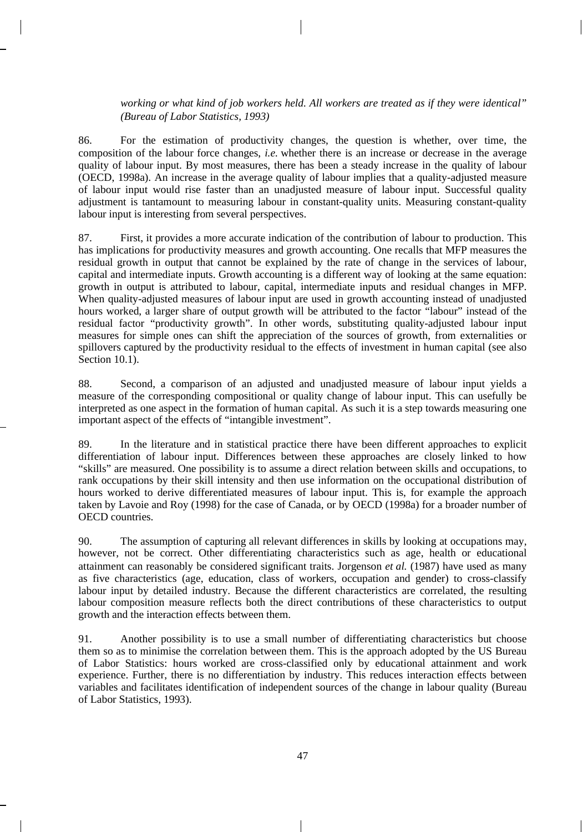*working or what kind of job workers held. All workers are treated as if they were identical" (Bureau of Labor Statistics, 1993)*

86. For the estimation of productivity changes, the question is whether, over time, the composition of the labour force changes, *i.e.* whether there is an increase or decrease in the average quality of labour input. By most measures, there has been a steady increase in the quality of labour (OECD, 1998a). An increase in the average quality of labour implies that a quality-adjusted measure of labour input would rise faster than an unadjusted measure of labour input. Successful quality adjustment is tantamount to measuring labour in constant-quality units. Measuring constant-quality labour input is interesting from several perspectives.

87. First, it provides a more accurate indication of the contribution of labour to production. This has implications for productivity measures and growth accounting. One recalls that MFP measures the residual growth in output that cannot be explained by the rate of change in the services of labour, capital and intermediate inputs. Growth accounting is a different way of looking at the same equation: growth in output is attributed to labour, capital, intermediate inputs and residual changes in MFP. When quality-adjusted measures of labour input are used in growth accounting instead of unadjusted hours worked, a larger share of output growth will be attributed to the factor "labour" instead of the residual factor "productivity growth". In other words, substituting quality-adjusted labour input measures for simple ones can shift the appreciation of the sources of growth, from externalities or spillovers captured by the productivity residual to the effects of investment in human capital (see also Section 10.1).

88. Second, a comparison of an adjusted and unadjusted measure of labour input yields a measure of the corresponding compositional or quality change of labour input. This can usefully be interpreted as one aspect in the formation of human capital. As such it is a step towards measuring one important aspect of the effects of "intangible investment".

89. In the literature and in statistical practice there have been different approaches to explicit differentiation of labour input. Differences between these approaches are closely linked to how "skills" are measured. One possibility is to assume a direct relation between skills and occupations, to rank occupations by their skill intensity and then use information on the occupational distribution of hours worked to derive differentiated measures of labour input. This is, for example the approach taken by Lavoie and Roy (1998) for the case of Canada, or by OECD (1998a) for a broader number of OECD countries.

90. The assumption of capturing all relevant differences in skills by looking at occupations may, however, not be correct. Other differentiating characteristics such as age, health or educational attainment can reasonably be considered significant traits. Jorgenson *et al.* (1987) have used as many as five characteristics (age, education, class of workers, occupation and gender) to cross-classify labour input by detailed industry. Because the different characteristics are correlated, the resulting labour composition measure reflects both the direct contributions of these characteristics to output growth and the interaction effects between them.

91. Another possibility is to use a small number of differentiating characteristics but choose them so as to minimise the correlation between them. This is the approach adopted by the US Bureau of Labor Statistics: hours worked are cross-classified only by educational attainment and work experience. Further, there is no differentiation by industry. This reduces interaction effects between variables and facilitates identification of independent sources of the change in labour quality (Bureau of Labor Statistics, 1993).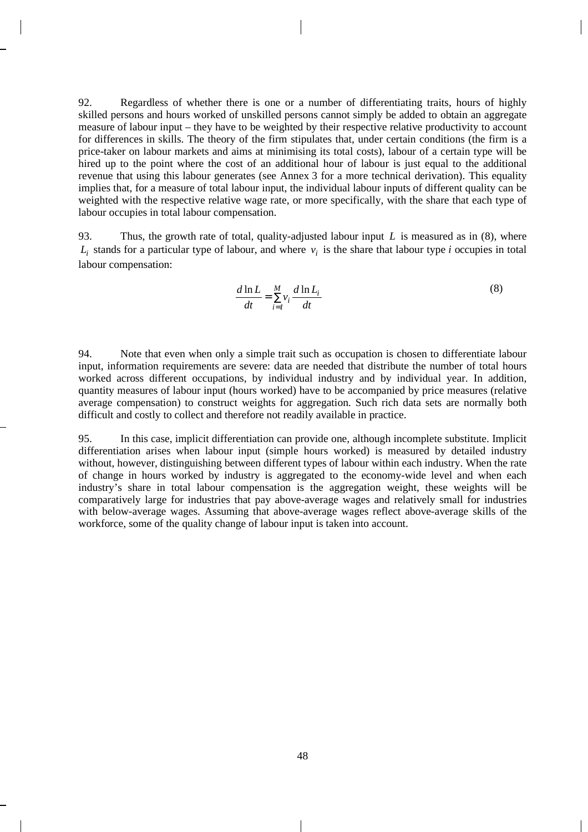92. Regardless of whether there is one or a number of differentiating traits, hours of highly skilled persons and hours worked of unskilled persons cannot simply be added to obtain an aggregate measure of labour input – they have to be weighted by their respective relative productivity to account for differences in skills. The theory of the firm stipulates that, under certain conditions (the firm is a price-taker on labour markets and aims at minimising its total costs), labour of a certain type will be hired up to the point where the cost of an additional hour of labour is just equal to the additional revenue that using this labour generates (see Annex 3 for a more technical derivation). This equality implies that, for a measure of total labour input, the individual labour inputs of different quality can be weighted with the respective relative wage rate, or more specifically, with the share that each type of labour occupies in total labour compensation.

93. Thus, the growth rate of total, quality-adjusted labour input *L* is measured as in (8), where  $L_i$  stands for a particular type of labour, and where  $v_i$  is the share that labour type *i* occupies in total labour compensation:

$$
\frac{d\ln L}{dt} = \sum_{i=1}^{M} v_i \frac{d\ln L_i}{dt}
$$
 (8)

94. Note that even when only a simple trait such as occupation is chosen to differentiate labour input, information requirements are severe: data are needed that distribute the number of total hours worked across different occupations, by individual industry and by individual year. In addition, quantity measures of labour input (hours worked) have to be accompanied by price measures (relative average compensation) to construct weights for aggregation. Such rich data sets are normally both difficult and costly to collect and therefore not readily available in practice.

95. In this case, implicit differentiation can provide one, although incomplete substitute. Implicit differentiation arises when labour input (simple hours worked) is measured by detailed industry without, however, distinguishing between different types of labour within each industry. When the rate of change in hours worked by industry is aggregated to the economy-wide level and when each industry's share in total labour compensation is the aggregation weight, these weights will be comparatively large for industries that pay above-average wages and relatively small for industries with below-average wages. Assuming that above-average wages reflect above-average skills of the workforce, some of the quality change of labour input is taken into account.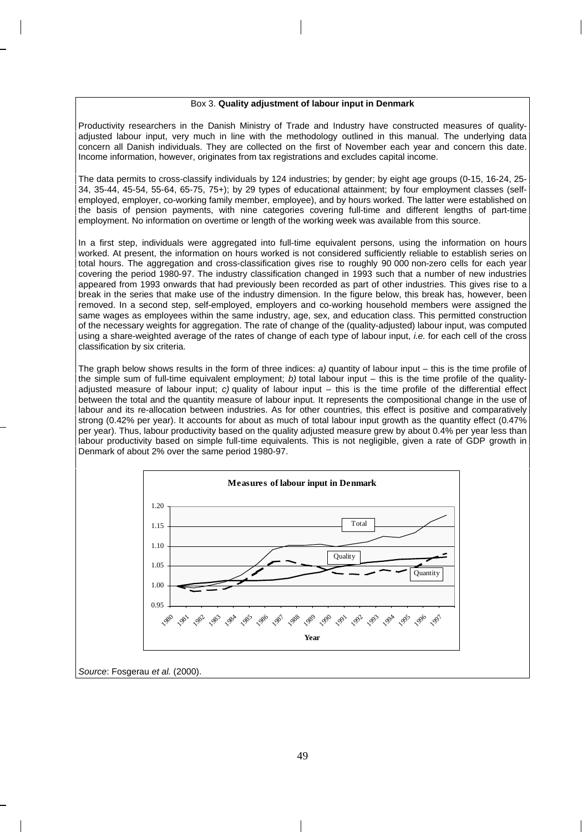#### Box 3. **Quality adjustment of labour input in Denmark**

Productivity researchers in the Danish Ministry of Trade and Industry have constructed measures of qualityadjusted labour input, very much in line with the methodology outlined in this manual. The underlying data concern all Danish individuals. They are collected on the first of November each year and concern this date. Income information, however, originates from tax registrations and excludes capital income.

The data permits to cross-classify individuals by 124 industries; by gender; by eight age groups (0-15, 16-24, 25- 34, 35-44, 45-54, 55-64, 65-75, 75+); by 29 types of educational attainment; by four employment classes (selfemployed, employer, co-working family member, employee), and by hours worked. The latter were established on the basis of pension payments, with nine categories covering full-time and different lengths of part-time employment. No information on overtime or length of the working week was available from this source.

In a first step, individuals were aggregated into full-time equivalent persons, using the information on hours worked. At present, the information on hours worked is not considered sufficiently reliable to establish series on total hours. The aggregation and cross-classification gives rise to roughly 90 000 non-zero cells for each year covering the period 1980-97. The industry classification changed in 1993 such that a number of new industries appeared from 1993 onwards that had previously been recorded as part of other industries. This gives rise to a break in the series that make use of the industry dimension. In the figure below, this break has, however, been removed. In a second step, self-employed, employers and co-working household members were assigned the same wages as employees within the same industry, age, sex, and education class. This permitted construction of the necessary weights for aggregation. The rate of change of the (quality-adjusted) labour input, was computed using a share-weighted average of the rates of change of each type of labour input, *i.e.* for each cell of the cross classification by six criteria.

The graph below shows results in the form of three indices: a) quantity of labour input – this is the time profile of the simple sum of full-time equivalent employment; b) total labour input – this is the time profile of the qualityadjusted measure of labour input;  $c$ ) quality of labour input – this is the time profile of the differential effect between the total and the quantity measure of labour input. It represents the compositional change in the use of labour and its re-allocation between industries. As for other countries, this effect is positive and comparatively strong (0.42% per year). It accounts for about as much of total labour input growth as the quantity effect (0.47% per year). Thus, labour productivity based on the quality adjusted measure grew by about 0.4% per year less than labour productivity based on simple full-time equivalents. This is not negligible, given a rate of GDP growth in Denmark of about 2% over the same period 1980-97.

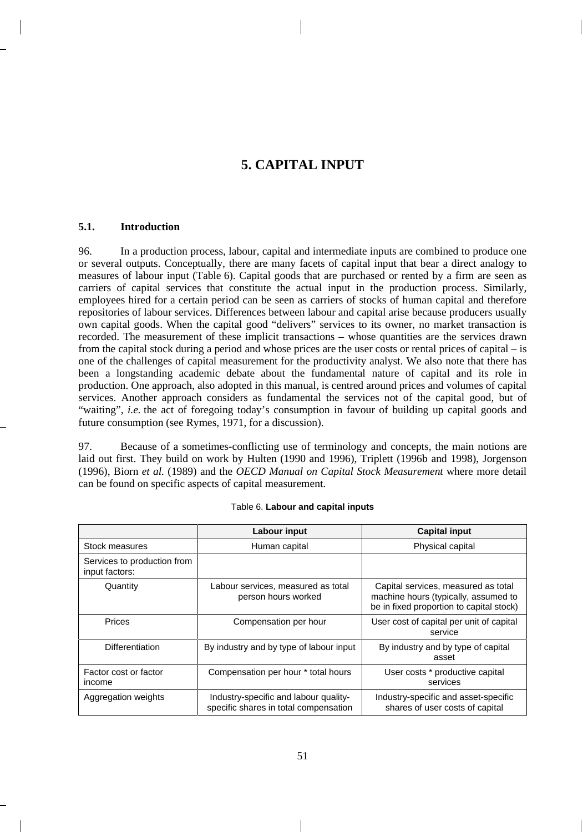# **5. CAPITAL INPUT**

### **5.1. Introduction**

96. In a production process, labour, capital and intermediate inputs are combined to produce one or several outputs. Conceptually, there are many facets of capital input that bear a direct analogy to measures of labour input (Table 6). Capital goods that are purchased or rented by a firm are seen as carriers of capital services that constitute the actual input in the production process. Similarly, employees hired for a certain period can be seen as carriers of stocks of human capital and therefore repositories of labour services. Differences between labour and capital arise because producers usually own capital goods. When the capital good "delivers" services to its owner, no market transaction is recorded. The measurement of these implicit transactions – whose quantities are the services drawn from the capital stock during a period and whose prices are the user costs or rental prices of capital – is one of the challenges of capital measurement for the productivity analyst. We also note that there has been a longstanding academic debate about the fundamental nature of capital and its role in production. One approach, also adopted in this manual, is centred around prices and volumes of capital services. Another approach considers as fundamental the services not of the capital good, but of "waiting", *i.e.* the act of foregoing today's consumption in favour of building up capital goods and future consumption (see Rymes, 1971, for a discussion).

97. Because of a sometimes-conflicting use of terminology and concepts, the main notions are laid out first. They build on work by Hulten (1990 and 1996), Triplett (1996b and 1998), Jorgenson (1996), Biorn *et al.* (1989) and the *OECD Manual on Capital Stock Measurement* where more detail can be found on specific aspects of capital measurement.

|                                               | Labour input                                                                   | <b>Capital input</b>                                                                                                    |
|-----------------------------------------------|--------------------------------------------------------------------------------|-------------------------------------------------------------------------------------------------------------------------|
| Stock measures                                | Human capital                                                                  | Physical capital                                                                                                        |
| Services to production from<br>input factors: |                                                                                |                                                                                                                         |
| Quantity                                      | Labour services, measured as total<br>person hours worked                      | Capital services, measured as total<br>machine hours (typically, assumed to<br>be in fixed proportion to capital stock) |
| Prices                                        | Compensation per hour                                                          | User cost of capital per unit of capital<br>service                                                                     |
| Differentiation                               | By industry and by type of labour input                                        | By industry and by type of capital<br>asset                                                                             |
| Factor cost or factor<br>income               | Compensation per hour * total hours                                            | User costs * productive capital<br>services                                                                             |
| Aggregation weights                           | Industry-specific and labour quality-<br>specific shares in total compensation | Industry-specific and asset-specific<br>shares of user costs of capital                                                 |

#### Table 6. **Labour and capital inputs**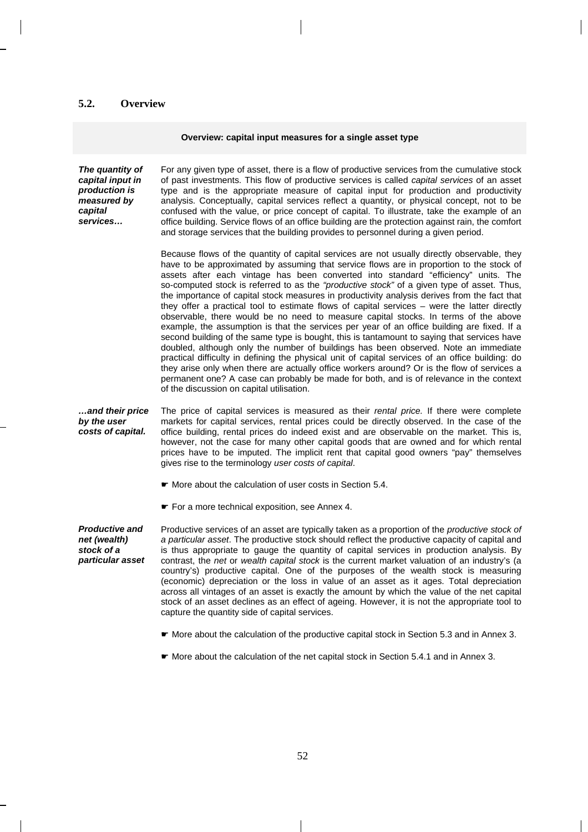# **5.2. Overview**

#### **Overview: capital input measures for a single asset type**

**The quantity of capital input in production is measured by capital services…**

For any given type of asset, there is a flow of productive services from the cumulative stock of past investments. This flow of productive services is called capital services of an asset type and is the appropriate measure of capital input for production and productivity analysis. Conceptually, capital services reflect a quantity, or physical concept, not to be confused with the value, or price concept of capital. To illustrate, take the example of an office building. Service flows of an office building are the protection against rain, the comfort and storage services that the building provides to personnel during a given period.

Because flows of the quantity of capital services are not usually directly observable, they have to be approximated by assuming that service flows are in proportion to the stock of assets after each vintage has been converted into standard "efficiency" units. The so-computed stock is referred to as the "productive stock" of a given type of asset. Thus, the importance of capital stock measures in productivity analysis derives from the fact that they offer a practical tool to estimate flows of capital services – were the latter directly observable, there would be no need to measure capital stocks. In terms of the above example, the assumption is that the services per year of an office building are fixed. If a second building of the same type is bought, this is tantamount to saying that services have doubled, although only the number of buildings has been observed. Note an immediate practical difficulty in defining the physical unit of capital services of an office building: do they arise only when there are actually office workers around? Or is the flow of services a permanent one? A case can probably be made for both, and is of relevance in the context of the discussion on capital utilisation.

**…and their price by the user costs of capital.** The price of capital services is measured as their rental price. If there were complete markets for capital services, rental prices could be directly observed. In the case of the office building, rental prices do indeed exist and are observable on the market. This is, however, not the case for many other capital goods that are owned and for which rental prices have to be imputed. The implicit rent that capital good owners "pay" themselves gives rise to the terminology user costs of capital.

- ☛ More about the calculation of user costs in Section 5.4.
- ☛ For a more technical exposition, see Annex 4.

**Productive and net (wealth) stock of a particular asset** Productive services of an asset are typically taken as a proportion of the *productive stock of* a particular asset. The productive stock should reflect the productive capacity of capital and is thus appropriate to gauge the quantity of capital services in production analysis. By contrast, the net or wealth capital stock is the current market valuation of an industry's (a country's) productive capital. One of the purposes of the wealth stock is measuring (economic) depreciation or the loss in value of an asset as it ages. Total depreciation across all vintages of an asset is exactly the amount by which the value of the net capital stock of an asset declines as an effect of ageing. However, it is not the appropriate tool to capture the quantity side of capital services.

- ☛ More about the calculation of the productive capital stock in Section 5.3 and in Annex 3.
- ☛ More about the calculation of the net capital stock in Section 5.4.1 and in Annex 3.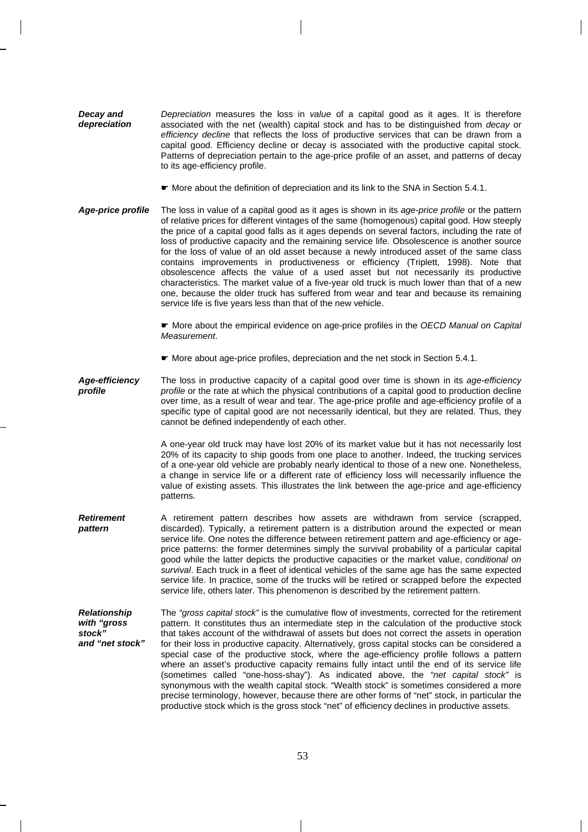- **Decay and depreciation** Depreciation measures the loss in value of a capital good as it ages. It is therefore associated with the net (wealth) capital stock and has to be distinguished from *decay* or efficiency decline that reflects the loss of productive services that can be drawn from a capital good. Efficiency decline or decay is associated with the productive capital stock. Patterns of depreciation pertain to the age-price profile of an asset, and patterns of decay to its age-efficiency profile.
	- ☛ More about the definition of depreciation and its link to the SNA in Section 5.4.1.
- **Age-price profile** The loss in value of a capital good as it ages is shown in its age-price profile or the pattern of relative prices for different vintages of the same (homogenous) capital good. How steeply the price of a capital good falls as it ages depends on several factors, including the rate of loss of productive capacity and the remaining service life. Obsolescence is another source for the loss of value of an old asset because a newly introduced asset of the same class contains improvements in productiveness or efficiency (Triplett, 1998). Note that obsolescence affects the value of a used asset but not necessarily its productive characteristics. The market value of a five-year old truck is much lower than that of a new one, because the older truck has suffered from wear and tear and because its remaining service life is five years less than that of the new vehicle.

☛ More about the empirical evidence on age-price profiles in the OECD Manual on Capital Measurement.

☛ More about age-price profiles, depreciation and the net stock in Section 5.4.1.

**Age-efficiency profile** The loss in productive capacity of a capital good over time is shown in its age-efficiency profile or the rate at which the physical contributions of a capital good to production decline over time, as a result of wear and tear. The age-price profile and age-efficiency profile of a specific type of capital good are not necessarily identical, but they are related. Thus, they cannot be defined independently of each other.

> A one-year old truck may have lost 20% of its market value but it has not necessarily lost 20% of its capacity to ship goods from one place to another. Indeed, the trucking services of a one-year old vehicle are probably nearly identical to those of a new one. Nonetheless, a change in service life or a different rate of efficiency loss will necessarily influence the value of existing assets. This illustrates the link between the age-price and age-efficiency patterns.

**Retirement pattern** A retirement pattern describes how assets are withdrawn from service (scrapped, discarded). Typically, a retirement pattern is a distribution around the expected or mean service life. One notes the difference between retirement pattern and age-efficiency or ageprice patterns: the former determines simply the survival probability of a particular capital good while the latter depicts the productive capacities or the market value, conditional on survival. Each truck in a fleet of identical vehicles of the same age has the same expected service life. In practice, some of the trucks will be retired or scrapped before the expected service life, others later. This phenomenon is described by the retirement pattern.

**Relationship with "gross stock" and "net stock"** The "gross capital stock" is the cumulative flow of investments, corrected for the retirement pattern. It constitutes thus an intermediate step in the calculation of the productive stock that takes account of the withdrawal of assets but does not correct the assets in operation for their loss in productive capacity. Alternatively, gross capital stocks can be considered a special case of the productive stock, where the age-efficiency profile follows a pattern where an asset's productive capacity remains fully intact until the end of its service life (sometimes called "one-hoss-shay"). As indicated above, the "net capital stock" is synonymous with the wealth capital stock. "Wealth stock" is sometimes considered a more precise terminology, however, because there are other forms of "net" stock, in particular the productive stock which is the gross stock "net" of efficiency declines in productive assets.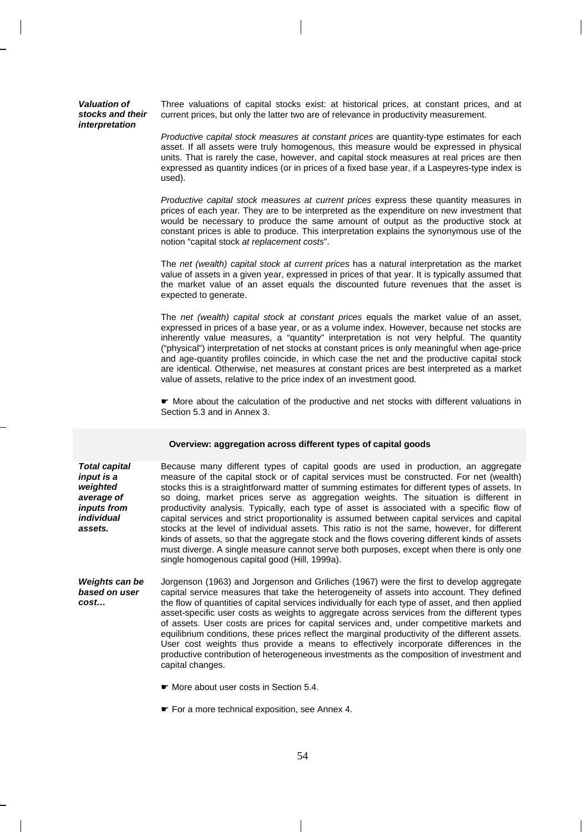**Valuation of stocks and their interpretation**

Three valuations of capital stocks exist: at historical prices, at constant prices, and at current prices, but only the latter two are of relevance in productivity measurement.

Productive capital stock measures at constant prices are quantity-type estimates for each asset. If all assets were truly homogenous, this measure would be expressed in physical units. That is rarely the case, however, and capital stock measures at real prices are then expressed as quantity indices (or in prices of a fixed base year, if a Laspeyres-type index is used).

Productive capital stock measures at current prices express these quantity measures in prices of each year. They are to be interpreted as the expenditure on new investment that would be necessary to produce the same amount of output as the productive stock at constant prices is able to produce. This interpretation explains the synonymous use of the notion "capital stock at replacement costs".

The net (wealth) capital stock at current prices has a natural interpretation as the market value of assets in a given year, expressed in prices of that year. It is typically assumed that the market value of an asset equals the discounted future revenues that the asset is expected to generate.

The net (wealth) capital stock at constant prices equals the market value of an asset, expressed in prices of a base year, or as a volume index. However, because net stocks are inherently value measures, a "quantity" interpretation is not very helpful. The quantity ("physical") interpretation of net stocks at constant prices is only meaningful when age-price and age-quantity profiles coincide, in which case the net and the productive capital stock are identical. Otherwise, net measures at constant prices are best interpreted as a market value of assets, relative to the price index of an investment good.

☛ More about the calculation of the productive and net stocks with different valuations in Section 5.3 and in Annex 3.

#### **Overview: aggregation across different types of capital goods**

**Total capital input is a weighted average of inputs from individual assets.** Because many different types of capital goods are used in production, an aggregate measure of the capital stock or of capital services must be constructed. For net (wealth) stocks this is a straightforward matter of summing estimates for different types of assets. In so doing, market prices serve as aggregation weights. The situation is different in productivity analysis. Typically, each type of asset is associated with a specific flow of capital services and strict proportionality is assumed between capital services and capital stocks at the level of individual assets. This ratio is not the same, however, for different kinds of assets, so that the aggregate stock and the flows covering different kinds of assets must diverge. A single measure cannot serve both purposes, except when there is only one single homogenous capital good (Hill, 1999a).

**Weights can be based on user cost…** Jorgenson (1963) and Jorgenson and Griliches (1967) were the first to develop aggregate capital service measures that take the heterogeneity of assets into account. They defined the flow of quantities of capital services individually for each type of asset, and then applied asset-specific user costs as weights to aggregate across services from the different types of assets. User costs are prices for capital services and, under competitive markets and equilibrium conditions, these prices reflect the marginal productivity of the different assets. User cost weights thus provide a means to effectively incorporate differences in the productive contribution of heterogeneous investments as the composition of investment and capital changes.

- ☛ More about user costs in Section 5.4.
- ☛ For a more technical exposition, see Annex 4.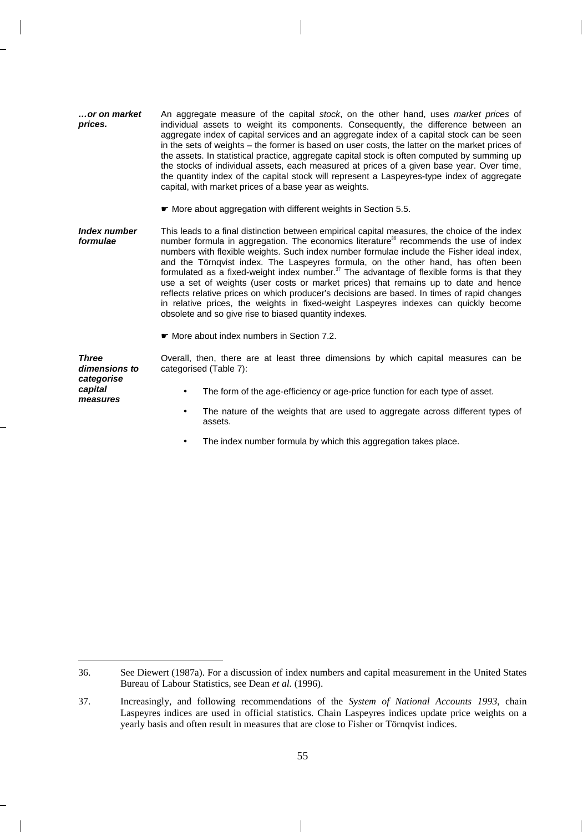**…or on market prices.** An aggregate measure of the capital stock, on the other hand, uses market prices of individual assets to weight its components. Consequently, the difference between an aggregate index of capital services and an aggregate index of a capital stock can be seen in the sets of weights – the former is based on user costs, the latter on the market prices of the assets. In statistical practice, aggregate capital stock is often computed by summing up the stocks of individual assets, each measured at prices of a given base year. Over time, the quantity index of the capital stock will represent a Laspevres-type index of aggregate capital, with market prices of a base year as weights.

☛ More about aggregation with different weights in Section 5.5.

**Index number formulae** This leads to a final distinction between empirical capital measures, the choice of the index number formula in aggregation. The economics literature<sup>36</sup> recommends the use of index numbers with flexible weights. Such index number formulae include the Fisher ideal index, and the Törnqvist index. The Laspeyres formula, on the other hand, has often been formulated as a fixed-weight index number. $37$  The advantage of flexible forms is that they use a set of weights (user costs or market prices) that remains up to date and hence reflects relative prices on which producer's decisions are based. In times of rapid changes in relative prices, the weights in fixed-weight Laspeyres indexes can quickly become obsolete and so give rise to biased quantity indexes.

☛ More about index numbers in Section 7.2.

**dimensions to** Overall, then, there are at least three dimensions by which capital measures can be categorised (Table 7):

- The form of the age-efficiency or age-price function for each type of asset.
- The nature of the weights that are used to aggregate across different types of assets.
- The index number formula by which this aggregation takes place.

**Three**

j

**categorise capital measures**

<sup>36.</sup> See Diewert (1987a). For a discussion of index numbers and capital measurement in the United States Bureau of Labour Statistics, see Dean *et al.* (1996).

<sup>37.</sup> Increasingly, and following recommendations of the *System of National Accounts 1993*, chain Laspeyres indices are used in official statistics. Chain Laspeyres indices update price weights on a yearly basis and often result in measures that are close to Fisher or Törnqvist indices.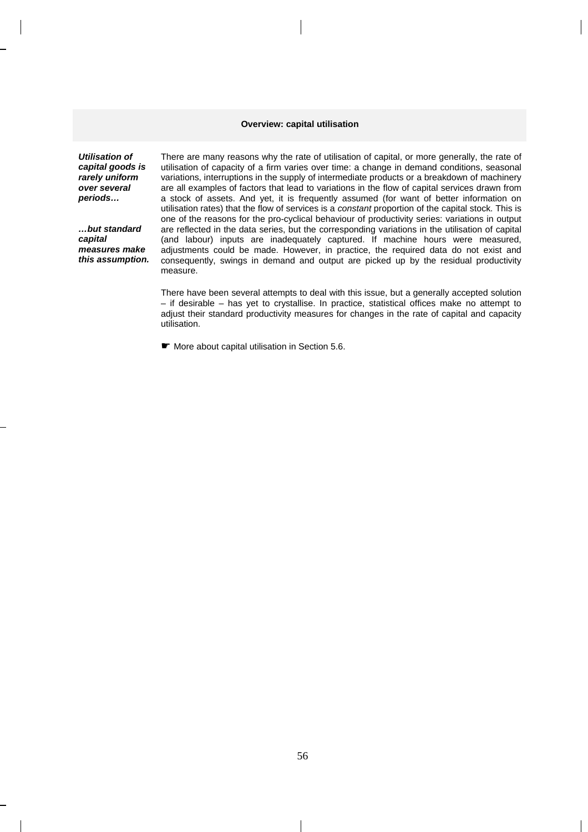#### **Overview: capital utilisation**

**Utilisation of capital goods is rarely uniform over several periods…**

**…but standard capital measures make this assumption.** There are many reasons why the rate of utilisation of capital, or more generally, the rate of utilisation of capacity of a firm varies over time: a change in demand conditions, seasonal variations, interruptions in the supply of intermediate products or a breakdown of machinery are all examples of factors that lead to variations in the flow of capital services drawn from a stock of assets. And yet, it is frequently assumed (for want of better information on utilisation rates) that the flow of services is a constant proportion of the capital stock. This is one of the reasons for the pro-cyclical behaviour of productivity series: variations in output are reflected in the data series, but the corresponding variations in the utilisation of capital (and labour) inputs are inadequately captured. If machine hours were measured, adjustments could be made. However, in practice, the required data do not exist and consequently, swings in demand and output are picked up by the residual productivity measure.

There have been several attempts to deal with this issue, but a generally accepted solution – if desirable – has yet to crystallise. In practice, statistical offices make no attempt to adjust their standard productivity measures for changes in the rate of capital and capacity utilisation.

☛ More about capital utilisation in Section 5.6.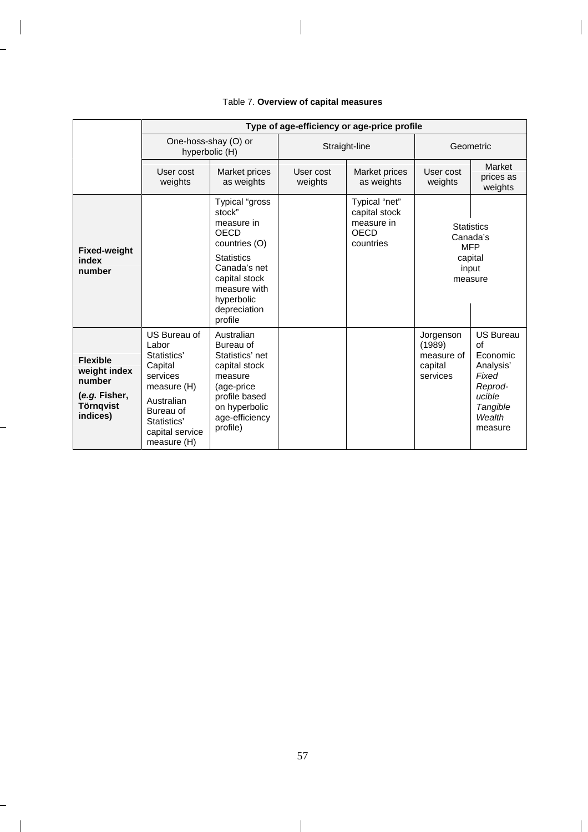|                                                                                     | Type of age-efficiency or age-price profile                                                                                                            |                                                                                                                                                                                       |                      |                                                                          |                                                          |                                                                                                                |  |
|-------------------------------------------------------------------------------------|--------------------------------------------------------------------------------------------------------------------------------------------------------|---------------------------------------------------------------------------------------------------------------------------------------------------------------------------------------|----------------------|--------------------------------------------------------------------------|----------------------------------------------------------|----------------------------------------------------------------------------------------------------------------|--|
|                                                                                     | One-hoss-shay (O) or<br>hyperbolic (H)                                                                                                                 |                                                                                                                                                                                       |                      | Straight-line                                                            | Geometric                                                |                                                                                                                |  |
|                                                                                     | User cost<br>weights                                                                                                                                   | Market prices<br>as weights                                                                                                                                                           | User cost<br>weights | Market prices<br>as weights                                              | User cost<br>weights                                     | Market<br>prices as<br>weights                                                                                 |  |
| <b>Fixed-weight</b><br>index<br>number                                              |                                                                                                                                                        | Typical "gross<br>stock"<br>measure in<br><b>OECD</b><br>countries (O)<br><b>Statistics</b><br>Canada's net<br>capital stock<br>measure with<br>hyperbolic<br>depreciation<br>profile |                      | Typical "net"<br>capital stock<br>measure in<br><b>OECD</b><br>countries |                                                          | <b>Statistics</b><br>Canada's<br><b>MFP</b><br>capital<br>input<br>measure                                     |  |
| <b>Flexible</b><br>weight index<br>number<br>(e.g. Fisher,<br>Törnqvist<br>indices) | US Bureau of<br>Labor<br>Statistics'<br>Capital<br>services<br>measure (H)<br>Australian<br>Bureau of<br>Statistics'<br>capital service<br>measure (H) | Australian<br>Bureau of<br>Statistics' net<br>capital stock<br>measure<br>(age-price<br>profile based<br>on hyperbolic<br>age-efficiency<br>profile)                                  |                      |                                                                          | Jorgenson<br>(1989)<br>measure of<br>capital<br>services | <b>US Bureau</b><br>of<br>Economic<br>Analysis'<br>Fixed<br>Reprod-<br>ucible<br>Tangible<br>Wealth<br>measure |  |

# Table 7. **Overview of capital measures**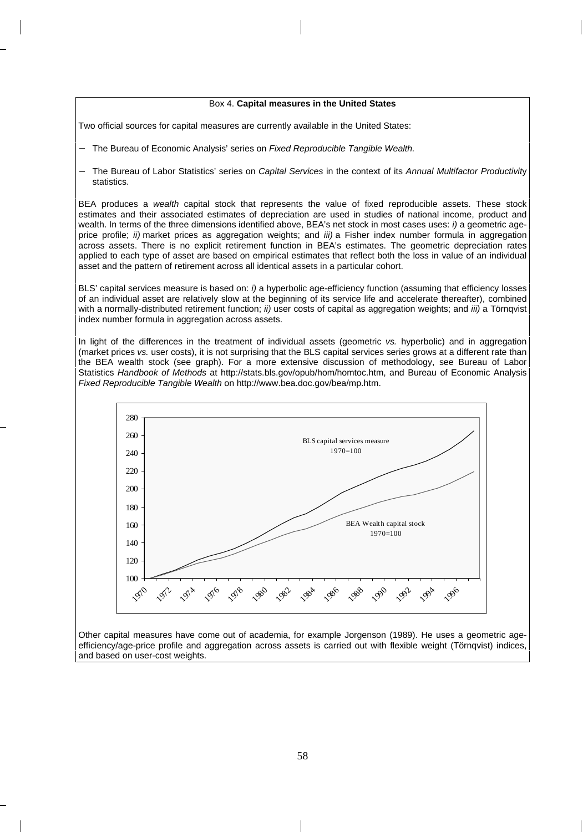#### Box 4. **Capital measures in the United States**

Two official sources for capital measures are currently available in the United States:

- The Bureau of Economic Analysis' series on Fixed Reproducible Tangible Wealth.
- The Bureau of Labor Statistics' series on Capital Services in the context of its Annual Multifactor Productivity statistics.

BEA produces a wealth capital stock that represents the value of fixed reproducible assets. These stock estimates and their associated estimates of depreciation are used in studies of national income, product and wealth. In terms of the three dimensions identified above, BEA's net stock in most cases uses: i) a geometric ageprice profile; *ii*) market prices as aggregation weights; and *iii*) a Fisher index number formula in aggregation across assets. There is no explicit retirement function in BEA's estimates. The geometric depreciation rates applied to each type of asset are based on empirical estimates that reflect both the loss in value of an individual asset and the pattern of retirement across all identical assets in a particular cohort.

BLS' capital services measure is based on: i) a hyperbolic age-efficiency function (assuming that efficiency losses of an individual asset are relatively slow at the beginning of its service life and accelerate thereafter), combined with a normally-distributed retirement function; ii) user costs of capital as aggregation weights; and iii) a Törnqvist index number formula in aggregation across assets.

In light of the differences in the treatment of individual assets (geometric vs. hyperbolic) and in aggregation (market prices vs. user costs), it is not surprising that the BLS capital services series grows at a different rate than the BEA wealth stock (see graph). For a more extensive discussion of methodology, see Bureau of Labor Statistics Handbook of Methods at http://stats.bls.gov/opub/hom/homtoc.htm, and Bureau of Economic Analysis Fixed Reproducible Tangible Wealth on http://www.bea.doc.gov/bea/mp.htm.



Other capital measures have come out of academia, for example Jorgenson (1989). He uses a geometric ageefficiency/age-price profile and aggregation across assets is carried out with flexible weight (Törnqvist) indices, and based on user-cost weights.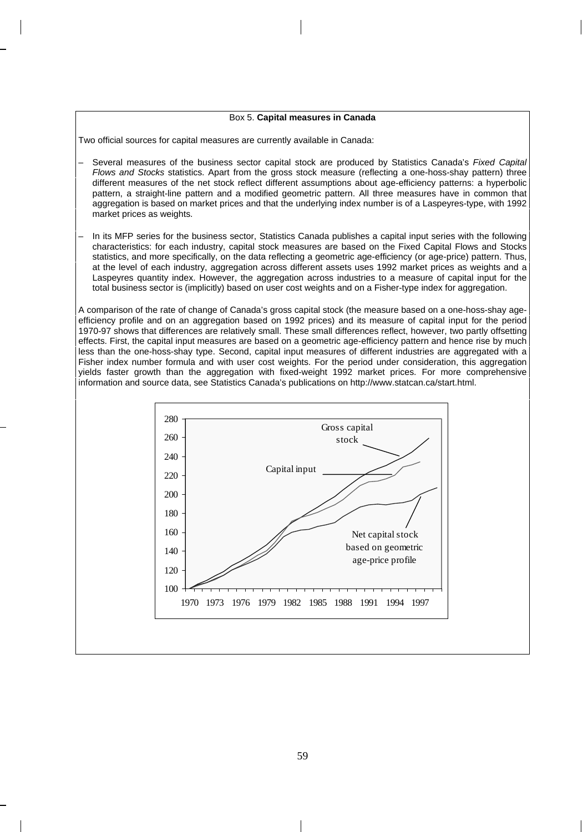#### Box 5. **Capital measures in Canada**

Two official sources for capital measures are currently available in Canada:

- Several measures of the business sector capital stock are produced by Statistics Canada's Fixed Capital Flows and Stocks statistics. Apart from the gross stock measure (reflecting a one-hoss-shay pattern) three different measures of the net stock reflect different assumptions about age-efficiency patterns: a hyperbolic pattern, a straight-line pattern and a modified geometric pattern. All three measures have in common that aggregation is based on market prices and that the underlying index number is of a Laspeyres-type, with 1992 market prices as weights.
- In its MFP series for the business sector, Statistics Canada publishes a capital input series with the following characteristics: for each industry, capital stock measures are based on the Fixed Capital Flows and Stocks statistics, and more specifically, on the data reflecting a geometric age-efficiency (or age-price) pattern. Thus, at the level of each industry, aggregation across different assets uses 1992 market prices as weights and a Laspeyres quantity index. However, the aggregation across industries to a measure of capital input for the total business sector is (implicitly) based on user cost weights and on a Fisher-type index for aggregation.

A comparison of the rate of change of Canada's gross capital stock (the measure based on a one-hoss-shay ageefficiency profile and on an aggregation based on 1992 prices) and its measure of capital input for the period 1970-97 shows that differences are relatively small. These small differences reflect, however, two partly offsetting effects. First, the capital input measures are based on a geometric age-efficiency pattern and hence rise by much less than the one-hoss-shay type. Second, capital input measures of different industries are aggregated with a Fisher index number formula and with user cost weights. For the period under consideration, this aggregation yields faster growth than the aggregation with fixed-weight 1992 market prices. For more comprehensive information and source data, see Statistics Canada's publications on http://www.statcan.ca/start.html.

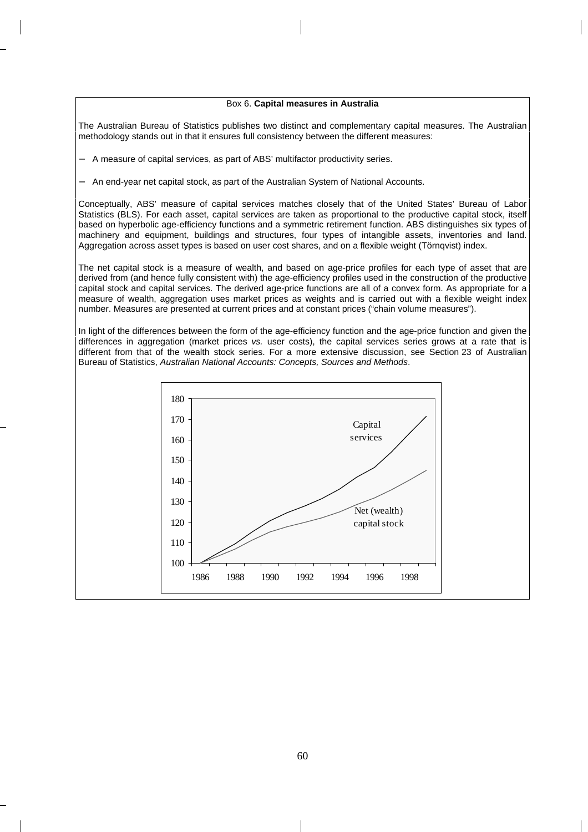#### Box 6. **Capital measures in Australia**

The Australian Bureau of Statistics publishes two distinct and complementary capital measures. The Australian methodology stands out in that it ensures full consistency between the different measures:

- A measure of capital services, as part of ABS' multifactor productivity series.
- − An end-year net capital stock, as part of the Australian System of National Accounts.

Conceptually, ABS' measure of capital services matches closely that of the United States' Bureau of Labor Statistics (BLS). For each asset, capital services are taken as proportional to the productive capital stock, itself based on hyperbolic age-efficiency functions and a symmetric retirement function. ABS distinguishes six types of machinery and equipment, buildings and structures, four types of intangible assets, inventories and land. Aggregation across asset types is based on user cost shares, and on a flexible weight (Törnqvist) index.

The net capital stock is a measure of wealth, and based on age-price profiles for each type of asset that are derived from (and hence fully consistent with) the age-efficiency profiles used in the construction of the productive capital stock and capital services. The derived age-price functions are all of a convex form. As appropriate for a measure of wealth, aggregation uses market prices as weights and is carried out with a flexible weight index number. Measures are presented at current prices and at constant prices ("chain volume measures").

In light of the differences between the form of the age-efficiency function and the age-price function and given the differences in aggregation (market prices vs. user costs), the capital services series grows at a rate that is different from that of the wealth stock series. For a more extensive discussion, see Section 23 of Australian Bureau of Statistics, Australian National Accounts: Concepts, Sources and Methods.

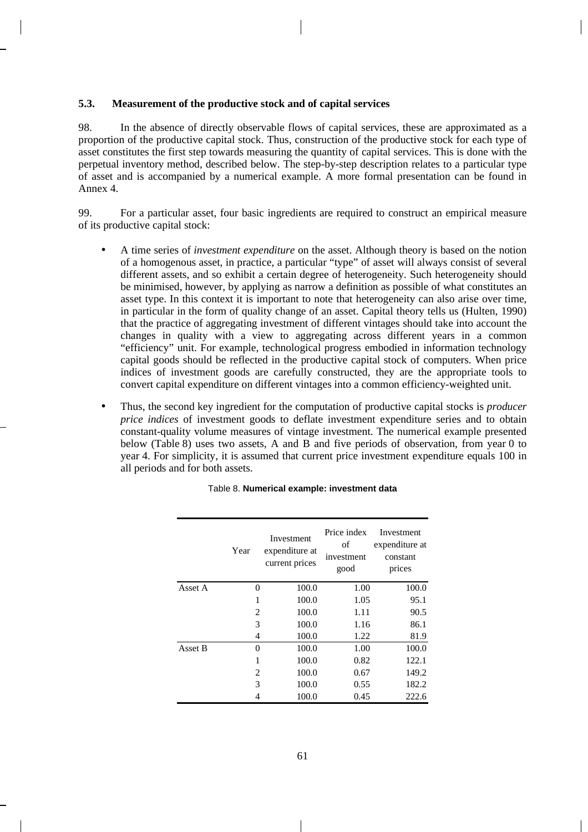# **5.3. Measurement of the productive stock and of capital services**

98. In the absence of directly observable flows of capital services, these are approximated as a proportion of the productive capital stock. Thus, construction of the productive stock for each type of asset constitutes the first step towards measuring the quantity of capital services. This is done with the perpetual inventory method, described below. The step-by-step description relates to a particular type of asset and is accompanied by a numerical example. A more formal presentation can be found in Annex 4.

99. For a particular asset, four basic ingredients are required to construct an empirical measure of its productive capital stock:

- A time series of *investment expenditure* on the asset. Although theory is based on the notion of a homogenous asset, in practice, a particular "type" of asset will always consist of several different assets, and so exhibit a certain degree of heterogeneity. Such heterogeneity should be minimised, however, by applying as narrow a definition as possible of what constitutes an asset type. In this context it is important to note that heterogeneity can also arise over time, in particular in the form of quality change of an asset. Capital theory tells us (Hulten, 1990) that the practice of aggregating investment of different vintages should take into account the changes in quality with a view to aggregating across different years in a common "efficiency" unit. For example, technological progress embodied in information technology capital goods should be reflected in the productive capital stock of computers. When price indices of investment goods are carefully constructed, they are the appropriate tools to convert capital expenditure on different vintages into a common efficiency-weighted unit.
- Thus, the second key ingredient for the computation of productive capital stocks is *producer price indices* of investment goods to deflate investment expenditure series and to obtain constant-quality volume measures of vintage investment. The numerical example presented below (Table 8) uses two assets, A and B and five periods of observation, from year 0 to year 4. For simplicity, it is assumed that current price investment expenditure equals 100 in all periods and for both assets.

|         | Year           | Investment<br>expenditure at<br>current prices | Price index<br>οf<br>investment<br>good | Investment<br>expenditure at<br>constant<br>prices |
|---------|----------------|------------------------------------------------|-----------------------------------------|----------------------------------------------------|
| Asset A | $\theta$       | 100.0                                          | 1.00                                    | 100.0                                              |
|         | 1              | 100.0                                          | 1.05                                    | 95.1                                               |
|         | 2              | 100.0                                          | 1.11                                    | 90.5                                               |
|         | 3              | 100.0                                          | 1.16                                    | 86.1                                               |
|         | 4              | 100.0                                          | 1.22                                    | 81.9                                               |
| Asset B | $\theta$       | 100.0                                          | 1.00                                    | 100.0                                              |
|         | 1              | 100.0                                          | 0.82                                    | 122.1                                              |
|         | $\mathfrak{D}$ | 100.0                                          | 0.67                                    | 149.2                                              |
|         | 3              | 100.0                                          | 0.55                                    | 182.2                                              |
|         | 4              | 100.0                                          | 0.45                                    | 222.6                                              |

# Table 8. **Numerical example: investment data**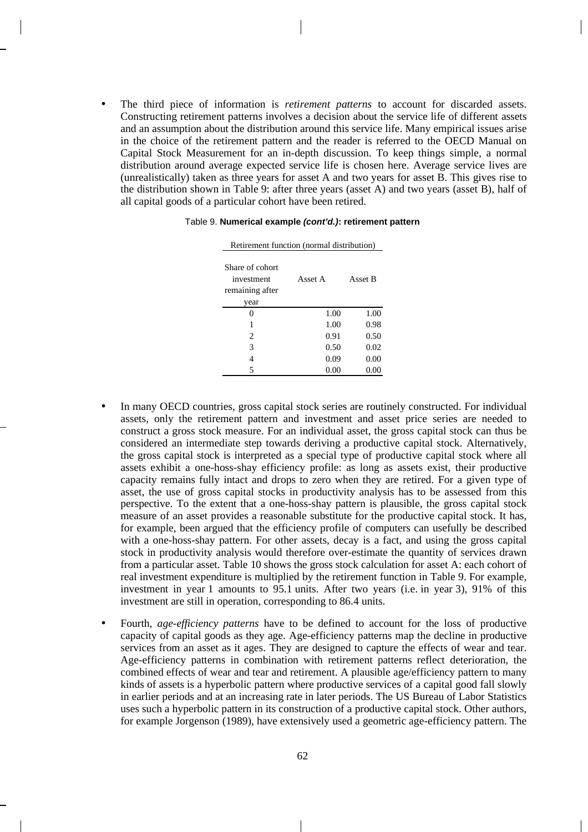• The third piece of information is *retirement patterns* to account for discarded assets. Constructing retirement patterns involves a decision about the service life of different assets and an assumption about the distribution around this service life. Many empirical issues arise in the choice of the retirement pattern and the reader is referred to the OECD Manual on Capital Stock Measurement for an in-depth discussion. To keep things simple, a normal distribution around average expected service life is chosen here. Average service lives are (unrealistically) taken as three years for asset A and two years for asset B. This gives rise to the distribution shown in Table 9: after three years (asset A) and two years (asset B), half of all capital goods of a particular cohort have been retired.

| Share of cohort<br>investment<br>remaining after<br>year | Asset A | Asset B |
|----------------------------------------------------------|---------|---------|
|                                                          | 1.00    | 1.00    |
| 1                                                        | 1.00    | 0.98    |
| 2                                                        | 0.91    | 0.50    |
| 3                                                        | 0.50    | 0.02    |
| 4                                                        | 0.09    | 0.00    |
| 5                                                        | 0.00    | 0.00    |

#### Table 9. **Numerical example (cont'd.): retirement pattern**

Retirement function (normal distribution)

- In many OECD countries, gross capital stock series are routinely constructed. For individual assets, only the retirement pattern and investment and asset price series are needed to construct a gross stock measure. For an individual asset, the gross capital stock can thus be considered an intermediate step towards deriving a productive capital stock. Alternatively, the gross capital stock is interpreted as a special type of productive capital stock where all assets exhibit a one-hoss-shay efficiency profile: as long as assets exist, their productive capacity remains fully intact and drops to zero when they are retired. For a given type of asset, the use of gross capital stocks in productivity analysis has to be assessed from this perspective. To the extent that a one-hoss-shay pattern is plausible, the gross capital stock measure of an asset provides a reasonable substitute for the productive capital stock. It has, for example, been argued that the efficiency profile of computers can usefully be described with a one-hoss-shay pattern. For other assets, decay is a fact, and using the gross capital stock in productivity analysis would therefore over-estimate the quantity of services drawn from a particular asset. Table 10 shows the gross stock calculation for asset A: each cohort of real investment expenditure is multiplied by the retirement function in Table 9. For example, investment in year 1 amounts to 95.1 units. After two years (i.e. in year 3), 91% of this investment are still in operation, corresponding to 86.4 units.
- Fourth, *age-efficiency patterns* have to be defined to account for the loss of productive capacity of capital goods as they age. Age-efficiency patterns map the decline in productive services from an asset as it ages. They are designed to capture the effects of wear and tear. Age-efficiency patterns in combination with retirement patterns reflect deterioration, the combined effects of wear and tear and retirement. A plausible age/efficiency pattern to many kinds of assets is a hyperbolic pattern where productive services of a capital good fall slowly in earlier periods and at an increasing rate in later periods. The US Bureau of Labor Statistics uses such a hyperbolic pattern in its construction of a productive capital stock. Other authors, for example Jorgenson (1989), have extensively used a geometric age-efficiency pattern. The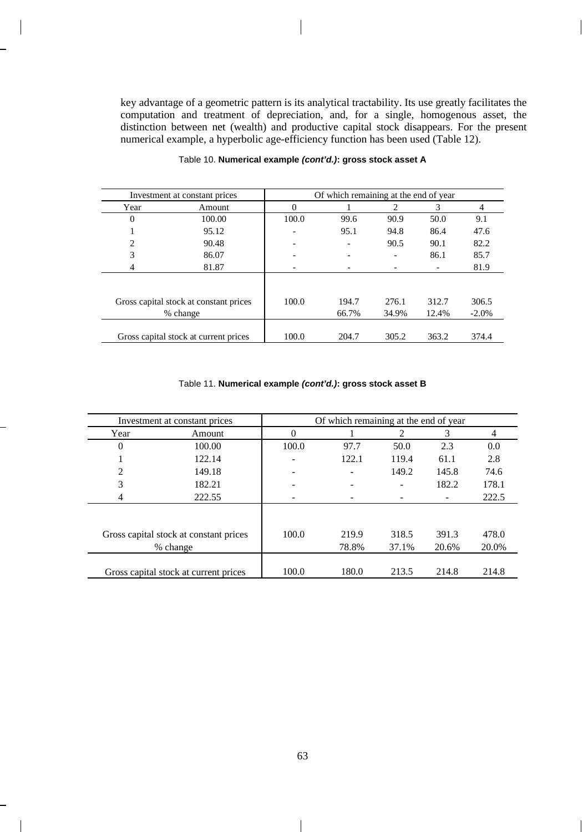key advantage of a geometric pattern is its analytical tractability. Its use greatly facilitates the computation and treatment of depreciation, and, for a single, homogenous asset, the distinction between net (wealth) and productive capital stock disappears. For the present numerical example, a hyperbolic age-efficiency function has been used (Table 12).

|          | Investment at constant prices          |          | Of which remaining at the end of year |       |       |          |
|----------|----------------------------------------|----------|---------------------------------------|-------|-------|----------|
| Year     | Amount                                 | $\Omega$ |                                       | 2     | 3     | 4        |
| $\Omega$ | 100.00                                 | 100.0    | 99.6                                  | 90.9  | 50.0  | 9.1      |
|          | 95.12                                  |          | 95.1                                  | 94.8  | 86.4  | 47.6     |
| 2        | 90.48                                  |          |                                       | 90.5  | 90.1  | 82.2     |
| 3        | 86.07                                  |          |                                       |       | 86.1  | 85.7     |
| 4        | 81.87                                  |          |                                       |       |       | 81.9     |
|          |                                        |          |                                       |       |       |          |
|          | Gross capital stock at constant prices |          | 194.7                                 | 276.1 | 312.7 | 306.5    |
| % change |                                        |          | 66.7%                                 | 34.9% | 12.4% | $-2.0\%$ |
|          |                                        |          |                                       |       |       |          |
|          | Gross capital stock at current prices  |          | 204.7                                 | 305.2 | 363.2 | 374.4    |

# Table 10. **Numerical example (cont'd.): gross stock asset A**

# Table 11. **Numerical example (cont'd.): gross stock asset B**

|      | Investment at constant prices          |          | Of which remaining at the end of year |       |       |                |
|------|----------------------------------------|----------|---------------------------------------|-------|-------|----------------|
| Year | Amount                                 | $\Omega$ |                                       |       | 3     | $\overline{4}$ |
| 0    | 100.00                                 | 100.0    | 97.7                                  | 50.0  | 2.3   | 0.0            |
|      | 122.14                                 |          | 122.1                                 | 119.4 | 61.1  | 2.8            |
| 2    | 149.18                                 |          |                                       | 149.2 | 145.8 | 74.6           |
| 3    | 182.21                                 |          |                                       |       | 182.2 | 178.1          |
| 4    | 222.55                                 |          |                                       |       |       | 222.5          |
|      |                                        |          |                                       |       |       |                |
|      | Gross capital stock at constant prices |          | 219.9                                 | 318.5 | 391.3 | 478.0          |
|      | % change                               |          | 78.8%                                 | 37.1% | 20.6% | 20.0%          |
|      |                                        |          |                                       |       |       |                |
|      | Gross capital stock at current prices  | 100.0    | 180.0                                 | 213.5 | 214.8 | 214.8          |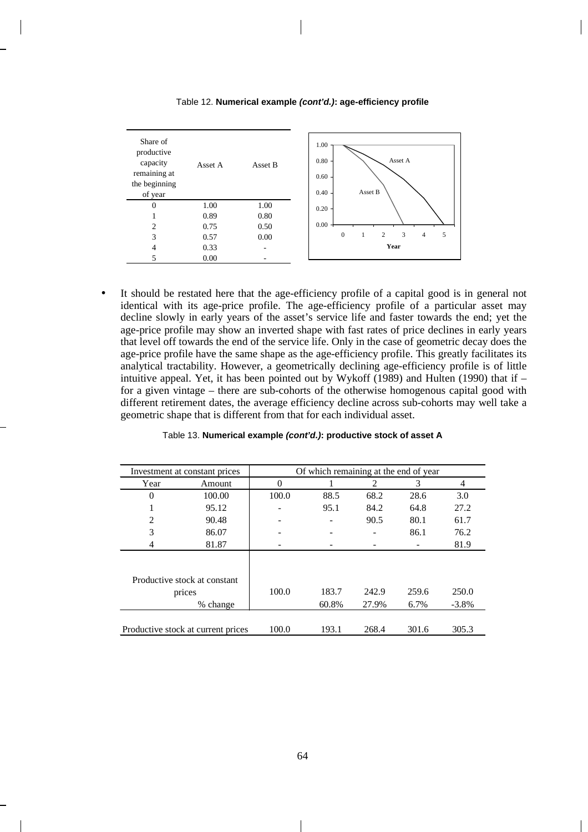| Share of<br>productive<br>capacity<br>remaining at<br>the beginning<br>of year | Asset A | Asset B | 1.00<br>Asset A<br>0.80<br>0.60<br>Asset B<br>0.40         |
|--------------------------------------------------------------------------------|---------|---------|------------------------------------------------------------|
| $\theta$                                                                       | 1.00    | 1.00    | 0.20                                                       |
|                                                                                | 0.89    | 0.80    |                                                            |
| $\overline{c}$                                                                 | 0.75    | 0.50    | 0.00                                                       |
| 3                                                                              | 0.57    | 0.00    | 3<br>$\overline{c}$<br>$\mathbf{0}$<br>5<br>$\overline{4}$ |
| 4                                                                              | 0.33    |         | Year                                                       |
|                                                                                | 0.00    |         |                                                            |

Table 12. **Numerical example (cont'd.): age-efficiency profile**

It should be restated here that the age-efficiency profile of a capital good is in general not identical with its age-price profile. The age-efficiency profile of a particular asset may decline slowly in early years of the asset's service life and faster towards the end; yet the age-price profile may show an inverted shape with fast rates of price declines in early years that level off towards the end of the service life. Only in the case of geometric decay does the age-price profile have the same shape as the age-efficiency profile. This greatly facilitates its analytical tractability. However, a geometrically declining age-efficiency profile is of little intuitive appeal. Yet, it has been pointed out by Wykoff (1989) and Hulten (1990) that if  $$ for a given vintage – there are sub-cohorts of the otherwise homogenous capital good with different retirement dates, the average efficiency decline across sub-cohorts may well take a geometric shape that is different from that for each individual asset.

| Investment at constant prices |                                    | Of which remaining at the end of year |       |       |       |          |
|-------------------------------|------------------------------------|---------------------------------------|-------|-------|-------|----------|
| Year                          | Amount                             | $\Omega$                              |       | 2     | 3     | 4        |
| $\overline{0}$                | 100.00                             | 100.0                                 | 88.5  | 68.2  | 28.6  | 3.0      |
|                               | 95.12                              |                                       | 95.1  | 84.2  | 64.8  | 27.2     |
| $\overline{c}$                | 90.48                              |                                       |       | 90.5  | 80.1  | 61.7     |
| 3                             | 86.07                              |                                       |       |       | 86.1  | 76.2     |
| $\overline{4}$                | 81.87                              |                                       |       |       |       | 81.9     |
|                               |                                    |                                       |       |       |       |          |
|                               | Productive stock at constant       |                                       |       |       |       |          |
|                               | prices                             | 100.0                                 | 183.7 | 242.9 | 259.6 | 250.0    |
|                               | % change                           |                                       | 60.8% | 27.9% | 6.7%  | $-3.8\%$ |
|                               |                                    |                                       |       |       |       |          |
|                               | Productive stock at current prices | 100.0                                 | 193.1 | 268.4 | 301.6 | 305.3    |

#### Table 13. **Numerical example (cont'd.): productive stock of asset A**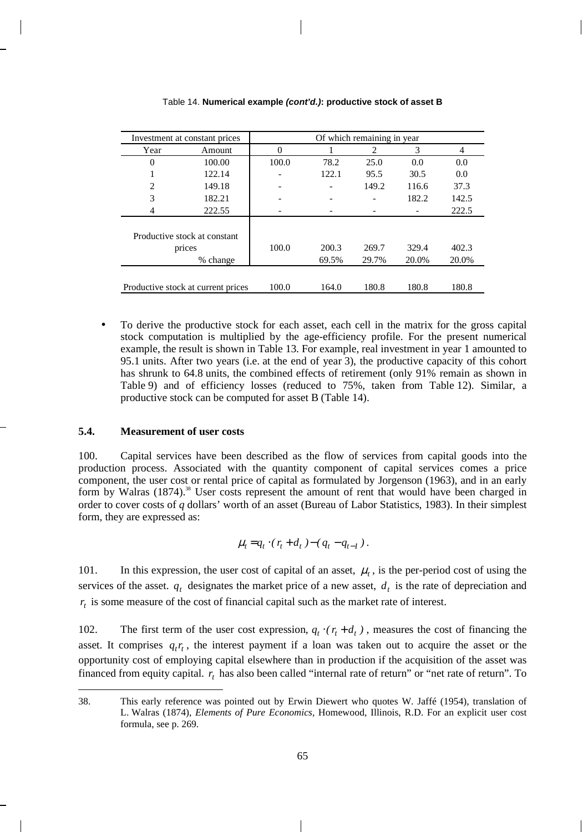| Investment at constant prices |                                    | Of which remaining in year |       |       |       |       |
|-------------------------------|------------------------------------|----------------------------|-------|-------|-------|-------|
| Year                          | Amount                             | $\Omega$                   |       | 2     | 3     | 4     |
| 0                             | 100.00                             | 100.0                      | 78.2  | 25.0  | 0.0   | 0.0   |
| 1                             | 122.14                             |                            | 122.1 | 95.5  | 30.5  | 0.0   |
| $\overline{2}$                | 149.18                             |                            |       | 149.2 | 116.6 | 37.3  |
| 3                             | 182.21                             |                            |       |       | 182.2 | 142.5 |
| 4                             | 222.55                             |                            |       |       |       | 222.5 |
|                               | Productive stock at constant       |                            |       |       |       |       |
|                               | prices                             | 100.0                      | 200.3 | 269.7 | 329.4 | 402.3 |
|                               | % change                           |                            | 69.5% | 29.7% | 20.0% | 20.0% |
|                               |                                    |                            |       |       |       |       |
|                               | Productive stock at current prices | 100.0                      | 164.0 | 180.8 | 180.8 | 180.8 |

#### Table 14. **Numerical example (cont'd.): productive stock of asset B**

• To derive the productive stock for each asset, each cell in the matrix for the gross capital stock computation is multiplied by the age-efficiency profile. For the present numerical example, the result is shown in Table 13. For example, real investment in year 1 amounted to 95.1 units. After two years (i.e. at the end of year 3), the productive capacity of this cohort has shrunk to 64.8 units, the combined effects of retirement (only 91% remain as shown in Table 9) and of efficiency losses (reduced to 75%, taken from Table 12). Similar, a productive stock can be computed for asset B (Table 14).

# **5.4. Measurement of user costs**

100. Capital services have been described as the flow of services from capital goods into the production process. Associated with the quantity component of capital services comes a price component, the user cost or rental price of capital as formulated by Jorgenson (1963), and in an early form by Walras  $(1874)^{38}$  User costs represent the amount of rent that would have been charged in order to cover costs of *q* dollars' worth of an asset (Bureau of Labor Statistics, 1983). In their simplest form, they are expressed as:

$$
\mu_t = q_t \cdot (r_t + d_t) - (q_t - q_{t-1}).
$$

101. In this expression, the user cost of capital of an asset,  $\mu_t$ , is the per-period cost of using the services of the asset.  $q_t$  designates the market price of a new asset,  $d_t$  is the rate of depreciation and  $r<sub>t</sub>$  is some measure of the cost of financial capital such as the market rate of interest.

102. The first term of the user cost expression,  $q_t \cdot (r_t + d_t)$ , measures the cost of financing the asset. It comprises  $q_t r_t$ , the interest payment if a loan was taken out to acquire the asset or the opportunity cost of employing capital elsewhere than in production if the acquisition of the asset was financed from equity capital.  $r_t$  has also been called "internal rate of return" or "net rate of return". To

<sup>-</sup>38. This early reference was pointed out by Erwin Diewert who quotes W. Jaffé (1954), translation of L. Walras (1874), *Elements of Pure Economics*, Homewood, Illinois, R.D. For an explicit user cost formula, see p. 269.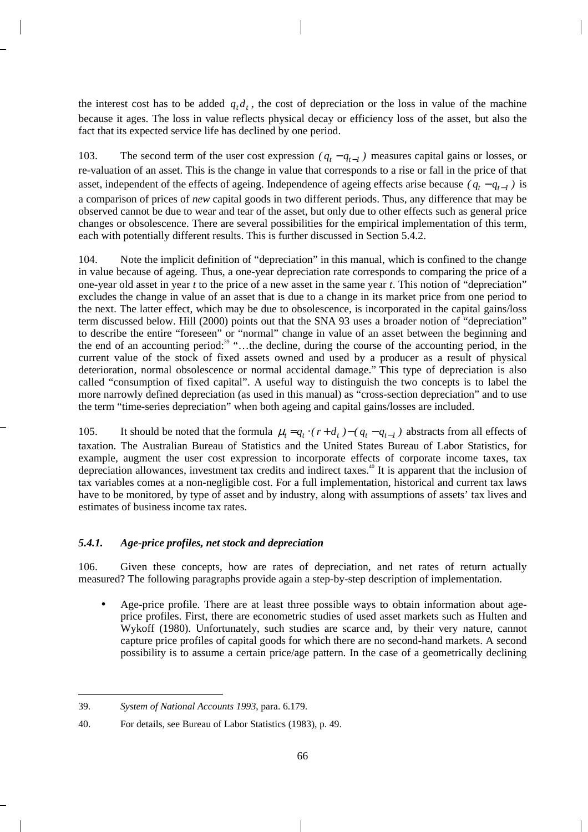the interest cost has to be added  $q_t d_t$ , the cost of depreciation or the loss in value of the machine because it ages. The loss in value reflects physical decay or efficiency loss of the asset, but also the fact that its expected service life has declined by one period.

103. The second term of the user cost expression  $(q_t - q_{t-1})$  measures capital gains or losses, or re-valuation of an asset. This is the change in value that corresponds to a rise or fall in the price of that asset, independent of the effects of ageing. Independence of ageing effects arise because  $(q_t - q_{t-1})$  is a comparison of prices of *new* capital goods in two different periods. Thus, any difference that may be observed cannot be due to wear and tear of the asset, but only due to other effects such as general price changes or obsolescence. There are several possibilities for the empirical implementation of this term, each with potentially different results. This is further discussed in Section 5.4.2.

104. Note the implicit definition of "depreciation" in this manual, which is confined to the change in value because of ageing. Thus, a one-year depreciation rate corresponds to comparing the price of a one-year old asset in year *t* to the price of a new asset in the same year *t*. This notion of "depreciation" excludes the change in value of an asset that is due to a change in its market price from one period to the next. The latter effect, which may be due to obsolescence, is incorporated in the capital gains/loss term discussed below. Hill (2000) points out that the SNA 93 uses a broader notion of "depreciation" to describe the entire "foreseen" or "normal" change in value of an asset between the beginning and the end of an accounting period:<sup>39</sup> "...the decline, during the course of the accounting period, in the current value of the stock of fixed assets owned and used by a producer as a result of physical deterioration, normal obsolescence or normal accidental damage." This type of depreciation is also called "consumption of fixed capital". A useful way to distinguish the two concepts is to label the more narrowly defined depreciation (as used in this manual) as "cross-section depreciation" and to use the term "time-series depreciation" when both ageing and capital gains/losses are included.

105. It should be noted that the formula  $\mu_t = q_t \cdot (r + d_t) - (q_t - q_{t-1})$  abstracts from all effects of taxation. The Australian Bureau of Statistics and the United States Bureau of Labor Statistics, for example, augment the user cost expression to incorporate effects of corporate income taxes, tax depreciation allowances, investment tax credits and indirect taxes.<sup>40</sup> It is apparent that the inclusion of tax variables comes at a non-negligible cost. For a full implementation, historical and current tax laws have to be monitored, by type of asset and by industry, along with assumptions of assets' tax lives and estimates of business income tax rates.

# *5.4.1. Age-price profiles, net stock and depreciation*

106. Given these concepts, how are rates of depreciation, and net rates of return actually measured? The following paragraphs provide again a step-by-step description of implementation.

• Age-price profile. There are at least three possible ways to obtain information about ageprice profiles. First, there are econometric studies of used asset markets such as Hulten and Wykoff (1980). Unfortunately, such studies are scarce and, by their very nature, cannot capture price profiles of capital goods for which there are no second-hand markets. A second possibility is to assume a certain price/age pattern. In the case of a geometrically declining

<sup>-</sup>39. *System of National Accounts 1993*, para. 6.179.

<sup>40.</sup> For details, see Bureau of Labor Statistics (1983), p. 49.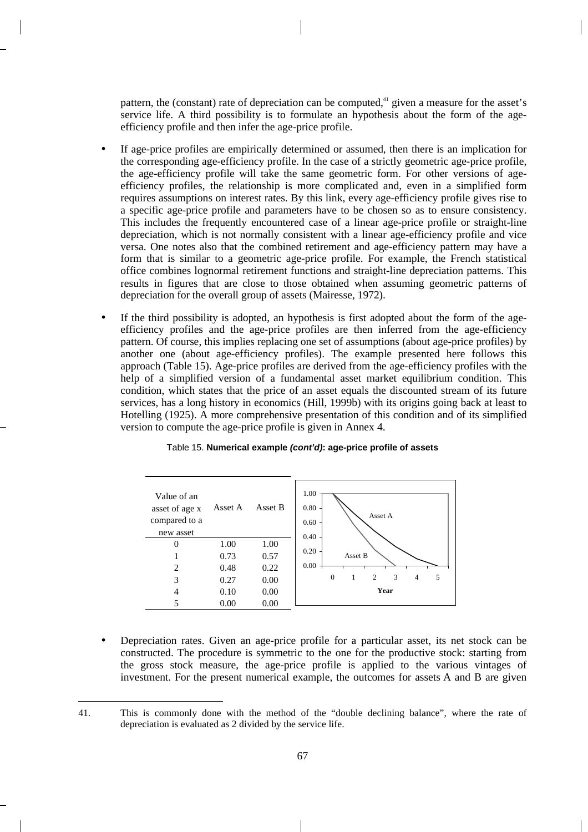pattern, the (constant) rate of depreciation can be computed, $4<sup>41</sup>$  given a measure for the asset's service life. A third possibility is to formulate an hypothesis about the form of the ageefficiency profile and then infer the age-price profile.

- If age-price profiles are empirically determined or assumed, then there is an implication for the corresponding age-efficiency profile. In the case of a strictly geometric age-price profile, the age-efficiency profile will take the same geometric form. For other versions of ageefficiency profiles, the relationship is more complicated and, even in a simplified form requires assumptions on interest rates. By this link, every age-efficiency profile gives rise to a specific age-price profile and parameters have to be chosen so as to ensure consistency. This includes the frequently encountered case of a linear age-price profile or straight-line depreciation, which is not normally consistent with a linear age-efficiency profile and vice versa. One notes also that the combined retirement and age-efficiency pattern may have a form that is similar to a geometric age-price profile. For example, the French statistical office combines lognormal retirement functions and straight-line depreciation patterns. This results in figures that are close to those obtained when assuming geometric patterns of depreciation for the overall group of assets (Mairesse, 1972).
- If the third possibility is adopted, an hypothesis is first adopted about the form of the ageefficiency profiles and the age-price profiles are then inferred from the age-efficiency pattern. Of course, this implies replacing one set of assumptions (about age-price profiles) by another one (about age-efficiency profiles). The example presented here follows this approach (Table 15). Age-price profiles are derived from the age-efficiency profiles with the help of a simplified version of a fundamental asset market equilibrium condition. This condition, which states that the price of an asset equals the discounted stream of its future services, has a long history in economics (Hill, 1999b) with its origins going back at least to Hotelling (1925). A more comprehensive presentation of this condition and of its simplified version to compute the age-price profile is given in Annex 4.

| Value of an<br>asset of age x<br>compared to a<br>new asset | Asset A | Asset B |
|-------------------------------------------------------------|---------|---------|
| 0                                                           | 1.00    | 1.00    |
|                                                             | 0.73    | 0.57    |
| $\overline{c}$                                              | 0.48    | 0.22    |
| 3                                                           | 0.27    | 0.00    |
| 4                                                           | 0.10    | 0.00    |
| 5                                                           | 0.00    | 0.00    |

#### Table 15. **Numerical example (cont'd): age-price profile of assets**

• Depreciation rates. Given an age-price profile for a particular asset, its net stock can be constructed. The procedure is symmetric to the one for the productive stock: starting from the gross stock measure, the age-price profile is applied to the various vintages of investment. For the present numerical example, the outcomes for assets A and B are given

j

<sup>41.</sup> This is commonly done with the method of the "double declining balance", where the rate of depreciation is evaluated as 2 divided by the service life.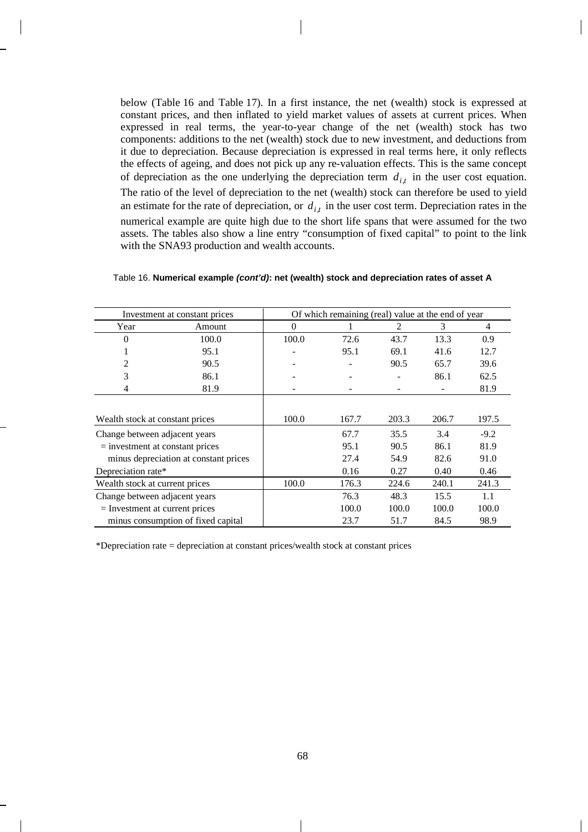below (Table 16 and Table 17). In a first instance, the net (wealth) stock is expressed at constant prices, and then inflated to yield market values of assets at current prices. When expressed in real terms, the year-to-year change of the net (wealth) stock has two components: additions to the net (wealth) stock due to new investment, and deductions from it due to depreciation. Because depreciation is expressed in real terms here, it only reflects the effects of ageing, and does not pick up any re-valuation effects. This is the same concept of depreciation as the one underlying the depreciation term  $d_{i,t}$  in the user cost equation. The ratio of the level of depreciation to the net (wealth) stock can therefore be used to yield an estimate for the rate of depreciation, or  $d_{it}$  in the user cost term. Depreciation rates in the numerical example are quite high due to the short life spans that were assumed for the two assets. The tables also show a line entry "consumption of fixed capital" to point to the link with the SNA93 production and wealth accounts.

|                                   | Investment at constant prices         |          | Of which remaining (real) value at the end of year |       |       |                |
|-----------------------------------|---------------------------------------|----------|----------------------------------------------------|-------|-------|----------------|
| Year                              | Amount                                | $\Omega$ |                                                    | 2     | 3     | $\overline{4}$ |
| 0                                 | 100.0                                 | 100.0    | 72.6                                               | 43.7  | 13.3  | 0.9            |
|                                   | 95.1                                  |          | 95.1                                               | 69.1  | 41.6  | 12.7           |
| 2                                 | 90.5                                  |          |                                                    | 90.5  | 65.7  | 39.6           |
| 3                                 | 86.1                                  |          |                                                    |       | 86.1  | 62.5           |
| 4                                 | 81.9                                  |          |                                                    |       |       | 81.9           |
|                                   |                                       |          |                                                    |       |       |                |
| Wealth stock at constant prices   |                                       | 100.0    | 167.7                                              | 203.3 | 206.7 | 197.5          |
| Change between adjacent years     |                                       |          | 67.7                                               | 35.5  | 3.4   | $-9.2$         |
| $=$ investment at constant prices |                                       |          | 95.1                                               | 90.5  | 86.1  | 81.9           |
|                                   | minus depreciation at constant prices |          | 27.4                                               | 54.9  | 82.6  | 91.0           |
| Depreciation rate*                |                                       |          | 0.16                                               | 0.27  | 0.40  | 0.46           |
| Wealth stock at current prices    |                                       | 100.0    | 176.3                                              | 224.6 | 240.1 | 241.3          |
| Change between adjacent years     |                                       |          | 76.3                                               | 48.3  | 15.5  | 1.1            |
| $=$ Investment at current prices  |                                       |          | 100.0                                              | 100.0 | 100.0 | 100.0          |
|                                   | minus consumption of fixed capital    |          | 23.7                                               | 51.7  | 84.5  | 98.9           |

| Table 16. Numerical example (cont'd): net (wealth) stock and depreciation rates of asset A |  |
|--------------------------------------------------------------------------------------------|--|
|--------------------------------------------------------------------------------------------|--|

\*Depreciation rate = depreciation at constant prices/wealth stock at constant prices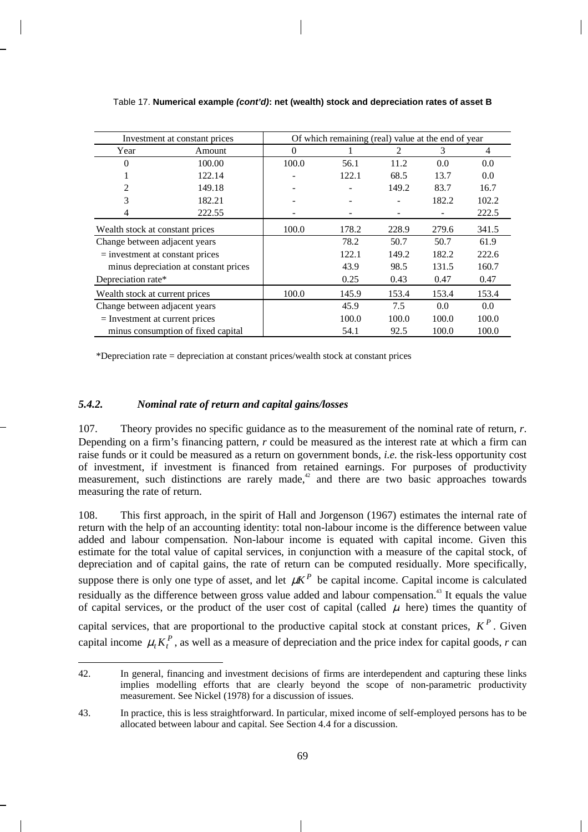#### Table 17. **Numerical example (cont'd): net (wealth) stock and depreciation rates of asset B**

| Investment at constant prices         |                                    | Of which remaining (real) value at the end of year |       |                |       |       |  |
|---------------------------------------|------------------------------------|----------------------------------------------------|-------|----------------|-------|-------|--|
| Year                                  | Amount                             | $\Omega$                                           |       | $\mathfrak{D}$ | 3     | 4     |  |
| $\theta$                              | 100.00                             | 100.0                                              | 56.1  | 11.2           | 0.0   | 0.0   |  |
|                                       | 122.14                             |                                                    | 122.1 | 68.5           | 13.7  | 0.0   |  |
| 2                                     | 149.18                             |                                                    |       | 149.2          | 83.7  | 16.7  |  |
| 3                                     | 182.21                             |                                                    |       |                | 182.2 | 102.2 |  |
| 4                                     | 222.55                             |                                                    |       |                |       | 222.5 |  |
| Wealth stock at constant prices       |                                    | 100.0                                              | 178.2 | 228.9          | 279.6 | 341.5 |  |
| Change between adjacent years         |                                    |                                                    | 78.2  | 50.7           | 50.7  | 61.9  |  |
| $=$ investment at constant prices     |                                    |                                                    | 122.1 | 149.2          | 182.2 | 222.6 |  |
| minus depreciation at constant prices |                                    |                                                    | 43.9  | 98.5           | 131.5 | 160.7 |  |
| Depreciation rate*                    |                                    |                                                    | 0.25  | 0.43           | 0.47  | 0.47  |  |
| Wealth stock at current prices        |                                    | 100.0                                              | 145.9 | 153.4          | 153.4 | 153.4 |  |
| Change between adjacent years         |                                    |                                                    | 45.9  | 7.5            | 0.0   | 0.0   |  |
| $=$ Investment at current prices      |                                    |                                                    | 100.0 | 100.0          | 100.0 | 100.0 |  |
|                                       | minus consumption of fixed capital |                                                    | 54.1  | 92.5           | 100.0 | 100.0 |  |

\*Depreciation rate = depreciation at constant prices/wealth stock at constant prices

# *5.4.2. Nominal rate of return and capital gains/losses*

107. Theory provides no specific guidance as to the measurement of the nominal rate of return, *r*. Depending on a firm's financing pattern, *r* could be measured as the interest rate at which a firm can raise funds or it could be measured as a return on government bonds, *i.e.* the risk-less opportunity cost of investment, if investment is financed from retained earnings. For purposes of productivity measurement, such distinctions are rarely made, $4^2$  and there are two basic approaches towards measuring the rate of return.

108. This first approach, in the spirit of Hall and Jorgenson (1967) estimates the internal rate of return with the help of an accounting identity: total non-labour income is the difference between value added and labour compensation. Non-labour income is equated with capital income. Given this estimate for the total value of capital services, in conjunction with a measure of the capital stock, of depreciation and of capital gains, the rate of return can be computed residually. More specifically, suppose there is only one type of asset, and let  $\mu K^P$  be capital income. Capital income is calculated residually as the difference between gross value added and labour compensation.<sup>43</sup> It equals the value of capital services, or the product of the user cost of capital (called  $\mu$  here) times the quantity of

capital services, that are proportional to the productive capital stock at constant prices,  $K^P$ . Given capital income  $\mu_t K_t^P$ , as well as a measure of depreciation and the price index for capital goods, *r* can

<sup>-</sup>42. In general, financing and investment decisions of firms are interdependent and capturing these links implies modelling efforts that are clearly beyond the scope of non-parametric productivity measurement. See Nickel (1978) for a discussion of issues.

<sup>43.</sup> In practice, this is less straightforward. In particular, mixed income of self-employed persons has to be allocated between labour and capital. See Section 4.4 for a discussion.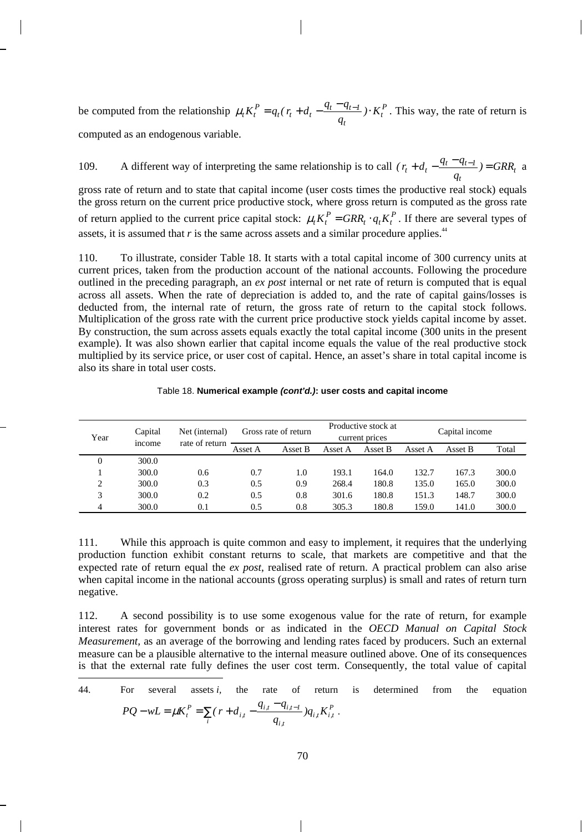be computed from the relationship  $\mu_t K_t^P = q_t (r_t + d_t - \frac{q_t - q_{t-1}}{q_t}) \cdot K_t^P$ *t*  $t_t K_t^P = q_t (r_t + d_t - \frac{q_t - q_{t-1}}{q_t}) \cdot K_t$  $\mu_t K_t^P = q_t (r_t + d_t - \frac{q_t - q_{t-1}}{P}) \cdot K_t^P$ . This way, the rate of return is computed as an endogenous variable.

109. A different way of interpreting the same relationship is to call  $(r_t + d_t - \frac{q_t - q_{t-1}}{q}) = GRR_t$ *t*  $\frac{d}{dt} + d_t - \frac{q_t - q_{t-1}}{q_t} = GRR$  $(r_t + d_t - \frac{q_t - q_{t-1}}{q_t}) = GRR_t$  a

gross rate of return and to state that capital income (user costs times the productive real stock) equals the gross return on the current price productive stock, where gross return is computed as the gross rate of return applied to the current price capital stock:  $\mu_t K_t^P = GRR_t \cdot q_t K_t^P$ . If there are several types of assets, it is assumed that  $r$  is the same across assets and a similar procedure applies.<sup>44</sup>

110. To illustrate, consider Table 18. It starts with a total capital income of 300 currency units at current prices, taken from the production account of the national accounts. Following the procedure outlined in the preceding paragraph, an *ex post* internal or net rate of return is computed that is equal across all assets. When the rate of depreciation is added to, and the rate of capital gains/losses is deducted from, the internal rate of return, the gross rate of return to the capital stock follows. Multiplication of the gross rate with the current price productive stock yields capital income by asset. By construction, the sum across assets equals exactly the total capital income (300 units in the present example). It was also shown earlier that capital income equals the value of the real productive stock multiplied by its service price, or user cost of capital. Hence, an asset's share in total capital income is also its share in total user costs.

| Year           | Capital       | Net (internal)<br>rate of return | Gross rate of return |         | Productive stock at<br>current prices |         | Capital income |         |       |
|----------------|---------------|----------------------------------|----------------------|---------|---------------------------------------|---------|----------------|---------|-------|
|                | <i>n</i> come |                                  | Asset A              | Asset B | Asset A                               | Asset B | Asset A        | Asset B | Total |
| 0              | 300.0         |                                  |                      |         |                                       |         |                |         |       |
|                | 300.0         | 0.6                              | 0.7                  | 1.0     | 193.1                                 | 164.0   | 132.7          | 167.3   | 300.0 |
| $\overline{c}$ | 300.0         | 0.3                              | 0.5                  | 0.9     | 268.4                                 | 180.8   | 135.0          | 165.0   | 300.0 |
| 3              | 300.0         | 0.2                              | 0.5                  | 0.8     | 301.6                                 | 180.8   | 151.3          | 148.7   | 300.0 |
| 4              | 300.0         | 0.1                              | 0.5                  | 0.8     | 305.3                                 | 180.8   | 159.0          | 141.0   | 300.0 |

Table 18. **Numerical example (cont'd.): user costs and capital income**

111. While this approach is quite common and easy to implement, it requires that the underlying production function exhibit constant returns to scale, that markets are competitive and that the expected rate of return equal the *ex post*, realised rate of return. A practical problem can also arise when capital income in the national accounts (gross operating surplus) is small and rates of return turn negative.

112. A second possibility is to use some exogenous value for the rate of return, for example interest rates for government bonds or as indicated in the *OECD Manual on Capital Stock Measurement,* as an average of the borrowing and lending rates faced by producers. Such an external measure can be a plausible alternative to the internal measure outlined above. One of its consequences is that the external rate fully defines the user cost term. Consequently, the total value of capital

-44. For several assets *i,* the rate of return is determined from the equation  $- wL = \mu K_t^P = \sum_i (r + d_{i,t} - \frac{q_{i,t} - q_{i,t-1}}{q_{i,t}})$  $\sum_{i,t}^P K_{i,t}^P$ *i,t*  $\sum_{i}^{P} = \sum_{i} (r + d_{i,t} - \frac{q_{i,t} - q_{i,t-1}}{q_{i,t}}) q_{i,t} K$  $PQ - wL = \mu K_t^P = \sum (r + d_{i,t} - \frac{q_{i,t} - q_{i,t-1}}{q_{i,t}})q_{i,t}K_{i,t}^P$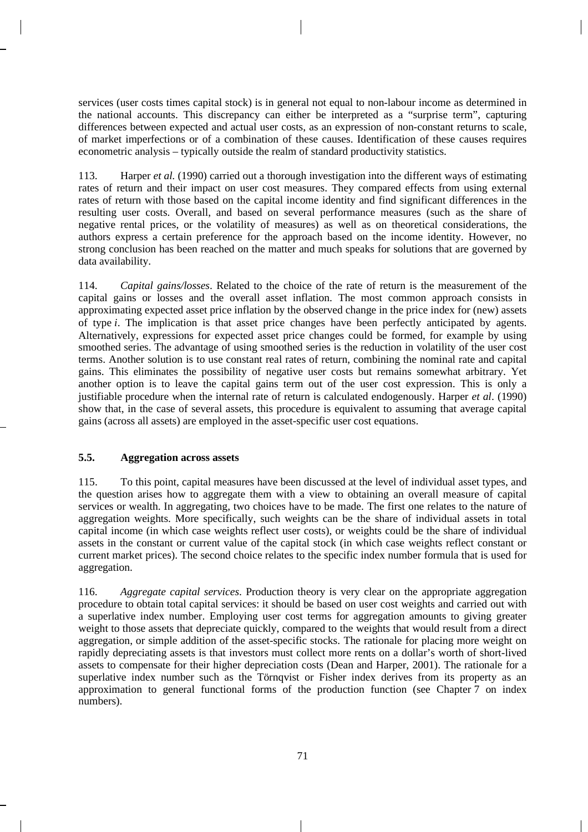services (user costs times capital stock) is in general not equal to non-labour income as determined in the national accounts. This discrepancy can either be interpreted as a "surprise term", capturing differences between expected and actual user costs, as an expression of non-constant returns to scale, of market imperfections or of a combination of these causes. Identification of these causes requires econometric analysis – typically outside the realm of standard productivity statistics.

113. Harper *et al.* (1990) carried out a thorough investigation into the different ways of estimating rates of return and their impact on user cost measures. They compared effects from using external rates of return with those based on the capital income identity and find significant differences in the resulting user costs. Overall, and based on several performance measures (such as the share of negative rental prices, or the volatility of measures) as well as on theoretical considerations, the authors express a certain preference for the approach based on the income identity. However, no strong conclusion has been reached on the matter and much speaks for solutions that are governed by data availability.

114. *Capital gains/losses*. Related to the choice of the rate of return is the measurement of the capital gains or losses and the overall asset inflation. The most common approach consists in approximating expected asset price inflation by the observed change in the price index for (new) assets of type *i*. The implication is that asset price changes have been perfectly anticipated by agents. Alternatively, expressions for expected asset price changes could be formed, for example by using smoothed series. The advantage of using smoothed series is the reduction in volatility of the user cost terms. Another solution is to use constant real rates of return, combining the nominal rate and capital gains. This eliminates the possibility of negative user costs but remains somewhat arbitrary. Yet another option is to leave the capital gains term out of the user cost expression. This is only a justifiable procedure when the internal rate of return is calculated endogenously. Harper *et al*. (1990) show that, in the case of several assets, this procedure is equivalent to assuming that average capital gains (across all assets) are employed in the asset-specific user cost equations.

# **5.5. Aggregation across assets**

115. To this point, capital measures have been discussed at the level of individual asset types, and the question arises how to aggregate them with a view to obtaining an overall measure of capital services or wealth. In aggregating, two choices have to be made. The first one relates to the nature of aggregation weights. More specifically, such weights can be the share of individual assets in total capital income (in which case weights reflect user costs), or weights could be the share of individual assets in the constant or current value of the capital stock (in which case weights reflect constant or current market prices). The second choice relates to the specific index number formula that is used for aggregation.

116. *Aggregate capital services*. Production theory is very clear on the appropriate aggregation procedure to obtain total capital services: it should be based on user cost weights and carried out with a superlative index number. Employing user cost terms for aggregation amounts to giving greater weight to those assets that depreciate quickly, compared to the weights that would result from a direct aggregation, or simple addition of the asset-specific stocks. The rationale for placing more weight on rapidly depreciating assets is that investors must collect more rents on a dollar's worth of short-lived assets to compensate for their higher depreciation costs (Dean and Harper, 2001). The rationale for a superlative index number such as the Törnqvist or Fisher index derives from its property as an approximation to general functional forms of the production function (see Chapter 7 on index numbers).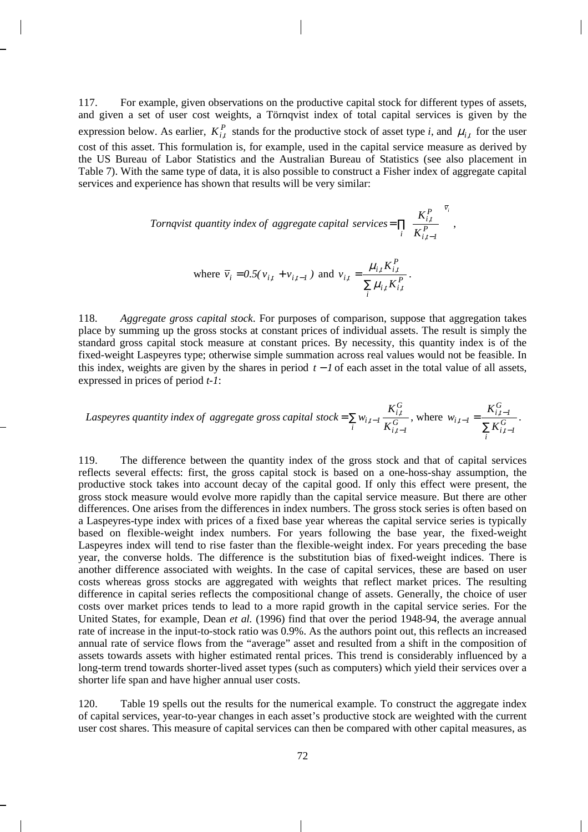117. For example, given observations on the productive capital stock for different types of assets, and given a set of user cost weights, a Törnqvist index of total capital services is given by the expression below. As earlier,  $K_{i,t}^P$  stands for the productive stock of asset type *i*, and  $\mu_{i,t}$  for the user cost of this asset. This formulation is, for example, used in the capital service measure as derived by the US Bureau of Labor Statistics and the Australian Bureau of Statistics (see also placement in Table 7). With the same type of data, it is also possible to construct a Fisher index of aggregate capital services and experience has shown that results will be very similar:

*Tornqvist quantity index of aggregate capital services* = 
$$
\prod_{i} \left( \frac{K_{i,t}^{P}}{K_{i,t-1}^{P}} \right)^{\overline{V_i}}
$$
,

where 
$$
\overline{v}_i = 0.5(v_{i,t} + v_{i,t-1})
$$
 and  $v_{i,t} = \frac{\mu_{i,t} K_{i,t}^P}{\sum_{i} \mu_{i,t} K_{i,t}^P}$ .

118. *Aggregate gross capital stock*. For purposes of comparison, suppose that aggregation takes place by summing up the gross stocks at constant prices of individual assets. The result is simply the standard gross capital stock measure at constant prices. By necessity, this quantity index is of the fixed-weight Laspeyres type; otherwise simple summation across real values would not be feasible. In this index, weights are given by the shares in period  $t - 1$  of each asset in the total value of all assets, expressed in prices of period *t-1*:

Laspeyres quantity index of aggregate gross capital stock = 
$$
\sum_i w_{i,t-1} \frac{K_{i,t}^G}{K_{i,t-1}^G}
$$
, where  $w_{i,t-1} = \frac{K_{i,t-1}^G}{\sum_i K_{i,t-1}^G}$ .

119. The difference between the quantity index of the gross stock and that of capital services reflects several effects: first, the gross capital stock is based on a one-hoss-shay assumption, the productive stock takes into account decay of the capital good. If only this effect were present, the gross stock measure would evolve more rapidly than the capital service measure. But there are other differences. One arises from the differences in index numbers. The gross stock series is often based on a Laspeyres-type index with prices of a fixed base year whereas the capital service series is typically based on flexible-weight index numbers. For years following the base year, the fixed-weight Laspeyres index will tend to rise faster than the flexible-weight index. For years preceding the base year, the converse holds. The difference is the substitution bias of fixed-weight indices. There is another difference associated with weights. In the case of capital services, these are based on user costs whereas gross stocks are aggregated with weights that reflect market prices. The resulting difference in capital series reflects the compositional change of assets. Generally, the choice of user costs over market prices tends to lead to a more rapid growth in the capital service series. For the United States, for example, Dean *et al.* (1996) find that over the period 1948-94, the average annual rate of increase in the input-to-stock ratio was 0.9%. As the authors point out, this reflects an increased annual rate of service flows from the "average" asset and resulted from a shift in the composition of assets towards assets with higher estimated rental prices. This trend is considerably influenced by a long-term trend towards shorter-lived asset types (such as computers) which yield their services over a shorter life span and have higher annual user costs.

120. Table 19 spells out the results for the numerical example. To construct the aggregate index of capital services, year-to-year changes in each asset's productive stock are weighted with the current user cost shares. This measure of capital services can then be compared with other capital measures, as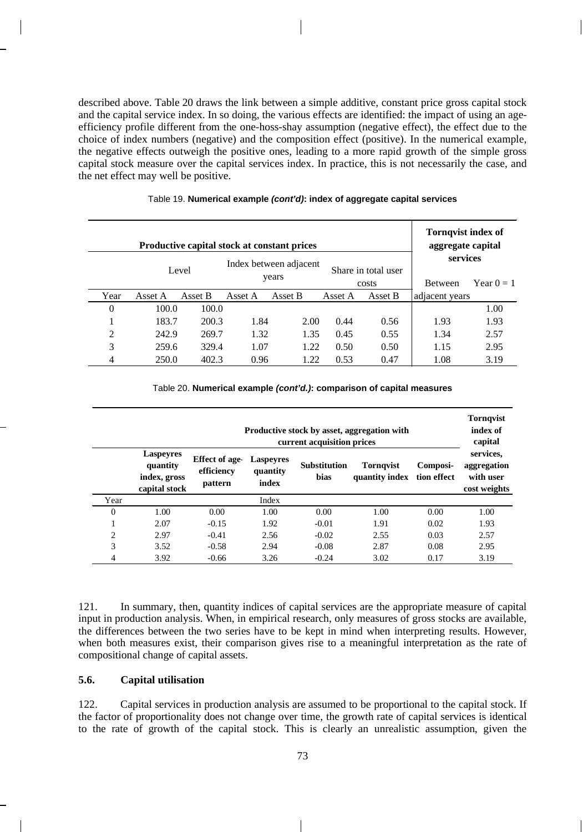described above. Table 20 draws the link between a simple additive, constant price gross capital stock and the capital service index. In so doing, the various effects are identified: the impact of using an ageefficiency profile different from the one-hoss-shay assumption (negative effect), the effect due to the choice of index numbers (negative) and the composition effect (positive). In the numerical example, the negative effects outweigh the positive ones, leading to a more rapid growth of the simple gross capital stock measure over the capital services index. In practice, this is not necessarily the case, and the net effect may well be positive.

|          | Productive capital stock at constant prices | <b>Tornqvist index of</b><br>aggregate capital<br>services |         |                              |         |                |                |      |
|----------|---------------------------------------------|------------------------------------------------------------|---------|------------------------------|---------|----------------|----------------|------|
| Level    |                                             | Index between adjacent<br>years                            |         | Share in total user<br>costs |         | <b>Between</b> | Year $0 = 1$   |      |
| Year     | Asset A                                     | Asset B                                                    | Asset A | Asset B                      | Asset A | Asset B        | adjacent years |      |
| $\theta$ | 100.0                                       | 100.0                                                      |         |                              |         |                |                | 1.00 |
| 1        | 183.7                                       | 200.3                                                      | 1.84    | 2.00                         | 0.44    | 0.56           | 1.93           | 1.93 |
| 2        | 242.9                                       | 269.7                                                      | 1.32    | 1.35                         | 0.45    | 0.55           | 1.34           | 2.57 |
| 3        | 259.6                                       | 329.4                                                      | 1.07    | 1.22                         | 0.50    | 0.50           | 1.15           | 2.95 |
| 4        | 250.0                                       | 402.3                                                      | 0.96    | 1.22                         | 0.53    | 0.47           | 1.08           | 3.19 |

#### Table 19. **Numerical example (cont'd): index of aggregate capital services**

| Table 20. Numerical example (cont'd.): comparison of capital measures |
|-----------------------------------------------------------------------|
|-----------------------------------------------------------------------|

|          | Productive stock by asset, aggregation with<br>current acquisition prices |                                               |                                       |                             |                                    |                         |                                                                  |  |
|----------|---------------------------------------------------------------------------|-----------------------------------------------|---------------------------------------|-----------------------------|------------------------------------|-------------------------|------------------------------------------------------------------|--|
|          | <b>Laspeyres</b><br>quantity<br>index, gross<br>capital stock             | <b>Effect of age</b><br>efficiency<br>pattern | <b>Laspeyres</b><br>quantity<br>index | <b>Substitution</b><br>bias | <b>Torngvist</b><br>quantity index | Composi-<br>tion effect | capital<br>services,<br>aggregation<br>with user<br>cost weights |  |
| Year     |                                                                           |                                               | Index                                 |                             |                                    |                         |                                                                  |  |
| $\Omega$ | 1.00                                                                      | 0.00                                          | 1.00                                  | 0.00                        | 1.00                               | 0.00                    | 1.00                                                             |  |
| 1        | 2.07                                                                      | $-0.15$                                       | 1.92                                  | $-0.01$                     | 1.91                               | 0.02                    | 1.93                                                             |  |
| 2        | 2.97                                                                      | $-0.41$                                       | 2.56                                  | $-0.02$                     | 2.55                               | 0.03                    | 2.57                                                             |  |
| 3        | 3.52                                                                      | $-0.58$                                       | 2.94                                  | $-0.08$                     | 2.87                               | 0.08                    | 2.95                                                             |  |
| 4        | 3.92                                                                      | $-0.66$                                       | 3.26                                  | $-0.24$                     | 3.02                               | 0.17                    | 3.19                                                             |  |

121. In summary, then, quantity indices of capital services are the appropriate measure of capital input in production analysis. When, in empirical research, only measures of gross stocks are available, the differences between the two series have to be kept in mind when interpreting results. However, when both measures exist, their comparison gives rise to a meaningful interpretation as the rate of compositional change of capital assets.

## **5.6. Capital utilisation**

122. Capital services in production analysis are assumed to be proportional to the capital stock. If the factor of proportionality does not change over time, the growth rate of capital services is identical to the rate of growth of the capital stock. This is clearly an unrealistic assumption, given the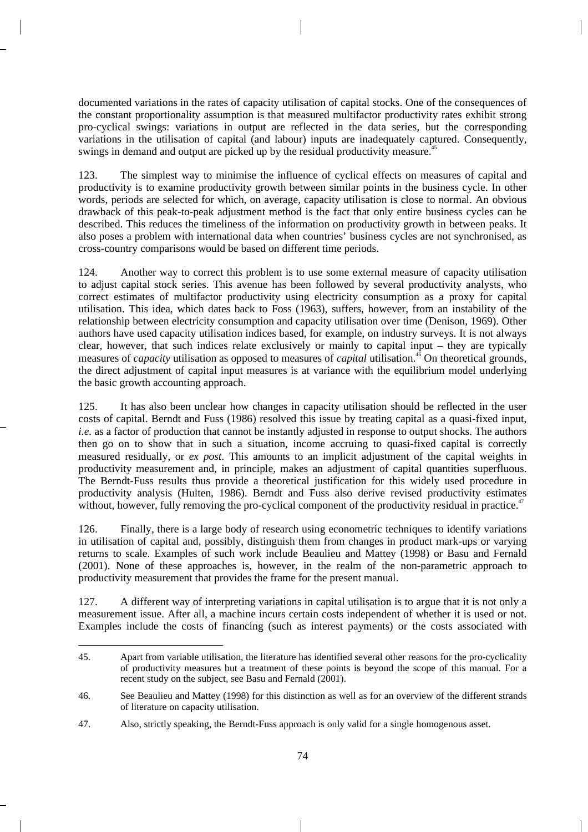documented variations in the rates of capacity utilisation of capital stocks. One of the consequences of the constant proportionality assumption is that measured multifactor productivity rates exhibit strong pro-cyclical swings: variations in output are reflected in the data series, but the corresponding variations in the utilisation of capital (and labour) inputs are inadequately captured. Consequently, swings in demand and output are picked up by the residual productivity measure.<sup>45</sup>

123. The simplest way to minimise the influence of cyclical effects on measures of capital and productivity is to examine productivity growth between similar points in the business cycle. In other words, periods are selected for which, on average, capacity utilisation is close to normal. An obvious drawback of this peak-to-peak adjustment method is the fact that only entire business cycles can be described. This reduces the timeliness of the information on productivity growth in between peaks. It also poses a problem with international data when countries' business cycles are not synchronised, as cross-country comparisons would be based on different time periods.

124. Another way to correct this problem is to use some external measure of capacity utilisation to adjust capital stock series. This avenue has been followed by several productivity analysts, who correct estimates of multifactor productivity using electricity consumption as a proxy for capital utilisation. This idea, which dates back to Foss (1963), suffers, however, from an instability of the relationship between electricity consumption and capacity utilisation over time (Denison, 1969). Other authors have used capacity utilisation indices based, for example, on industry surveys. It is not always clear, however, that such indices relate exclusively or mainly to capital input – they are typically measures of *capacity* utilisation as opposed to measures of *capital* utilisation.<sup>46</sup> On theoretical grounds, the direct adjustment of capital input measures is at variance with the equilibrium model underlying the basic growth accounting approach.

125. It has also been unclear how changes in capacity utilisation should be reflected in the user costs of capital. Berndt and Fuss (1986) resolved this issue by treating capital as a quasi-fixed input, *i.e.* as a factor of production that cannot be instantly adjusted in response to output shocks. The authors then go on to show that in such a situation, income accruing to quasi-fixed capital is correctly measured residually, or *ex post*. This amounts to an implicit adjustment of the capital weights in productivity measurement and, in principle, makes an adjustment of capital quantities superfluous. The Berndt-Fuss results thus provide a theoretical justification for this widely used procedure in productivity analysis (Hulten, 1986). Berndt and Fuss also derive revised productivity estimates without, however, fully removing the pro-cyclical component of the productivity residual in practice.<sup>47</sup>

126. Finally, there is a large body of research using econometric techniques to identify variations in utilisation of capital and, possibly, distinguish them from changes in product mark-ups or varying returns to scale. Examples of such work include Beaulieu and Mattey (1998) or Basu and Fernald (2001). None of these approaches is, however, in the realm of the non-parametric approach to productivity measurement that provides the frame for the present manual.

127. A different way of interpreting variations in capital utilisation is to argue that it is not only a measurement issue. After all, a machine incurs certain costs independent of whether it is used or not. Examples include the costs of financing (such as interest payments) or the costs associated with

<sup>-</sup>45. Apart from variable utilisation, the literature has identified several other reasons for the pro-cyclicality of productivity measures but a treatment of these points is beyond the scope of this manual. For a recent study on the subject, see Basu and Fernald (2001).

<sup>46.</sup> See Beaulieu and Mattey (1998) for this distinction as well as for an overview of the different strands of literature on capacity utilisation.

<sup>47.</sup> Also, strictly speaking, the Berndt-Fuss approach is only valid for a single homogenous asset.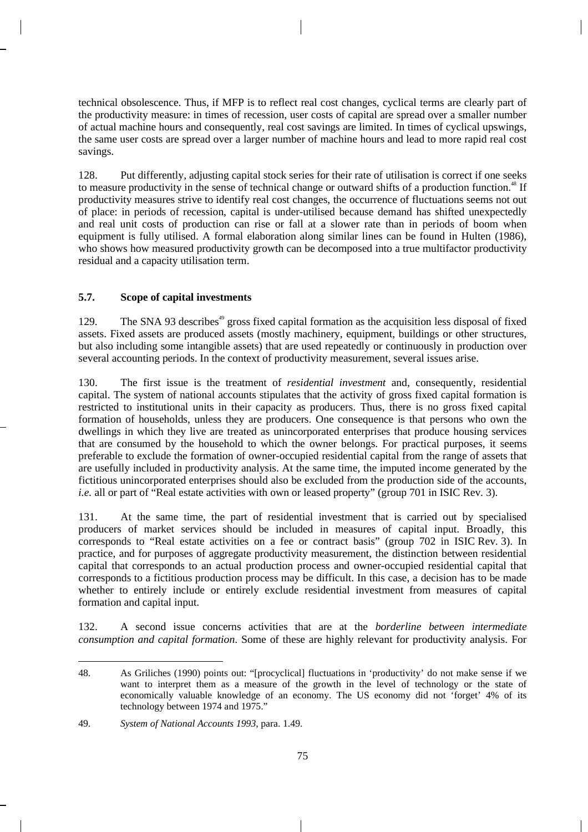technical obsolescence. Thus, if MFP is to reflect real cost changes, cyclical terms are clearly part of the productivity measure: in times of recession, user costs of capital are spread over a smaller number of actual machine hours and consequently, real cost savings are limited. In times of cyclical upswings, the same user costs are spread over a larger number of machine hours and lead to more rapid real cost savings.

128. Put differently, adjusting capital stock series for their rate of utilisation is correct if one seeks to measure productivity in the sense of technical change or outward shifts of a production function.<sup>48</sup> If productivity measures strive to identify real cost changes, the occurrence of fluctuations seems not out of place: in periods of recession, capital is under-utilised because demand has shifted unexpectedly and real unit costs of production can rise or fall at a slower rate than in periods of boom when equipment is fully utilised. A formal elaboration along similar lines can be found in Hulten (1986), who shows how measured productivity growth can be decomposed into a true multifactor productivity residual and a capacity utilisation term.

# **5.7. Scope of capital investments**

129. The SNA 93 describes<sup>49</sup> gross fixed capital formation as the acquisition less disposal of fixed assets. Fixed assets are produced assets (mostly machinery, equipment, buildings or other structures, but also including some intangible assets) that are used repeatedly or continuously in production over several accounting periods. In the context of productivity measurement, several issues arise.

130. The first issue is the treatment of *residential investment* and, consequently, residential capital. The system of national accounts stipulates that the activity of gross fixed capital formation is restricted to institutional units in their capacity as producers. Thus, there is no gross fixed capital formation of households, unless they are producers. One consequence is that persons who own the dwellings in which they live are treated as unincorporated enterprises that produce housing services that are consumed by the household to which the owner belongs. For practical purposes, it seems preferable to exclude the formation of owner-occupied residential capital from the range of assets that are usefully included in productivity analysis. At the same time, the imputed income generated by the fictitious unincorporated enterprises should also be excluded from the production side of the accounts, *i.e.* all or part of "Real estate activities with own or leased property" (group 701 in ISIC Rev. 3).

131. At the same time, the part of residential investment that is carried out by specialised producers of market services should be included in measures of capital input. Broadly, this corresponds to "Real estate activities on a fee or contract basis" (group 702 in ISIC Rev. 3). In practice, and for purposes of aggregate productivity measurement, the distinction between residential capital that corresponds to an actual production process and owner-occupied residential capital that corresponds to a fictitious production process may be difficult. In this case, a decision has to be made whether to entirely include or entirely exclude residential investment from measures of capital formation and capital input.

132. A second issue concerns activities that are at the *borderline between intermediate consumption and capital formation*. Some of these are highly relevant for productivity analysis. For

<sup>-</sup>48. As Griliches (1990) points out: "[procyclical] fluctuations in 'productivity' do not make sense if we want to interpret them as a measure of the growth in the level of technology or the state of economically valuable knowledge of an economy. The US economy did not 'forget' 4% of its technology between 1974 and 1975."

<sup>49.</sup> *System of National Accounts 1993*, para. 1.49.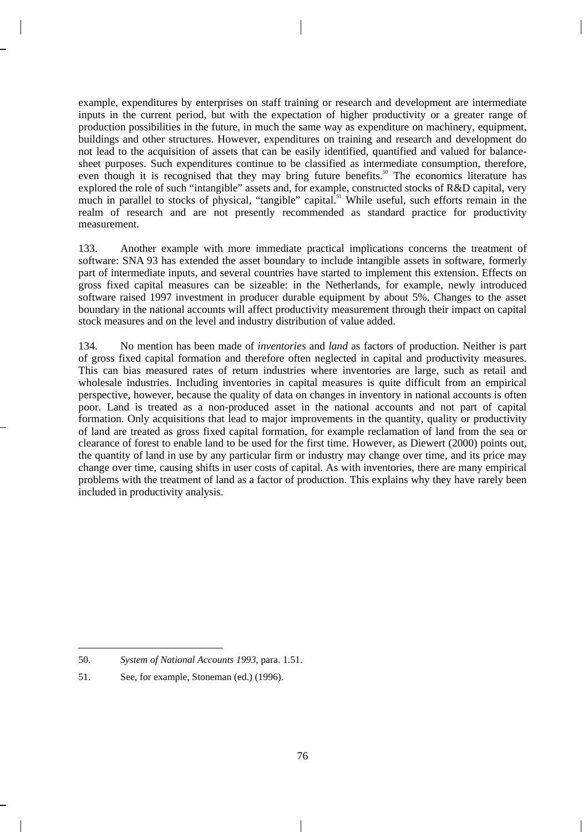example, expenditures by enterprises on staff training or research and development are intermediate inputs in the current period, but with the expectation of higher productivity or a greater range of production possibilities in the future, in much the same way as expenditure on machinery, equipment, buildings and other structures. However, expenditures on training and research and development do not lead to the acquisition of assets that can be easily identified, quantified and valued for balancesheet purposes. Such expenditures continue to be classified as intermediate consumption, therefore, even though it is recognised that they may bring future benefits.<sup>50</sup> The economics literature has explored the role of such "intangible" assets and, for example, constructed stocks of R&D capital, very much in parallel to stocks of physical, "tangible" capital.<sup>51</sup> While useful, such efforts remain in the realm of research and are not presently recommended as standard practice for productivity measurement.

133. Another example with more immediate practical implications concerns the treatment of software: SNA 93 has extended the asset boundary to include intangible assets in software, formerly part of intermediate inputs, and several countries have started to implement this extension. Effects on gross fixed capital measures can be sizeable: in the Netherlands, for example, newly introduced software raised 1997 investment in producer durable equipment by about 5%. Changes to the asset boundary in the national accounts will affect productivity measurement through their impact on capital stock measures and on the level and industry distribution of value added.

134. No mention has been made of *inventories* and *land* as factors of production. Neither is part of gross fixed capital formation and therefore often neglected in capital and productivity measures. This can bias measured rates of return industries where inventories are large, such as retail and wholesale industries. Including inventories in capital measures is quite difficult from an empirical perspective, however, because the quality of data on changes in inventory in national accounts is often poor. Land is treated as a non-produced asset in the national accounts and not part of capital formation. Only acquisitions that lead to major improvements in the quantity, quality or productivity of land are treated as gross fixed capital formation, for example reclamation of land from the sea or clearance of forest to enable land to be used for the first time. However, as Diewert (2000) points out, the quantity of land in use by any particular firm or industry may change over time, and its price may change over time, causing shifts in user costs of capital. As with inventories, there are many empirical problems with the treatment of land as a factor of production. This explains why they have rarely been included in productivity analysis.

<sup>50.</sup> *System of National Accounts 1993*, para. 1.51.

<sup>51.</sup> See, for example, Stoneman (ed.) (1996).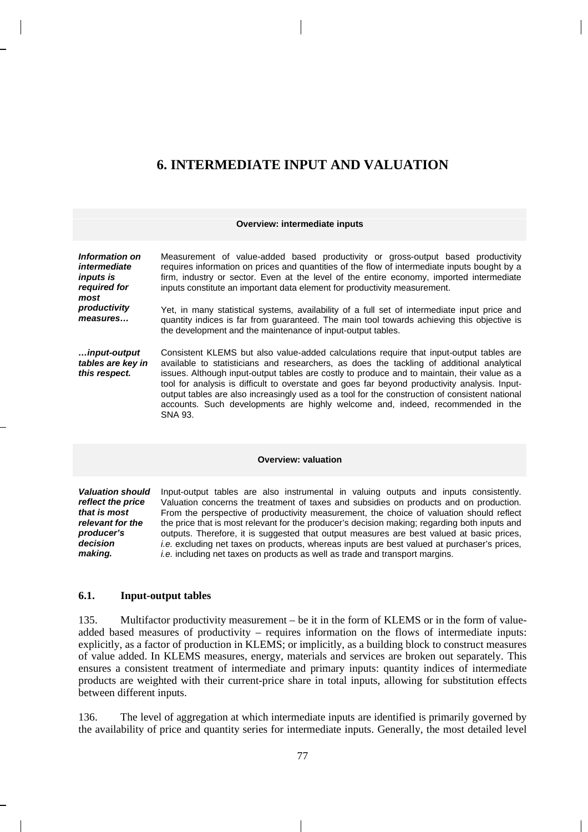# **6. INTERMEDIATE INPUT AND VALUATION**

#### **Overview: intermediate inputs**

| Information on<br>intermediate<br><i>inputs is</i><br>required for<br>most | Measurement of value-added based productivity or gross-output based productivity<br>requires information on prices and quantities of the flow of intermediate inputs bought by a<br>firm, industry or sector. Even at the level of the entire economy, imported intermediate<br>inputs constitute an important data element for productivity measurement.                                                                                                                                                                                                                            |
|----------------------------------------------------------------------------|--------------------------------------------------------------------------------------------------------------------------------------------------------------------------------------------------------------------------------------------------------------------------------------------------------------------------------------------------------------------------------------------------------------------------------------------------------------------------------------------------------------------------------------------------------------------------------------|
| productivity<br>measures                                                   | Yet, in many statistical systems, availability of a full set of intermediate input price and<br>quantity indices is far from guaranteed. The main tool towards achieving this objective is<br>the development and the maintenance of input-output tables.                                                                                                                                                                                                                                                                                                                            |
| input-output<br>tables are key in<br>this respect.                         | Consistent KLEMS but also value-added calculations require that input-output tables are<br>available to statisticians and researchers, as does the tackling of additional analytical<br>issues. Although input-output tables are costly to produce and to maintain, their value as a<br>tool for analysis is difficult to overstate and goes far beyond productivity analysis. Input-<br>output tables are also increasingly used as a tool for the construction of consistent national<br>accounts. Such developments are highly welcome and, indeed, recommended in the<br>SNA 93. |

#### **Overview: valuation**

**Valuation should reflect the price that is most relevant for the producer's decision making.** Input-output tables are also instrumental in valuing outputs and inputs consistently. Valuation concerns the treatment of taxes and subsidies on products and on production. From the perspective of productivity measurement, the choice of valuation should reflect the price that is most relevant for the producer's decision making; regarding both inputs and outputs. Therefore, it is suggested that output measures are best valued at basic prices, i.e. excluding net taxes on products, whereas inputs are best valued at purchaser's prices, i.e. including net taxes on products as well as trade and transport margins.

#### **6.1. Input-output tables**

135. Multifactor productivity measurement – be it in the form of KLEMS or in the form of valueadded based measures of productivity – requires information on the flows of intermediate inputs: explicitly, as a factor of production in KLEMS; or implicitly, as a building block to construct measures of value added. In KLEMS measures, energy, materials and services are broken out separately. This ensures a consistent treatment of intermediate and primary inputs: quantity indices of intermediate products are weighted with their current-price share in total inputs, allowing for substitution effects between different inputs.

136. The level of aggregation at which intermediate inputs are identified is primarily governed by the availability of price and quantity series for intermediate inputs. Generally, the most detailed level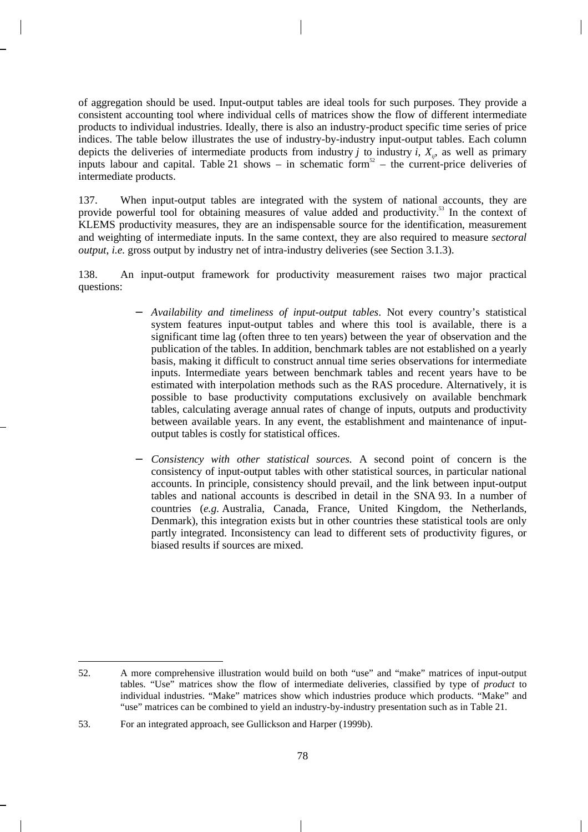of aggregation should be used. Input-output tables are ideal tools for such purposes. They provide a consistent accounting tool where individual cells of matrices show the flow of different intermediate products to individual industries. Ideally, there is also an industry-product specific time series of price indices. The table below illustrates the use of industry-by-industry input-output tables. Each column depicts the deliveries of intermediate products from industry *j* to industry *i*,  $X_{ij}$ , as well as primary inputs labour and capital. Table 21 shows – in schematic form<sup>52</sup> – the current-price deliveries of intermediate products.

137. When input-output tables are integrated with the system of national accounts, they are provide powerful tool for obtaining measures of value added and productivity.<sup>53</sup> In the context of KLEMS productivity measures, they are an indispensable source for the identification, measurement and weighting of intermediate inputs. In the same context, they are also required to measure *sectoral output*, *i.e.* gross output by industry net of intra-industry deliveries (see Section 3.1.3).

138. An input-output framework for productivity measurement raises two major practical questions:

- − *Availability and timeliness of input-output tables*. Not every country's statistical system features input-output tables and where this tool is available, there is a significant time lag (often three to ten years) between the year of observation and the publication of the tables. In addition, benchmark tables are not established on a yearly basis, making it difficult to construct annual time series observations for intermediate inputs. Intermediate years between benchmark tables and recent years have to be estimated with interpolation methods such as the RAS procedure. Alternatively, it is possible to base productivity computations exclusively on available benchmark tables, calculating average annual rates of change of inputs, outputs and productivity between available years. In any event, the establishment and maintenance of inputoutput tables is costly for statistical offices.
- − *Consistency with other statistical sources.* A second point of concern is the consistency of input-output tables with other statistical sources, in particular national accounts. In principle, consistency should prevail, and the link between input-output tables and national accounts is described in detail in the SNA 93. In a number of countries (*e.g.* Australia, Canada, France, United Kingdom, the Netherlands, Denmark), this integration exists but in other countries these statistical tools are only partly integrated. Inconsistency can lead to different sets of productivity figures, or biased results if sources are mixed.

<sup>-</sup>52. A more comprehensive illustration would build on both "use" and "make" matrices of input-output tables. "Use" matrices show the flow of intermediate deliveries, classified by type of *product* to individual industries. "Make" matrices show which industries produce which products. "Make" and "use" matrices can be combined to yield an industry-by-industry presentation such as in Table 21.

<sup>53.</sup> For an integrated approach, see Gullickson and Harper (1999b).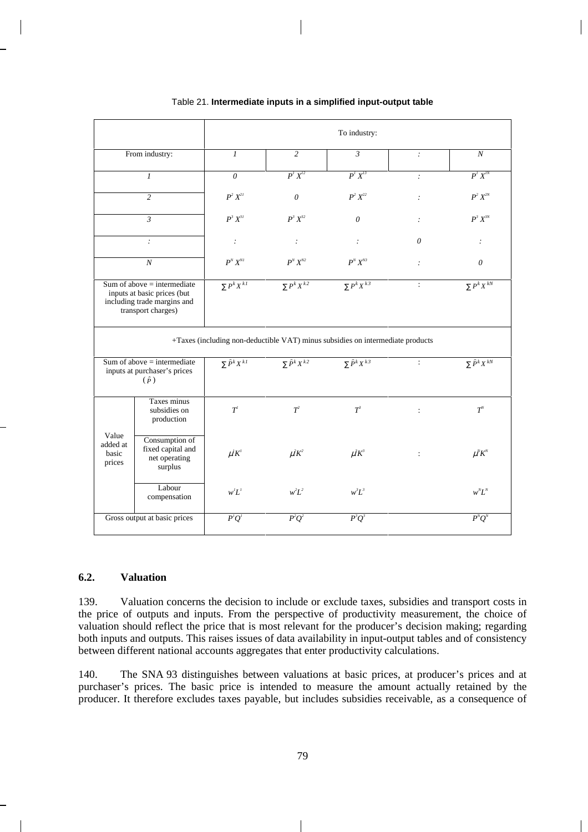|                                                                                                                   |                                                                              |                                   |                             | To industry:                                                                   |                      |                                                     |
|-------------------------------------------------------------------------------------------------------------------|------------------------------------------------------------------------------|-----------------------------------|-----------------------------|--------------------------------------------------------------------------------|----------------------|-----------------------------------------------------|
|                                                                                                                   | From industry:                                                               | $\mathfrak{1}$                    | $\overline{c}$              | $\mathfrak{Z}$                                                                 | $\therefore$         | $\boldsymbol{N}$                                    |
|                                                                                                                   | $\mathfrak{1}$                                                               | $\theta$                          | $P'X'^2$                    | $P'X'^3$                                                                       | $\cdot$              | P' X''                                              |
|                                                                                                                   | $\overline{c}$                                                               | $P^2 X^{2I}$                      | $\theta$                    | $P^2 X^{22}$                                                                   | $\cdot$              | $P^2 X^{2N}$                                        |
|                                                                                                                   | $\overline{3}$                                                               | $P^3 X^{31}$                      | $P^3 X^{32}$                | $\theta$                                                                       | $\therefore$         | $P^3 X^{3N}$                                        |
|                                                                                                                   | ÷                                                                            | $\cdot$                           | $\cdot$                     | $\cdot$                                                                        | $\theta$             | $\ddot{\cdot}$                                      |
| $\boldsymbol{N}$                                                                                                  |                                                                              | $P^{N} X^{N}$                     | $P^N X^{N2}$                | $P^{N} X^{N3}$                                                                 | $\ddot{\cdot}$       | $\theta$                                            |
| Sum of above $=$ intermediate<br>inputs at basic prices (but<br>including trade margins and<br>transport charges) |                                                                              | $\Sigma P^{k} X^{k}$              | $\sum P^k X^{k2}$           | $\sum P^k X^{k3}$                                                              | $\ddot{\cdot}$       | $\sum P^k X^{kN}$                                   |
|                                                                                                                   |                                                                              |                                   |                             | +Taxes (including non-deductible VAT) minus subsidies on intermediate products |                      |                                                     |
|                                                                                                                   | Sum of above $=$ intermediate<br>inputs at purchaser's prices<br>$(\hat{P})$ | $\Sigma \bar{P}^k X^{kI}$         | $\sum \widehat{P}^k X^{k2}$ | $\Sigma \tilde{P}^k X^{k3}$                                                    | $\ddot{\cdot}$       | $\sum \bar{P}^k X^{kN}$                             |
|                                                                                                                   | Taxes minus<br>subsidies on<br>production                                    | $T^{\prime}$                      | $T^2$                       | $T^3$                                                                          | $\ddot{\cdot}$       | $T^{N}$                                             |
| Value<br>added at<br>basic<br>prices                                                                              | Consumption of<br>fixed capital and<br>net operating<br>surplus              | $\mu$ <sup>'</sup> K <sup>'</sup> | $\mathcal{U} K^2$           | $\mu$ <sup>3</sup> $K$ <sup>3</sup>                                            | $\ddot{\phantom{a}}$ | $\mu^N K^N$                                         |
|                                                                                                                   | Labour<br>compensation                                                       | $w^{\prime}L^{\prime}$            | $w^2L^2$                    | $w^3L^3$                                                                       |                      | $w^n L^n$                                           |
| Gross output at basic prices                                                                                      |                                                                              | P'Q'                              | $P^2O^2$                    | $P^3Q^3$                                                                       |                      | $P^{\scriptscriptstyle N} O^{\scriptscriptstyle N}$ |

### Table 21. **Intermediate inputs in a simplified input-output table**

### **6.2. Valuation**

139. Valuation concerns the decision to include or exclude taxes, subsidies and transport costs in the price of outputs and inputs. From the perspective of productivity measurement, the choice of valuation should reflect the price that is most relevant for the producer's decision making; regarding both inputs and outputs. This raises issues of data availability in input-output tables and of consistency between different national accounts aggregates that enter productivity calculations.

140. The SNA 93 distinguishes between valuations at basic prices, at producer's prices and at purchaser's prices. The basic price is intended to measure the amount actually retained by the producer. It therefore excludes taxes payable, but includes subsidies receivable, as a consequence of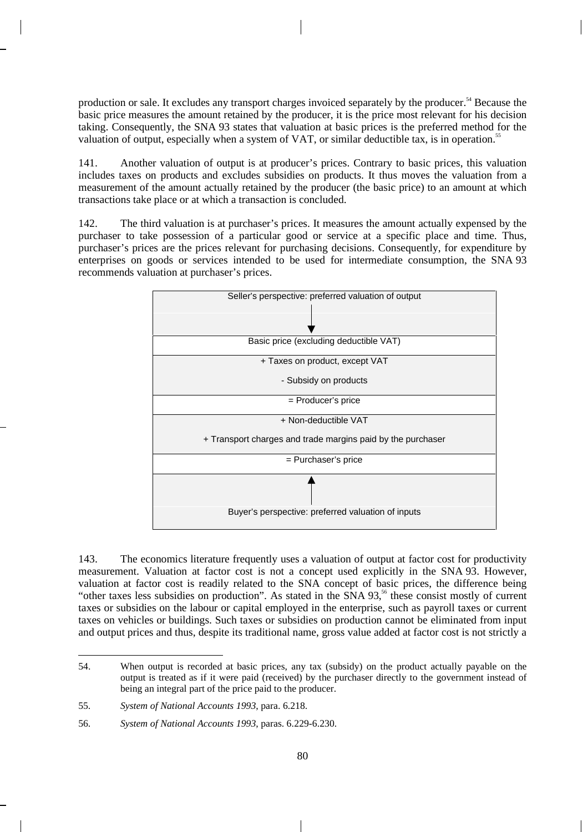production or sale. It excludes any transport charges invoiced separately by the producer.<sup>54</sup> Because the basic price measures the amount retained by the producer, it is the price most relevant for his decision taking. Consequently, the SNA 93 states that valuation at basic prices is the preferred method for the valuation of output, especially when a system of VAT, or similar deductible tax, is in operation.<sup>55</sup>

141. Another valuation of output is at producer's prices. Contrary to basic prices, this valuation includes taxes on products and excludes subsidies on products. It thus moves the valuation from a measurement of the amount actually retained by the producer (the basic price) to an amount at which transactions take place or at which a transaction is concluded.

142. The third valuation is at purchaser's prices. It measures the amount actually expensed by the purchaser to take possession of a particular good or service at a specific place and time. Thus, purchaser's prices are the prices relevant for purchasing decisions. Consequently, for expenditure by enterprises on goods or services intended to be used for intermediate consumption, the SNA 93 recommends valuation at purchaser's prices.



143. The economics literature frequently uses a valuation of output at factor cost for productivity measurement. Valuation at factor cost is not a concept used explicitly in the SNA 93. However, valuation at factor cost is readily related to the SNA concept of basic prices, the difference being "other taxes less subsidies on production". As stated in the SNA  $93$ ,<sup>56</sup> these consist mostly of current taxes or subsidies on the labour or capital employed in the enterprise, such as payroll taxes or current taxes on vehicles or buildings. Such taxes or subsidies on production cannot be eliminated from input and output prices and thus, despite its traditional name, gross value added at factor cost is not strictly a

j 54. When output is recorded at basic prices, any tax (subsidy) on the product actually payable on the output is treated as if it were paid (received) by the purchaser directly to the government instead of being an integral part of the price paid to the producer.

<sup>55.</sup> *System of National Accounts 1993*, para. 6.218.

<sup>56.</sup> *System of National Accounts 1993*, paras. 6.229-6.230.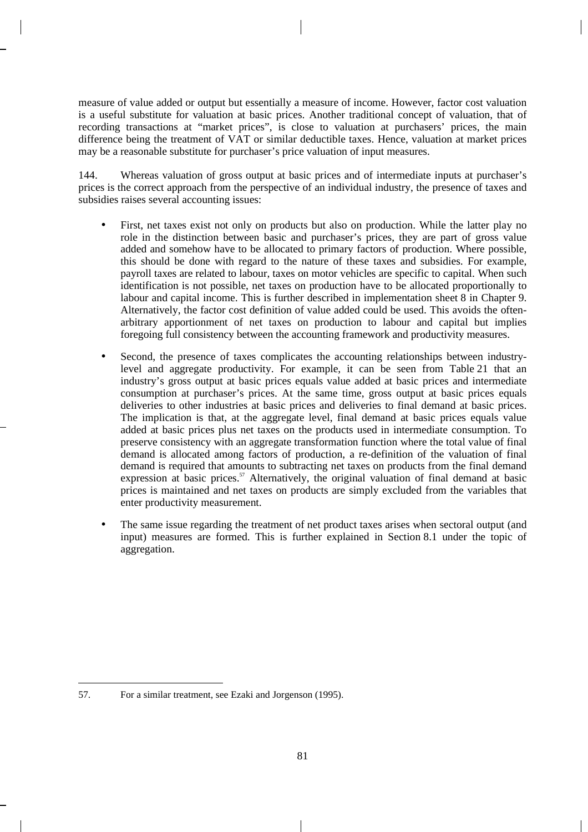measure of value added or output but essentially a measure of income. However, factor cost valuation is a useful substitute for valuation at basic prices. Another traditional concept of valuation, that of recording transactions at "market prices", is close to valuation at purchasers' prices, the main difference being the treatment of VAT or similar deductible taxes. Hence, valuation at market prices may be a reasonable substitute for purchaser's price valuation of input measures.

144. Whereas valuation of gross output at basic prices and of intermediate inputs at purchaser's prices is the correct approach from the perspective of an individual industry, the presence of taxes and subsidies raises several accounting issues:

- First, net taxes exist not only on products but also on production. While the latter play no role in the distinction between basic and purchaser's prices, they are part of gross value added and somehow have to be allocated to primary factors of production. Where possible, this should be done with regard to the nature of these taxes and subsidies. For example, payroll taxes are related to labour, taxes on motor vehicles are specific to capital. When such identification is not possible, net taxes on production have to be allocated proportionally to labour and capital income. This is further described in implementation sheet 8 in Chapter 9. Alternatively, the factor cost definition of value added could be used. This avoids the oftenarbitrary apportionment of net taxes on production to labour and capital but implies foregoing full consistency between the accounting framework and productivity measures.
- Second, the presence of taxes complicates the accounting relationships between industrylevel and aggregate productivity. For example, it can be seen from Table 21 that an industry's gross output at basic prices equals value added at basic prices and intermediate consumption at purchaser's prices. At the same time, gross output at basic prices equals deliveries to other industries at basic prices and deliveries to final demand at basic prices. The implication is that, at the aggregate level, final demand at basic prices equals value added at basic prices plus net taxes on the products used in intermediate consumption. To preserve consistency with an aggregate transformation function where the total value of final demand is allocated among factors of production, a re-definition of the valuation of final demand is required that amounts to subtracting net taxes on products from the final demand expression at basic prices.<sup>57</sup> Alternatively, the original valuation of final demand at basic prices is maintained and net taxes on products are simply excluded from the variables that enter productivity measurement.
- The same issue regarding the treatment of net product taxes arises when sectoral output (and input) measures are formed. This is further explained in Section 8.1 under the topic of aggregation.

 57. For a similar treatment, see Ezaki and Jorgenson (1995).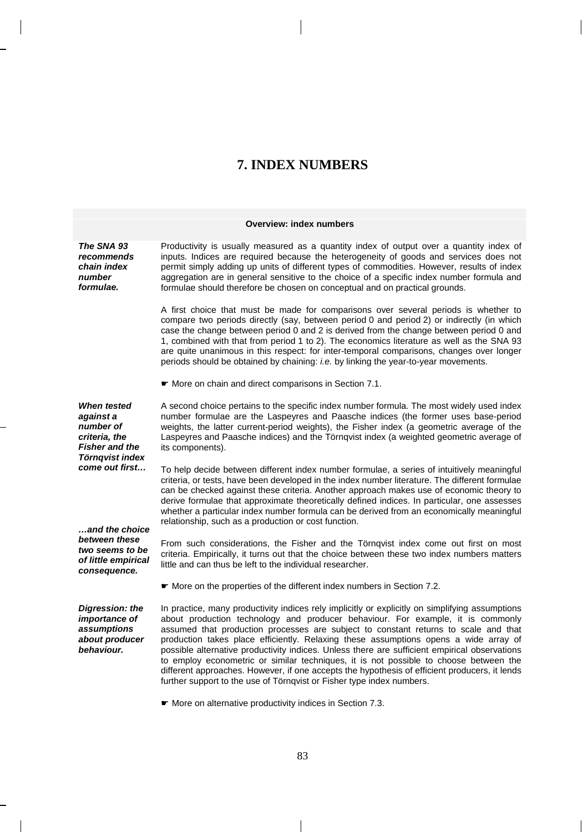# **7. INDEX NUMBERS**

#### **Overview: index numbers The SNA 93 recommends chain index number formulae.** Productivity is usually measured as a quantity index of output over a quantity index of inputs. Indices are required because the heterogeneity of goods and services does not permit simply adding up units of different types of commodities. However, results of index aggregation are in general sensitive to the choice of a specific index number formula and formulae should therefore be chosen on conceptual and on practical grounds. A first choice that must be made for comparisons over several periods is whether to compare two periods directly (say, between period 0 and period 2) or indirectly (in which case the change between period 0 and 2 is derived from the change between period 0 and 1, combined with that from period 1 to 2). The economics literature as well as the SNA 93 are quite unanimous in this respect: for inter-temporal comparisons, changes over longer periods should be obtained by chaining: i.e. by linking the year-to-year movements. ☛ More on chain and direct comparisons in Section 7.1. **When tested against a number of criteria, the Fisher and the Törnqvist index come out first… …and the choice between these two seems to be of little empirical consequence.** A second choice pertains to the specific index number formula. The most widely used index number formulae are the Laspeyres and Paasche indices (the former uses base-period weights, the latter current-period weights), the Fisher index (a geometric average of the Laspeyres and Paasche indices) and the Törnqvist index (a weighted geometric average of its components). To help decide between different index number formulae, a series of intuitively meaningful criteria, or tests, have been developed in the index number literature. The different formulae can be checked against these criteria. Another approach makes use of economic theory to derive formulae that approximate theoretically defined indices. In particular, one assesses whether a particular index number formula can be derived from an economically meaningful relationship, such as a production or cost function. From such considerations, the Fisher and the Törnqvist index come out first on most criteria. Empirically, it turns out that the choice between these two index numbers matters little and can thus be left to the individual researcher. ☛ More on the properties of the different index numbers in Section 7.2. **Digression: the importance of assumptions about producer behaviour.** In practice, many productivity indices rely implicitly or explicitly on simplifying assumptions about production technology and producer behaviour. For example, it is commonly assumed that production processes are subject to constant returns to scale and that production takes place efficiently. Relaxing these assumptions opens a wide array of possible alternative productivity indices. Unless there are sufficient empirical observations to employ econometric or similar techniques, it is not possible to choose between the different approaches. However, if one accepts the hypothesis of efficient producers, it lends further support to the use of Törnqvist or Fisher type index numbers.

☛ More on alternative productivity indices in Section 7.3.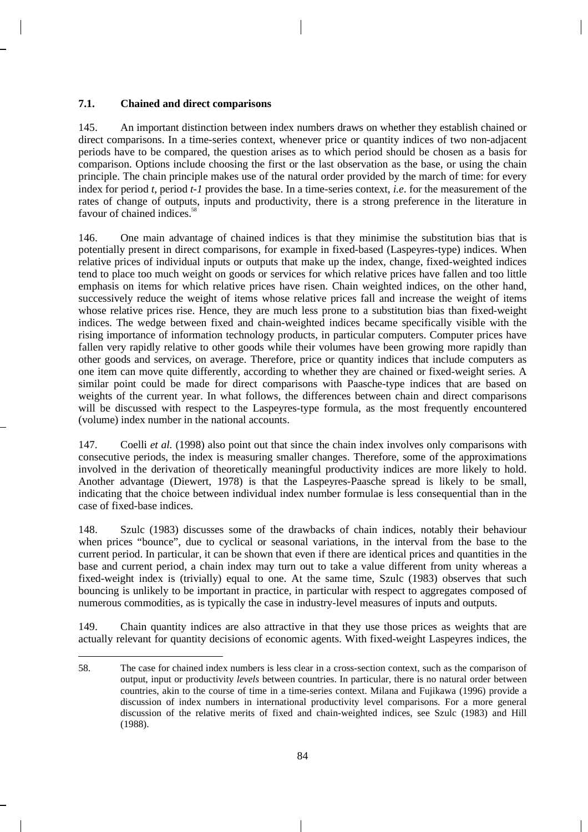# **7.1. Chained and direct comparisons**

145. An important distinction between index numbers draws on whether they establish chained or direct comparisons. In a time-series context, whenever price or quantity indices of two non-adjacent periods have to be compared, the question arises as to which period should be chosen as a basis for comparison. Options include choosing the first or the last observation as the base, or using the chain principle. The chain principle makes use of the natural order provided by the march of time: for every index for period *t*, period *t-1* provides the base. In a time-series context, *i.e*. for the measurement of the rates of change of outputs, inputs and productivity, there is a strong preference in the literature in favour of chained indices.<sup>58</sup>

146. One main advantage of chained indices is that they minimise the substitution bias that is potentially present in direct comparisons, for example in fixed-based (Laspeyres-type) indices. When relative prices of individual inputs or outputs that make up the index, change, fixed-weighted indices tend to place too much weight on goods or services for which relative prices have fallen and too little emphasis on items for which relative prices have risen. Chain weighted indices, on the other hand, successively reduce the weight of items whose relative prices fall and increase the weight of items whose relative prices rise. Hence, they are much less prone to a substitution bias than fixed-weight indices. The wedge between fixed and chain-weighted indices became specifically visible with the rising importance of information technology products, in particular computers. Computer prices have fallen very rapidly relative to other goods while their volumes have been growing more rapidly than other goods and services, on average. Therefore, price or quantity indices that include computers as one item can move quite differently, according to whether they are chained or fixed-weight series. A similar point could be made for direct comparisons with Paasche-type indices that are based on weights of the current year. In what follows, the differences between chain and direct comparisons will be discussed with respect to the Laspeyres-type formula, as the most frequently encountered (volume) index number in the national accounts.

147. Coelli *et al.* (1998) also point out that since the chain index involves only comparisons with consecutive periods, the index is measuring smaller changes. Therefore, some of the approximations involved in the derivation of theoretically meaningful productivity indices are more likely to hold. Another advantage (Diewert, 1978) is that the Laspeyres-Paasche spread is likely to be small, indicating that the choice between individual index number formulae is less consequential than in the case of fixed-base indices.

148. Szulc (1983) discusses some of the drawbacks of chain indices, notably their behaviour when prices "bounce", due to cyclical or seasonal variations, in the interval from the base to the current period. In particular, it can be shown that even if there are identical prices and quantities in the base and current period, a chain index may turn out to take a value different from unity whereas a fixed-weight index is (trivially) equal to one. At the same time, Szulc (1983) observes that such bouncing is unlikely to be important in practice, in particular with respect to aggregates composed of numerous commodities, as is typically the case in industry-level measures of inputs and outputs.

149. Chain quantity indices are also attractive in that they use those prices as weights that are actually relevant for quantity decisions of economic agents. With fixed-weight Laspeyres indices, the

j 58. The case for chained index numbers is less clear in a cross-section context, such as the comparison of output, input or productivity *levels* between countries. In particular, there is no natural order between countries, akin to the course of time in a time-series context. Milana and Fujikawa (1996) provide a discussion of index numbers in international productivity level comparisons. For a more general discussion of the relative merits of fixed and chain-weighted indices, see Szulc (1983) and Hill (1988).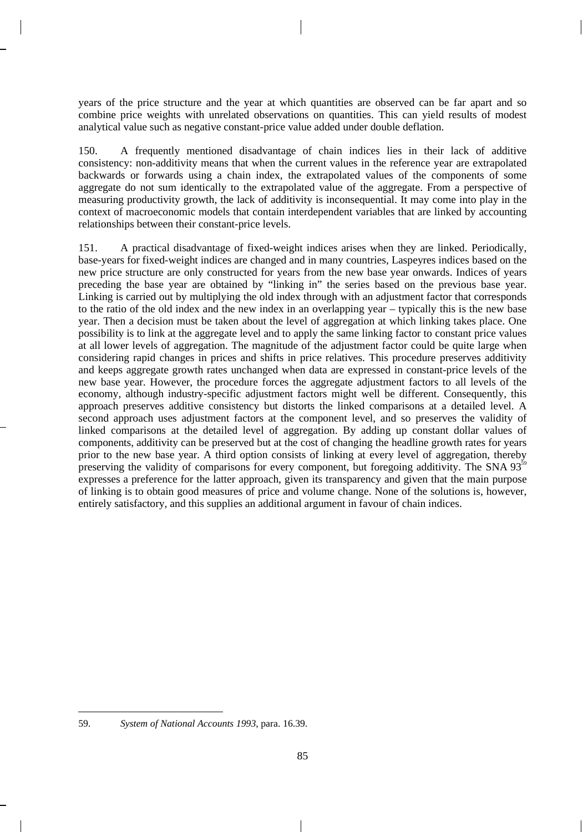years of the price structure and the year at which quantities are observed can be far apart and so combine price weights with unrelated observations on quantities. This can yield results of modest analytical value such as negative constant-price value added under double deflation.

150. A frequently mentioned disadvantage of chain indices lies in their lack of additive consistency: non-additivity means that when the current values in the reference year are extrapolated backwards or forwards using a chain index, the extrapolated values of the components of some aggregate do not sum identically to the extrapolated value of the aggregate. From a perspective of measuring productivity growth, the lack of additivity is inconsequential. It may come into play in the context of macroeconomic models that contain interdependent variables that are linked by accounting relationships between their constant-price levels.

151. A practical disadvantage of fixed-weight indices arises when they are linked. Periodically, base-years for fixed-weight indices are changed and in many countries, Laspeyres indices based on the new price structure are only constructed for years from the new base year onwards. Indices of years preceding the base year are obtained by "linking in" the series based on the previous base year. Linking is carried out by multiplying the old index through with an adjustment factor that corresponds to the ratio of the old index and the new index in an overlapping year – typically this is the new base year. Then a decision must be taken about the level of aggregation at which linking takes place. One possibility is to link at the aggregate level and to apply the same linking factor to constant price values at all lower levels of aggregation. The magnitude of the adjustment factor could be quite large when considering rapid changes in prices and shifts in price relatives. This procedure preserves additivity and keeps aggregate growth rates unchanged when data are expressed in constant-price levels of the new base year. However, the procedure forces the aggregate adjustment factors to all levels of the economy, although industry-specific adjustment factors might well be different. Consequently, this approach preserves additive consistency but distorts the linked comparisons at a detailed level. A second approach uses adjustment factors at the component level, and so preserves the validity of linked comparisons at the detailed level of aggregation. By adding up constant dollar values of components, additivity can be preserved but at the cost of changing the headline growth rates for years prior to the new base year. A third option consists of linking at every level of aggregation, thereby preserving the validity of comparisons for every component, but foregoing additivity. The SNA  $93^{59}$ expresses a preference for the latter approach, given its transparency and given that the main purpose of linking is to obtain good measures of price and volume change. None of the solutions is, however, entirely satisfactory, and this supplies an additional argument in favour of chain indices.

j

<sup>59.</sup> *System of National Accounts 1993*, para. 16.39.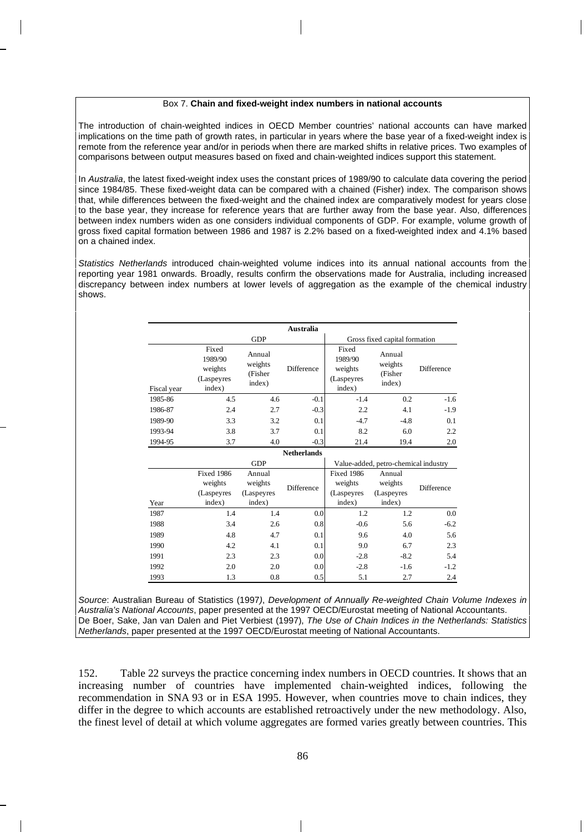#### Box 7. **Chain and fixed-weight index numbers in national accounts**

The introduction of chain-weighted indices in OECD Member countries' national accounts can have marked implications on the time path of growth rates, in particular in years where the base year of a fixed-weight index is remote from the reference year and/or in periods when there are marked shifts in relative prices. Two examples of comparisons between output measures based on fixed and chain-weighted indices support this statement.

In Australia, the latest fixed-weight index uses the constant prices of 1989/90 to calculate data covering the period since 1984/85. These fixed-weight data can be compared with a chained (Fisher) index. The comparison shows that, while differences between the fixed-weight and the chained index are comparatively modest for years close to the base year, they increase for reference years that are further away from the base year. Also, differences between index numbers widen as one considers individual components of GDP. For example, volume growth of gross fixed capital formation between 1986 and 1987 is 2.2% based on a fixed-weighted index and 4.1% based on a chained index.

Statistics Netherlands introduced chain-weighted volume indices into its annual national accounts from the reporting year 1981 onwards. Broadly, results confirm the observations made for Australia, including increased discrepancy between index numbers at lower levels of aggregation as the example of the chemical industry shows.

|                                                    |                                                      |                                           | <b>Australia</b>   |                                                      |                                           |                   |  |
|----------------------------------------------------|------------------------------------------------------|-------------------------------------------|--------------------|------------------------------------------------------|-------------------------------------------|-------------------|--|
|                                                    |                                                      | <b>GDP</b>                                |                    | Gross fixed capital formation                        |                                           |                   |  |
| Fiscal year                                        | Fixed<br>1989/90<br>weights<br>(Laspeyres<br>index)  | Annual<br>weights<br>(Fisher<br>index)    | <b>Difference</b>  | Fixed<br>1989/90<br>weights<br>(Laspeyres<br>index)  | Annual<br>weights<br>(Fisher<br>index)    | <b>Difference</b> |  |
| 1985-86                                            | 4.5                                                  | 4.6                                       | $-0.1$             | $-1.4$                                               | 0.2                                       | $-1.6$            |  |
| 1986-87                                            | 2.4                                                  | 2.7<br>$-0.3$                             |                    | 2.2                                                  | 4.1                                       | $-1.9$            |  |
| 1989-90                                            | 3.2<br>0.1<br>3.3                                    |                                           | $-4.7$             | $-4.8$                                               | 0.1                                       |                   |  |
| 1993-94                                            | 3.8                                                  | 3.7                                       | 0.1                | 8.2                                                  | 6.0                                       | 2.2               |  |
| 1994-95                                            | 3.7                                                  | 4.0                                       | $-0.3$             | 21.4                                                 | 19.4                                      | 2.0               |  |
|                                                    |                                                      |                                           | <b>Netherlands</b> |                                                      |                                           |                   |  |
| <b>GDP</b><br>Value-added, petro-chemical industry |                                                      |                                           |                    |                                                      |                                           |                   |  |
| Year                                               | <b>Fixed 1986</b><br>weights<br>(Laspeyres<br>index) | Annual<br>weights<br>(Laspeyres<br>index) | Difference         | <b>Fixed 1986</b><br>weights<br>(Laspeyres<br>index) | Annual<br>weights<br>(Laspeyres<br>index) | Difference        |  |
| 1987                                               | 1.4                                                  | 1.4                                       | 0.0                | 1.2                                                  | 1.2                                       | 0.0               |  |
| 1988                                               | 3.4                                                  | 2.6                                       | 0.8                | $-0.6$                                               | 5.6                                       | $-6.2$            |  |
| 1989                                               | 4.8                                                  | 4.7                                       | 0.1                | 9.6                                                  | 4.0                                       | 5.6               |  |
| 1990                                               | 4.2                                                  | 4.1                                       | 0.1                | 9.0                                                  | 6.7                                       | 2.3               |  |
| 1991                                               | 2.3                                                  | 2.3                                       | 0.0                | $-2.8$                                               | $-8.2$                                    | 5.4               |  |
| 1992                                               | 2.0                                                  | 2.0                                       | 0.0                | $-2.8$                                               | $-1.6$                                    | $-1.2$            |  |
| 1993                                               | 1.3                                                  | 0.8                                       | 0.5                | 5.1                                                  | 2.7                                       | 2.4               |  |

Source: Australian Bureau of Statistics (1997), Development of Annually Re-weighted Chain Volume Indexes in Australia's National Accounts, paper presented at the 1997 OECD/Eurostat meeting of National Accountants. De Boer, Sake, Jan van Dalen and Piet Verbiest (1997), The Use of Chain Indices in the Netherlands: Statistics Netherlands, paper presented at the 1997 OECD/Eurostat meeting of National Accountants.

152. Table 22 surveys the practice concerning index numbers in OECD countries. It shows that an increasing number of countries have implemented chain-weighted indices, following the recommendation in SNA 93 or in ESA 1995. However, when countries move to chain indices, they differ in the degree to which accounts are established retroactively under the new methodology. Also, the finest level of detail at which volume aggregates are formed varies greatly between countries. This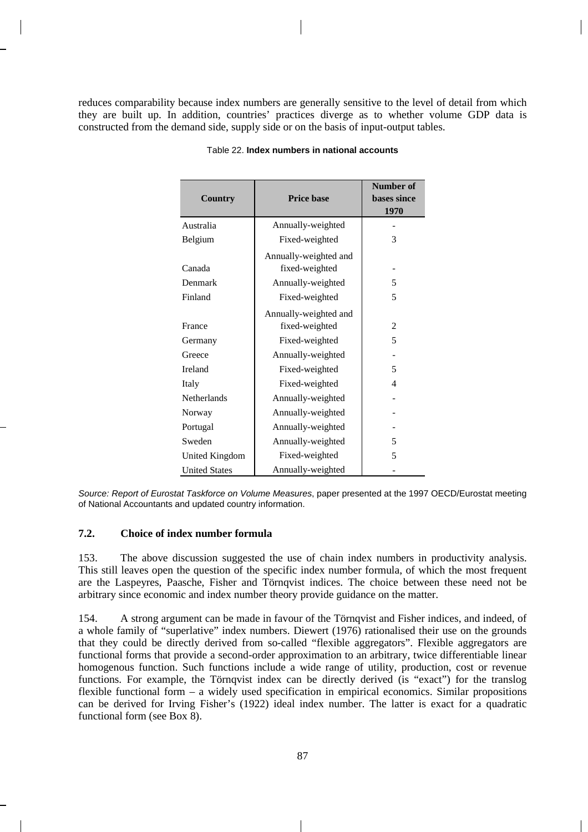reduces comparability because index numbers are generally sensitive to the level of detail from which they are built up. In addition, countries' practices diverge as to whether volume GDP data is constructed from the demand side, supply side or on the basis of input-output tables.

| <b>Country</b>        | <b>Price base</b>                       | Number of<br>bases since<br>1970 |
|-----------------------|-----------------------------------------|----------------------------------|
| Australia             | Annually-weighted                       |                                  |
| Belgium               | Fixed-weighted                          | 3                                |
| Canada                | Annually-weighted and<br>fixed-weighted |                                  |
| Denmark               | Annually-weighted                       | 5                                |
| Finland               | Fixed-weighted                          | 5                                |
| France                | Annually-weighted and<br>fixed-weighted | 2                                |
| Germany               | Fixed-weighted                          | 5                                |
| Greece                | Annually-weighted                       |                                  |
| <b>Ireland</b>        | Fixed-weighted                          | 5                                |
| Italy                 | Fixed-weighted                          | 4                                |
| <b>Netherlands</b>    | Annually-weighted                       |                                  |
| Norway                | Annually-weighted                       |                                  |
| Portugal              | Annually-weighted                       |                                  |
| Sweden                | Annually-weighted                       | 5                                |
| <b>United Kingdom</b> | Fixed-weighted                          | 5                                |
| <b>United States</b>  | Annually-weighted                       |                                  |

### Table 22. **Index numbers in national accounts**

Source: Report of Eurostat Taskforce on Volume Measures, paper presented at the 1997 OECD/Eurostat meeting of National Accountants and updated country information.

### **7.2. Choice of index number formula**

153. The above discussion suggested the use of chain index numbers in productivity analysis. This still leaves open the question of the specific index number formula, of which the most frequent are the Laspeyres, Paasche, Fisher and Törnqvist indices. The choice between these need not be arbitrary since economic and index number theory provide guidance on the matter.

154. A strong argument can be made in favour of the Törnqvist and Fisher indices, and indeed, of a whole family of "superlative" index numbers. Diewert (1976) rationalised their use on the grounds that they could be directly derived from so-called "flexible aggregators". Flexible aggregators are functional forms that provide a second-order approximation to an arbitrary, twice differentiable linear homogenous function. Such functions include a wide range of utility, production, cost or revenue functions. For example, the Törnqvist index can be directly derived (is "exact") for the translog flexible functional form – a widely used specification in empirical economics. Similar propositions can be derived for Irving Fisher's (1922) ideal index number. The latter is exact for a quadratic functional form (see Box 8).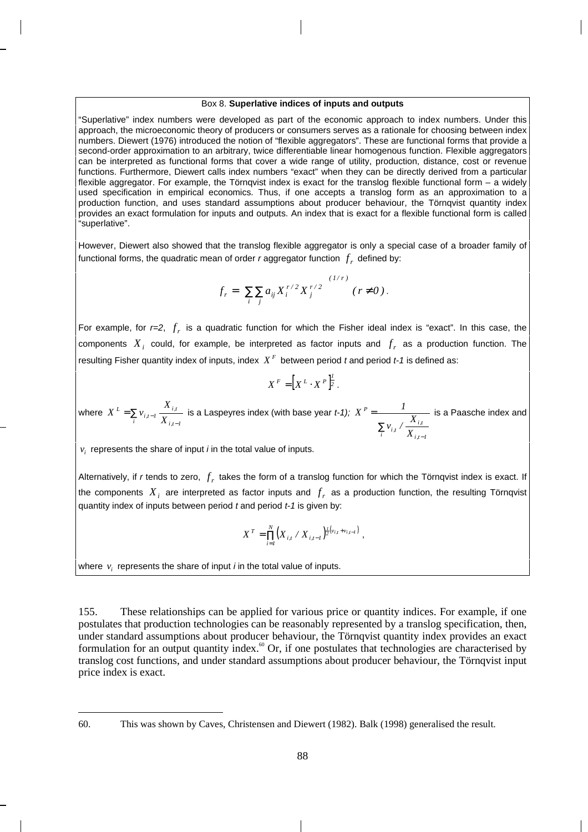#### Box 8. **Superlative indices of inputs and outputs**

"Superlative" index numbers were developed as part of the economic approach to index numbers. Under this approach, the microeconomic theory of producers or consumers serves as a rationale for choosing between index numbers. Diewert (1976) introduced the notion of "flexible aggregators". These are functional forms that provide a second-order approximation to an arbitrary, twice differentiable linear homogenous function. Flexible aggregators can be interpreted as functional forms that cover a wide range of utility, production, distance, cost or revenue functions. Furthermore, Diewert calls index numbers "exact" when they can be directly derived from a particular flexible aggregator. For example, the Törnqvist index is exact for the translog flexible functional form – a widely used specification in empirical economics. Thus, if one accepts a translog form as an approximation to a production function, and uses standard assumptions about producer behaviour, the Törnqvist quantity index provides an exact formulation for inputs and outputs. An index that is exact for a flexible functional form is called "superlative".

However, Diewert also showed that the translog flexible aggregator is only a special case of a broader family of functional forms, the quadratic mean of order r aggregator function  $f<sub>r</sub>$  defined by:

$$
f_r = \left(\sum_i \sum_j a_{ij} X_i^{r/2} X_j^{r/2}\right)^{(1/r)} (r \neq 0).
$$

For example, for  $r=2$ ,  $f_r$  is a quadratic function for which the Fisher ideal index is "exact". In this case, the components  $X_i$  could, for example, be interpreted as factor inputs and  $f<sub>r</sub>$  as a production function. The resulting Fisher quantity index of inputs, index  $X<sup>F</sup>$  between period t and period t-1 is defined as:

$$
X^F = \left[ X^L \cdot X^P \right]^{\frac{1}{2}}.
$$

where  $X^L = \sum$  $L = \sum_{i} v_{i,t-1} \frac{A_{i,t}}{X_{i,t-1}}$ *X*  $X^{L} = \sum v_{i,t-l} \frac{X_{i,t}}{X}$  is a Laspeyres index (with base year *t*-1); ∑ =  $i$  *X*  $i, t-1$  $\frac{1}{i}$  /  $\frac{1}{\mathbf{v}}$ *P X*  $v_{i,t}$  /  $\frac{X}{X}$  $X^P = \frac{I}{X}$  is a Paasche index and

 $v_i$  represents the share of input *i* in the total value of inputs.

Alternatively, if r tends to zero,  $f_r$  takes the form of a translog function for which the Törnqvist index is exact. If the components  $X_i$  are interpreted as factor inputs and  $f_r$  as a production function, the resulting Törnqvist quantity index of inputs between period  $t$  and period  $t - 1$  is given by:

$$
X^T = \prod_{i=1}^N (X_{i,t} / X_{i,t-1})^{\frac{1}{2}(v_{i,t} + v_{i,t-1})},
$$

where  $v_i$  represents the share of input *i* in the total value of inputs.

155. These relationships can be applied for various price or quantity indices. For example, if one postulates that production technologies can be reasonably represented by a translog specification, then, under standard assumptions about producer behaviour, the Törnqvist quantity index provides an exact formulation for an output quantity index.<sup>60</sup> Or, if one postulates that technologies are characterised by translog cost functions, and under standard assumptions about producer behaviour, the Törnqvist input price index is exact.

j

<sup>60.</sup> This was shown by Caves, Christensen and Diewert (1982). Balk (1998) generalised the result.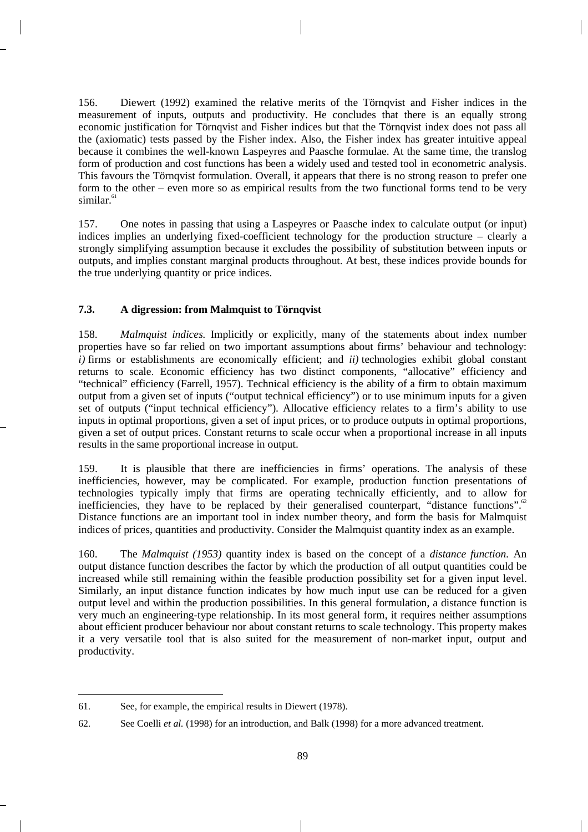156. Diewert (1992) examined the relative merits of the Törnqvist and Fisher indices in the measurement of inputs, outputs and productivity. He concludes that there is an equally strong economic justification for Törnqvist and Fisher indices but that the Törnqvist index does not pass all the (axiomatic) tests passed by the Fisher index. Also, the Fisher index has greater intuitive appeal because it combines the well-known Laspeyres and Paasche formulae. At the same time, the translog form of production and cost functions has been a widely used and tested tool in econometric analysis. This favours the Törnqvist formulation. Overall, it appears that there is no strong reason to prefer one form to the other – even more so as empirical results from the two functional forms tend to be very similar. $61$ 

157. One notes in passing that using a Laspeyres or Paasche index to calculate output (or input) indices implies an underlying fixed-coefficient technology for the production structure – clearly a strongly simplifying assumption because it excludes the possibility of substitution between inputs or outputs, and implies constant marginal products throughout. At best, these indices provide bounds for the true underlying quantity or price indices.

# **7.3. A digression: from Malmquist to Törnqvist**

158. *Malmquist indices.* Implicitly or explicitly, many of the statements about index number properties have so far relied on two important assumptions about firms' behaviour and technology: *i)* firms or establishments are economically efficient; and *ii)* technologies exhibit global constant returns to scale. Economic efficiency has two distinct components, "allocative" efficiency and "technical" efficiency (Farrell, 1957). Technical efficiency is the ability of a firm to obtain maximum output from a given set of inputs ("output technical efficiency") or to use minimum inputs for a given set of outputs ("input technical efficiency"). Allocative efficiency relates to a firm's ability to use inputs in optimal proportions, given a set of input prices, or to produce outputs in optimal proportions, given a set of output prices. Constant returns to scale occur when a proportional increase in all inputs results in the same proportional increase in output.

159. It is plausible that there are inefficiencies in firms' operations. The analysis of these inefficiencies, however, may be complicated. For example, production function presentations of technologies typically imply that firms are operating technically efficiently, and to allow for inefficiencies, they have to be replaced by their generalised counterpart, "distance functions".<sup>22</sup> Distance functions are an important tool in index number theory, and form the basis for Malmquist indices of prices, quantities and productivity. Consider the Malmquist quantity index as an example.

160. The *Malmquist (1953)* quantity index is based on the concept of a *distance function.* An output distance function describes the factor by which the production of all output quantities could be increased while still remaining within the feasible production possibility set for a given input level. Similarly, an input distance function indicates by how much input use can be reduced for a given output level and within the production possibilities. In this general formulation, a distance function is very much an engineering-type relationship. In its most general form, it requires neither assumptions about efficient producer behaviour nor about constant returns to scale technology. This property makes it a very versatile tool that is also suited for the measurement of non-market input, output and productivity.

<sup>-</sup>61. See, for example, the empirical results in Diewert (1978).

<sup>62.</sup> See Coelli *et al.* (1998) for an introduction, and Balk (1998) for a more advanced treatment.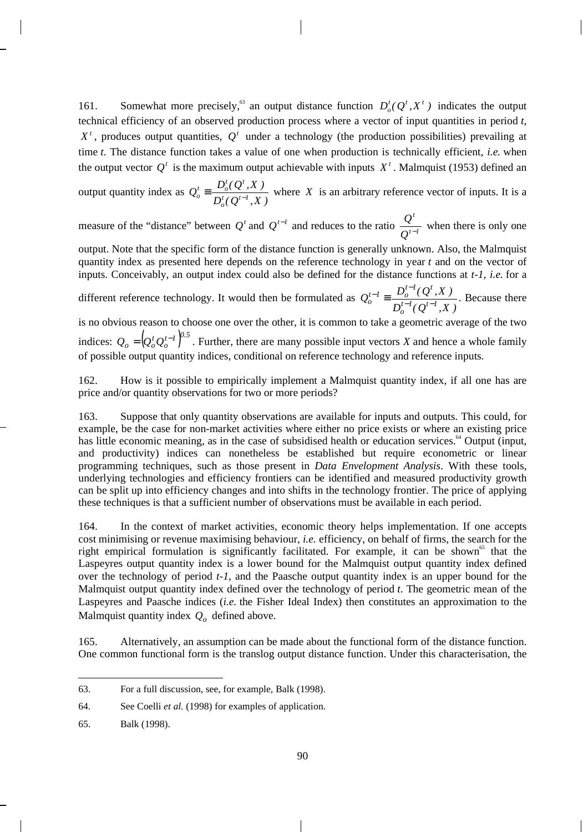161. Somewhat more precisely,<sup>63</sup> an output distance function  $D_o^t(Q^t, X^t)$  indicates the output technical efficiency of an observed production process where a vector of input quantities in period *t*,  $X<sup>t</sup>$ , produces output quantities,  $Q<sup>t</sup>$  under a technology (the production possibilities) prevailing at time *t*. The distance function takes a value of one when production is technically efficient, *i.e.* when the output vector  $Q^t$  is the maximum output achievable with inputs  $X^t$ . Malmquist (1953) defined an

output quantity index as  $Q_o^t \equiv \frac{D_o^t(Q^t, X)}{D_o^t(Q^{t-1}, X)}$  $t_o^t = \frac{D_o^t(Q^t, X)}{D_0^t(Q^{t-1} \mid X)}$  where *X* is an arbitrary reference vector of inputs. It is a

measure of the "distance" between  $Q^t$  and  $Q^{t-1}$  and reduces to the ratio  $\frac{Q^t}{Q^{t-1}}$ *Q*  $\frac{Q^t}{Q^{t-1}}$  when there is only one

output. Note that the specific form of the distance function is generally unknown. Also, the Malmquist quantity index as presented here depends on the reference technology in year *t* and on the vector of inputs. Conceivably, an output index could also be defined for the distance functions at *t-1*, *i.e.* for a

different reference technology. It would then be formulated as  $Q_o^{t-1} \equiv \frac{D_o^{t-1}(Q^t, X)}{D_o^{t-1}(Q^{t-1}, X)}$ . Because there

is no obvious reason to choose one over the other, it is common to take a geometric average of the two indices:  $Q_o = (Q_o^t Q_o^{t-1})^{0.5}$ . Further, there are many possible input vectors *X* and hence a whole family of possible output quantity indices, conditional on reference technology and reference inputs.

162. How is it possible to empirically implement a Malmquist quantity index, if all one has are price and/or quantity observations for two or more periods?

163. Suppose that only quantity observations are available for inputs and outputs. This could, for example, be the case for non-market activities where either no price exists or where an existing price has little economic meaning, as in the case of subsidised health or education services.<sup>64</sup> Output (input, and productivity) indices can nonetheless be established but require econometric or linear programming techniques, such as those present in *Data Envelopment Analysis*. With these tools, underlying technologies and efficiency frontiers can be identified and measured productivity growth can be split up into efficiency changes and into shifts in the technology frontier. The price of applying these techniques is that a sufficient number of observations must be available in each period.

164. In the context of market activities, economic theory helps implementation. If one accepts cost minimising or revenue maximising behaviour, *i.e.* efficiency, on behalf of firms, the search for the right empirical formulation is significantly facilitated. For example, it can be shown<sup>65</sup> that the Laspeyres output quantity index is a lower bound for the Malmquist output quantity index defined over the technology of period *t-1*, and the Paasche output quantity index is an upper bound for the Malmquist output quantity index defined over the technology of period *t*. The geometric mean of the Laspeyres and Paasche indices (*i.e.* the Fisher Ideal Index) then constitutes an approximation to the Malmquist quantity index  $Q_0$  defined above.

165. Alternatively, an assumption can be made about the functional form of the distance function. One common functional form is the translog output distance function. Under this characterisation, the

<sup>-</sup>63. For a full discussion, see, for example, Balk (1998).

<sup>64.</sup> See Coelli *et al.* (1998) for examples of application.

<sup>65.</sup> Balk (1998).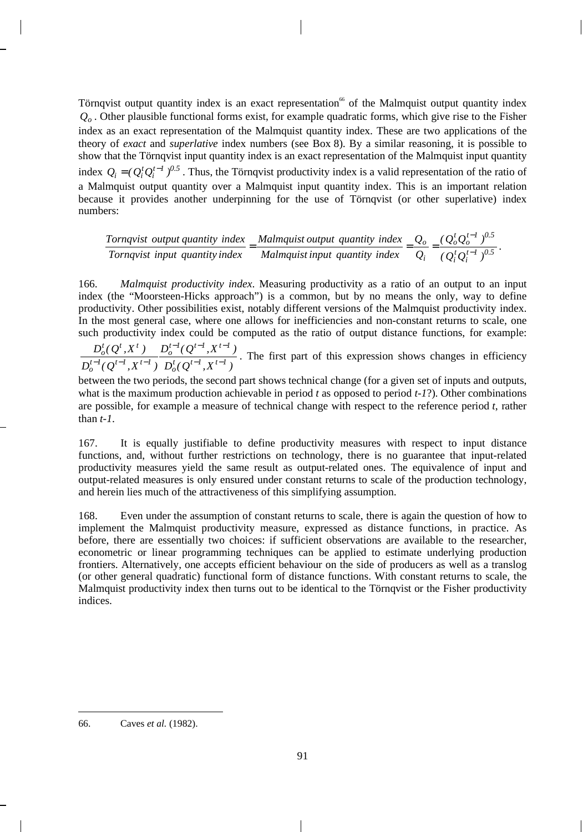Törnqvist output quantity index is an exact representation<sup>66</sup> of the Malmquist output quantity index *Qo* . Other plausible functional forms exist, for example quadratic forms, which give rise to the Fisher index as an exact representation of the Malmquist quantity index. These are two applications of the theory of *exact* and *superlative* index numbers (see Box 8). By a similar reasoning, it is possible to show that the Törnqvist input quantity index is an exact representation of the Malmquist input quantity index  $Q_i = (Q_i^t Q_i^{t-1})^{0.5}$ . Thus, the Törnqvist productivity index is a valid representation of the ratio of a Malmquist output quantity over a Malmquist input quantity index. This is an important relation because it provides another underpinning for the use of Törnqvist (or other superlative) index numbers:

 $\int_{i}^{t} Q_{i}^{t-1}$   $\rho^{0.5}$  $_{o}^{t}Q_{o}^{t-l}$   $)^{0.5}$ *i o*  $(Q_i^tQ_i^{t-1})$  $(Q_o^t Q_o^{t-1})$ *Q Q Malmquist input quantity index Malmquist output quantity index Tornqvist input quantity index Tornqvist output quantity index* − −  $=\frac{120\times10^{10} \text{ m s}^2}{25} = \frac{120\times10^{10} \text{ s}}{25} = \frac{120\times10^{10} \text{ s}}{25}$ 

166. *Malmquist productivity index*. Measuring productivity as a ratio of an output to an input index (the "Moorsteen-Hicks approach") is a common, but by no means the only, way to define productivity. Other possibilities exist, notably different versions of the Malmquist productivity index. In the most general case, where one allows for inefficiencies and non-constant returns to scale, one such productivity index could be computed as the ratio of output distance functions, for example:

 $D_{o}^{t}(Q^{t-1}, X^{t-1})$  $D_o^{t-1}(Q^{t-1}, X^{t-1})$  $D_o^{t-1}(Q^{t-1}, X^{t-1})$  $D^t_o(\,Q^t,X^t\,)$  $_{o}^{t}$  (  $Q^{t-l}$  ,  $X^{t-l}$  $a_{o}^{t-1}(Q^{t-1}, X^{t-1})$  $a_{o}^{t-l}$  (  $Q^{t-l}$  ,  $X^{t-l}$  $\int_{a}^{t}$  (  $Q^{t}$  ,  $X^{t}$  $-l \nabla t$ −  $-l$   $\Omega^{t-l}$   $V^{t-1}$ <sup>−</sup> <sup>−</sup> <sup>−</sup> . The first part of this expression shows changes in efficiency

between the two periods, the second part shows technical change (for a given set of inputs and outputs, what is the maximum production achievable in period *t* as opposed to period *t-1*?). Other combinations are possible, for example a measure of technical change with respect to the reference period *t*, rather than *t-1*.

167. It is equally justifiable to define productivity measures with respect to input distance functions, and, without further restrictions on technology, there is no guarantee that input-related productivity measures yield the same result as output-related ones. The equivalence of input and output-related measures is only ensured under constant returns to scale of the production technology, and herein lies much of the attractiveness of this simplifying assumption.

168. Even under the assumption of constant returns to scale, there is again the question of how to implement the Malmquist productivity measure, expressed as distance functions, in practice. As before, there are essentially two choices: if sufficient observations are available to the researcher, econometric or linear programming techniques can be applied to estimate underlying production frontiers. Alternatively, one accepts efficient behaviour on the side of producers as well as a translog (or other general quadratic) functional form of distance functions. With constant returns to scale, the Malmquist productivity index then turns out to be identical to the Törnqvist or the Fisher productivity indices.

j

<sup>66.</sup> Caves *et al.* (1982).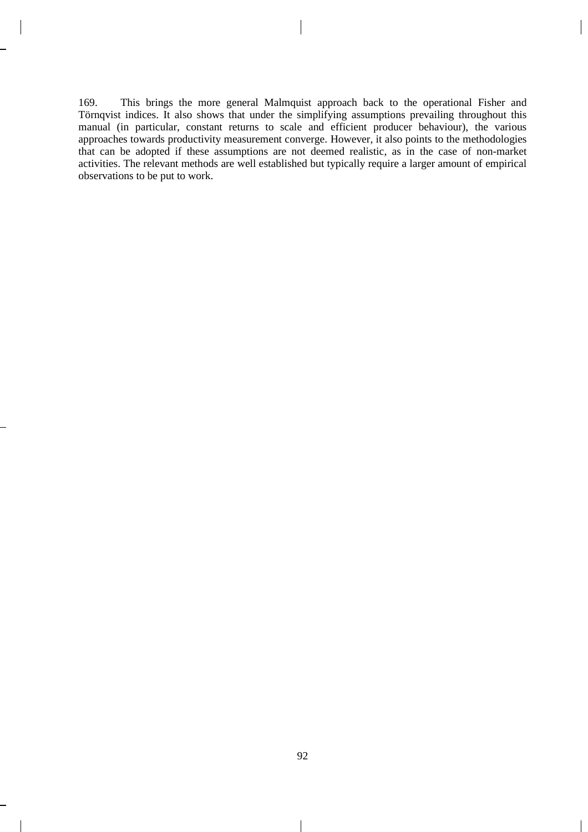169. This brings the more general Malmquist approach back to the operational Fisher and Törnqvist indices. It also shows that under the simplifying assumptions prevailing throughout this manual (in particular, constant returns to scale and efficient producer behaviour), the various approaches towards productivity measurement converge. However, it also points to the methodologies that can be adopted if these assumptions are not deemed realistic, as in the case of non-market activities. The relevant methods are well established but typically require a larger amount of empirical observations to be put to work.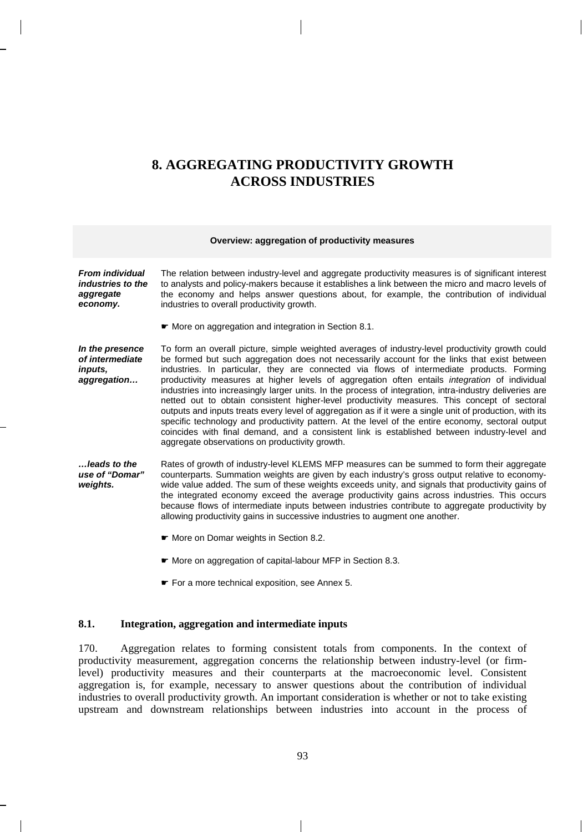# **8. AGGREGATING PRODUCTIVITY GROWTH ACROSS INDUSTRIES**

#### **Overview: aggregation of productivity measures**

**From individual industries to the aggregate economy.** The relation between industry-level and aggregate productivity measures is of significant interest to analysts and policy-makers because it establishes a link between the micro and macro levels of the economy and helps answer questions about, for example, the contribution of individual industries to overall productivity growth.

☛ More on aggregation and integration in Section 8.1.

**In the presence of intermediate inputs, aggregation…** To form an overall picture, simple weighted averages of industry-level productivity growth could be formed but such aggregation does not necessarily account for the links that exist between industries. In particular, they are connected via flows of intermediate products. Forming productivity measures at higher levels of aggregation often entails *integration* of individual industries into increasingly larger units. In the process of integration, intra-industry deliveries are netted out to obtain consistent higher-level productivity measures. This concept of sectoral outputs and inputs treats every level of aggregation as if it were a single unit of production, with its specific technology and productivity pattern. At the level of the entire economy, sectoral output coincides with final demand, and a consistent link is established between industry-level and aggregate observations on productivity growth.

**…leads to the use of "Domar" weights.** Rates of growth of industry-level KLEMS MFP measures can be summed to form their aggregate counterparts. Summation weights are given by each industry's gross output relative to economywide value added. The sum of these weights exceeds unity, and signals that productivity gains of the integrated economy exceed the average productivity gains across industries. This occurs because flows of intermediate inputs between industries contribute to aggregate productivity by allowing productivity gains in successive industries to augment one another.

- ☛ More on Domar weights in Section 8.2.
- ☛ More on aggregation of capital-labour MFP in Section 8.3.
- ☛ For a more technical exposition, see Annex 5.

#### **8.1. Integration, aggregation and intermediate inputs**

170. Aggregation relates to forming consistent totals from components. In the context of productivity measurement, aggregation concerns the relationship between industry-level (or firmlevel) productivity measures and their counterparts at the macroeconomic level. Consistent aggregation is, for example, necessary to answer questions about the contribution of individual industries to overall productivity growth. An important consideration is whether or not to take existing upstream and downstream relationships between industries into account in the process of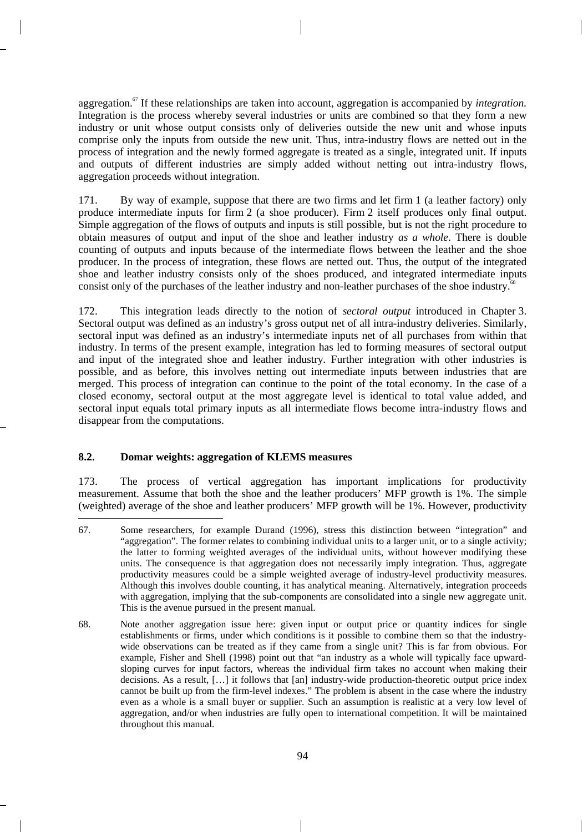aggregation.<sup>67</sup> If these relationships are taken into account, aggregation is accompanied by *integration*. Integration is the process whereby several industries or units are combined so that they form a new industry or unit whose output consists only of deliveries outside the new unit and whose inputs comprise only the inputs from outside the new unit. Thus, intra-industry flows are netted out in the process of integration and the newly formed aggregate is treated as a single, integrated unit. If inputs and outputs of different industries are simply added without netting out intra-industry flows, aggregation proceeds without integration.

171. By way of example, suppose that there are two firms and let firm 1 (a leather factory) only produce intermediate inputs for firm 2 (a shoe producer). Firm 2 itself produces only final output. Simple aggregation of the flows of outputs and inputs is still possible, but is not the right procedure to obtain measures of output and input of the shoe and leather industry *as a whole*. There is double counting of outputs and inputs because of the intermediate flows between the leather and the shoe producer. In the process of integration, these flows are netted out. Thus, the output of the integrated shoe and leather industry consists only of the shoes produced, and integrated intermediate inputs consist only of the purchases of the leather industry and non-leather purchases of the shoe industry.<sup>68</sup>

172. This integration leads directly to the notion of *sectoral output* introduced in Chapter 3. Sectoral output was defined as an industry's gross output net of all intra-industry deliveries. Similarly, sectoral input was defined as an industry's intermediate inputs net of all purchases from within that industry. In terms of the present example, integration has led to forming measures of sectoral output and input of the integrated shoe and leather industry. Further integration with other industries is possible, and as before, this involves netting out intermediate inputs between industries that are merged. This process of integration can continue to the point of the total economy. In the case of a closed economy, sectoral output at the most aggregate level is identical to total value added, and sectoral input equals total primary inputs as all intermediate flows become intra-industry flows and disappear from the computations.

# **8.2. Domar weights: aggregation of KLEMS measures**

173. The process of vertical aggregation has important implications for productivity measurement. Assume that both the shoe and the leather producers' MFP growth is 1%. The simple (weighted) average of the shoe and leather producers' MFP growth will be 1%. However, productivity

<sup>-</sup>67. Some researchers, for example Durand (1996), stress this distinction between "integration" and "aggregation". The former relates to combining individual units to a larger unit, or to a single activity; the latter to forming weighted averages of the individual units, without however modifying these units. The consequence is that aggregation does not necessarily imply integration. Thus, aggregate productivity measures could be a simple weighted average of industry-level productivity measures. Although this involves double counting, it has analytical meaning. Alternatively, integration proceeds with aggregation, implying that the sub-components are consolidated into a single new aggregate unit. This is the avenue pursued in the present manual.

<sup>68.</sup> Note another aggregation issue here: given input or output price or quantity indices for single establishments or firms, under which conditions is it possible to combine them so that the industrywide observations can be treated as if they came from a single unit? This is far from obvious. For example, Fisher and Shell (1998) point out that "an industry as a whole will typically face upwardsloping curves for input factors, whereas the individual firm takes no account when making their decisions. As a result, […] it follows that [an] industry-wide production-theoretic output price index cannot be built up from the firm-level indexes." The problem is absent in the case where the industry even as a whole is a small buyer or supplier. Such an assumption is realistic at a very low level of aggregation, and/or when industries are fully open to international competition. It will be maintained throughout this manual.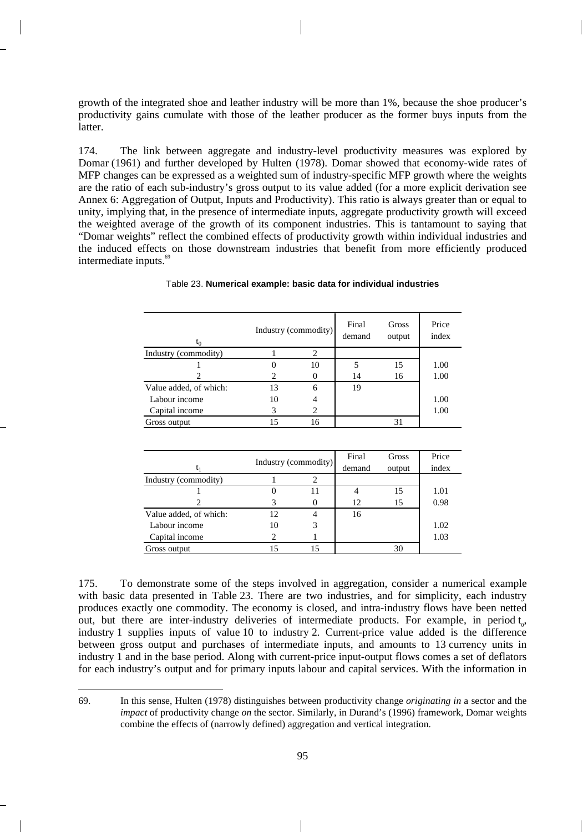growth of the integrated shoe and leather industry will be more than 1%, because the shoe producer's productivity gains cumulate with those of the leather producer as the former buys inputs from the latter.

174. The link between aggregate and industry-level productivity measures was explored by Domar (1961) and further developed by Hulten (1978). Domar showed that economy-wide rates of MFP changes can be expressed as a weighted sum of industry-specific MFP growth where the weights are the ratio of each sub-industry's gross output to its value added (for a more explicit derivation see Annex 6: Aggregation of Output, Inputs and Productivity). This ratio is always greater than or equal to unity, implying that, in the presence of intermediate inputs, aggregate productivity growth will exceed the weighted average of the growth of its component industries. This is tantamount to saying that "Domar weights" reflect the combined effects of productivity growth within individual industries and the induced effects on those downstream industries that benefit from more efficiently produced intermediate inputs.<sup>69</sup>

|                        |    | Industry (commodity) | Final<br>demand | Gross<br>output | Price<br>index |
|------------------------|----|----------------------|-----------------|-----------------|----------------|
| Industry (commodity)   |    | $\mathfrak{D}$       |                 |                 |                |
|                        |    | 10                   |                 | 15              | 1.00           |
|                        |    | $\theta$             | 14              | 16              | 1.00           |
| Value added, of which: | 13 | 6                    | 19              |                 |                |
| Labour income          | 10 | 4                    |                 |                 | 1.00           |
| Capital income         |    | 2                    |                 |                 | 1.00           |
| Gross output           | 15 | 16                   |                 | 31              |                |

### Table 23. **Numerical example: basic data for individual industries**

| tı                     |    | Industry (commodity) |    | Gross<br>output | Price<br>index |
|------------------------|----|----------------------|----|-----------------|----------------|
| Industry (commodity)   |    |                      |    |                 |                |
|                        |    | 11                   |    | 15              | 1.01           |
|                        |    |                      | 12 | 15              | 0.98           |
| Value added, of which: | 12 | 4                    | 16 |                 |                |
| Labour income          | 10 |                      |    |                 | 1.02           |
| Capital income         |    |                      |    |                 | 1.03           |
| Gross output           | 15 | 15                   |    | 30              |                |

175. To demonstrate some of the steps involved in aggregation, consider a numerical example with basic data presented in Table 23. There are two industries, and for simplicity, each industry produces exactly one commodity. The economy is closed, and intra-industry flows have been netted out, but there are inter-industry deliveries of intermediate products. For example, in period  $t_0$ , industry 1 supplies inputs of value 10 to industry 2. Current-price value added is the difference between gross output and purchases of intermediate inputs, and amounts to 13 currency units in industry 1 and in the base period. Along with current-price input-output flows comes a set of deflators for each industry's output and for primary inputs labour and capital services. With the information in

j 69. In this sense, Hulten (1978) distinguishes between productivity change *originating in* a sector and the *impact* of productivity change *on* the sector. Similarly, in Durand's (1996) framework, Domar weights combine the effects of (narrowly defined) aggregation and vertical integration.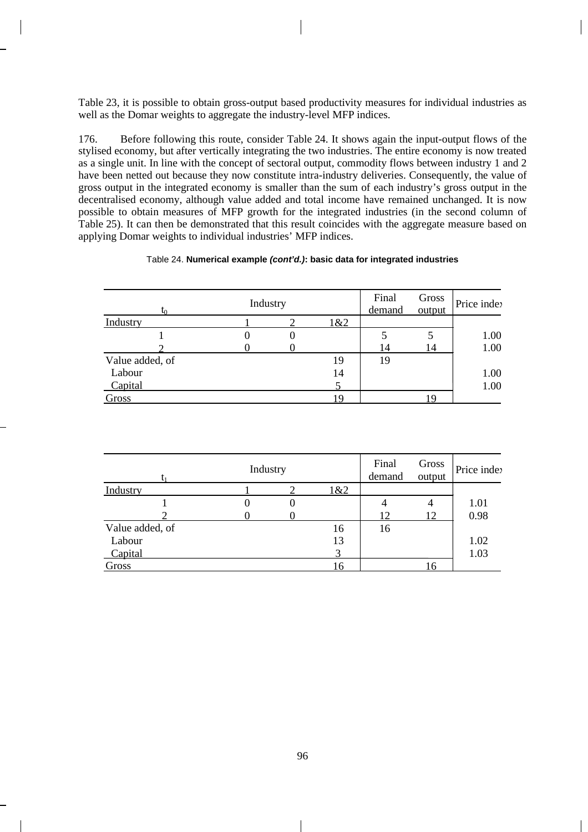Table 23, it is possible to obtain gross-output based productivity measures for individual industries as well as the Domar weights to aggregate the industry-level MFP indices.

176. Before following this route, consider Table 24. It shows again the input-output flows of the stylised economy, but after vertically integrating the two industries. The entire economy is now treated as a single unit. In line with the concept of sectoral output, commodity flows between industry 1 and 2 have been netted out because they now constitute intra-industry deliveries. Consequently, the value of gross output in the integrated economy is smaller than the sum of each industry's gross output in the decentralised economy, although value added and total income have remained unchanged. It is now possible to obtain measures of MFP growth for the integrated industries (in the second column of Table 25). It can then be demonstrated that this result coincides with the aggregate measure based on applying Domar weights to individual industries' MFP indices.

| t۵              | Industry |      | Final<br>demand | Gross<br>output | Price index |
|-----------------|----------|------|-----------------|-----------------|-------------|
| Industry        |          | 1&82 |                 |                 |             |
|                 |          |      |                 |                 | 1.00        |
|                 |          |      | 14              |                 | 1.00        |
| Value added, of |          | 19   | 19              |                 |             |
| Labour          |          | 14   |                 |                 | 1.00        |
| Capital         |          |      |                 |                 | 1.00        |
| Gross           |          |      |                 |                 |             |

### Table 24. **Numerical example (cont'd.): basic data for integrated industries**

|                 | Final<br>demand | Gross<br>output | Price index |    |      |
|-----------------|-----------------|-----------------|-------------|----|------|
| Industry        |                 | 1&82            |             |    |      |
|                 | O               |                 |             |    | 1.01 |
|                 |                 |                 | 12          | 12 | 0.98 |
| Value added, of |                 | 16              | 16          |    |      |
| Labour          |                 | 13              |             |    | 1.02 |
| Capital         |                 |                 |             |    | 1.03 |
| Gross           |                 | 16              |             |    |      |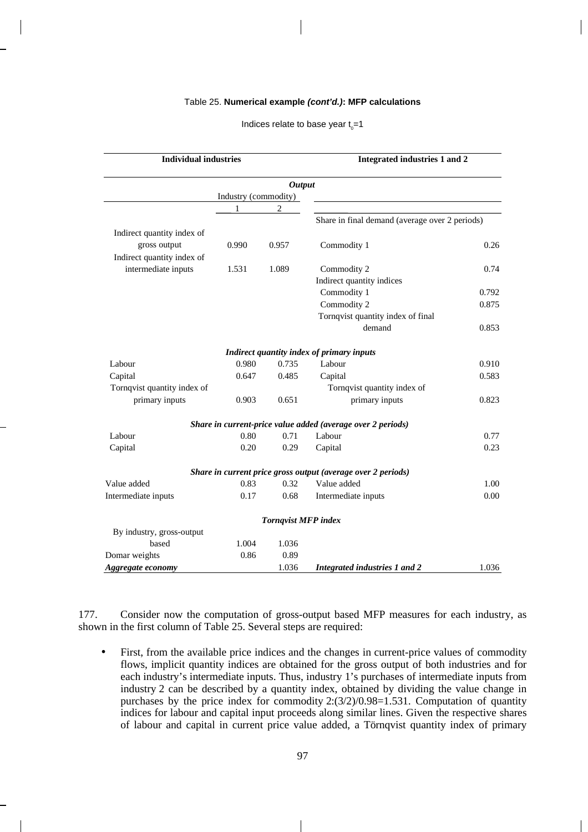#### Table 25. **Numerical example (cont'd.): MFP calculations**

| <b>Individual industries</b> |                      |                            | Integrated industries 1 and 2                                |       |  |
|------------------------------|----------------------|----------------------------|--------------------------------------------------------------|-------|--|
|                              |                      | <b>Output</b>              |                                                              |       |  |
|                              | Industry (commodity) |                            |                                                              |       |  |
|                              | 1                    | 2                          |                                                              |       |  |
|                              |                      |                            | Share in final demand (average over 2 periods)               |       |  |
| Indirect quantity index of   |                      |                            |                                                              |       |  |
| gross output                 | 0.990                | 0.957                      | Commodity 1                                                  | 0.26  |  |
| Indirect quantity index of   |                      |                            |                                                              |       |  |
| intermediate inputs          | 1.531                | 1.089                      | Commodity 2                                                  | 0.74  |  |
|                              |                      |                            | Indirect quantity indices                                    |       |  |
|                              |                      |                            | Commodity 1                                                  | 0.792 |  |
|                              |                      |                            | Commodity 2                                                  | 0.875 |  |
|                              |                      |                            | Tornqvist quantity index of final                            |       |  |
|                              |                      |                            | demand                                                       | 0.853 |  |
|                              |                      |                            | Indirect quantity index of primary inputs                    |       |  |
| Labour                       | 0.980                | 0.735                      | Labour                                                       | 0.910 |  |
| Capital                      | 0.647                | 0.485                      | Capital                                                      | 0.583 |  |
| Tornqvist quantity index of  |                      |                            | Tornqvist quantity index of                                  |       |  |
| primary inputs               | 0.903                | 0.651                      | primary inputs                                               | 0.823 |  |
|                              |                      |                            | Share in current-price value added (average over 2 periods)  |       |  |
| Labour                       | 0.80                 | 0.71                       | Labour                                                       | 0.77  |  |
| Capital                      | 0.20                 | 0.29                       | Capital                                                      | 0.23  |  |
|                              |                      |                            | Share in current price gross output (average over 2 periods) |       |  |
| Value added                  | 0.83                 | 0.32                       | Value added                                                  | 1.00  |  |
| Intermediate inputs          | 0.17                 | 0.68                       | Intermediate inputs                                          | 0.00  |  |
|                              |                      | <b>Tornqvist MFP</b> index |                                                              |       |  |
| By industry, gross-output    |                      |                            |                                                              |       |  |
| based                        | 1.004                | 1.036                      |                                                              |       |  |
| Domar weights                | 0.86                 | 0.89                       |                                                              |       |  |
| Aggregate economy            |                      | 1.036                      | Integrated industries 1 and 2                                | 1.036 |  |

Indices relate to base year  $t_0 = 1$ 

177. Consider now the computation of gross-output based MFP measures for each industry, as shown in the first column of Table 25. Several steps are required:

• First, from the available price indices and the changes in current-price values of commodity flows, implicit quantity indices are obtained for the gross output of both industries and for each industry's intermediate inputs. Thus, industry 1's purchases of intermediate inputs from industry 2 can be described by a quantity index, obtained by dividing the value change in purchases by the price index for commodity  $2:(3/2)/0.98=1.531$ . Computation of quantity indices for labour and capital input proceeds along similar lines. Given the respective shares of labour and capital in current price value added, a Törnqvist quantity index of primary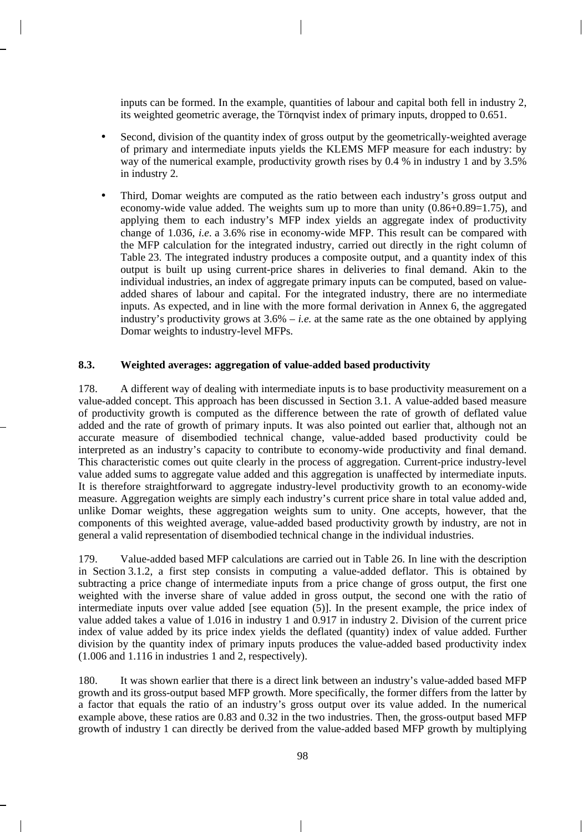inputs can be formed. In the example, quantities of labour and capital both fell in industry 2, its weighted geometric average, the Törnqvist index of primary inputs, dropped to 0.651.

- Second, division of the quantity index of gross output by the geometrically-weighted average of primary and intermediate inputs yields the KLEMS MFP measure for each industry: by way of the numerical example, productivity growth rises by 0.4 % in industry 1 and by 3.5% in industry 2.
- Third, Domar weights are computed as the ratio between each industry's gross output and economy-wide value added. The weights sum up to more than unity  $(0.86+0.89=1.75)$ , and applying them to each industry's MFP index yields an aggregate index of productivity change of 1.036, *i.e.* a 3.6% rise in economy-wide MFP. This result can be compared with the MFP calculation for the integrated industry, carried out directly in the right column of Table 23. The integrated industry produces a composite output, and a quantity index of this output is built up using current-price shares in deliveries to final demand. Akin to the individual industries, an index of aggregate primary inputs can be computed, based on valueadded shares of labour and capital. For the integrated industry, there are no intermediate inputs. As expected, and in line with the more formal derivation in Annex 6, the aggregated industry's productivity grows at  $3.6\%$  – *i.e.* at the same rate as the one obtained by applying Domar weights to industry-level MFPs.

# **8.3. Weighted averages: aggregation of value-added based productivity**

178. A different way of dealing with intermediate inputs is to base productivity measurement on a value-added concept. This approach has been discussed in Section 3.1. A value-added based measure of productivity growth is computed as the difference between the rate of growth of deflated value added and the rate of growth of primary inputs. It was also pointed out earlier that, although not an accurate measure of disembodied technical change, value-added based productivity could be interpreted as an industry's capacity to contribute to economy-wide productivity and final demand. This characteristic comes out quite clearly in the process of aggregation. Current-price industry-level value added sums to aggregate value added and this aggregation is unaffected by intermediate inputs. It is therefore straightforward to aggregate industry-level productivity growth to an economy-wide measure. Aggregation weights are simply each industry's current price share in total value added and, unlike Domar weights, these aggregation weights sum to unity. One accepts, however, that the components of this weighted average, value-added based productivity growth by industry, are not in general a valid representation of disembodied technical change in the individual industries.

179. Value-added based MFP calculations are carried out in Table 26. In line with the description in Section 3.1.2, a first step consists in computing a value-added deflator. This is obtained by subtracting a price change of intermediate inputs from a price change of gross output, the first one weighted with the inverse share of value added in gross output, the second one with the ratio of intermediate inputs over value added [see equation (5)]. In the present example, the price index of value added takes a value of 1.016 in industry 1 and 0.917 in industry 2. Division of the current price index of value added by its price index yields the deflated (quantity) index of value added. Further division by the quantity index of primary inputs produces the value-added based productivity index (1.006 and 1.116 in industries 1 and 2, respectively).

180. It was shown earlier that there is a direct link between an industry's value-added based MFP growth and its gross-output based MFP growth. More specifically, the former differs from the latter by a factor that equals the ratio of an industry's gross output over its value added. In the numerical example above, these ratios are 0.83 and 0.32 in the two industries. Then, the gross-output based MFP growth of industry 1 can directly be derived from the value-added based MFP growth by multiplying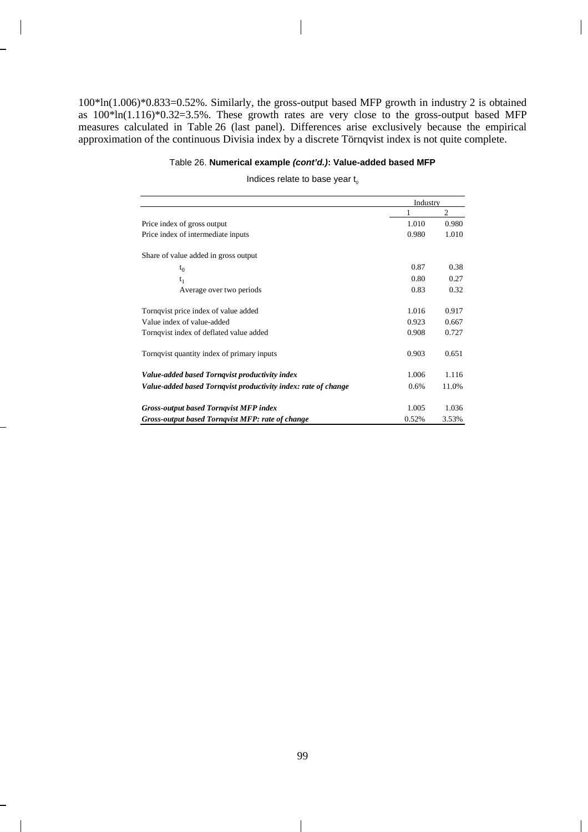100\*ln(1.006)\*0.833=0.52%. Similarly, the gross-output based MFP growth in industry 2 is obtained as  $100*ln(1.116)*0.32=3.5%$ . These growth rates are very close to the gross-output based MFP measures calculated in Table 26 (last panel). Differences arise exclusively because the empirical approximation of the continuous Divisia index by a discrete Törnqvist index is not quite complete.

#### Table 26. **Numerical example (cont'd.): Value-added based MFP**

|                                                                | Industry |                |
|----------------------------------------------------------------|----------|----------------|
|                                                                |          | $\mathfrak{2}$ |
| Price index of gross output                                    | 1.010    | 0.980          |
| Price index of intermediate inputs                             | 0.980    | 1.010          |
| Share of value added in gross output                           |          |                |
| $t_{0}$                                                        | 0.87     | 0.38           |
| $t_1$                                                          | 0.80     | 0.27           |
| Average over two periods                                       | 0.83     | 0.32           |
| Tornqvist price index of value added                           | 1.016    | 0.917          |
| Value index of value-added                                     | 0.923    | 0.667          |
| Tornqvist index of deflated value added                        | 0.908    | 0.727          |
| Tornqvist quantity index of primary inputs                     | 0.903    | 0.651          |
| Value-added based Tornqvist productivity index                 | 1.006    | 1.116          |
| Value-added based Tornqvist productivity index: rate of change | 0.6%     | 11.0%          |
| <b>Gross-output based Tornqvist MFP index</b>                  | 1.005    | 1.036          |
| Gross-output based Tornavist MFP: rate of change               | 0.52%    | 3.53%          |

Indices relate to base year  $t_0$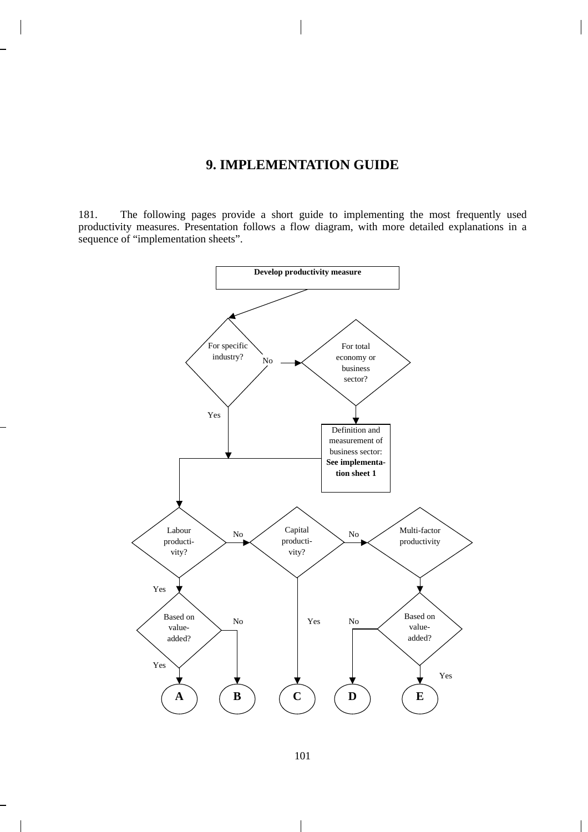# **9. IMPLEMENTATION GUIDE**

181. The following pages provide a short guide to implementing the most frequently used productivity measures. Presentation follows a flow diagram, with more detailed explanations in a sequence of "implementation sheets".

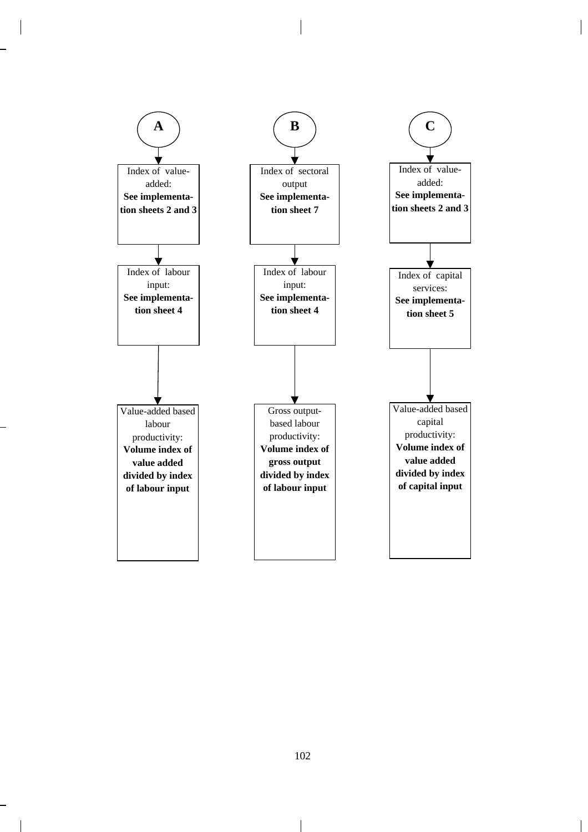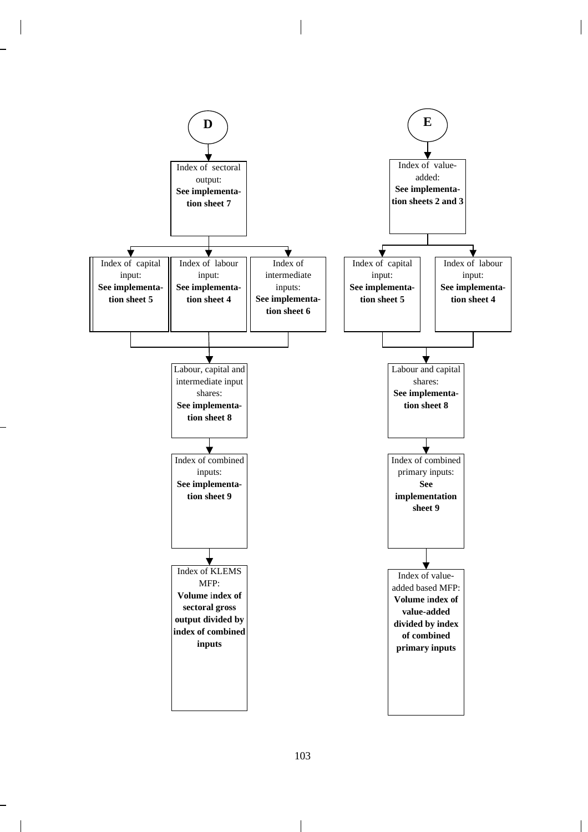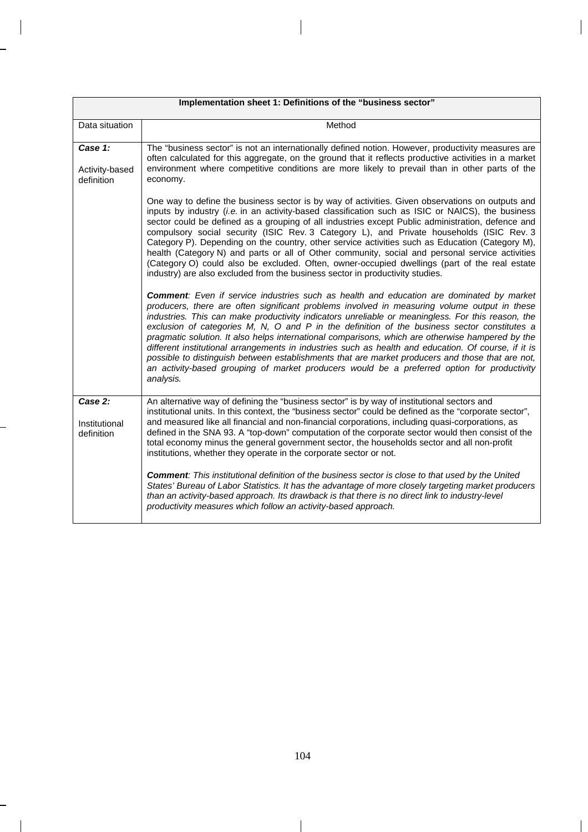| Implementation sheet 1: Definitions of the "business sector" |                                                                                                                                                                                                                                                                                                                                                                                                                                                                                                                                                                                                                                                                                                                                                                                                                                  |  |
|--------------------------------------------------------------|----------------------------------------------------------------------------------------------------------------------------------------------------------------------------------------------------------------------------------------------------------------------------------------------------------------------------------------------------------------------------------------------------------------------------------------------------------------------------------------------------------------------------------------------------------------------------------------------------------------------------------------------------------------------------------------------------------------------------------------------------------------------------------------------------------------------------------|--|
| Data situation                                               | Method                                                                                                                                                                                                                                                                                                                                                                                                                                                                                                                                                                                                                                                                                                                                                                                                                           |  |
| Case $1$ :<br>Activity-based<br>definition                   | The "business sector" is not an internationally defined notion. However, productivity measures are<br>often calculated for this aggregate, on the ground that it reflects productive activities in a market<br>environment where competitive conditions are more likely to prevail than in other parts of the<br>economy.                                                                                                                                                                                                                                                                                                                                                                                                                                                                                                        |  |
|                                                              | One way to define the business sector is by way of activities. Given observations on outputs and<br>inputs by industry (i.e. in an activity-based classification such as ISIC or NAICS), the business<br>sector could be defined as a grouping of all industries except Public administration, defence and<br>compulsory social security (ISIC Rev. 3 Category L), and Private households (ISIC Rev. 3<br>Category P). Depending on the country, other service activities such as Education (Category M),<br>health (Category N) and parts or all of Other community, social and personal service activities<br>(Category O) could also be excluded. Often, owner-occupied dwellings (part of the real estate<br>industry) are also excluded from the business sector in productivity studies.                                   |  |
|                                                              | <b>Comment:</b> Even if service industries such as health and education are dominated by market<br>producers, there are often significant problems involved in measuring volume output in these<br>industries. This can make productivity indicators unreliable or meaningless. For this reason, the<br>exclusion of categories M, N, O and P in the definition of the business sector constitutes a<br>pragmatic solution. It also helps international comparisons, which are otherwise hampered by the<br>different institutional arrangements in industries such as health and education. Of course, if it is<br>possible to distinguish between establishments that are market producers and those that are not,<br>an activity-based grouping of market producers would be a preferred option for productivity<br>analysis. |  |
| Case 2:<br>Institutional<br>definition                       | An alternative way of defining the "business sector" is by way of institutional sectors and<br>institutional units. In this context, the "business sector" could be defined as the "corporate sector",<br>and measured like all financial and non-financial corporations, including quasi-corporations, as<br>defined in the SNA 93. A "top-down" computation of the corporate sector would then consist of the<br>total economy minus the general government sector, the households sector and all non-profit<br>institutions, whether they operate in the corporate sector or not.                                                                                                                                                                                                                                             |  |
|                                                              | <b>Comment:</b> This institutional definition of the business sector is close to that used by the United<br>States' Bureau of Labor Statistics. It has the advantage of more closely targeting market producers<br>than an activity-based approach. Its drawback is that there is no direct link to industry-level<br>productivity measures which follow an activity-based approach.                                                                                                                                                                                                                                                                                                                                                                                                                                             |  |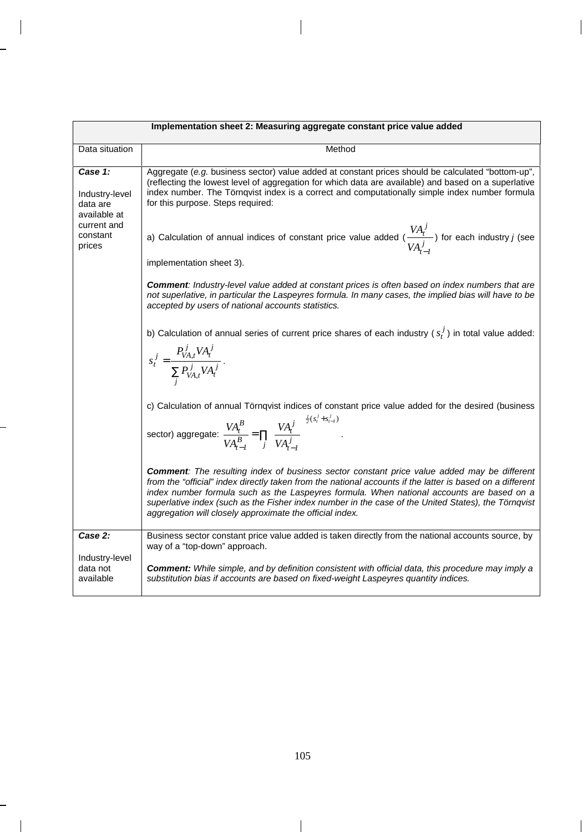| Implementation sheet 2: Measuring aggregate constant price value added                     |                                                                                                                                                                                                                                                                                                                                                                                                                                                                                 |  |
|--------------------------------------------------------------------------------------------|---------------------------------------------------------------------------------------------------------------------------------------------------------------------------------------------------------------------------------------------------------------------------------------------------------------------------------------------------------------------------------------------------------------------------------------------------------------------------------|--|
| Data situation                                                                             | Method                                                                                                                                                                                                                                                                                                                                                                                                                                                                          |  |
| Case 1:<br>Industry-level<br>data are<br>available at<br>current and<br>constant<br>prices | Aggregate (e.g. business sector) value added at constant prices should be calculated "bottom-up",<br>(reflecting the lowest level of aggregation for which data are available) and based on a superlative<br>index number. The Törnqvist index is a correct and computationally simple index number formula<br>for this purpose. Steps required:                                                                                                                                |  |
|                                                                                            | a) Calculation of annual indices of constant price value added $(\frac{VA_t^J}{VA_{t-}^J})$ for each industry <i>j</i> (see                                                                                                                                                                                                                                                                                                                                                     |  |
|                                                                                            | implementation sheet 3).                                                                                                                                                                                                                                                                                                                                                                                                                                                        |  |
|                                                                                            | <b>Comment:</b> Industry-level value added at constant prices is often based on index numbers that are<br>not superlative, in particular the Laspeyres formula. In many cases, the implied bias will have to be<br>accepted by users of national accounts statistics.                                                                                                                                                                                                           |  |
|                                                                                            | b) Calculation of annual series of current price shares of each industry $(s_t^j)$ in total value added:                                                                                                                                                                                                                                                                                                                                                                        |  |
|                                                                                            | $s_t^j = \frac{P_{VA,t}^j VA_t^j}{\sum_i P_{VA,t}^j VA_t^j}.$                                                                                                                                                                                                                                                                                                                                                                                                                   |  |
|                                                                                            | c) Calculation of annual Törnqvist indices of constant price value added for the desired (business<br>sector) aggregate: $\frac{VA_t^B}{VA_{t-1}^B} = \prod_j \left( \frac{VA_t^j}{VA_{t-1}^j} \right)^{\frac{1}{2}(s_t^j + s_{t-1}^j)}$ .                                                                                                                                                                                                                                      |  |
|                                                                                            | <b>Comment:</b> The resulting index of business sector constant price value added may be different<br>from the "official" index directly taken from the national accounts if the latter is based on a different<br>index number formula such as the Laspeyres formula. When national accounts are based on a<br>superlative index (such as the Fisher index number in the case of the United States), the Törnqvist<br>aggregation will closely approximate the official index. |  |
| Case 2:                                                                                    | Business sector constant price value added is taken directly from the national accounts source, by<br>way of a "top-down" approach.                                                                                                                                                                                                                                                                                                                                             |  |
| Industry-level<br>data not<br>available                                                    | Comment: While simple, and by definition consistent with official data, this procedure may imply a<br>substitution bias if accounts are based on fixed-weight Laspeyres quantity indices.                                                                                                                                                                                                                                                                                       |  |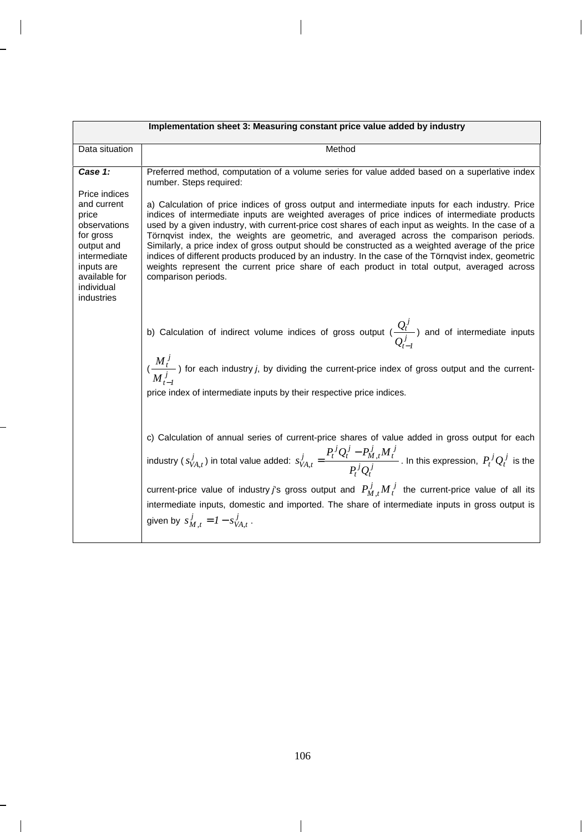| Implementation sheet 3: Measuring constant price value added by industry                                                                                    |                                                                                                                                                                                                                                                                                                                                                                                                                                                                                                                                                                                                                                                                                                                                        |  |
|-------------------------------------------------------------------------------------------------------------------------------------------------------------|----------------------------------------------------------------------------------------------------------------------------------------------------------------------------------------------------------------------------------------------------------------------------------------------------------------------------------------------------------------------------------------------------------------------------------------------------------------------------------------------------------------------------------------------------------------------------------------------------------------------------------------------------------------------------------------------------------------------------------------|--|
| Data situation                                                                                                                                              | Method                                                                                                                                                                                                                                                                                                                                                                                                                                                                                                                                                                                                                                                                                                                                 |  |
| Case 1:                                                                                                                                                     | Preferred method, computation of a volume series for value added based on a superlative index<br>number. Steps required:                                                                                                                                                                                                                                                                                                                                                                                                                                                                                                                                                                                                               |  |
| Price indices<br>and current<br>price<br>observations<br>for gross<br>output and<br>intermediate<br>inputs are<br>available for<br>individual<br>industries | a) Calculation of price indices of gross output and intermediate inputs for each industry. Price<br>indices of intermediate inputs are weighted averages of price indices of intermediate products<br>used by a given industry, with current-price cost shares of each input as weights. In the case of a<br>Törnqvist index, the weights are geometric, and averaged across the comparison periods.<br>Similarly, a price index of gross output should be constructed as a weighted average of the price<br>indices of different products produced by an industry. In the case of the Törnqvist index, geometric<br>weights represent the current price share of each product in total output, averaged across<br>comparison periods. |  |
|                                                                                                                                                             | b) Calculation of indirect volume indices of gross output $(\frac{Q_t^j}{Q_{t-l}^j})$ and of intermediate inputs                                                                                                                                                                                                                                                                                                                                                                                                                                                                                                                                                                                                                       |  |
|                                                                                                                                                             | $(\frac{M_t^j}{M_{t-1}^j})$ for each industry <i>j</i> , by dividing the current-price index of gross output and the current-                                                                                                                                                                                                                                                                                                                                                                                                                                                                                                                                                                                                          |  |
|                                                                                                                                                             | price index of intermediate inputs by their respective price indices.                                                                                                                                                                                                                                                                                                                                                                                                                                                                                                                                                                                                                                                                  |  |
|                                                                                                                                                             | c) Calculation of annual series of current-price shares of value added in gross output for each<br>industry ( $s_{VA,t}^j$ ) in total value added: $s_{VA,t}^j = \frac{P_t^j Q_t^j - P_{M,t}^j M_t^j}{P_t^j O_t^j}$ . In this expression, $P_t^j Q_t^j$ is the                                                                                                                                                                                                                                                                                                                                                                                                                                                                         |  |
|                                                                                                                                                             | current-price value of industry is gross output and $P_{M,t}^{j}M_t^{j}$ the current-price value of all its<br>intermediate inputs, domestic and imported. The share of intermediate inputs in gross output is<br>given by $s_{M,t}^{\,J} = 1 - s_{VA,t}^{\,J}$ .                                                                                                                                                                                                                                                                                                                                                                                                                                                                      |  |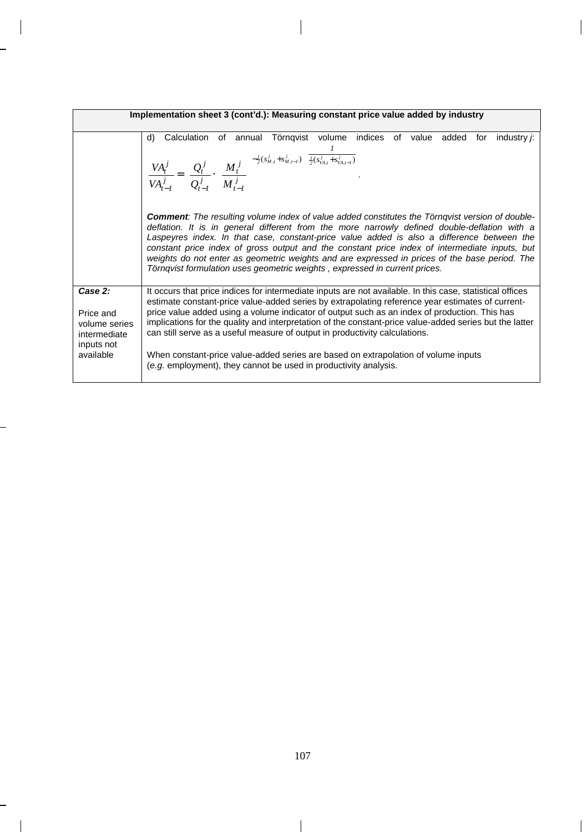| Implementation sheet 3 (cont'd.): Measuring constant price value added by industry |                                                                                                                                                                                                                                                                                                                                                                                                                                                                                                                                                                                      |  |  |
|------------------------------------------------------------------------------------|--------------------------------------------------------------------------------------------------------------------------------------------------------------------------------------------------------------------------------------------------------------------------------------------------------------------------------------------------------------------------------------------------------------------------------------------------------------------------------------------------------------------------------------------------------------------------------------|--|--|
|                                                                                    | Calculation of annual Törnqvist volume indices of value added<br>d)<br>industry <i>j</i> :<br>for<br>$\frac{VA_t^j}{VA_{t-1}^j} = \left( \frac{Q_t^j}{Q_{t-1}^j} \cdot \left( \frac{M_t^j}{M_{t-1}^j} \right)^{-\frac{1}{2}(s_{M,t}^j + s_{M,t-1}^j)} \right)^{\frac{1}{\frac{1}{2}(s_{VA,t}^j + s_{VA,t-1}^j)}}.$                                                                                                                                                                                                                                                                   |  |  |
|                                                                                    | <b>Comment:</b> The resulting volume index of value added constitutes the Törngvist version of double-<br>deflation. It is in general different from the more narrowly defined double-deflation with a<br>Laspeyres index. In that case, constant-price value added is also a difference between the<br>constant price index of gross output and the constant price index of intermediate inputs, but<br>weights do not enter as geometric weights and are expressed in prices of the base period. The<br>Törnqvist formulation uses geometric weights, expressed in current prices. |  |  |
| Case 2:<br>Price and<br>volume series<br>intermediate<br>inputs not<br>available   | It occurs that price indices for intermediate inputs are not available. In this case, statistical offices<br>estimate constant-price value-added series by extrapolating reference year estimates of current-<br>price value added using a volume indicator of output such as an index of production. This has<br>implications for the quality and interpretation of the constant-price value-added series but the latter<br>can still serve as a useful measure of output in productivity calculations.                                                                             |  |  |
|                                                                                    | When constant-price value-added series are based on extrapolation of volume inputs<br>(e.g. employment), they cannot be used in productivity analysis.                                                                                                                                                                                                                                                                                                                                                                                                                               |  |  |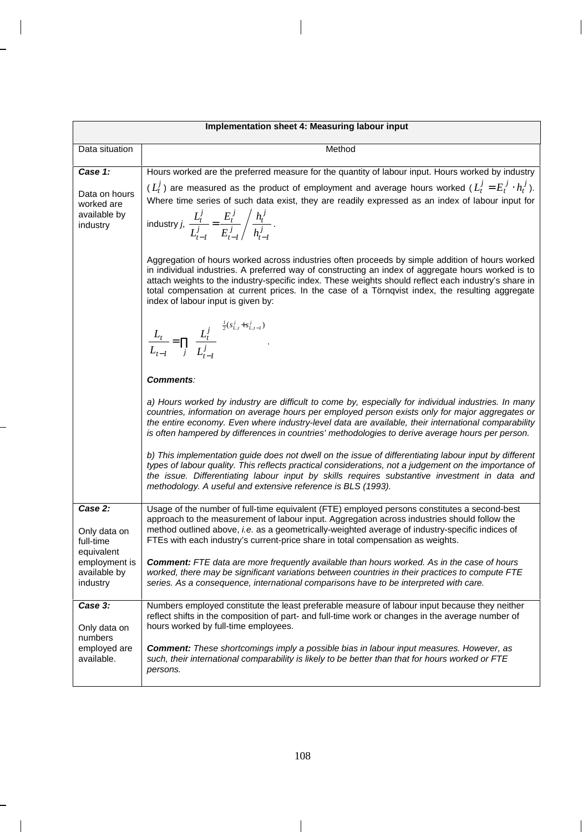|                                                                  | Implementation sheet 4: Measuring labour input                                                                                                                                                                                                                                                                                                                                                                                                         |
|------------------------------------------------------------------|--------------------------------------------------------------------------------------------------------------------------------------------------------------------------------------------------------------------------------------------------------------------------------------------------------------------------------------------------------------------------------------------------------------------------------------------------------|
| Data situation                                                   | Method                                                                                                                                                                                                                                                                                                                                                                                                                                                 |
| Case 1:                                                          | Hours worked are the preferred measure for the quantity of labour input. Hours worked by industry                                                                                                                                                                                                                                                                                                                                                      |
| Data on hours<br>worked are<br>available by<br>industry          | $(L_t^j)$ are measured as the product of employment and average hours worked $(L_t^j = E_t^j \cdot h_t^j)$ .<br>Where time series of such data exist, they are readily expressed as an index of labour input for<br>industry $j$ , $\frac{L^{j}_{t}}{L^{j}_{t-1}} = \frac{E^{j}_{t}}{E^{j}_{t-1}} / \frac{h^{j}_{t}}{h^{j}_{t-1}}$ .                                                                                                                   |
|                                                                  | Aggregation of hours worked across industries often proceeds by simple addition of hours worked<br>in individual industries. A preferred way of constructing an index of aggregate hours worked is to<br>attach weights to the industry-specific index. These weights should reflect each industry's share in<br>total compensation at current prices. In the case of a Törnqvist index, the resulting aggregate<br>index of labour input is given by: |
|                                                                  | $\frac{L_t}{L_{t-1}} = \prod_j \left( \frac{L_t^j}{L_{t-1}^j} \right)^{\frac{1}{2}(s_{L,t}^j + s_{L,t-1}^j)}$                                                                                                                                                                                                                                                                                                                                          |
|                                                                  | <b>Comments:</b>                                                                                                                                                                                                                                                                                                                                                                                                                                       |
|                                                                  | a) Hours worked by industry are difficult to come by, especially for individual industries. In many<br>countries, information on average hours per employed person exists only for major aggregates or<br>the entire economy. Even where industry-level data are available, their international comparability<br>is often hampered by differences in countries' methodologies to derive average hours per person.                                      |
|                                                                  | b) This implementation guide does not dwell on the issue of differentiating labour input by different<br>types of labour quality. This reflects practical considerations, not a judgement on the importance of<br>the issue. Differentiating labour input by skills requires substantive investment in data and<br>methodology. A useful and extensive reference is BLS (1993).                                                                        |
| Case 2:<br>Only data on<br>full-time<br>equivalent               | Usage of the number of full-time equivalent (FTE) employed persons constitutes a second-best<br>approach to the measurement of labour input. Aggregation across industries should follow the<br>method outlined above, i.e. as a geometrically-weighted average of industry-specific indices of<br>FTEs with each industry's current-price share in total compensation as weights.                                                                     |
| employment is<br>available by<br>industry                        | Comment: FTE data are more frequently available than hours worked. As in the case of hours<br>worked, there may be significant variations between countries in their practices to compute FTE<br>series. As a consequence, international comparisons have to be interpreted with care.                                                                                                                                                                 |
| Case 3:<br>Only data on<br>numbers<br>employed are<br>available. | Numbers employed constitute the least preferable measure of labour input because they neither<br>reflect shifts in the composition of part- and full-time work or changes in the average number of<br>hours worked by full-time employees.                                                                                                                                                                                                             |
|                                                                  | <b>Comment:</b> These shortcomings imply a possible bias in labour input measures. However, as<br>such, their international comparability is likely to be better than that for hours worked or FTE<br>persons.                                                                                                                                                                                                                                         |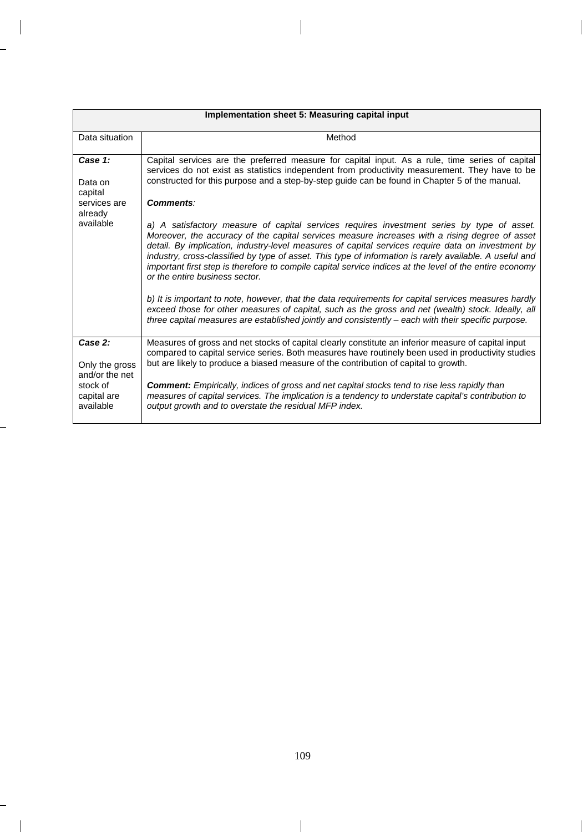| Implementation sheet 5: Measuring capital input        |                                                                                                                                                                                                                                                                                                                                                                                                                                                                                                                                                           |  |
|--------------------------------------------------------|-----------------------------------------------------------------------------------------------------------------------------------------------------------------------------------------------------------------------------------------------------------------------------------------------------------------------------------------------------------------------------------------------------------------------------------------------------------------------------------------------------------------------------------------------------------|--|
| Data situation                                         | Method                                                                                                                                                                                                                                                                                                                                                                                                                                                                                                                                                    |  |
| Case 1:<br>Data on<br>capital                          | Capital services are the preferred measure for capital input. As a rule, time series of capital<br>services do not exist as statistics independent from productivity measurement. They have to be<br>constructed for this purpose and a step-by-step guide can be found in Chapter 5 of the manual.                                                                                                                                                                                                                                                       |  |
| services are<br>already                                | <b>Comments:</b>                                                                                                                                                                                                                                                                                                                                                                                                                                                                                                                                          |  |
| available                                              | a) A satisfactory measure of capital services requires investment series by type of asset.<br>Moreover, the accuracy of the capital services measure increases with a rising degree of asset<br>detail. By implication, industry-level measures of capital services require data on investment by<br>industry, cross-classified by type of asset. This type of information is rarely available. A useful and<br>important first step is therefore to compile capital service indices at the level of the entire economy<br>or the entire business sector. |  |
|                                                        | b) It is important to note, however, that the data requirements for capital services measures hardly<br>exceed those for other measures of capital, such as the gross and net (wealth) stock. Ideally, all<br>three capital measures are established jointly and consistently – each with their specific purpose.                                                                                                                                                                                                                                         |  |
| Case 2:<br>Only the gross                              | Measures of gross and net stocks of capital clearly constitute an inferior measure of capital input<br>compared to capital service series. Both measures have routinely been used in productivity studies<br>but are likely to produce a biased measure of the contribution of capital to growth.                                                                                                                                                                                                                                                         |  |
| and/or the net<br>stock of<br>capital are<br>available | <b>Comment:</b> Empirically, indices of gross and net capital stocks tend to rise less rapidly than<br>measures of capital services. The implication is a tendency to understate capital's contribution to<br>output growth and to overstate the residual MFP index.                                                                                                                                                                                                                                                                                      |  |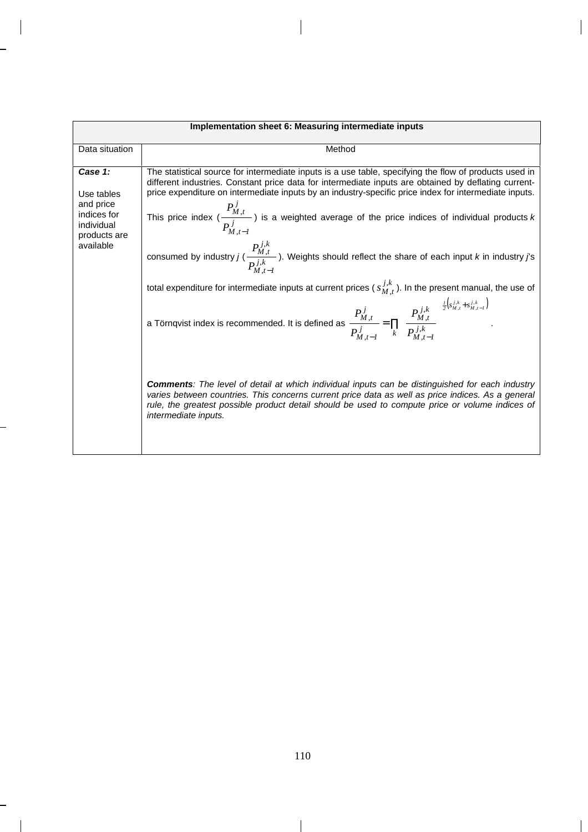| Implementation sheet 6: Measuring intermediate inputs                                        |                                                                                                                                                                                                                                                                                                                                                                                                                                                                                                                                                                                                                                                                                                                                                                                                                                                                                                                                                                                                                                                                                                                                                                                                                                                                                    |  |
|----------------------------------------------------------------------------------------------|------------------------------------------------------------------------------------------------------------------------------------------------------------------------------------------------------------------------------------------------------------------------------------------------------------------------------------------------------------------------------------------------------------------------------------------------------------------------------------------------------------------------------------------------------------------------------------------------------------------------------------------------------------------------------------------------------------------------------------------------------------------------------------------------------------------------------------------------------------------------------------------------------------------------------------------------------------------------------------------------------------------------------------------------------------------------------------------------------------------------------------------------------------------------------------------------------------------------------------------------------------------------------------|--|
| Data situation                                                                               | Method                                                                                                                                                                                                                                                                                                                                                                                                                                                                                                                                                                                                                                                                                                                                                                                                                                                                                                                                                                                                                                                                                                                                                                                                                                                                             |  |
| Case 1:<br>Use tables<br>and price<br>indices for<br>individual<br>products are<br>available | The statistical source for intermediate inputs is a use table, specifying the flow of products used in<br>different industries. Constant price data for intermediate inputs are obtained by deflating current-<br>price expenditure on intermediate inputs by an industry-specific price index for intermediate inputs.<br>This price index $\left(\frac{P_{M,t}^j}{P_{M,t-1}^j}\right)$ is a weighted average of the price indices of individual products $k$<br>consumed by industry $j\left(\frac{P_{M,t}^{j,k}}{P_{M,t-1}^{j,k}}\right)$ . Weights should reflect the share of each input $k$<br>total expenditure for intermediate inputs at current prices ( $s_{M,t}^{j,k}$ ). In the present manual, the use of<br>a Törnqvist index is recommended. It is defined as $\frac{P^j_{M,t}}{P^j_{M,t-1}} = \prod_k \left( \frac{P^{j,k}_{M,t}}{P^{j,k}_{M,t-1}} \right)^{\frac{1}{2}\left(S^{j,k}_{M,t} + S^{j,k}_{M,t-1}\right)}$ .<br><b>Comments:</b> The level of detail at which individual inputs can be distinguished for each industry<br>varies between countries. This concerns current price data as well as price indices. As a general<br>rule, the greatest possible product detail should be used to compute price or volume indices of<br>intermediate inputs. |  |
|                                                                                              |                                                                                                                                                                                                                                                                                                                                                                                                                                                                                                                                                                                                                                                                                                                                                                                                                                                                                                                                                                                                                                                                                                                                                                                                                                                                                    |  |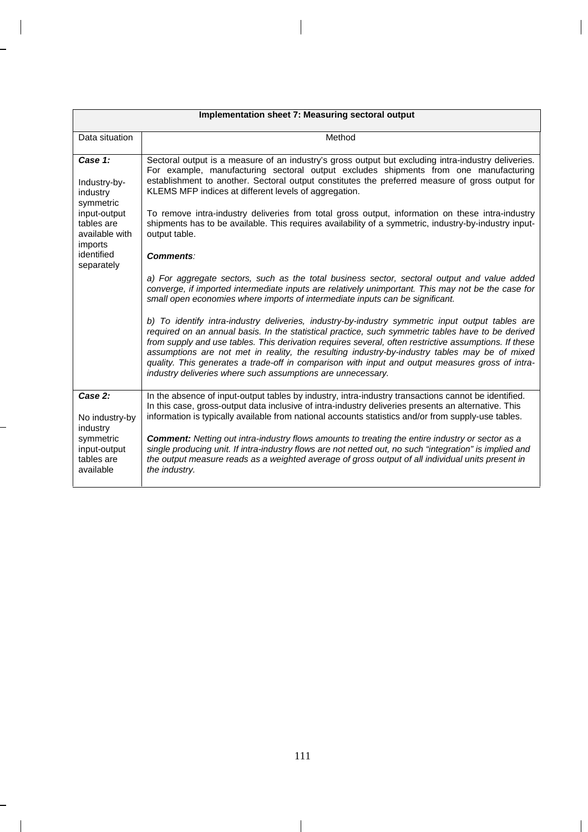| Implementation sheet 7: Measuring sectoral output                |                                                                                                                                                                                                                                                                                                                                                                                                                                                                                                                                                                                     |  |
|------------------------------------------------------------------|-------------------------------------------------------------------------------------------------------------------------------------------------------------------------------------------------------------------------------------------------------------------------------------------------------------------------------------------------------------------------------------------------------------------------------------------------------------------------------------------------------------------------------------------------------------------------------------|--|
| Data situation                                                   | Method                                                                                                                                                                                                                                                                                                                                                                                                                                                                                                                                                                              |  |
| Case $1$ :<br>Industry-by-<br>industry<br>symmetric              | Sectoral output is a measure of an industry's gross output but excluding intra-industry deliveries.<br>For example, manufacturing sectoral output excludes shipments from one manufacturing<br>establishment to another. Sectoral output constitutes the preferred measure of gross output for<br>KLEMS MFP indices at different levels of aggregation.                                                                                                                                                                                                                             |  |
| input-output<br>tables are<br>available with<br>imports          | To remove intra-industry deliveries from total gross output, information on these intra-industry<br>shipments has to be available. This requires availability of a symmetric, industry-by-industry input-<br>output table.                                                                                                                                                                                                                                                                                                                                                          |  |
| identified<br>separately                                         | <b>Comments:</b>                                                                                                                                                                                                                                                                                                                                                                                                                                                                                                                                                                    |  |
|                                                                  | a) For aggregate sectors, such as the total business sector, sectoral output and value added<br>converge, if imported intermediate inputs are relatively unimportant. This may not be the case for<br>small open economies where imports of intermediate inputs can be significant.                                                                                                                                                                                                                                                                                                 |  |
|                                                                  | b) To identify intra-industry deliveries, industry-by-industry symmetric input output tables are<br>required on an annual basis. In the statistical practice, such symmetric tables have to be derived<br>from supply and use tables. This derivation requires several, often restrictive assumptions. If these<br>assumptions are not met in reality, the resulting industry-by-industry tables may be of mixed<br>quality. This generates a trade-off in comparison with input and output measures gross of intra-<br>industry deliveries where such assumptions are unnecessary. |  |
| Case 2:<br>No industry-by                                        | In the absence of input-output tables by industry, intra-industry transactions cannot be identified.<br>In this case, gross-output data inclusive of intra-industry deliveries presents an alternative. This<br>information is typically available from national accounts statistics and/or from supply-use tables.                                                                                                                                                                                                                                                                 |  |
| industry<br>symmetric<br>input-output<br>tables are<br>available | <b>Comment:</b> Netting out intra-industry flows amounts to treating the entire industry or sector as a<br>single producing unit. If intra-industry flows are not netted out, no such "integration" is implied and<br>the output measure reads as a weighted average of gross output of all individual units present in<br>the industry.                                                                                                                                                                                                                                            |  |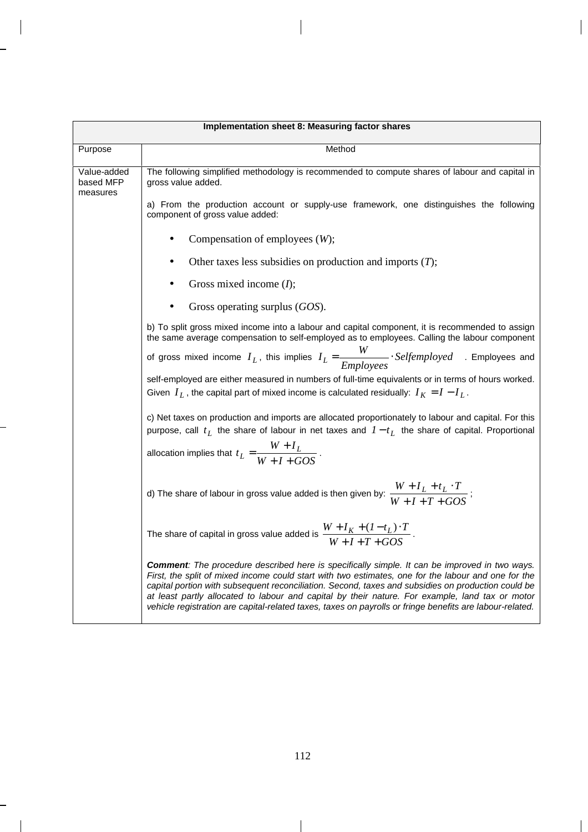| Implementation sheet 8: Measuring factor shares |                                                                                                                                                                                                                                                                                                                                                                                                                                                                                                                                  |  |
|-------------------------------------------------|----------------------------------------------------------------------------------------------------------------------------------------------------------------------------------------------------------------------------------------------------------------------------------------------------------------------------------------------------------------------------------------------------------------------------------------------------------------------------------------------------------------------------------|--|
| Purpose                                         | Method                                                                                                                                                                                                                                                                                                                                                                                                                                                                                                                           |  |
| Value-added<br>based MFP<br>measures            | The following simplified methodology is recommended to compute shares of labour and capital in<br>gross value added.                                                                                                                                                                                                                                                                                                                                                                                                             |  |
|                                                 | a) From the production account or supply-use framework, one distinguishes the following<br>component of gross value added:                                                                                                                                                                                                                                                                                                                                                                                                       |  |
|                                                 | Compensation of employees $(W)$ ;                                                                                                                                                                                                                                                                                                                                                                                                                                                                                                |  |
|                                                 | Other taxes less subsidies on production and imports $(T)$ ;                                                                                                                                                                                                                                                                                                                                                                                                                                                                     |  |
|                                                 | Gross mixed income $(I)$ ;                                                                                                                                                                                                                                                                                                                                                                                                                                                                                                       |  |
|                                                 | Gross operating surplus $(GOS)$ .                                                                                                                                                                                                                                                                                                                                                                                                                                                                                                |  |
|                                                 | b) To split gross mixed income into a labour and capital component, it is recommended to assign<br>the same average compensation to self-employed as to employees. Calling the labour component                                                                                                                                                                                                                                                                                                                                  |  |
|                                                 | of gross mixed income $I_L$ , this implies $I_L = \frac{W}{Emblovees}$ . Selfemployed . Employees and                                                                                                                                                                                                                                                                                                                                                                                                                            |  |
|                                                 | self-employed are either measured in numbers of full-time equivalents or in terms of hours worked.<br>Given $I_L$ , the capital part of mixed income is calculated residually: $I_K = I - I_L$ .                                                                                                                                                                                                                                                                                                                                 |  |
|                                                 | c) Net taxes on production and imports are allocated proportionately to labour and capital. For this<br>purpose, call $t_L$ the share of labour in net taxes and $I - t_L$ the share of capital. Proportional                                                                                                                                                                                                                                                                                                                    |  |
|                                                 | allocation implies that $t_L = \frac{W + I_L}{W + I + GOS}$ .                                                                                                                                                                                                                                                                                                                                                                                                                                                                    |  |
|                                                 | d) The share of labour in gross value added is then given by: $\frac{W+I_L+t_L \cdot T}{W+I+T+GOS}$ ;                                                                                                                                                                                                                                                                                                                                                                                                                            |  |
|                                                 | The share of capital in gross value added is $\frac{W+I_K+(I-t_L)\cdot T}{W+I+T+GOS}$ .                                                                                                                                                                                                                                                                                                                                                                                                                                          |  |
|                                                 | <b>Comment:</b> The procedure described here is specifically simple. It can be improved in two ways.<br>First, the split of mixed income could start with two estimates, one for the labour and one for the<br>capital portion with subsequent reconciliation. Second, taxes and subsidies on production could be<br>at least partly allocated to labour and capital by their nature. For example, land tax or motor<br>vehicle registration are capital-related taxes, taxes on payrolls or fringe benefits are labour-related. |  |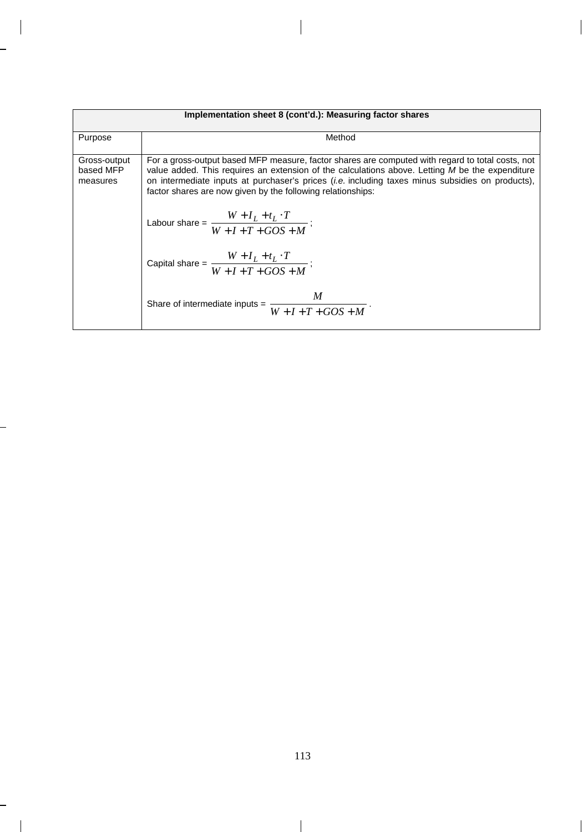| Implementation sheet 8 (cont'd.): Measuring factor shares |                                                                                                                                                                                                                                                                                                                                                                                                                                   |  |
|-----------------------------------------------------------|-----------------------------------------------------------------------------------------------------------------------------------------------------------------------------------------------------------------------------------------------------------------------------------------------------------------------------------------------------------------------------------------------------------------------------------|--|
| Purpose                                                   | Method                                                                                                                                                                                                                                                                                                                                                                                                                            |  |
| Gross-output<br>based MFP<br>measures                     | For a gross-output based MFP measure, factor shares are computed with regard to total costs, not<br>value added. This requires an extension of the calculations above. Letting M be the expenditure<br>on intermediate inputs at purchaser's prices (i.e. including taxes minus subsidies on products),<br>factor shares are now given by the following relationships:<br>Labour share = $\frac{W+I_L+t_L \cdot T}{W+I+T+GOS+M};$ |  |
|                                                           | Capital share = $\frac{W+I_L+t_L \cdot T}{W+I+T+GOS+M};$                                                                                                                                                                                                                                                                                                                                                                          |  |
|                                                           | Share of intermediate inputs = $\frac{M}{W+I+T+GOS+M}$ .                                                                                                                                                                                                                                                                                                                                                                          |  |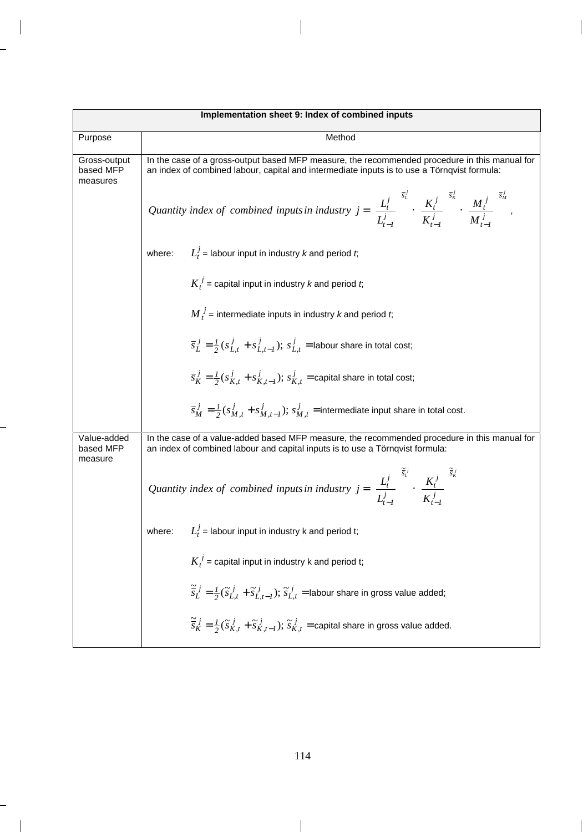| Implementation sheet 9: Index of combined inputs |                                                                                                                                                                                                       |  |
|--------------------------------------------------|-------------------------------------------------------------------------------------------------------------------------------------------------------------------------------------------------------|--|
| Purpose                                          | Method                                                                                                                                                                                                |  |
|                                                  |                                                                                                                                                                                                       |  |
| Gross-output<br>based MFP<br>measures            | In the case of a gross-output based MFP measure, the recommended procedure in this manual for<br>an index of combined labour, capital and intermediate inputs is to use a Törnqvist formula:          |  |
|                                                  | Quantity index of combined inputs in industry $j = \left(\frac{L_t^j}{L_{t-1}^j}\right)^{s'_L} \cdot \left(\frac{K_t^j}{K_{t-1}^j}\right)^{s'_k} \cdot \left(\frac{M_t^j}{M_{t-1}^j}\right)^{s'_M}$ , |  |
|                                                  | $L_t^j$ = labour input in industry k and period t,<br>where:                                                                                                                                          |  |
|                                                  | $K_t^j$ = capital input in industry k and period t,                                                                                                                                                   |  |
|                                                  | $M_t^{\ j}$ = intermediate inputs in industry k and period t,                                                                                                                                         |  |
|                                                  | $\overline{s}^J_L = \frac{1}{2}(s^J_{L,t} + s^J_{L,t-1}); s^J_{L,t}$ = labour share in total cost;                                                                                                    |  |
|                                                  | $\overline{s}_{K}^{J} = \frac{1}{2}(s_{K,t}^{J} + s_{K,t-1}^{J}); s_{K,t}^{J} =$ capital share in total cost;                                                                                         |  |
|                                                  | $\overline{s}_{M}^{J} = \frac{1}{2}(s_{M,t}^{J} + s_{M,t-1}^{J}); s_{M,t}^{J} =$ intermediate input share in total cost.                                                                              |  |
| Value-added<br>based MFP<br>measure              | In the case of a value-added based MFP measure, the recommended procedure in this manual for<br>an index of combined labour and capital inputs is to use a Törnqvist formula:                         |  |
|                                                  | Quantity index of combined inputs in industry $j = \left(\frac{L_t^j}{L_{t-1}^j}\right)^{s_L^j} \cdot \left(\frac{K_t^j}{K_{t-1}^j}\right)^{s_R^j}$                                                   |  |
|                                                  | $L_t^j$ = labour input in industry k and period t;<br>where:                                                                                                                                          |  |
|                                                  | $K_t^j$ = capital input in industry k and period t;                                                                                                                                                   |  |
|                                                  | $\widetilde{\tilde{s}}_L^j = \frac{1}{2}(\widetilde{s}_{L,t}^j + \widetilde{s}_{L,t-l}^j); \widetilde{s}_{L,t}^j$ = labour share in gross value added;                                                |  |
|                                                  | $\widetilde{\vec{s}}_K^{\ j} = \frac{1}{2}(\widetilde{s}_{K,t}^{\ j} + \widetilde{s}_{K,t-1}^{\ j}); \widetilde{s}_{K,t}^{\ j} =$ capital share in gross value added.                                 |  |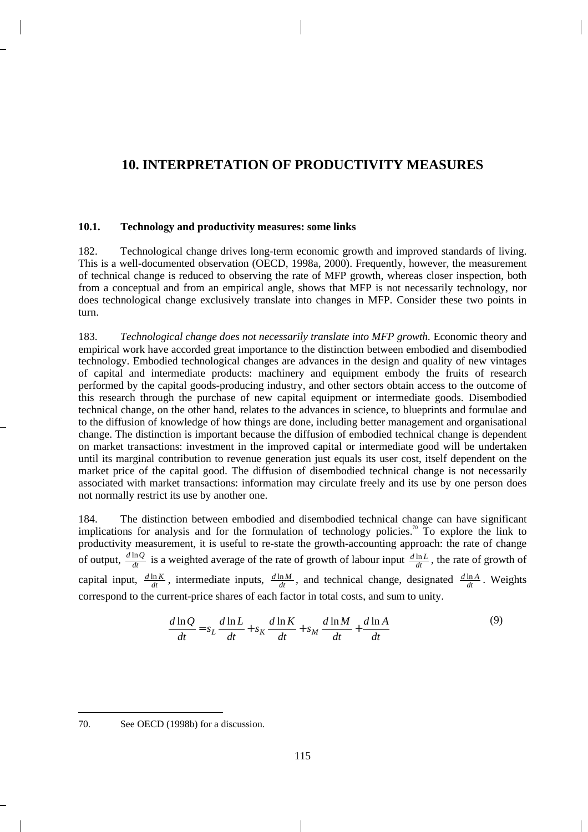# **10. INTERPRETATION OF PRODUCTIVITY MEASURES**

## **10.1. Technology and productivity measures: some links**

182. Technological change drives long-term economic growth and improved standards of living. This is a well-documented observation (OECD, 1998a, 2000). Frequently, however, the measurement of technical change is reduced to observing the rate of MFP growth, whereas closer inspection, both from a conceptual and from an empirical angle, shows that MFP is not necessarily technology, nor does technological change exclusively translate into changes in MFP. Consider these two points in turn.

183. *Technological change does not necessarily translate into MFP growth.* Economic theory and empirical work have accorded great importance to the distinction between embodied and disembodied technology. Embodied technological changes are advances in the design and quality of new vintages of capital and intermediate products: machinery and equipment embody the fruits of research performed by the capital goods-producing industry, and other sectors obtain access to the outcome of this research through the purchase of new capital equipment or intermediate goods. Disembodied technical change, on the other hand, relates to the advances in science, to blueprints and formulae and to the diffusion of knowledge of how things are done, including better management and organisational change. The distinction is important because the diffusion of embodied technical change is dependent on market transactions: investment in the improved capital or intermediate good will be undertaken until its marginal contribution to revenue generation just equals its user cost, itself dependent on the market price of the capital good. The diffusion of disembodied technical change is not necessarily associated with market transactions: information may circulate freely and its use by one person does not normally restrict its use by another one.

184. The distinction between embodied and disembodied technical change can have significant implications for analysis and for the formulation of technology policies.<sup>70</sup> To explore the link to productivity measurement, it is useful to re-state the growth-accounting approach: the rate of change of output,  $\frac{d \ln Q}{dt}$  is a weighted average of the rate of growth of labour input  $\frac{d \ln L}{dt}$ , the rate of growth of capital input,  $\frac{d \ln K}{dt}$ , intermediate inputs,  $\frac{d \ln M}{dt}$ , and technical change, designated  $\frac{d \ln A}{dt}$ . Weights correspond to the current-price shares of each factor in total costs, and sum to unity.

$$
\frac{d\ln Q}{dt} = s_L \frac{d\ln L}{dt} + s_K \frac{d\ln K}{dt} + s_M \frac{d\ln M}{dt} + \frac{d\ln A}{dt}
$$
\n(9)

j 70. See OECD (1998b) for a discussion.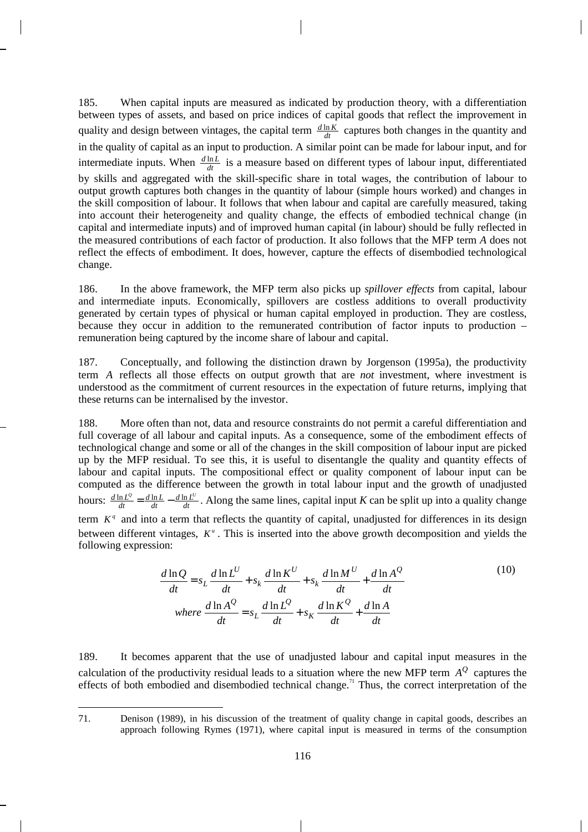185. When capital inputs are measured as indicated by production theory, with a differentiation between types of assets, and based on price indices of capital goods that reflect the improvement in quality and design between vintages, the capital term  $\frac{d \ln K}{dt}$  captures both changes in the quantity and in the quality of capital as an input to production. A similar point can be made for labour input, and for intermediate inputs. When  $\frac{d \ln L}{dt}$  is a measure based on different types of labour input, differentiated by skills and aggregated with the skill-specific share in total wages, the contribution of labour to output growth captures both changes in the quantity of labour (simple hours worked) and changes in the skill composition of labour. It follows that when labour and capital are carefully measured, taking into account their heterogeneity and quality change, the effects of embodied technical change (in capital and intermediate inputs) and of improved human capital (in labour) should be fully reflected in the measured contributions of each factor of production. It also follows that the MFP term *A* does not reflect the effects of embodiment. It does, however, capture the effects of disembodied technological change.

186. In the above framework, the MFP term also picks up *spillover effects* from capital, labour and intermediate inputs. Economically, spillovers are costless additions to overall productivity generated by certain types of physical or human capital employed in production. They are costless, because they occur in addition to the remunerated contribution of factor inputs to production – remuneration being captured by the income share of labour and capital.

187. Conceptually, and following the distinction drawn by Jorgenson (1995a), the productivity term *A* reflects all those effects on output growth that are *not* investment, where investment is understood as the commitment of current resources in the expectation of future returns, implying that these returns can be internalised by the investor.

188. More often than not, data and resource constraints do not permit a careful differentiation and full coverage of all labour and capital inputs. As a consequence, some of the embodiment effects of technological change and some or all of the changes in the skill composition of labour input are picked up by the MFP residual. To see this, it is useful to disentangle the quality and quantity effects of labour and capital inputs. The compositional effect or quality component of labour input can be computed as the difference between the growth in total labour input and the growth of unadjusted hours:  $\frac{d \ln L^{\mathcal{Q}}}{dt} = \frac{d \ln L}{dt} - \frac{d \ln L}{dt}$ *dt d L*  $\frac{d \ln L^0}{dt} = \frac{d \ln L}{dt} - \frac{d \ln L^U}{dt}$ . Along the same lines, capital input *K* can be split up into a quality change term  $K<sup>q</sup>$  and into a term that reflects the quantity of capital, unadjusted for differences in its design between different vintages,  $K^u$ . This is inserted into the above growth decomposition and yields the following expression:

$$
\frac{d\ln Q}{dt} = s_L \frac{d\ln L^U}{dt} + s_k \frac{d\ln K^U}{dt} + s_k \frac{d\ln M^U}{dt} + \frac{d\ln A^Q}{dt}
$$
\nwhere 
$$
\frac{d\ln A^Q}{dt} = s_L \frac{d\ln L^Q}{dt} + s_K \frac{d\ln K^Q}{dt} + \frac{d\ln A}{dt}
$$
\n(10)

189. It becomes apparent that the use of unadjusted labour and capital input measures in the calculation of the productivity residual leads to a situation where the new MFP term  $A^Q$  captures the effects of both embodied and disembodied technical change.<sup>71</sup> Thus, the correct interpretation of the

j 71. Denison (1989), in his discussion of the treatment of quality change in capital goods, describes an approach following Rymes (1971), where capital input is measured in terms of the consumption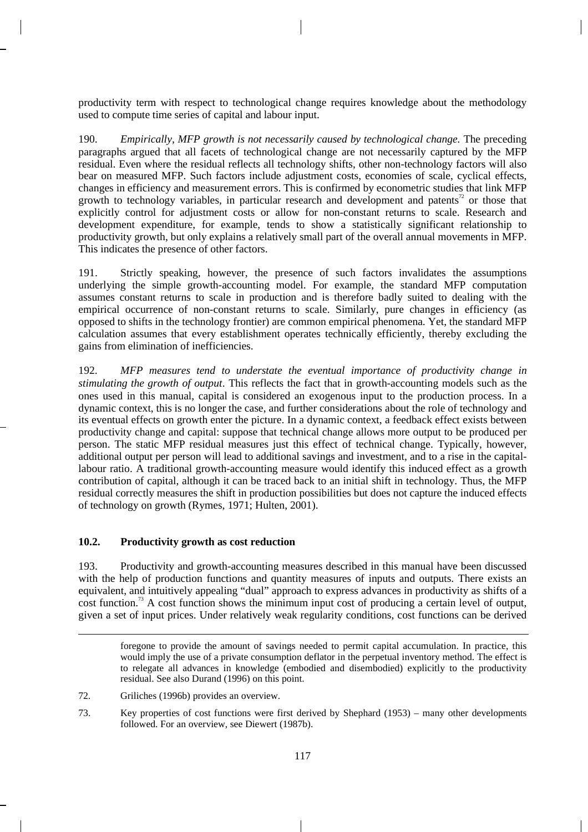productivity term with respect to technological change requires knowledge about the methodology used to compute time series of capital and labour input.

190. *Empirically, MFP growth is not necessarily caused by technological change.* The preceding paragraphs argued that all facets of technological change are not necessarily captured by the MFP residual. Even where the residual reflects all technology shifts, other non-technology factors will also bear on measured MFP. Such factors include adjustment costs, economies of scale, cyclical effects, changes in efficiency and measurement errors. This is confirmed by econometric studies that link MFP growth to technology variables, in particular research and development and patents<sup> $\alpha$ </sup> or those that explicitly control for adjustment costs or allow for non-constant returns to scale. Research and development expenditure, for example, tends to show a statistically significant relationship to productivity growth, but only explains a relatively small part of the overall annual movements in MFP. This indicates the presence of other factors.

191. Strictly speaking, however, the presence of such factors invalidates the assumptions underlying the simple growth-accounting model. For example, the standard MFP computation assumes constant returns to scale in production and is therefore badly suited to dealing with the empirical occurrence of non-constant returns to scale. Similarly, pure changes in efficiency (as opposed to shifts in the technology frontier) are common empirical phenomena. Yet, the standard MFP calculation assumes that every establishment operates technically efficiently, thereby excluding the gains from elimination of inefficiencies.

192. *MFP measures tend to understate the eventual importance of productivity change in stimulating the growth of output*. This reflects the fact that in growth-accounting models such as the ones used in this manual, capital is considered an exogenous input to the production process. In a dynamic context, this is no longer the case, and further considerations about the role of technology and its eventual effects on growth enter the picture. In a dynamic context, a feedback effect exists between productivity change and capital: suppose that technical change allows more output to be produced per person. The static MFP residual measures just this effect of technical change. Typically, however, additional output per person will lead to additional savings and investment, and to a rise in the capitallabour ratio. A traditional growth-accounting measure would identify this induced effect as a growth contribution of capital, although it can be traced back to an initial shift in technology. Thus, the MFP residual correctly measures the shift in production possibilities but does not capture the induced effects of technology on growth (Rymes, 1971; Hulten, 2001).

# **10.2. Productivity growth as cost reduction**

193. Productivity and growth-accounting measures described in this manual have been discussed with the help of production functions and quantity measures of inputs and outputs. There exists an equivalent, and intuitively appealing "dual" approach to express advances in productivity as shifts of a cost function.<sup>73</sup> A cost function shows the minimum input cost of producing a certain level of output, given a set of input prices. Under relatively weak regularity conditions, cost functions can be derived

72. Griliches (1996b) provides an overview.

j

foregone to provide the amount of savings needed to permit capital accumulation. In practice, this would imply the use of a private consumption deflator in the perpetual inventory method. The effect is to relegate all advances in knowledge (embodied and disembodied) explicitly to the productivity residual. See also Durand (1996) on this point.

<sup>73.</sup> Key properties of cost functions were first derived by Shephard (1953) – many other developments followed. For an overview, see Diewert (1987b).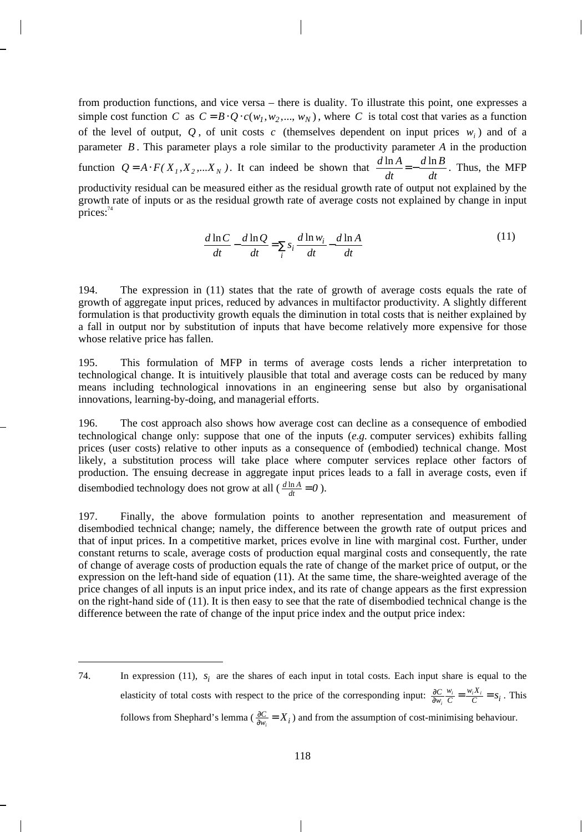from production functions, and vice versa – there is duality. To illustrate this point, one expresses a simple cost function *C* as  $C = B \cdot Q \cdot c(w_1, w_2, ..., w_N)$ , where *C* is total cost that varies as a function of the level of output,  $Q$ , of unit costs  $c$  (themselves dependent on input prices  $w_i$ ) and of a parameter *B* . This parameter plays a role similar to the productivity parameter *A* in the production function  $Q = A \cdot F(X_1, X_2, \dots, X_N)$ . It can indeed be shown that  $\frac{a \ln A}{dt} = -\frac{a \ln B}{dt}$ *d B dt*  $\frac{d \ln A}{d} = -\frac{d \ln B}{d}$ . Thus, the MFP productivity residual can be measured either as the residual growth rate of output not explained by the growth rate of inputs or as the residual growth rate of average costs not explained by change in input prices:<sup>74</sup>

$$
\frac{d\ln C}{dt} - \frac{d\ln Q}{dt} = \sum_{i} s_i \frac{d\ln w_i}{dt} - \frac{d\ln A}{dt}
$$
 (11)

194. The expression in (11) states that the rate of growth of average costs equals the rate of growth of aggregate input prices, reduced by advances in multifactor productivity. A slightly different formulation is that productivity growth equals the diminution in total costs that is neither explained by a fall in output nor by substitution of inputs that have become relatively more expensive for those whose relative price has fallen.

195. This formulation of MFP in terms of average costs lends a richer interpretation to technological change. It is intuitively plausible that total and average costs can be reduced by many means including technological innovations in an engineering sense but also by organisational innovations, learning-by-doing, and managerial efforts.

196. The cost approach also shows how average cost can decline as a consequence of embodied technological change only: suppose that one of the inputs (*e.g.* computer services) exhibits falling prices (user costs) relative to other inputs as a consequence of (embodied) technical change. Most likely, a substitution process will take place where computer services replace other factors of production. The ensuing decrease in aggregate input prices leads to a fall in average costs, even if disembodied technology does not grow at all  $\left(\frac{d \ln A}{dt} = 0\right)$ .

197. Finally, the above formulation points to another representation and measurement of disembodied technical change; namely, the difference between the growth rate of output prices and that of input prices. In a competitive market, prices evolve in line with marginal cost. Further, under constant returns to scale, average costs of production equal marginal costs and consequently, the rate of change of average costs of production equals the rate of change of the market price of output, or the expression on the left-hand side of equation (11). At the same time, the share-weighted average of the price changes of all inputs is an input price index, and its rate of change appears as the first expression on the right-hand side of (11). It is then easy to see that the rate of disembodied technical change is the difference between the rate of change of the input price index and the output price index:

-

<sup>74.</sup> In expression (11),  $s_i$  are the shares of each input in total costs. Each input share is equal to the elasticity of total costs with respect to the price of the corresponding input:  $\frac{\partial C}{\partial w_i} \frac{w_i}{C} = \frac{w_i X_i}{C} = s_i$ *C w*  $\frac{\partial C}{\partial w_i} \frac{w_i}{C} = \frac{w_i X_i}{C} = s_i$ . This follows from Shephard's lemma ( $\frac{\partial C}{\partial w_i} = X_i$ ) and from the assumption of cost-minimising behaviour.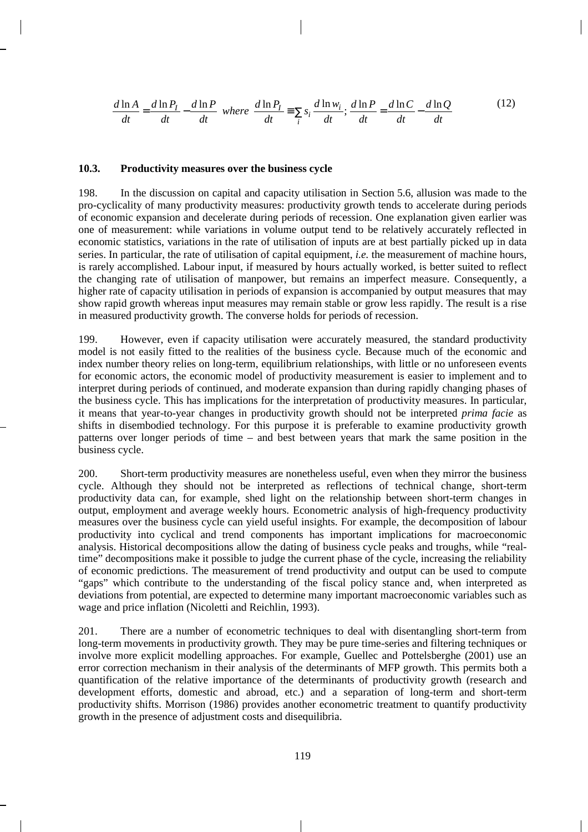$$
\frac{d\ln A}{dt} = \frac{d\ln P_I}{dt} - \frac{d\ln P}{dt} \text{ where } \frac{d\ln P_I}{dt} = \sum_i s_i \frac{d\ln w_i}{dt}; \frac{d\ln P}{dt} = \frac{d\ln C}{dt} - \frac{d\ln Q}{dt}
$$
 (12)

## **10.3. Productivity measures over the business cycle**

198. In the discussion on capital and capacity utilisation in Section 5.6, allusion was made to the pro-cyclicality of many productivity measures: productivity growth tends to accelerate during periods of economic expansion and decelerate during periods of recession. One explanation given earlier was one of measurement: while variations in volume output tend to be relatively accurately reflected in economic statistics, variations in the rate of utilisation of inputs are at best partially picked up in data series. In particular, the rate of utilisation of capital equipment, *i.e.* the measurement of machine hours, is rarely accomplished. Labour input, if measured by hours actually worked, is better suited to reflect the changing rate of utilisation of manpower, but remains an imperfect measure. Consequently, a higher rate of capacity utilisation in periods of expansion is accompanied by output measures that may show rapid growth whereas input measures may remain stable or grow less rapidly. The result is a rise in measured productivity growth. The converse holds for periods of recession.

199. However, even if capacity utilisation were accurately measured, the standard productivity model is not easily fitted to the realities of the business cycle. Because much of the economic and index number theory relies on long-term, equilibrium relationships, with little or no unforeseen events for economic actors, the economic model of productivity measurement is easier to implement and to interpret during periods of continued, and moderate expansion than during rapidly changing phases of the business cycle. This has implications for the interpretation of productivity measures. In particular, it means that year-to-year changes in productivity growth should not be interpreted *prima facie* as shifts in disembodied technology. For this purpose it is preferable to examine productivity growth patterns over longer periods of time – and best between years that mark the same position in the business cycle.

200. Short-term productivity measures are nonetheless useful, even when they mirror the business cycle. Although they should not be interpreted as reflections of technical change, short-term productivity data can, for example, shed light on the relationship between short-term changes in output, employment and average weekly hours. Econometric analysis of high-frequency productivity measures over the business cycle can yield useful insights. For example, the decomposition of labour productivity into cyclical and trend components has important implications for macroeconomic analysis. Historical decompositions allow the dating of business cycle peaks and troughs, while "realtime" decompositions make it possible to judge the current phase of the cycle, increasing the reliability of economic predictions. The measurement of trend productivity and output can be used to compute "gaps" which contribute to the understanding of the fiscal policy stance and, when interpreted as deviations from potential, are expected to determine many important macroeconomic variables such as wage and price inflation (Nicoletti and Reichlin, 1993).

201. There are a number of econometric techniques to deal with disentangling short-term from long-term movements in productivity growth. They may be pure time-series and filtering techniques or involve more explicit modelling approaches. For example, Guellec and Pottelsberghe (2001) use an error correction mechanism in their analysis of the determinants of MFP growth. This permits both a quantification of the relative importance of the determinants of productivity growth (research and development efforts, domestic and abroad, etc.) and a separation of long-term and short-term productivity shifts. Morrison (1986) provides another econometric treatment to quantify productivity growth in the presence of adjustment costs and disequilibria.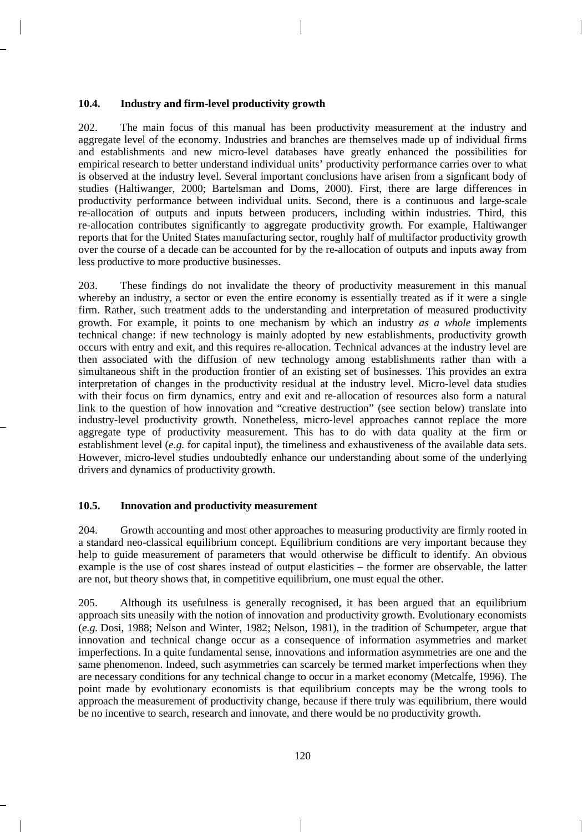# **10.4. Industry and firm-level productivity growth**

202. The main focus of this manual has been productivity measurement at the industry and aggregate level of the economy. Industries and branches are themselves made up of individual firms and establishments and new micro-level databases have greatly enhanced the possibilities for empirical research to better understand individual units' productivity performance carries over to what is observed at the industry level. Several important conclusions have arisen from a signficant body of studies (Haltiwanger, 2000; Bartelsman and Doms, 2000). First, there are large differences in productivity performance between individual units. Second, there is a continuous and large-scale re-allocation of outputs and inputs between producers, including within industries. Third, this re-allocation contributes significantly to aggregate productivity growth. For example, Haltiwanger reports that for the United States manufacturing sector, roughly half of multifactor productivity growth over the course of a decade can be accounted for by the re-allocation of outputs and inputs away from less productive to more productive businesses.

203. These findings do not invalidate the theory of productivity measurement in this manual whereby an industry, a sector or even the entire economy is essentially treated as if it were a single firm. Rather, such treatment adds to the understanding and interpretation of measured productivity growth. For example, it points to one mechanism by which an industry *as a whole* implements technical change: if new technology is mainly adopted by new establishments, productivity growth occurs with entry and exit, and this requires re-allocation. Technical advances at the industry level are then associated with the diffusion of new technology among establishments rather than with a simultaneous shift in the production frontier of an existing set of businesses. This provides an extra interpretation of changes in the productivity residual at the industry level. Micro-level data studies with their focus on firm dynamics, entry and exit and re-allocation of resources also form a natural link to the question of how innovation and "creative destruction" (see section below) translate into industry-level productivity growth. Nonetheless, micro-level approaches cannot replace the more aggregate type of productivity measurement. This has to do with data quality at the firm or establishment level (*e.g.* for capital input), the timeliness and exhaustiveness of the available data sets. However, micro-level studies undoubtedly enhance our understanding about some of the underlying drivers and dynamics of productivity growth.

# **10.5. Innovation and productivity measurement**

204. Growth accounting and most other approaches to measuring productivity are firmly rooted in a standard neo-classical equilibrium concept. Equilibrium conditions are very important because they help to guide measurement of parameters that would otherwise be difficult to identify. An obvious example is the use of cost shares instead of output elasticities – the former are observable, the latter are not, but theory shows that, in competitive equilibrium, one must equal the other.

205. Although its usefulness is generally recognised, it has been argued that an equilibrium approach sits uneasily with the notion of innovation and productivity growth. Evolutionary economists (*e.g.* Dosi, 1988; Nelson and Winter, 1982; Nelson, 1981), in the tradition of Schumpeter, argue that innovation and technical change occur as a consequence of information asymmetries and market imperfections. In a quite fundamental sense, innovations and information asymmetries are one and the same phenomenon. Indeed, such asymmetries can scarcely be termed market imperfections when they are necessary conditions for any technical change to occur in a market economy (Metcalfe, 1996). The point made by evolutionary economists is that equilibrium concepts may be the wrong tools to approach the measurement of productivity change, because if there truly was equilibrium, there would be no incentive to search, research and innovate, and there would be no productivity growth.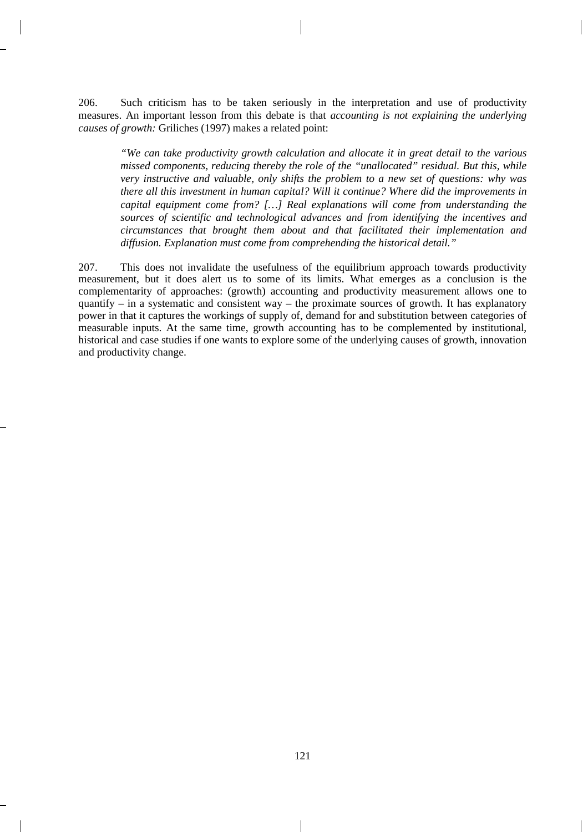206. Such criticism has to be taken seriously in the interpretation and use of productivity measures. An important lesson from this debate is that *accounting is not explaining the underlying causes of growth:* Griliches (1997) makes a related point:

*"We can take productivity growth calculation and allocate it in great detail to the various missed components, reducing thereby the role of the "unallocated" residual. But this, while very instructive and valuable, only shifts the problem to a new set of questions: why was there all this investment in human capital? Will it continue? Where did the improvements in capital equipment come from? […] Real explanations will come from understanding the sources of scientific and technological advances and from identifying the incentives and circumstances that brought them about and that facilitated their implementation and diffusion. Explanation must come from comprehending the historical detail."*

207. This does not invalidate the usefulness of the equilibrium approach towards productivity measurement, but it does alert us to some of its limits. What emerges as a conclusion is the complementarity of approaches: (growth) accounting and productivity measurement allows one to quantify – in a systematic and consistent way – the proximate sources of growth. It has explanatory power in that it captures the workings of supply of, demand for and substitution between categories of measurable inputs. At the same time, growth accounting has to be complemented by institutional, historical and case studies if one wants to explore some of the underlying causes of growth, innovation and productivity change.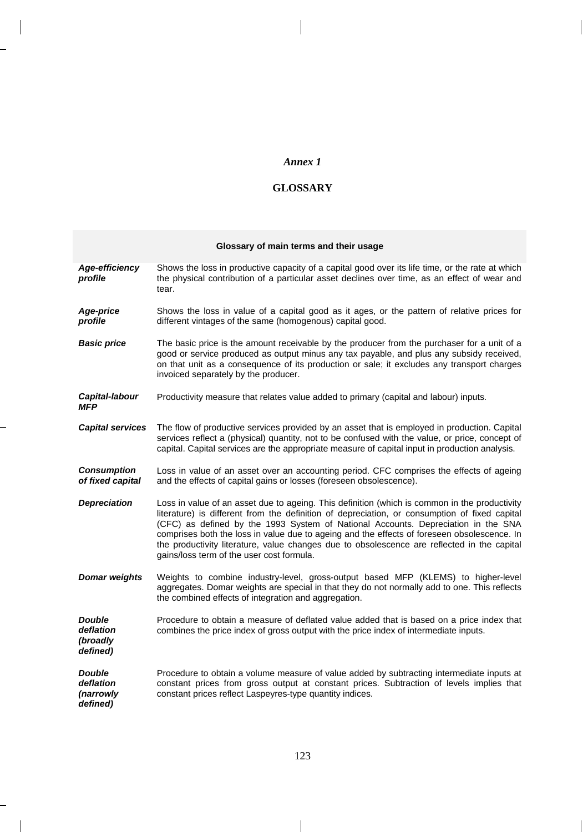### **GLOSSARY**

#### **Glossary of main terms and their usage**

**Age-efficiency profile** Shows the loss in productive capacity of a capital good over its life time, or the rate at which the physical contribution of a particular asset declines over time, as an effect of wear and tear. **Age-price profile** Shows the loss in value of a capital good as it ages, or the pattern of relative prices for different vintages of the same (homogenous) capital good. **Basic price** The basic price is the amount receivable by the producer from the purchaser for a unit of a good or service produced as output minus any tax payable, and plus any subsidy received, on that unit as a consequence of its production or sale; it excludes any transport charges invoiced separately by the producer. **Capital-labour MFP** Productivity measure that relates value added to primary (capital and labour) inputs. **Capital services** The flow of productive services provided by an asset that is employed in production. Capital services reflect a (physical) quantity, not to be confused with the value, or price, concept of capital. Capital services are the appropriate measure of capital input in production analysis. **Consumption of fixed capital** Loss in value of an asset over an accounting period. CFC comprises the effects of ageing and the effects of capital gains or losses (foreseen obsolescence). **Depreciation** Loss in value of an asset due to ageing. This definition (which is common in the productivity literature) is different from the definition of depreciation, or consumption of fixed capital (CFC) as defined by the 1993 System of National Accounts. Depreciation in the SNA comprises both the loss in value due to ageing and the effects of foreseen obsolescence. In the productivity literature, value changes due to obsolescence are reflected in the capital gains/loss term of the user cost formula. **Domar weights** Weights to combine industry-level, gross-output based MFP (KLEMS) to higher-level aggregates. Domar weights are special in that they do not normally add to one. This reflects the combined effects of integration and aggregation. **Double deflation (broadly defined)** Procedure to obtain a measure of deflated value added that is based on a price index that combines the price index of gross output with the price index of intermediate inputs. **Double deflation (narrowly defined)** Procedure to obtain a volume measure of value added by subtracting intermediate inputs at constant prices from gross output at constant prices. Subtraction of levels implies that constant prices reflect Laspeyres-type quantity indices.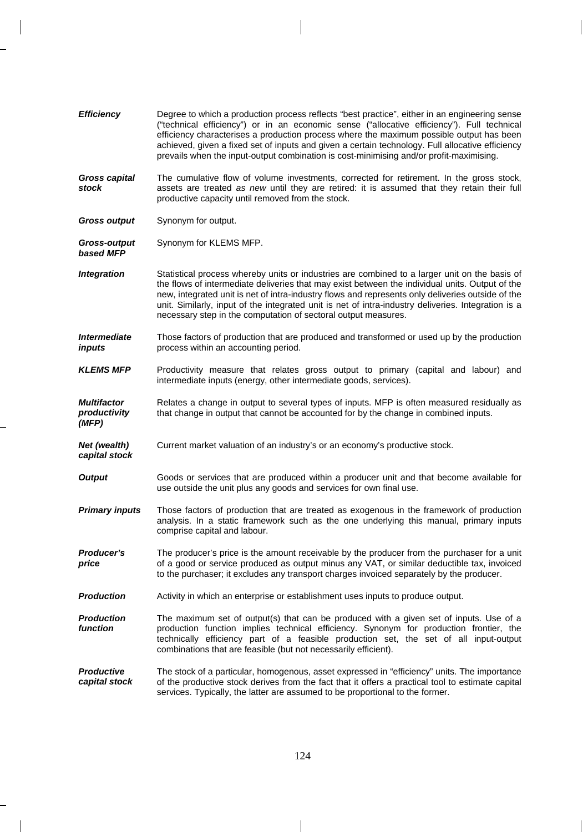| <b>Efficiency</b>                           | Degree to which a production process reflects "best practice", either in an engineering sense<br>("technical efficiency") or in an economic sense ("allocative efficiency"). Full technical<br>efficiency characterises a production process where the maximum possible output has been<br>achieved, given a fixed set of inputs and given a certain technology. Full allocative efficiency<br>prevails when the input-output combination is cost-minimising and/or profit-maximising. |
|---------------------------------------------|----------------------------------------------------------------------------------------------------------------------------------------------------------------------------------------------------------------------------------------------------------------------------------------------------------------------------------------------------------------------------------------------------------------------------------------------------------------------------------------|
| <b>Gross capital</b><br>stock               | The cumulative flow of volume investments, corrected for retirement. In the gross stock,<br>assets are treated as new until they are retired: it is assumed that they retain their full<br>productive capacity until removed from the stock.                                                                                                                                                                                                                                           |
| <b>Gross output</b>                         | Synonym for output.                                                                                                                                                                                                                                                                                                                                                                                                                                                                    |
| <b>Gross-output</b><br>based MFP            | Synonym for KLEMS MFP.                                                                                                                                                                                                                                                                                                                                                                                                                                                                 |
| <b>Integration</b>                          | Statistical process whereby units or industries are combined to a larger unit on the basis of<br>the flows of intermediate deliveries that may exist between the individual units. Output of the<br>new, integrated unit is net of intra-industry flows and represents only deliveries outside of the<br>unit. Similarly, input of the integrated unit is net of intra-industry deliveries. Integration is a<br>necessary step in the computation of sectoral output measures.         |
| <b>Intermediate</b><br>inputs               | Those factors of production that are produced and transformed or used up by the production<br>process within an accounting period.                                                                                                                                                                                                                                                                                                                                                     |
| <b>KLEMS MFP</b>                            | Productivity measure that relates gross output to primary (capital and labour) and<br>intermediate inputs (energy, other intermediate goods, services).                                                                                                                                                                                                                                                                                                                                |
| <b>Multifactor</b><br>productivity<br>(MFP) | Relates a change in output to several types of inputs. MFP is often measured residually as<br>that change in output that cannot be accounted for by the change in combined inputs.                                                                                                                                                                                                                                                                                                     |
| Net (wealth)<br>capital stock               | Current market valuation of an industry's or an economy's productive stock.                                                                                                                                                                                                                                                                                                                                                                                                            |
| <b>Output</b>                               | Goods or services that are produced within a producer unit and that become available for<br>use outside the unit plus any goods and services for own final use.                                                                                                                                                                                                                                                                                                                        |
| <b>Primary inputs</b>                       | Those factors of production that are treated as exogenous in the framework of production<br>analysis. In a static framework such as the one underlying this manual, primary inputs<br>comprise capital and labour.                                                                                                                                                                                                                                                                     |
| <b>Producer's</b><br>price                  | The producer's price is the amount receivable by the producer from the purchaser for a unit<br>of a good or service produced as output minus any VAT, or similar deductible tax, invoiced<br>to the purchaser; it excludes any transport charges invoiced separately by the producer.                                                                                                                                                                                                  |
| <b>Production</b>                           | Activity in which an enterprise or establishment uses inputs to produce output.                                                                                                                                                                                                                                                                                                                                                                                                        |
| <b>Production</b><br>function               | The maximum set of output(s) that can be produced with a given set of inputs. Use of a<br>production function implies technical efficiency. Synonym for production frontier, the<br>technically efficiency part of a feasible production set, the set of all input-output<br>combinations that are feasible (but not necessarily efficient).                                                                                                                                           |
| <b>Productive</b><br>capital stock          | The stock of a particular, homogenous, asset expressed in "efficiency" units. The importance<br>of the productive stock derives from the fact that it offers a practical tool to estimate capital<br>services. Typically, the latter are assumed to be proportional to the former.                                                                                                                                                                                                     |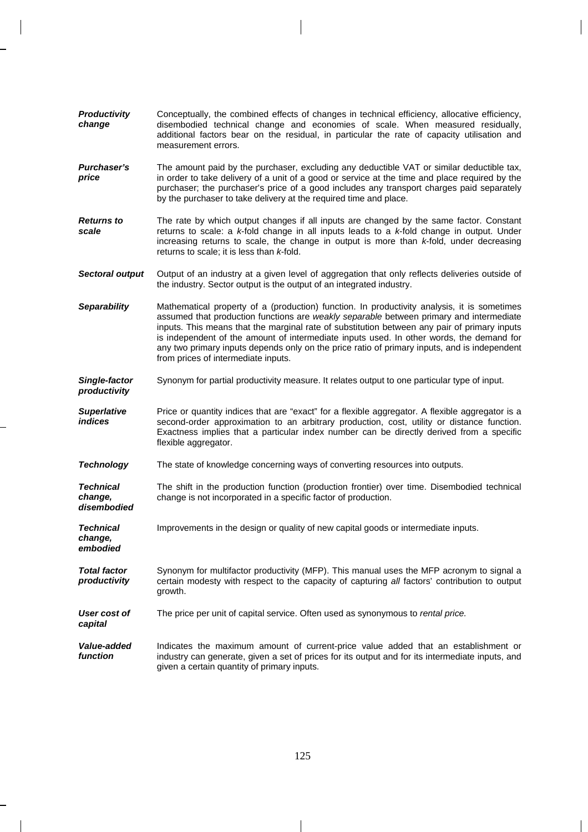- **Productivity change** Conceptually, the combined effects of changes in technical efficiency, allocative efficiency, disembodied technical change and economies of scale. When measured residually, additional factors bear on the residual, in particular the rate of capacity utilisation and measurement errors.
- **Purchaser's price** The amount paid by the purchaser, excluding any deductible VAT or similar deductible tax, in order to take delivery of a unit of a good or service at the time and place required by the purchaser; the purchaser's price of a good includes any transport charges paid separately by the purchaser to take delivery at the required time and place.
- **Returns to scale** The rate by which output changes if all inputs are changed by the same factor. Constant returns to scale: a k-fold change in all inputs leads to a k-fold change in output. Under increasing returns to scale, the change in output is more than k-fold, under decreasing returns to scale; it is less than  $k$ -fold.
- **Sectoral output** Output of an industry at a given level of aggregation that only reflects deliveries outside of the industry. Sector output is the output of an integrated industry.
- **Separability** Mathematical property of a (production) function. In productivity analysis, it is sometimes assumed that production functions are weakly separable between primary and intermediate inputs. This means that the marginal rate of substitution between any pair of primary inputs is independent of the amount of intermediate inputs used. In other words, the demand for any two primary inputs depends only on the price ratio of primary inputs, and is independent from prices of intermediate inputs.
- **Single-factor productivity** Synonym for partial productivity measure. It relates output to one particular type of input.
- **Superlative indices** Price or quantity indices that are "exact" for a flexible aggregator. A flexible aggregator is a second-order approximation to an arbitrary production, cost, utility or distance function. Exactness implies that a particular index number can be directly derived from a specific flexible aggregator.
- **Technology** The state of knowledge concerning ways of converting resources into outputs.
- **Technical change, disembodied** The shift in the production function (production frontier) over time. Disembodied technical change is not incorporated in a specific factor of production.
- **Technical** Improvements in the design or quality of new capital goods or intermediate inputs.

**change, embodied**

**capital**

- **Total factor productivity** Synonym for multifactor productivity (MFP). This manual uses the MFP acronym to signal a certain modesty with respect to the capacity of capturing all factors' contribution to output growth.
- **User cost of** The price per unit of capital service. Often used as synonymous to rental price.
- **Value-added function** Indicates the maximum amount of current-price value added that an establishment or industry can generate, given a set of prices for its output and for its intermediate inputs, and given a certain quantity of primary inputs.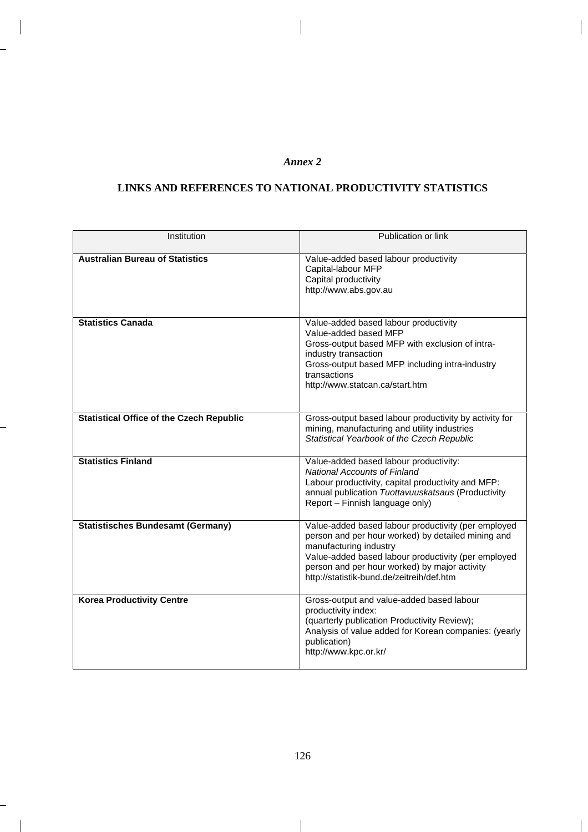# **LINKS AND REFERENCES TO NATIONAL PRODUCTIVITY STATISTICS**

| Institution                                     | Publication or link                                                                                                                                                                                                                                                                      |
|-------------------------------------------------|------------------------------------------------------------------------------------------------------------------------------------------------------------------------------------------------------------------------------------------------------------------------------------------|
| <b>Australian Bureau of Statistics</b>          | Value-added based labour productivity<br>Capital-labour MFP<br>Capital productivity<br>http://www.abs.gov.au                                                                                                                                                                             |
| <b>Statistics Canada</b>                        | Value-added based labour productivity<br>Value-added based MFP<br>Gross-output based MFP with exclusion of intra-<br>industry transaction<br>Gross-output based MFP including intra-industry<br>transactions<br>http://www.statcan.ca/start.htm                                          |
| <b>Statistical Office of the Czech Republic</b> | Gross-output based labour productivity by activity for<br>mining, manufacturing and utility industries<br>Statistical Yearbook of the Czech Republic                                                                                                                                     |
| <b>Statistics Finland</b>                       | Value-added based labour productivity:<br><b>National Accounts of Finland</b><br>Labour productivity, capital productivity and MFP:<br>annual publication Tuottavuuskatsaus (Productivity<br>Report - Finnish language only)                                                             |
| <b>Statistisches Bundesamt (Germany)</b>        | Value-added based labour productivity (per employed<br>person and per hour worked) by detailed mining and<br>manufacturing industry<br>Value-added based labour productivity (per employed<br>person and per hour worked) by major activity<br>http://statistik-bund.de/zeitreih/def.htm |
| <b>Korea Productivity Centre</b>                | Gross-output and value-added based labour<br>productivity index:<br>(quarterly publication Productivity Review);<br>Analysis of value added for Korean companies: (yearly<br>publication)<br>http://www.kpc.or.kr/                                                                       |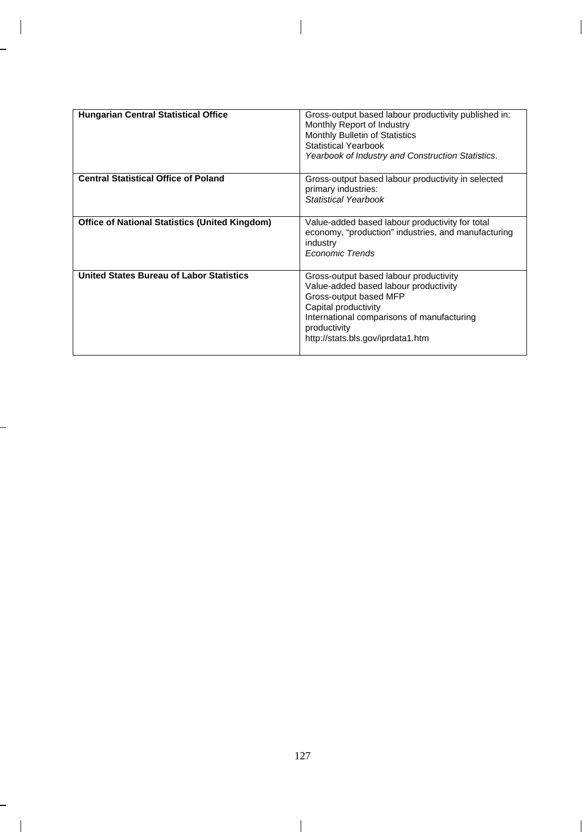| <b>Hungarian Central Statistical Office</b>           | Gross-output based labour productivity published in:<br>Monthly Report of Industry<br>Monthly Bulletin of Statistics<br><b>Statistical Yearbook</b><br>Yearbook of Industry and Construction Statistics.                             |
|-------------------------------------------------------|--------------------------------------------------------------------------------------------------------------------------------------------------------------------------------------------------------------------------------------|
| <b>Central Statistical Office of Poland</b>           | Gross-output based labour productivity in selected<br>primary industries:<br>Statistical Yearbook                                                                                                                                    |
| <b>Office of National Statistics (United Kingdom)</b> | Value-added based labour productivity for total<br>economy, "production" industries, and manufacturing<br>industry<br>Economic Trends                                                                                                |
| <b>United States Bureau of Labor Statistics</b>       | Gross-output based labour productivity<br>Value-added based labour productivity<br>Gross-output based MFP<br>Capital productivity<br>International comparisons of manufacturing<br>productivity<br>http://stats.bls.gov/iprdata1.htm |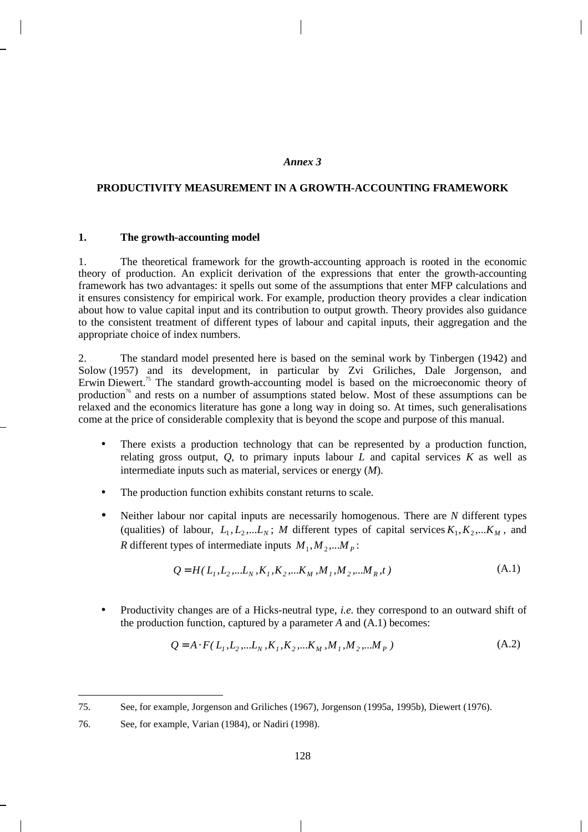# **PRODUCTIVITY MEASUREMENT IN A GROWTH-ACCOUNTING FRAMEWORK**

## **1. The growth-accounting model**

1. The theoretical framework for the growth-accounting approach is rooted in the economic theory of production. An explicit derivation of the expressions that enter the growth-accounting framework has two advantages: it spells out some of the assumptions that enter MFP calculations and it ensures consistency for empirical work. For example, production theory provides a clear indication about how to value capital input and its contribution to output growth. Theory provides also guidance to the consistent treatment of different types of labour and capital inputs, their aggregation and the appropriate choice of index numbers.

2. The standard model presented here is based on the seminal work by Tinbergen (1942) and Solow (1957) and its development, in particular by Zvi Griliches, Dale Jorgenson, and Erwin Diewert.<sup>75</sup> The standard growth-accounting model is based on the microeconomic theory of production<sup>76</sup> and rests on a number of assumptions stated below. Most of these assumptions can be relaxed and the economics literature has gone a long way in doing so. At times, such generalisations come at the price of considerable complexity that is beyond the scope and purpose of this manual.

- There exists a production technology that can be represented by a production function, relating gross output,  $Q$ , to primary inputs labour  $\overline{L}$  and capital services  $K$  as well as intermediate inputs such as material, services or energy (*M*).
- The production function exhibits constant returns to scale.
- Neither labour nor capital inputs are necessarily homogenous. There are *N* different types (qualities) of labour,  $L_1, L_2, \ldots, L_N$ ; *M* different types of capital services  $K_1, K_2, \ldots, K_M$ , and *R* different types of intermediate inputs  $M_1, M_2, \ldots, M_p$ :

$$
Q = H(L_1, L_2, \dots, L_N, K_1, K_2, \dots, K_M, M_1, M_2, \dots, M_R, t)
$$
\n(A.1)

• Productivity changes are of a Hicks-neutral type, *i.e.* they correspond to an outward shift of the production function, captured by a parameter *A* and (A.1) becomes:

$$
Q = A \cdot F(L_1, L_2, \dots, L_N, K_1, K_2, \dots, K_M, M_1, M_2, \dots, M_p)
$$
 (A.2)

j

<sup>75.</sup> See, for example, Jorgenson and Griliches (1967), Jorgenson (1995a, 1995b), Diewert (1976).

<sup>76.</sup> See, for example, Varian (1984), or Nadiri (1998).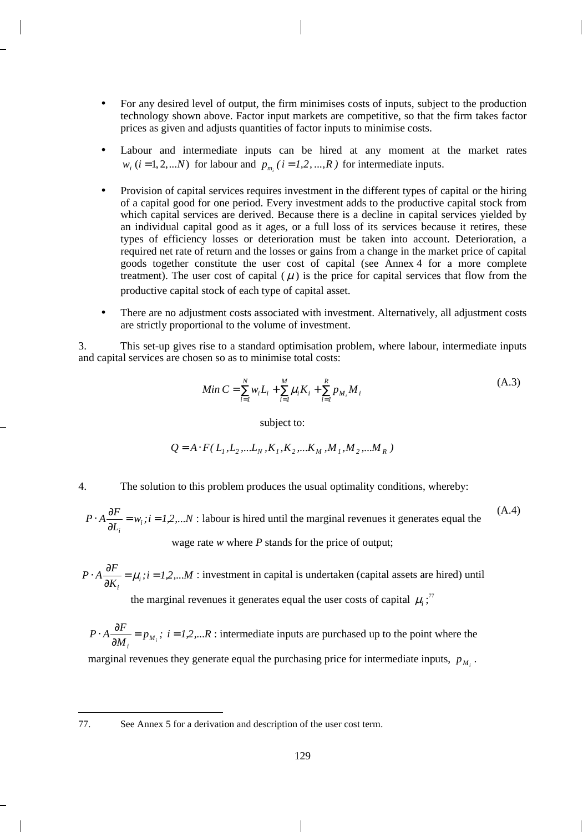- For any desired level of output, the firm minimises costs of inputs, subject to the production technology shown above. Factor input markets are competitive, so that the firm takes factor prices as given and adjusts quantities of factor inputs to minimise costs.
- Labour and intermediate inputs can be hired at any moment at the market rates  $w_i$  (*i* = 1, 2, ...*N*) for labour and  $p_m$  (*i* = 1, 2, ..., *R*) for intermediate inputs.
- Provision of capital services requires investment in the different types of capital or the hiring of a capital good for one period. Every investment adds to the productive capital stock from which capital services are derived. Because there is a decline in capital services yielded by an individual capital good as it ages, or a full loss of its services because it retires, these types of efficiency losses or deterioration must be taken into account. Deterioration, a required net rate of return and the losses or gains from a change in the market price of capital goods together constitute the user cost of capital (see Annex 4 for a more complete treatment). The user cost of capital ( $\mu$ ) is the price for capital services that flow from the productive capital stock of each type of capital asset.
- There are no adjustment costs associated with investment. Alternatively, all adjustment costs are strictly proportional to the volume of investment.

3. This set-up gives rise to a standard optimisation problem, where labour, intermediate inputs and capital services are chosen so as to minimise total costs:

$$
Min\ C = \sum_{i=1}^{N} w_i L_i + \sum_{i=1}^{M} \mu_i K_i + \sum_{i=1}^{R} p_{M_i} M_i
$$
\n(A.3)

subject to:

$$
Q = A \cdot F(L_1, L_2, \dots L_N, K_1, K_2, \dots K_M, M_1, M_2, \dots M_R)
$$

4. The solution to this problem produces the usual optimality conditions, whereby:

 $w_i$ ;  $i = 1,2,...N$  $P \cdot A \frac{\partial F}{\partial L_i} = w_i$  $\cdot A \frac{\partial F}{\partial L_i} = w_i$ ; *i* = *1*,2,...*N* : labour is hired until the marginal revenues it generates equal the wage rate *w* where *P* stands for the price of output; (A.4)

*;i 1,2,...M*  $P \cdot A \frac{\partial F}{\partial K_i} = \mu_i$  $\cdot A \frac{\partial F}{\partial K_i} = \mu_i$ ; *i* = *1*,2,...*M* : investment in capital is undertaken (capital assets are hired) until

the marginal revenues it generates equal the user costs of capital  $\mu_i$ ;<sup>77</sup>

*p ; i 1,2,...R*  $P \cdot A \frac{\partial F}{\partial M_i} = p_{M_i}; i = 1, 2, \dots R$ : intermediate inputs are purchased up to the point where the marginal revenues they generate equal the purchasing price for intermediate inputs,  $p_M$ .

77. See Annex 5 for a derivation and description of the user cost term.

j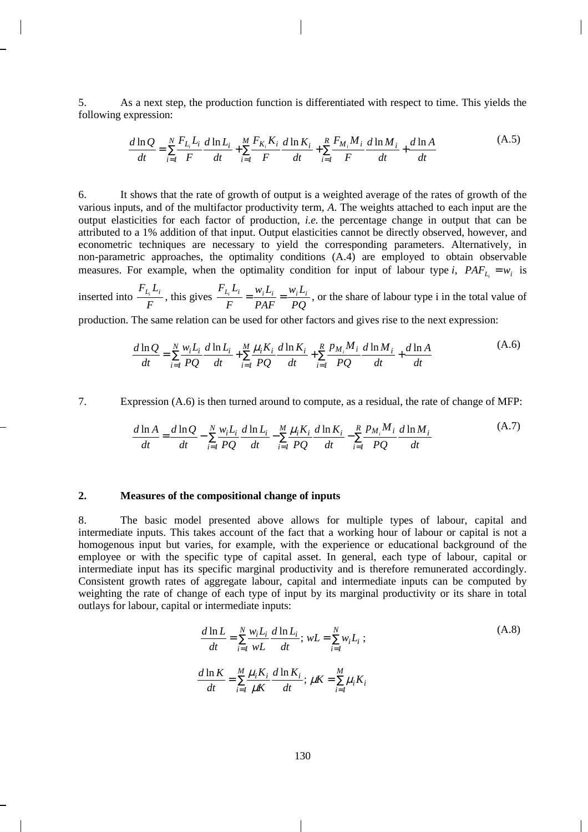5. As a next step, the production function is differentiated with respect to time. This yields the following expression:

$$
\frac{d\ln Q}{dt} = \sum_{i=1}^{N} \frac{F_{L_i} L_i}{F} \frac{d\ln L_i}{dt} + \sum_{i=1}^{M} \frac{F_{K_i} K_i}{F} \frac{d\ln K_i}{dt} + \sum_{i=1}^{R} \frac{F_{M_i} M_i}{F} \frac{d\ln M_i}{dt} + \frac{d\ln A}{dt}
$$
(A.5)

6. It shows that the rate of growth of output is a weighted average of the rates of growth of the various inputs, and of the multifactor productivity term, *A*. The weights attached to each input are the output elasticities for each factor of production, *i.e.* the percentage change in output that can be attributed to a 1% addition of that input. Output elasticities cannot be directly observed, however, and econometric techniques are necessary to yield the corresponding parameters. Alternatively, in non-parametric approaches, the optimality conditions (A.4) are employed to obtain observable measures. For example, when the optimality condition for input of labour type *i*,  $PAF_L = w_i$  is

inserted into  $\frac{F_{L_i} L_i}{F}$ , this gives  $\frac{F_{L_i} L_i}{F} = \frac{w_i L_i}{PAF} = \frac{w_i L_i}{PQ}$ *PAF*  $w_i L$ *F*  $\frac{F_{L_i} L_i}{F_{i j}} = \frac{w_i L_i}{F_{i j j}} = \frac{w_i L_i}{F_{i j j}}$ , or the share of labour type i in the total value of

production. The same relation can be used for other factors and gives rise to the next expression:

$$
\frac{d \ln Q}{dt} = \sum_{i=1}^{N} \frac{w_i L_i}{PQ} \frac{d \ln L_i}{dt} + \sum_{i=1}^{M} \frac{\mu_i K_i}{PQ} \frac{d \ln K_i}{dt} + \sum_{i=1}^{R} \frac{P_{M_i} M_i}{PQ} \frac{d \ln M_i}{dt} + \frac{d \ln A}{dt}
$$
(A.6)

7. Expression (A.6) is then turned around to compute, as a residual, the rate of change of MFP:

$$
\frac{d \ln A}{dt} = \frac{d \ln Q}{dt} - \sum_{i=1}^{N} \frac{w_i L_i}{PQ} \frac{d \ln L_i}{dt} - \sum_{i=1}^{M} \frac{\mu_i K_i}{PQ} \frac{d \ln K_i}{dt} - \sum_{i=1}^{R} \frac{P_{M_i} M_i}{PQ} \frac{d \ln M_i}{dt}
$$
(A.7)

#### **2. Measures of the compositional change of inputs**

8. The basic model presented above allows for multiple types of labour, capital and intermediate inputs. This takes account of the fact that a working hour of labour or capital is not a homogenous input but varies, for example, with the experience or educational background of the employee or with the specific type of capital asset. In general, each type of labour, capital or intermediate input has its specific marginal productivity and is therefore remunerated accordingly. Consistent growth rates of aggregate labour, capital and intermediate inputs can be computed by weighting the rate of change of each type of input by its marginal productivity or its share in total outlays for labour, capital or intermediate inputs:

$$
\frac{d \ln L}{dt} = \sum_{i=1}^{N} \frac{w_i L_i}{w L} \frac{d \ln L_i}{dt}; \ wL = \sum_{i=1}^{N} w_i L_i;
$$
\n
$$
\frac{d \ln K}{dt} = \sum_{i=1}^{M} \frac{\mu_i K_i}{\mu K} \frac{d \ln K_i}{dt}; \ \mu = \sum_{i=1}^{M} \mu_i K_i
$$
\n(A.8)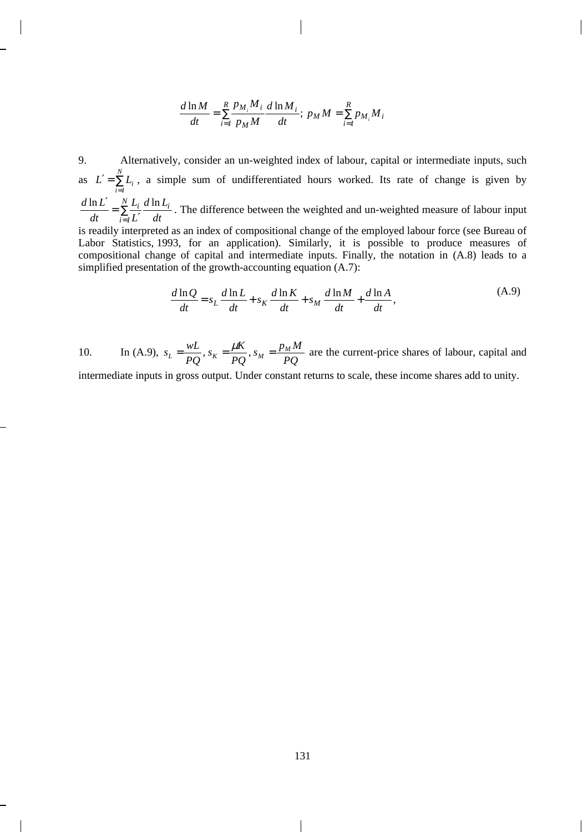$$
\frac{d \ln M}{dt} = \sum_{i=1}^{R} \frac{p_{M_i} M_i}{p_M M} \frac{d \ln M_i}{dt}; \ p_M M = \sum_{i=1}^{R} p_{M_i} M_i
$$

9. Alternatively, consider an un-weighted index of labour, capital or intermediate inputs, such as  $L' = \sum_{i=1}^{\infty}$  $\mathbf{v} = \sum_{i=1}^{N}$  $L' = \sum_{i=1}^{\infty} L_i$ , a simple sum of undifferentiated hours worked. Its rate of change is given by

*dt*  $d \ln L$ *L L dt*  $\frac{d \ln L'}{d \ln L_i} = \sum_{i=1}^{N} \frac{L_i}{d \ln L_i}$  $rac{\ln L'}{dt} = \sum_{i=1}^{N} \frac{L_i}{L'} \frac{d \ln L}{dt}$ = . The difference between the weighted and un-weighted measure of labour input

is readily interpreted as an index of compositional change of the employed labour force (see Bureau of Labor Statistics, 1993, for an application). Similarly, it is possible to produce measures of compositional change of capital and intermediate inputs. Finally, the notation in (A.8) leads to a simplified presentation of the growth-accounting equation (A.7):

$$
\frac{d\ln Q}{dt} = s_L \frac{d\ln L}{dt} + s_K \frac{d\ln K}{dt} + s_M \frac{d\ln M}{dt} + \frac{d\ln A}{dt},
$$
\n(A.9)

10. In (A.9),  $s_L = \frac{wL}{PQ}$ ,  $s_K = \frac{\mu K}{PQ}$ ,  $s_M = \frac{p_M M}{PQ}$ *PQ*  $s_K = \frac{\mu K}{R}$ *PQ*  $s_L = \frac{wL}{pQ}$ ,  $s_K = \frac{\mu K}{pQ}$ ,  $s_M = \frac{p_M M}{pQ}$  are the current-price shares of labour, capital and

intermediate inputs in gross output. Under constant returns to scale, these income shares add to unity.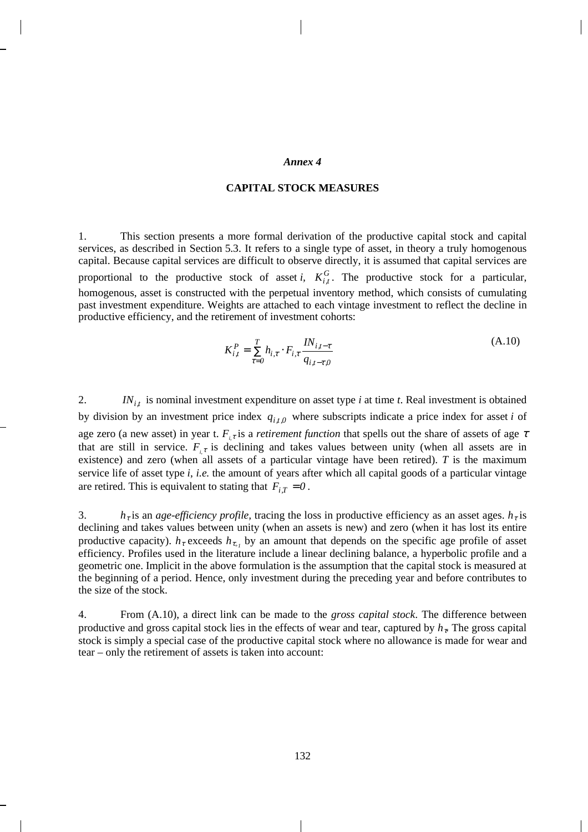### **CAPITAL STOCK MEASURES**

1. This section presents a more formal derivation of the productive capital stock and capital services, as described in Section 5.3. It refers to a single type of asset, in theory a truly homogenous capital. Because capital services are difficult to observe directly, it is assumed that capital services are proportional to the productive stock of asset *i*,  $K_{i,t}^G$ . The productive stock for a particular, homogenous, asset is constructed with the perpetual inventory method, which consists of cumulating past investment expenditure. Weights are attached to each vintage investment to reflect the decline in productive efficiency, and the retirement of investment cohorts:

$$
K_{i,t}^{P} = \sum_{\tau=0}^{T} h_{i,\tau} \cdot F_{i,\tau} \frac{I N_{i,t-\tau}}{q_{i,t-\tau,0}}
$$
(A.10)

2. *IN*<sub>it</sub> is nominal investment expenditure on asset type *i* at time *t*. Real investment is obtained by division by an investment price index  $q_{i,t,0}$  where subscripts indicate a price index for asset *i* of age zero (a new asset) in year t.  $F_{i\tau}$  is a *retirement function* that spells out the share of assets of age  $\tau$ that are still in service.  $F_{i\tau}$  is declining and takes values between unity (when all assets are in existence) and zero (when all assets of a particular vintage have been retired). *T* is the maximum service life of asset type *i*, *i.e.* the amount of years after which all capital goods of a particular vintage are retired. This is equivalent to stating that  $F_{i,T} = 0$ .

3. *h<sub>τ</sub>* is an *age-efficiency profile*, tracing the loss in productive efficiency as an asset ages.  $h<sub>z</sub>$  is declining and takes values between unity (when an assets is new) and zero (when it has lost its entire productive capacity).  $h_{\tau}$  exceeds  $h_{\tau_{+1}}$  by an amount that depends on the specific age profile of asset efficiency. Profiles used in the literature include a linear declining balance, a hyperbolic profile and a geometric one. Implicit in the above formulation is the assumption that the capital stock is measured at the beginning of a period. Hence, only investment during the preceding year and before contributes to the size of the stock.

4. From (A.10), a direct link can be made to the *gross capital stock*. The difference between productive and gross capital stock lies in the effects of wear and tear, captured by  $h<sub>r</sub>$ . The gross capital stock is simply a special case of the productive capital stock where no allowance is made for wear and tear – only the retirement of assets is taken into account: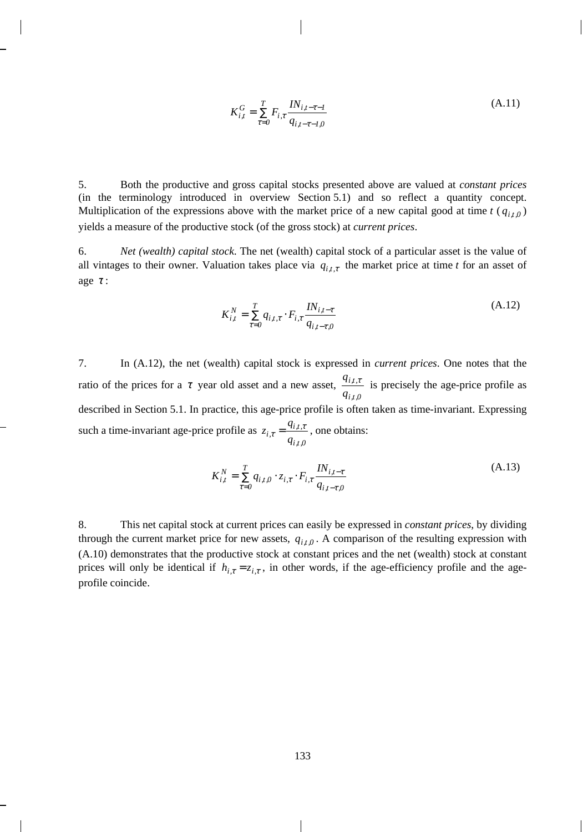$$
K_{i,t}^G = \sum_{\tau=0}^T F_{i,\tau} \frac{I N_{i,t-\tau-1}}{q_{i,t-\tau-1,0}}
$$
(A.11)

5. Both the productive and gross capital stocks presented above are valued at *constant prices* (in the terminology introduced in overview Section 5.1) and so reflect a quantity concept. Multiplication of the expressions above with the market price of a new capital good at time  $t$  ( $q_{i,t,0}$ ) yields a measure of the productive stock (of the gross stock) at *current prices*.

6. *Net (wealth) capital stock*. The net (wealth) capital stock of a particular asset is the value of all vintages to their owner. Valuation takes place via  $q_{i,t,\tau}$  the market price at time *t* for an asset of age  $\tau$  :

$$
K_{i,t}^{N} = \sum_{\tau=0}^{T} q_{i,t,\tau} \cdot F_{i,\tau} \frac{I N_{i,t-\tau}}{q_{i,t-\tau,0}}
$$
(A.12)

7. In (A.12), the net (wealth) capital stock is expressed in *current prices*. One notes that the ratio of the prices for a  $\tau$  year old asset and a new asset, *i,t,0 i,t, q*  $q_{i,t,\tau}$  is precisely the age-price profile as described in Section 5.1. In practice, this age-price profile is often taken as time-invariant. Expressing such a time-invariant age-price profile as *i,t,0 i,t,*  $i, \tau = \frac{a}{q}$  $z_{i,\tau} = \frac{q_{i,t,\tau}}{q}$ , one obtains:

$$
K_{i,t}^{N} = \sum_{\tau=0}^{T} q_{i,t,0} \cdot z_{i,\tau} \cdot F_{i,\tau} \frac{I N_{i,t-\tau}}{q_{i,t-\tau,0}}
$$
(A.13)

8. This net capital stock at current prices can easily be expressed in *constant prices*, by dividing through the current market price for new assets,  $q_{it,0}$ . A comparison of the resulting expression with (A.10) demonstrates that the productive stock at constant prices and the net (wealth) stock at constant prices will only be identical if  $h_{i,\tau} = z_{i,\tau}$ , in other words, if the age-efficiency profile and the ageprofile coincide.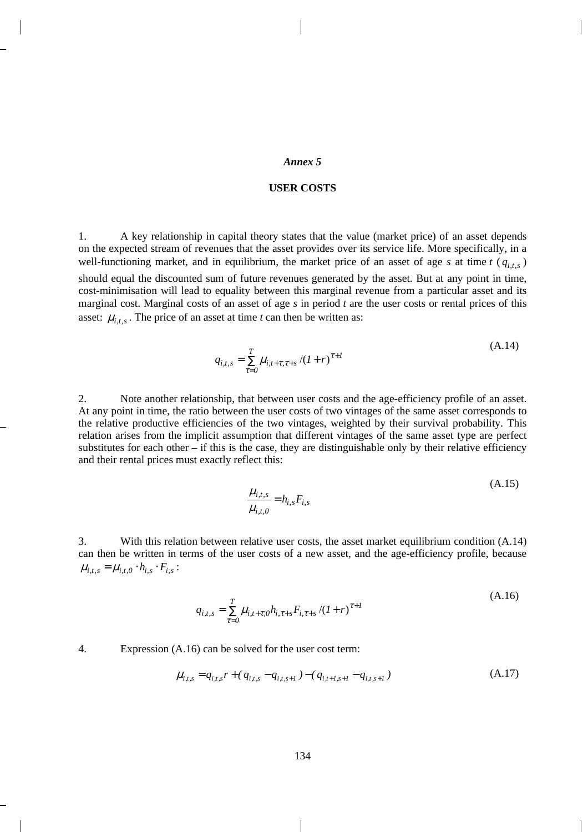### **USER COSTS**

1. A key relationship in capital theory states that the value (market price) of an asset depends on the expected stream of revenues that the asset provides over its service life. More specifically, in a well-functioning market, and in equilibrium, the market price of an asset of age *s* at time  $t$  ( $q_{i,t,s}$ ) should equal the discounted sum of future revenues generated by the asset. But at any point in time, cost-minimisation will lead to equality between this marginal revenue from a particular asset and its marginal cost. Marginal costs of an asset of age *s* in period *t* are the user costs or rental prices of this asset:  $\mu_{i,t,s}$ . The price of an asset at time *t* can then be written as:

$$
q_{i,t,s} = \sum_{\tau=0}^{T} \mu_{i,t+\tau,\tau+s} / (1+r)^{\tau+1}
$$
 (A.14)

2. Note another relationship, that between user costs and the age-efficiency profile of an asset. At any point in time, the ratio between the user costs of two vintages of the same asset corresponds to the relative productive efficiencies of the two vintages, weighted by their survival probability. This relation arises from the implicit assumption that different vintages of the same asset type are perfect substitutes for each other  $-$  if this is the case, they are distinguishable only by their relative efficiency and their rental prices must exactly reflect this:

$$
\frac{\mu_{i,t,s}}{\mu_{i,t,0}} = h_{i,s} F_{i,s}
$$
\n(A.15)

 $(A, 16)$ 

3. With this relation between relative user costs, the asset market equilibrium condition (A.14) can then be written in terms of the user costs of a new asset, and the age-efficiency profile, because  $\mu_{i,t,s} = \mu_{i,t,0} \cdot h_{i,s} \cdot F_{i,s}$ 

$$
q_{i,t,s} = \sum_{\tau=0}^{T} \mu_{i,t+\tau,0} h_{i,\tau+s} F_{i,\tau+s} / (1+r)^{\tau+1}
$$
\n(A.10)

4. Expression (A.16) can be solved for the user cost term:

$$
\mu_{i,t,s} = q_{i,t,s}r + (q_{i,t,s} - q_{i,t,s+1}) - (q_{i,t+1,s+1} - q_{i,t,s+1})
$$
\n(A.17)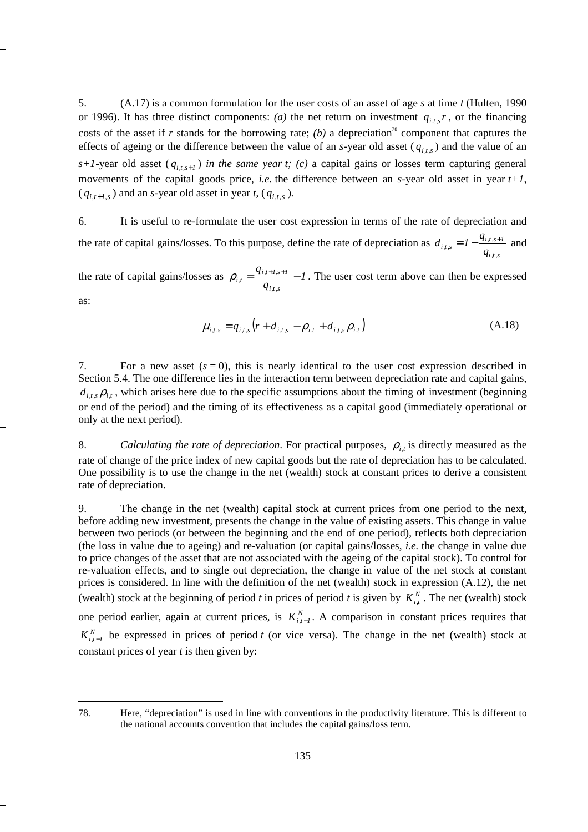5. (A.17) is a common formulation for the user costs of an asset of age *s* at time *t* (Hulten, 1990 or 1996). It has three distinct components: *(a)* the net return on investment  $q_{i,t,s}$ , or the financing costs of the asset if  $r$  stands for the borrowing rate; *(b)* a depreciation<sup>78</sup> component that captures the effects of ageing or the difference between the value of an  $s$ -year old asset ( $q_{i,t,s}$ ) and the value of an  $s+1$ -year old asset ( $q_{i,t,s+1}$ ) *in the same year t;* (*c*) a capital gains or losses term capturing general movements of the capital goods price, *i.e.* the difference between an *s*-year old asset in year *t+1*,  $(q_{i,t+1,s})$  and an *s*-year old asset in year *t*,  $(q_{i,t,s})$ .

6. It is useful to re-formulate the user cost expression in terms of the rate of depreciation and the rate of capital gains/losses. To this purpose, define the rate of depreciation as *i,t,s*  $i_{i,t,s} = 1 - \frac{q_{i,t,s+1}}{q_{i,t,s}}$  $d_{i,t,s} = 1 - \frac{q_{i,t,s+1}}{q_{i,t,s+1}}$  and

the rate of capital gains/losses as  $\rho_{i,t} = \frac{\gamma_{i,t+1,s+1}}{n} - 1$ *q q i,t ,s*  $\rho_{i,t} = \frac{q_{i,t+1,s+1}}{q} - 1$ . The user cost term above can then be expressed

as:

$$
\mu_{i,t,s} = q_{i,t,s} \left( r + d_{i,t,s} - \rho_{i,t} + d_{i,t,s} \rho_{i,t} \right)
$$
\n(A.18)

7. For a new asset  $(s = 0)$ , this is nearly identical to the user cost expression described in Section 5.4. The one difference lies in the interaction term between depreciation rate and capital gains,  $d_{i,t,s}$ , which arises here due to the specific assumptions about the timing of investment (beginning or end of the period) and the timing of its effectiveness as a capital good (immediately operational or only at the next period).

8. *Calculating the rate of depreciation*. For practical purposes,  $\rho_{i,t}$  is directly measured as the rate of change of the price index of new capital goods but the rate of depreciation has to be calculated. One possibility is to use the change in the net (wealth) stock at constant prices to derive a consistent rate of depreciation.

9. The change in the net (wealth) capital stock at current prices from one period to the next, before adding new investment, presents the change in the value of existing assets. This change in value between two periods (or between the beginning and the end of one period), reflects both depreciation (the loss in value due to ageing) and re-valuation (or capital gains/losses, *i.e.* the change in value due to price changes of the asset that are not associated with the ageing of the capital stock). To control for re-valuation effects, and to single out depreciation, the change in value of the net stock at constant prices is considered. In line with the definition of the net (wealth) stock in expression (A.12), the net (wealth) stock at the beginning of period *t* in prices of period *t* is given by  $K_{i,t}^{N}$ . The net (wealth) stock one period earlier, again at current prices, is  $K_{i,t-1}^N$ . A comparison in constant prices requires that  $K_{i,t-1}^{N}$  be expressed in prices of period *t* (or vice versa). The change in the net (wealth) stock at constant prices of year *t* is then given by:

j 78. Here, "depreciation" is used in line with conventions in the productivity literature. This is different to the national accounts convention that includes the capital gains/loss term.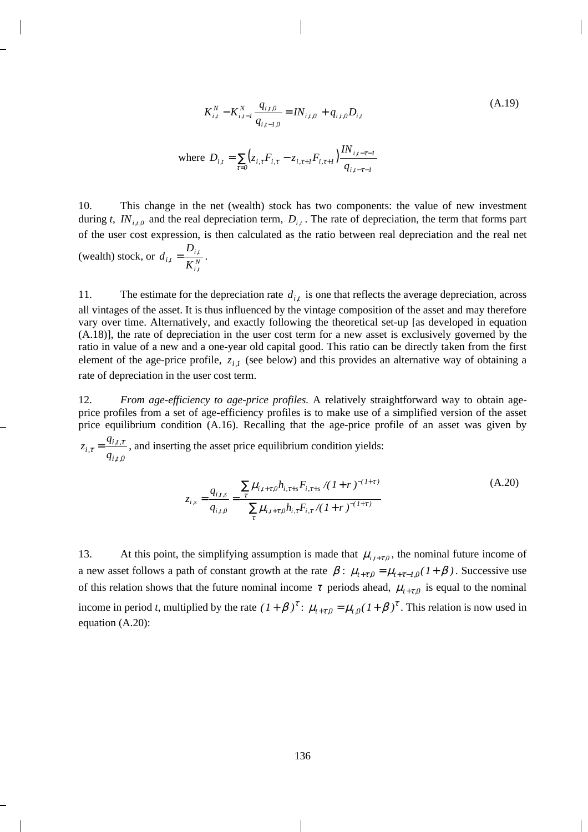$$
K_{i,t}^{N} - K_{i,t-1}^{N} \frac{q_{i,t,0}}{q_{i,t-1,0}} = IN_{i,t,0} + q_{i,t,0} D_{i,t}
$$
\nwhere  $D_{i,t} = \sum_{\tau=0} \left( z_{i,\tau} F_{i,\tau} - z_{i,\tau+1} F_{i,\tau+1} \right) \frac{IN_{i,t-\tau-1}}{q_{i,t-\tau-1}}$ 

10. This change in the net (wealth) stock has two components: the value of new investment during *t*,  $IN_{i,t,0}$  and the real depreciation term,  $D_{i,t}$ . The rate of depreciation, the term that forms part of the user cost expression, is then calculated as the ratio between real depreciation and the real net

(wealth) stock, or  $d_{i,t} = \frac{\sum_{i,t}^{N}}{K_{i,t}^{N}}$ *i,t*  $\frac{1}{K}$   $\frac{1}{K}$ *D*  $d_{i,t} = \frac{L_{i,t}}{L_{i,t}}$ .

11. The estimate for the depreciation rate  $d_{i,t}$  is one that reflects the average depreciation, across all vintages of the asset. It is thus influenced by the vintage composition of the asset and may therefore vary over time. Alternatively, and exactly following the theoretical set-up [as developed in equation (A.18)], the rate of depreciation in the user cost term for a new asset is exclusively governed by the ratio in value of a new and a one-year old capital good. This ratio can be directly taken from the first element of the age-price profile,  $z_{i,l}$  (see below) and this provides an alternative way of obtaining a rate of depreciation in the user cost term.

12. *From age-efficiency to age-price profiles.* A relatively straightforward way to obtain ageprice profiles from a set of age-efficiency profiles is to make use of a simplified version of the asset price equilibrium condition (A.16). Recalling that the age-price profile of an asset was given by

*i,t,0 i,t,*  $i, \tau = \frac{a}{q}$  $z_{i,\tau} = \frac{q_{i,t,\tau}}{q}$ , and inserting the asset price equilibrium condition yields:

$$
z_{i,s} = \frac{q_{i,t,s}}{q_{i,t,0}} = \frac{\sum_{\tau} \mu_{i,t+\tau,0} h_{i,\tau+s} F_{i,\tau+s} / (1+r)^{-(1+\tau)}}{\sum_{\tau} \mu_{i,t+\tau,0} h_{i,\tau} F_{i,\tau} / (1+r)^{-(1+\tau)}}
$$
(A.20)

13. At this point, the simplifying assumption is made that  $\mu_{i,t+\tau,0}$ , the nominal future income of a new asset follows a path of constant growth at the rate  $\beta$ :  $\mu_{t+\tau,0} = \mu_{t+\tau-1,0} (1+\beta)$ . Successive use of this relation shows that the future nominal income  $\tau$  periods ahead,  $\mu_{t+\tau,0}$  is equal to the nominal income in period *t*, multiplied by the rate  $(I + \beta)^{\tau}$ :  $\mu_{t+\tau,0} = \mu_{t,0}(I + \beta)^{\tau}$ . This relation is now used in equation (A.20):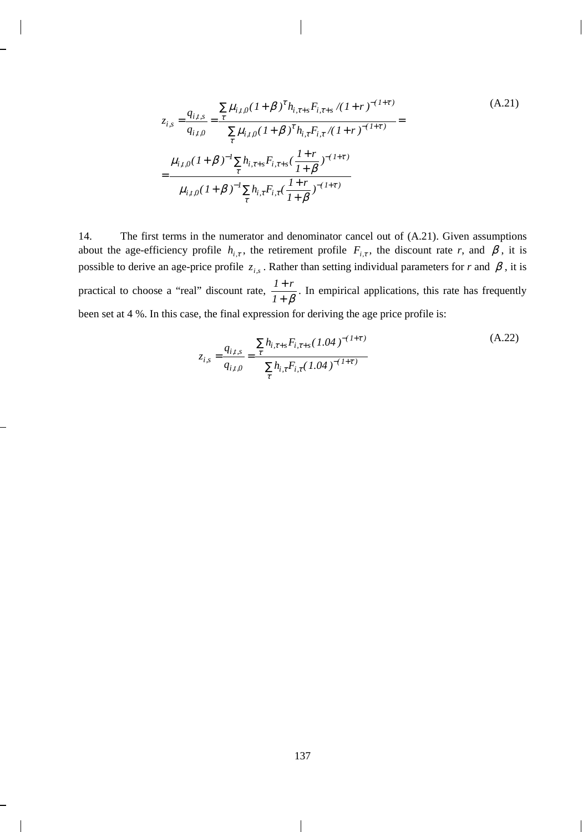$$
z_{i,s} = \frac{q_{i,t,s}}{q_{i,t,0}} = \frac{\sum_{\tau} \mu_{i,t,0} (1+\beta)^{\tau} h_{i,\tau+s} F_{i,\tau+s} / (1+r)^{-(1+\tau)}}{\sum_{\tau} \mu_{i,t,0} (1+\beta)^{\tau} h_{i,\tau} F_{i,\tau} / (1+r)^{-(1+\tau)}} =
$$
\n
$$
= \frac{\mu_{i,t,0} (1+\beta)^{-1} \sum_{\tau} h_{i,\tau+s} F_{i,\tau+s} (\frac{1+r}{1+\beta})^{-(1+\tau)}}{\mu_{i,t,0} (1+\beta)^{-1} \sum_{\tau} h_{i,\tau} F_{i,\tau} (\frac{1+r}{1+\beta})^{-(1+\tau)}}
$$
\n(A.21)

14. The first terms in the numerator and denominator cancel out of (A.21). Given assumptions about the age-efficiency profile  $h_{i,\tau}$ , the retirement profile  $F_{i,\tau}$ , the discount rate *r*, and  $\beta$ , it is possible to derive an age-price profile  $z_{i,s}$ . Rather than setting individual parameters for *r* and  $\beta$ , it is practical to choose a "real" discount rate,  $+$   $\beta$ + *1*  $\frac{1+r}{1-r}$ . In empirical applications, this rate has frequently been set at 4 %. In this case, the final expression for deriving the age price profile is:

$$
z_{i,s} = \frac{q_{i,t,s}}{q_{i,t,0}} = \frac{\sum h_{i,\tau+s} F_{i,\tau+s} (1.04)^{-(1+\tau)}}{\sum_{\tau} h_{i,\tau} F_{i,\tau} (1.04)^{-(1+\tau)}}
$$
(A.22)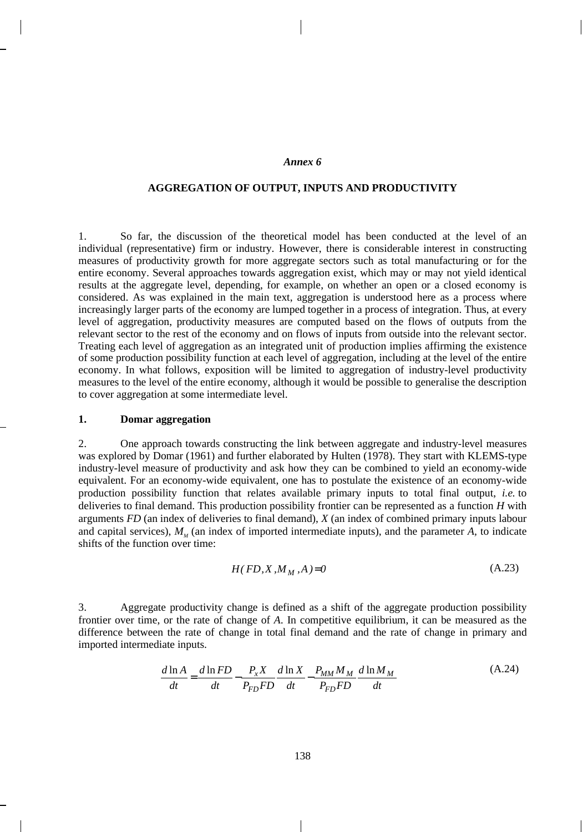### **AGGREGATION OF OUTPUT, INPUTS AND PRODUCTIVITY**

1. So far, the discussion of the theoretical model has been conducted at the level of an individual (representative) firm or industry. However, there is considerable interest in constructing measures of productivity growth for more aggregate sectors such as total manufacturing or for the entire economy. Several approaches towards aggregation exist, which may or may not yield identical results at the aggregate level, depending, for example, on whether an open or a closed economy is considered. As was explained in the main text, aggregation is understood here as a process where increasingly larger parts of the economy are lumped together in a process of integration. Thus, at every level of aggregation, productivity measures are computed based on the flows of outputs from the relevant sector to the rest of the economy and on flows of inputs from outside into the relevant sector. Treating each level of aggregation as an integrated unit of production implies affirming the existence of some production possibility function at each level of aggregation, including at the level of the entire economy. In what follows, exposition will be limited to aggregation of industry-level productivity measures to the level of the entire economy, although it would be possible to generalise the description to cover aggregation at some intermediate level.

### **1. Domar aggregation**

2. One approach towards constructing the link between aggregate and industry-level measures was explored by Domar (1961) and further elaborated by Hulten (1978). They start with KLEMS-type industry-level measure of productivity and ask how they can be combined to yield an economy-wide equivalent. For an economy-wide equivalent, one has to postulate the existence of an economy-wide production possibility function that relates available primary inputs to total final output, *i.e.* to deliveries to final demand. This production possibility frontier can be represented as a function *H* with arguments *FD* (an index of deliveries to final demand), *X* (an index of combined primary inputs labour and capital services),  $M_{\mu}$  (an index of imported intermediate inputs), and the parameter  $A$ , to indicate shifts of the function over time:

$$
H(FD, X, M_M, A) = 0
$$
\n<sup>(A.23)</sup>

3. Aggregate productivity change is defined as a shift of the aggregate production possibility frontier over time, or the rate of change of *A*. In competitive equilibrium, it can be measured as the difference between the rate of change in total final demand and the rate of change in primary and imported intermediate inputs.

$$
\frac{d\ln A}{dt} = \frac{d\ln FD}{dt} - \frac{P_x X}{P_{FD} FD} \frac{d\ln X}{dt} - \frac{P_{MM} M_M}{P_{FD} FD} \frac{d\ln M_M}{dt}
$$
(A.24)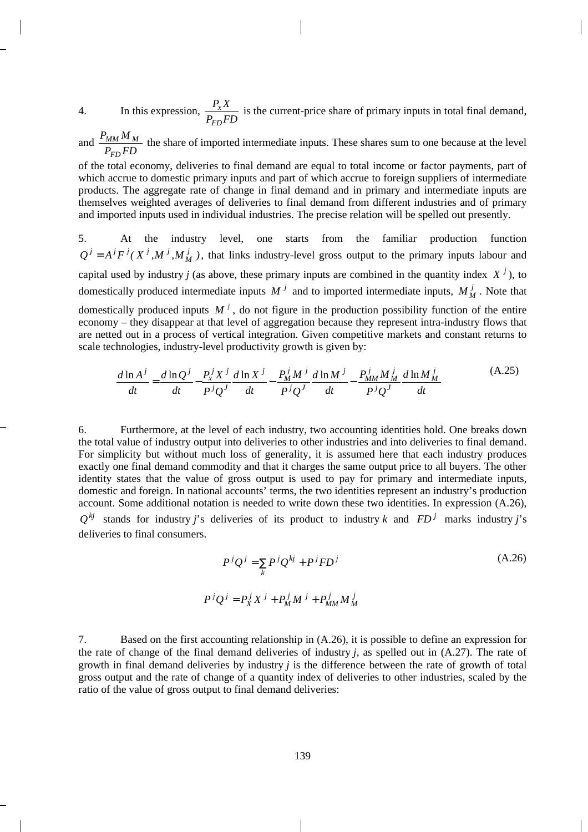4. In this expression,  $\frac{P_x X}{P_{FD} F D}$ *FD*  $\frac{x^A}{\overline{x}}$  is the current-price share of primary inputs in total final demand,

and *P FD*  $P_{MM}M$ *FD*  $\frac{MM^M M}{D}$  the share of imported intermediate inputs. These shares sum to one because at the level

of the total economy, deliveries to final demand are equal to total income or factor payments, part of which accrue to domestic primary inputs and part of which accrue to foreign suppliers of intermediate products. The aggregate rate of change in final demand and in primary and intermediate inputs are themselves weighted averages of deliveries to final demand from different industries and of primary and imported inputs used in individual industries. The precise relation will be spelled out presently.

5. At the industry level, one starts from the familiar production function  $Q^{j} = A^{j}F^{j}(X^{j}, M^{j}, M^{j}_{M})$ , that links industry-level gross output to the primary inputs labour and capital used by industry *j* (as above, these primary inputs are combined in the quantity index  $X^j$ ), to domestically produced intermediate inputs  $M^{j}$  and to imported intermediate inputs,  $M^{j}_{M}$ . Note that domestically produced inputs  $M<sup>j</sup>$ , do not figure in the production possibility function of the entire economy – they disappear at that level of aggregation because they represent intra-industry flows that are netted out in a process of vertical integration. Given competitive markets and constant returns to scale technologies, industry-level productivity growth is given by:

$$
\frac{d\ln A^j}{dt} = \frac{d\ln Q^j}{dt} - \frac{P_x^j X^j}{P^j Q^J} \frac{d\ln X^j}{dt} - \frac{P_M^j M^j}{P^j Q^J} \frac{d\ln M^j}{dt} - \frac{P_{MM}^j M_M^j}{P^j Q^J} \frac{d\ln M_M^j}{dt}
$$
(A.25)

6. Furthermore, at the level of each industry, two accounting identities hold. One breaks down the total value of industry output into deliveries to other industries and into deliveries to final demand. For simplicity but without much loss of generality, it is assumed here that each industry produces exactly one final demand commodity and that it charges the same output price to all buyers. The other identity states that the value of gross output is used to pay for primary and intermediate inputs, domestic and foreign. In national accounts' terms, the two identities represent an industry's production account. Some additional notation is needed to write down these two identities. In expression (A.26),  $Q^{kj}$  stands for industry *j*'s deliveries of its product to industry *k* and *FD*<sup>*j*</sup> marks industry *j*'s deliveries to final consumers.

$$
P^{j}Q^{j} = \sum_{k} P^{j}Q^{kj} + P^{j}FD^{j}
$$
\n
$$
P^{j}Q^{j} = P_{X}^{j}X^{j} + P_{M}^{j}M^{j} + P_{MM}^{j}M_{M}^{j}
$$
\n(A.26)

(A.25)

7. Based on the first accounting relationship in (A.26), it is possible to define an expression for the rate of change of the final demand deliveries of industry *j*, as spelled out in (A.27). The rate of growth in final demand deliveries by industry *j* is the difference between the rate of growth of total gross output and the rate of change of a quantity index of deliveries to other industries, scaled by the ratio of the value of gross output to final demand deliveries: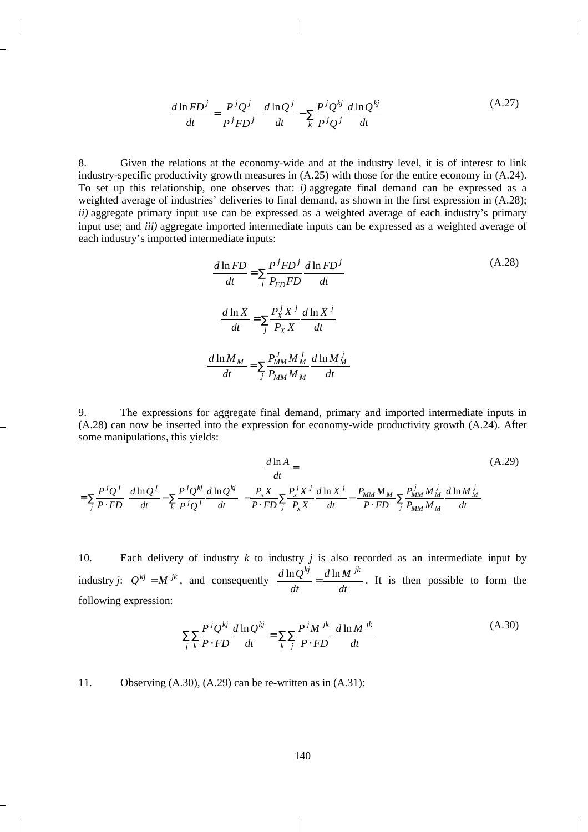$$
\frac{d\ln FD^j}{dt} = \frac{P^j Q^j}{P^j FD^j} \left( \frac{d\ln Q^j}{dt} - \sum_k \frac{P^j Q^{kj}}{P^j Q^j} \frac{d\ln Q^{kj}}{dt} \right)
$$
(A.27)

8. Given the relations at the economy-wide and at the industry level, it is of interest to link industry-specific productivity growth measures in (A.25) with those for the entire economy in (A.24). To set up this relationship, one observes that: *i)* aggregate final demand can be expressed as a weighted average of industries' deliveries to final demand, as shown in the first expression in (A.28); *ii*) aggregate primary input use can be expressed as a weighted average of each industry's primary input use; and *iii)* aggregate imported intermediate inputs can be expressed as a weighted average of each industry's imported intermediate inputs:

$$
\frac{d \ln FD}{dt} = \sum_{j} \frac{P^{j} FD^{j}}{P_{FD} FD} \frac{d \ln FD^{j}}{dt}
$$
\n
$$
\frac{d \ln X}{dt} = \sum_{j} \frac{P_{X}^{j} X^{j}}{P_{X} X} \frac{d \ln X^{j}}{dt}
$$
\n
$$
\frac{d \ln M_{M}}{dt} = \sum_{j} \frac{P_{MM}^{j} M_{M}^{j}}{P_{MM} M_{M}} \frac{d \ln M_{M}^{j}}{dt}
$$
\n(A.28)

9. The expressions for aggregate final demand, primary and imported intermediate inputs in (A.28) can now be inserted into the expression for economy-wide productivity growth (A.24). After some manipulations, this yields:

$$
\frac{d\ln A}{dt} = \text{(A.29)}
$$
\n
$$
= \sum_{j} \frac{P^{j}Q^{j}}{P \cdot FD} \left(\frac{d\ln Q^{j}}{dt} - \sum_{k} \frac{P^{j}Q^{kj}}{P^{j}Q^{j}} \frac{d\ln Q^{kj}}{dt}\right) - \frac{P_{x}X}{P \cdot FD} \sum_{j} \frac{P_{x}^{j}X^{j}}{P_{x}X} \frac{d\ln X^{j}}{dt} - \frac{P_{MM}M_{M}}{P \cdot FD} \sum_{j} \frac{P_{MM}^{j}M_{M}^{j}}{P_{MM}M_{M}} \frac{d\ln M_{M}^{j}}{dt}
$$

10. Each delivery of industry *k* to industry *j* is also recorded as an intermediate input by industry *j*:  $Q^{kj} = M^{jk}$ , and consequently  $\frac{d \ln Q^{kj}}{dt} = \frac{d \ln M}{dt}$ *dt*  $\frac{d \ln Q^{kj}}{dt} = \frac{d \ln M^{jk}}{dt}$ . It is then possible to form the following expression:

$$
\sum_{j} \sum_{k} \frac{P^j Q^{kj}}{P \cdot FD} \frac{d \ln Q^{kj}}{dt} = \sum_{k} \sum_{j} \frac{P^j M^{jk}}{P \cdot FD} \frac{d \ln M^{jk}}{dt}
$$
 (A.30)

11. Observing (A.30), (A.29) can be re-written as in (A.31):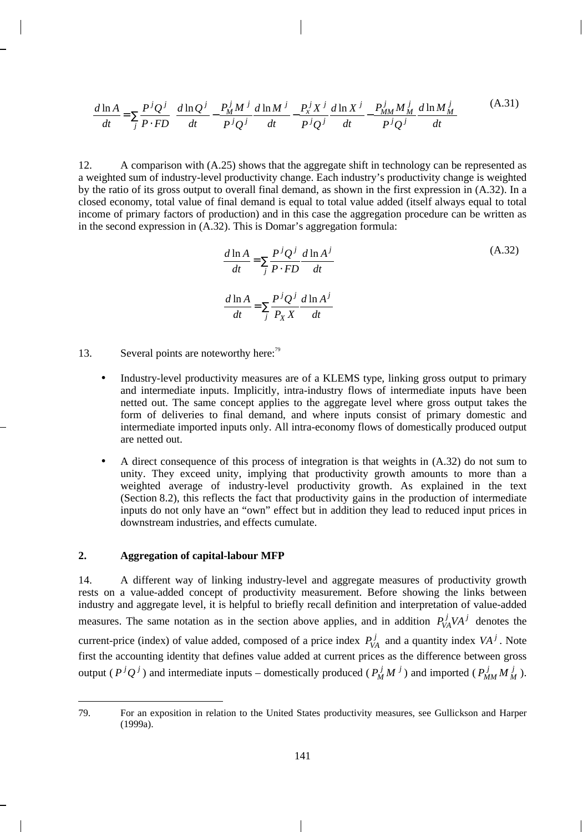$$
\frac{d\ln A}{dt} = \sum_{j} \frac{P^{j} Q^{j}}{P \cdot FD} \left( \frac{d\ln Q^{j}}{dt} - \frac{P_{M}^{j} M^{j}}{P^{j} Q^{j}} \frac{d\ln M^{j}}{dt} - \frac{P_{X}^{j} X^{j}}{P^{j} Q^{j}} \frac{d\ln X^{j}}{dt} - \frac{P_{MM}^{j} M_{M}^{j}}{P^{j} Q^{j}} \frac{d\ln M_{M}^{j}}{dt} \right)
$$
(A.31)

12. A comparison with (A.25) shows that the aggregate shift in technology can be represented as a weighted sum of industry-level productivity change. Each industry's productivity change is weighted by the ratio of its gross output to overall final demand, as shown in the first expression in (A.32). In a closed economy, total value of final demand is equal to total value added (itself always equal to total income of primary factors of production) and in this case the aggregation procedure can be written as in the second expression in (A.32). This is Domar's aggregation formula:

$$
\frac{d \ln A}{dt} = \sum_{j} \frac{P^{j} Q^{j}}{P \cdot FD} \frac{d \ln A^{j}}{dt}
$$
\n(A.32)\n
$$
\frac{d \ln A}{dt} = \sum_{j} \frac{P^{j} Q^{j}}{P_{X} X} \frac{d \ln A^{j}}{dt}
$$

13. Several points are noteworthy here: $\frac{79}{12}$ 

- Industry-level productivity measures are of a KLEMS type, linking gross output to primary and intermediate inputs. Implicitly, intra-industry flows of intermediate inputs have been netted out. The same concept applies to the aggregate level where gross output takes the form of deliveries to final demand, and where inputs consist of primary domestic and intermediate imported inputs only. All intra-economy flows of domestically produced output are netted out.
- A direct consequence of this process of integration is that weights in (A.32) do not sum to unity. They exceed unity, implying that productivity growth amounts to more than a weighted average of industry-level productivity growth. As explained in the text (Section 8.2), this reflects the fact that productivity gains in the production of intermediate inputs do not only have an "own" effect but in addition they lead to reduced input prices in downstream industries, and effects cumulate.

## **2. Aggregation of capital-labour MFP**

14. A different way of linking industry-level and aggregate measures of productivity growth rests on a value-added concept of productivity measurement. Before showing the links between industry and aggregate level, it is helpful to briefly recall definition and interpretation of value-added measures. The same notation as in the section above applies, and in addition  $P_{VA}^j VA^j$  denotes the current-price (index) of value added, composed of a price index  $P_{VA}^{j}$  and a quantity index  $VA^{j}$ . Note first the accounting identity that defines value added at current prices as the difference between gross output ( $P^{j}Q^{j}$ ) and intermediate inputs – domestically produced ( $P^{j}_{M}M^{j}$ ) and imported ( $P^{j}_{MM}M^{j}_{M}$ ).

j 79. For an exposition in relation to the United States productivity measures, see Gullickson and Harper (1999a).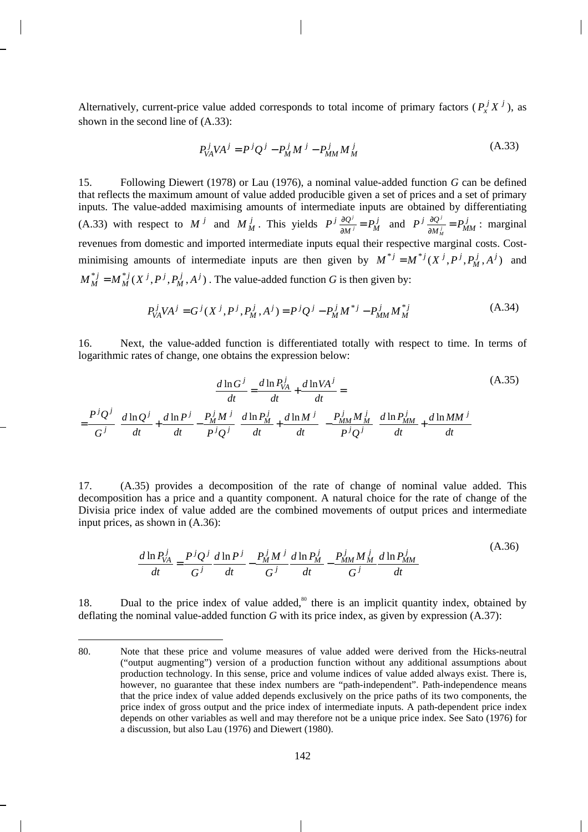Alternatively, current-price value added corresponds to total income of primary factors ( $P<sub>x</sub><sup>j</sup> X<sup>j</sup>$ ), as shown in the second line of (A.33):

$$
P_{VA}^j V A^j = P^j Q^j - P_M^j M^j - P_{MM}^j M_M^j
$$
\n
$$
(A.33)
$$

15. Following Diewert (1978) or Lau (1976), a nominal value-added function *G* can be defined that reflects the maximum amount of value added producible given a set of prices and a set of primary inputs. The value-added maximising amounts of intermediate inputs are obtained by differentiating (A.33) with respect to M<sup>j</sup> and M<sub>M</sub><sup>j</sup>. This yields  $P^j \frac{\partial Q^j}{\partial M^j} = P_M^j$  and  $P^j \frac{\partial Q^j}{\partial M_M^j} = P_{MM}^j$  $\frac{\partial Q^j}{\partial M_M^j} = P_{MM}^j$ : marginal revenues from domestic and imported intermediate inputs equal their respective marginal costs. Costminimising amounts of intermediate inputs are then given by  $M^{*j} = M^{*j}(X^j, P^j, P^j, A^j)$  and  $M_M^{*j} = M_M^{*j}(X^j, P^j, P^j, A^j)$ *j j j*  $M_M^{*j} = M_M^{*j}(X^j, P^j, P^j, A^j)$ . The value-added function *G* is then given by:

$$
P_{VA}^{j}VA^{j} = G^{j}(X^{j}, P^{j}, P_{M}^{j}, A^{j}) = P^{j}Q^{j} - P_{M}^{j}M^{*j} - P_{MM}^{j}M_{M}^{*j}
$$
(A.34)

16. Next, the value-added function is differentiated totally with respect to time. In terms of logarithmic rates of change, one obtains the expression below:

$$
\frac{d\ln G^j}{dt} = \frac{d\ln P^j_{VA}}{dt} + \frac{d\ln VA^j}{dt} =
$$
\n
$$
= \frac{P^j Q^j}{G^j} \left(\frac{d\ln Q^j}{dt} + \frac{d\ln P^j}{dt} - \frac{P^j_M M^j}{P^j Q^j} \left(\frac{d\ln P^j_M}{dt} + \frac{d\ln M^j}{dt}\right) - \frac{P^j_{MM} M^j_M}{P^j Q^j} \left(\frac{d\ln P^j_{MM}}{dt} + \frac{d\ln M M^j}{dt}\right)\right)
$$
\n(A.35)

17. (A.35) provides a decomposition of the rate of change of nominal value added. This decomposition has a price and a quantity component. A natural choice for the rate of change of the Divisia price index of value added are the combined movements of output prices and intermediate input prices, as shown in (A.36):

$$
\frac{d\ln P_{VA}^j}{dt} = \frac{P^j Q^j}{G^j} \frac{d\ln P^j}{dt} - \frac{P_M^j M^j}{G^j} \frac{d\ln P_M^j}{dt} - \frac{P_{MM}^j M_M^j}{G^j} \frac{d\ln P_{MM}^j}{dt}
$$
\n(A.36)

18. Dual to the price index of value added,<sup>80</sup> there is an implicit quantity index, obtained by deflating the nominal value-added function *G* with its price index, as given by expression (A.37):

-

<sup>80.</sup> Note that these price and volume measures of value added were derived from the Hicks-neutral ("output augmenting") version of a production function without any additional assumptions about production technology. In this sense, price and volume indices of value added always exist. There is, however, no guarantee that these index numbers are "path-independent". Path-independence means that the price index of value added depends exclusively on the price paths of its two components, the price index of gross output and the price index of intermediate inputs. A path-dependent price index depends on other variables as well and may therefore not be a unique price index. See Sato (1976) for a discussion, but also Lau (1976) and Diewert (1980).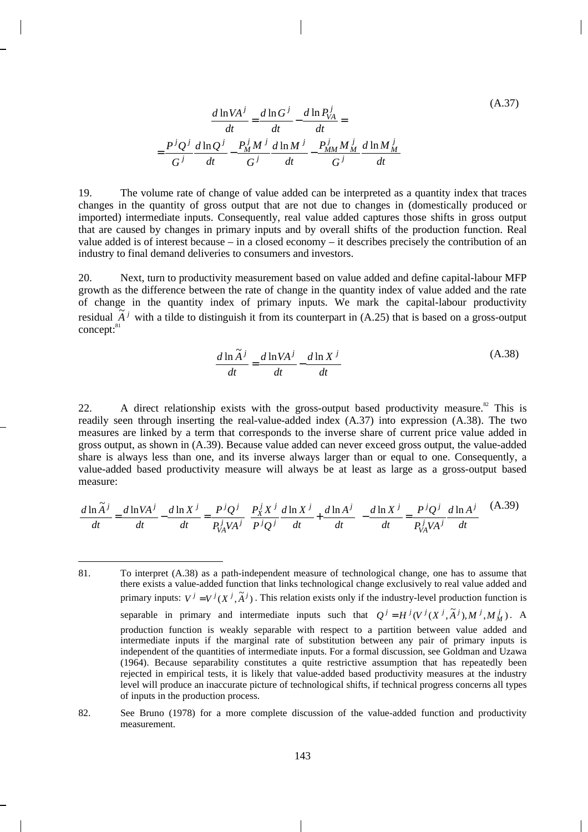$$
\frac{d\ln V A^j}{dt} = \frac{d\ln G^j}{dt} - \frac{d\ln P_{VA}^j}{dt} =
$$

$$
= \frac{P^j Q^j}{G^j} \frac{d\ln Q^j}{dt} - \frac{P_M^j M^j}{G^j} \frac{d\ln M^j}{dt} - \frac{P_{MM}^j M_M^j}{G^j} \frac{d\ln M_M^j}{dt}
$$

19. The volume rate of change of value added can be interpreted as a quantity index that traces changes in the quantity of gross output that are not due to changes in (domestically produced or imported) intermediate inputs. Consequently, real value added captures those shifts in gross output that are caused by changes in primary inputs and by overall shifts of the production function. Real value added is of interest because – in a closed economy – it describes precisely the contribution of an industry to final demand deliveries to consumers and investors.

20. Next, turn to productivity measurement based on value added and define capital-labour MFP growth as the difference between the rate of change in the quantity index of value added and the rate of change in the quantity index of primary inputs. We mark the capital-labour productivity residual  $\tilde{A}^j$  with a tilde to distinguish it from its counterpart in (A.25) that is based on a gross-output  $concept:$ <sup>81</sup>

$$
\frac{d\ln\widetilde{A}^j}{dt} = \frac{d\ln V A^j}{dt} - \frac{d\ln X^j}{dt}
$$
\n(A.38)

(A.37)

22. A direct relationship exists with the gross-output based productivity measure.<sup>82</sup> This is readily seen through inserting the real-value-added index (A.37) into expression (A.38). The two measures are linked by a term that corresponds to the inverse share of current price value added in gross output, as shown in (A.39). Because value added can never exceed gross output, the value-added share is always less than one, and its inverse always larger than or equal to one. Consequently, a value-added based productivity measure will always be at least as large as a gross-output based measure:

$$
\frac{d\ln\widetilde{A}^j}{dt} = \frac{d\ln\widetilde{V}A^j}{dt} - \frac{d\ln X^j}{dt} = \frac{P^jQ^j}{P_{VA}^jVA^j} \left(\frac{P_X^jX^j}{P^jQ^j}\frac{d\ln X^j}{dt} + \frac{d\ln A^j}{dt}\right) - \frac{d\ln X^j}{dt} = \frac{P^jQ^j}{P_{VA}^jVA^j}\frac{d\ln A^j}{dt} \tag{A.39}
$$

82. See Bruno (1978) for a more complete discussion of the value-added function and productivity measurement.

<sup>-</sup>81. To interpret (A.38) as a path-independent measure of technological change, one has to assume that there exists a value-added function that links technological change exclusively to real value added and primary inputs:  $V^j = V^j(X^j, \tilde{A}^j)$ . This relation exists only if the industry-level production function is separable in primary and intermediate inputs such that  $Q^j = H^j(V^j(X^j, \tilde{A}^j), M^j, M^j)$ . A production function is weakly separable with respect to a partition between value added and intermediate inputs if the marginal rate of substitution between any pair of primary inputs is independent of the quantities of intermediate inputs. For a formal discussion, see Goldman and Uzawa (1964). Because separability constitutes a quite restrictive assumption that has repeatedly been rejected in empirical tests, it is likely that value-added based productivity measures at the industry level will produce an inaccurate picture of technological shifts, if technical progress concerns all types of inputs in the production process.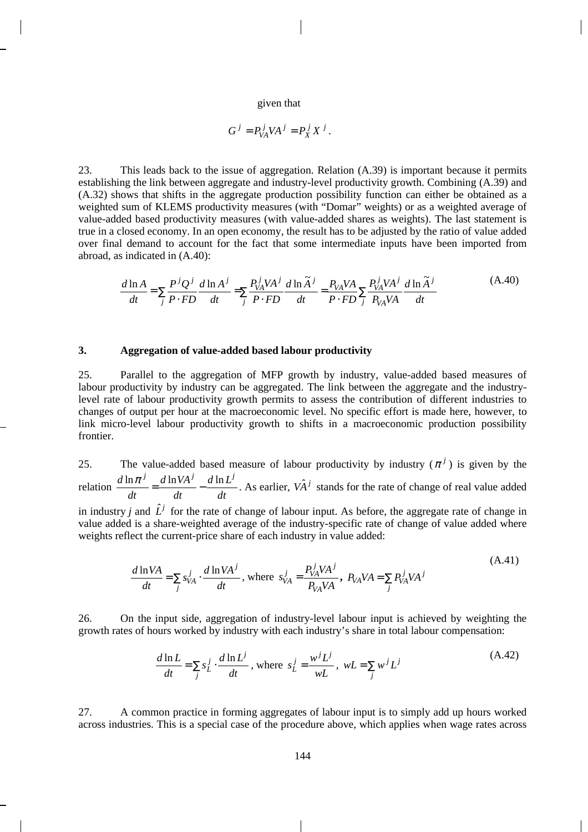given that

$$
G^j = P_{VA}^j V A^j = P_X^j X^j.
$$

23. This leads back to the issue of aggregation. Relation (A.39) is important because it permits establishing the link between aggregate and industry-level productivity growth. Combining (A.39) and (A.32) shows that shifts in the aggregate production possibility function can either be obtained as a weighted sum of KLEMS productivity measures (with "Domar" weights) or as a weighted average of value-added based productivity measures (with value-added shares as weights). The last statement is true in a closed economy. In an open economy, the result has to be adjusted by the ratio of value added over final demand to account for the fact that some intermediate inputs have been imported from abroad, as indicated in (A.40):

$$
\frac{d\ln A}{dt} = \sum_{j} \frac{P^{j} Q^{j}}{P \cdot FD} \frac{d\ln A^{j}}{dt} = \sum_{j} \frac{P_{VA}^{j} VA^{j}}{P \cdot FD} \frac{d\ln \widetilde{A}^{j}}{dt} = \frac{P_{VA} VA}{P \cdot FD} \sum_{j} \frac{P_{VA}^{j} VA^{j}}{P_{VA} VA} \frac{d\ln \widetilde{A}^{j}}{dt}
$$
(A.40)

## **3. Aggregation of value-added based labour productivity**

25. Parallel to the aggregation of MFP growth by industry, value-added based measures of labour productivity by industry can be aggregated. The link between the aggregate and the industrylevel rate of labour productivity growth permits to assess the contribution of different industries to changes of output per hour at the macroeconomic level. No specific effort is made here, however, to link micro-level labour productivity growth to shifts in a macroeconomic production possibility frontier.

25. The value-added based measure of labour productivity by industry  $(\pi^{j})$  is given by the relation *dt*  $d \ln L$ *dt d VA dt*  $\frac{d \ln \pi^{j}}{d \ln \pi^{j}} = \frac{d \ln V A^{j}}{d \ln \pi^{j}}$ . As earlier,  $V \hat{A}^{j}$  stands for the rate of change of real value added in industry *j* and  $\hat{L}^j$  for the rate of change of labour input. As before, the aggregate rate of change in value added is a share-weighted average of the industry-specific rate of change of value added where weights reflect the current-price share of each industry in value added:

$$
\frac{d \ln VA}{dt} = \sum_{j} s_{VA}^{j} \cdot \frac{d \ln VA^{j}}{dt}
$$
, where  $s_{VA}^{j} = \frac{P_{VA}^{j} VA^{j}}{P_{VA} VA}$ ,  $P_{VA} VA = \sum_{j} P_{VA}^{j} VA^{j}$  (A.41)

26. On the input side, aggregation of industry-level labour input is achieved by weighting the growth rates of hours worked by industry with each industry's share in total labour compensation:

$$
\frac{d \ln L}{dt} = \sum_{j} s_L^j \cdot \frac{d \ln L^j}{dt}, \text{ where } s_L^j = \frac{w^j L^j}{w L}, \ w_L = \sum_{j} w^j L^j \tag{A.42}
$$

27. A common practice in forming aggregates of labour input is to simply add up hours worked across industries. This is a special case of the procedure above, which applies when wage rates across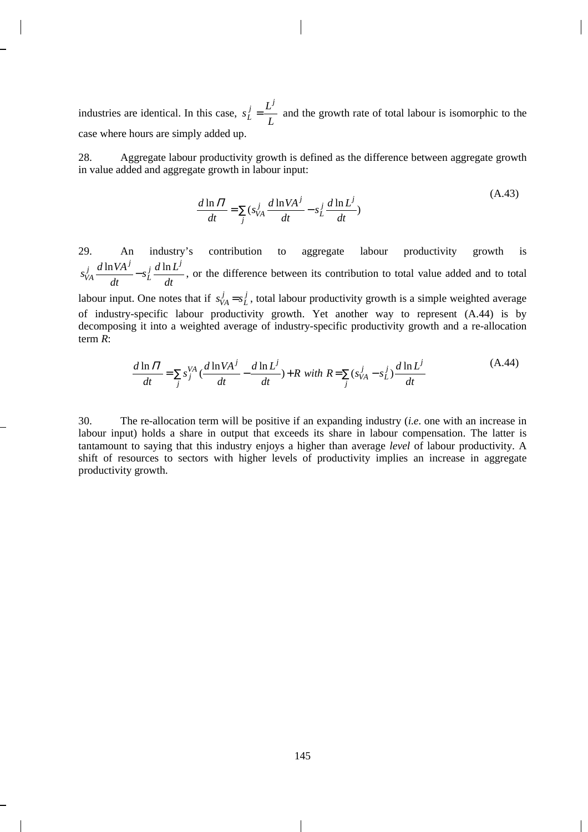industries are identical. In this case,  $s_L^j = \frac{L^j}{L}$  $L<sup>J</sup> = \frac{L}{L}$  and the growth rate of total labour is isomorphic to the case where hours are simply added up.

28. Aggregate labour productivity growth is defined as the difference between aggregate growth in value added and aggregate growth in labour input:

$$
\frac{d\ln\Pi}{dt} = \sum_{j} (s_{VA}^{j} \frac{d\ln V A^{j}}{dt} - s_{L}^{j} \frac{d\ln L^{j}}{dt})
$$
\n(A.43)

29. An industry's contribution to aggregate labour productivity growth is *dt*  $s_L^j$   $\frac{d \ln L}{L}$ *dt*  $s_{VA}^j$   $\frac{d \ln VA^j}{I} - s_L^j$   $\frac{d \ln L^j}{I}$ *L j*  $d \ln VA^j$  $\frac{J_{\rm V}}{J_{\rm H}} \frac{d \ln V A^J}{d t}$  –  $s_L^j \frac{d \ln L^j}{d t}$ , or the difference between its contribution to total value added and to total labour input. One notes that if  $s_{VA}^j = s_L^j$  $s_{VA}^j = s_L^j$ , total labour productivity growth is a simple weighted average of industry-specific labour productivity growth. Yet another way to represent (A.44) is by decomposing it into a weighted average of industry-specific productivity growth and a re-allocation term *R*:

$$
\frac{d\ln \Pi}{dt} = \sum_{j} s_j^{VA} \left( \frac{d\ln VA^j}{dt} - \frac{d\ln L^j}{dt} \right) + R \text{ with } R = \sum_{j} (s_{VA}^j - s_L^j) \frac{d\ln L^j}{dt}
$$
\n(A.44)

30. The re-allocation term will be positive if an expanding industry (*i.e.* one with an increase in labour input) holds a share in output that exceeds its share in labour compensation. The latter is tantamount to saying that this industry enjoys a higher than average *level* of labour productivity. A shift of resources to sectors with higher levels of productivity implies an increase in aggregate productivity growth.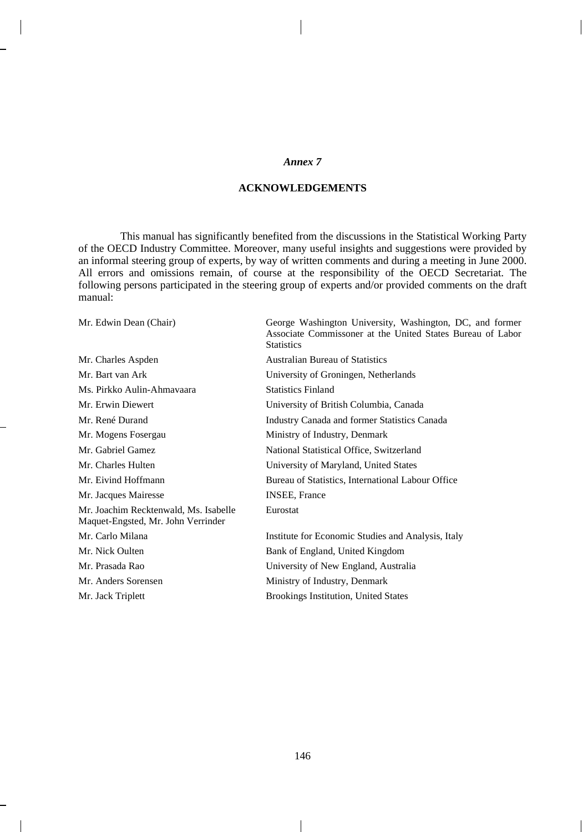## *Annex 7*

## **ACKNOWLEDGEMENTS**

This manual has significantly benefited from the discussions in the Statistical Working Party of the OECD Industry Committee. Moreover, many useful insights and suggestions were provided by an informal steering group of experts, by way of written comments and during a meeting in June 2000. All errors and omissions remain, of course at the responsibility of the OECD Secretariat. The following persons participated in the steering group of experts and/or provided comments on the draft manual:

Mr. Charles Aspden Australian Bureau of Statistics Ms. Pirkko Aulin-Ahmavaara Statistics Finland Mr. Mogens Fosergau Ministry of Industry, Denmark Mr. Jacques Mairesse INSEE, France Mr. Joachim Recktenwald, Ms. Isabelle Maquet-Engsted, Mr. John Verrinder Mr. Anders Sorensen Ministry of Industry, Denmark

Mr. Edwin Dean (Chair) George Washington University, Washington, DC, and former Associate Commissoner at the United States Bureau of Labor **Statistics** Mr. Bart van Ark University of Groningen, Netherlands Mr. Erwin Diewert University of British Columbia, Canada Mr. René Durand Industry Canada and former Statistics Canada Mr. Gabriel Gamez **National Statistical Office, Switzerland** Mr. Charles Hulten University of Maryland, United States Mr. Eivind Hoffmann Bureau of Statistics, International Labour Office Eurostat Mr. Carlo Milana **Institute for Economic Studies and Analysis, Italy** Mr. Nick Oulten Bank of England, United Kingdom Mr. Prasada Rao University of New England, Australia Mr. Jack Triplett Brookings Institution, United States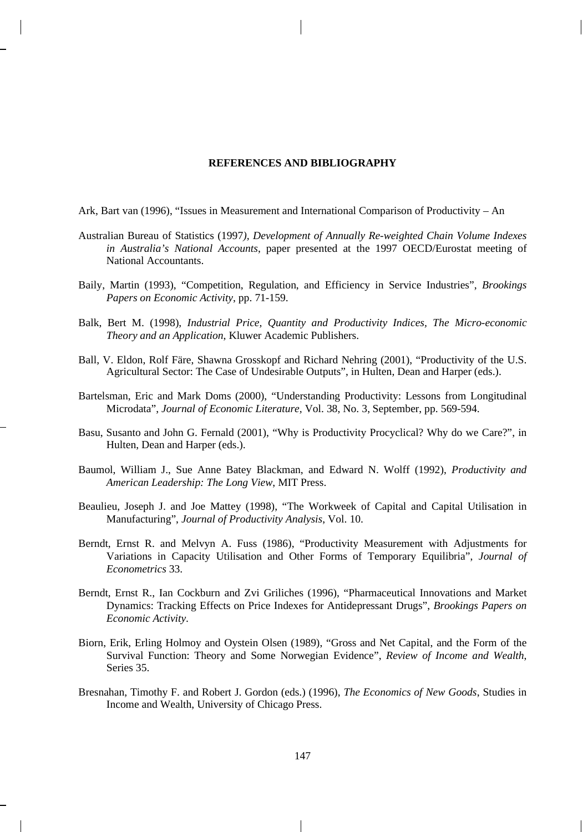## **REFERENCES AND BIBLIOGRAPHY**

- Ark, Bart van (1996), "Issues in Measurement and International Comparison of Productivity An
- Australian Bureau of Statistics (1997*), Development of Annually Re-weighted Chain Volume Indexes in Australia's National Accounts*, paper presented at the 1997 OECD/Eurostat meeting of National Accountants.
- Baily, Martin (1993), "Competition, Regulation, and Efficiency in Service Industries", *Brookings Papers on Economic Activity*, pp. 71-159.
- Balk, Bert M. (1998), *Industrial Price, Quantity and Productivity Indices, The Micro-economic Theory and an Application*, Kluwer Academic Publishers.
- Ball, V. Eldon, Rolf Färe, Shawna Grosskopf and Richard Nehring (2001), "Productivity of the U.S. Agricultural Sector: The Case of Undesirable Outputs", in Hulten, Dean and Harper (eds.).
- Bartelsman, Eric and Mark Doms (2000), "Understanding Productivity: Lessons from Longitudinal Microdata", *Journal of Economic Literature,* Vol. 38, No. 3, September, pp. 569-594.
- Basu, Susanto and John G. Fernald (2001), "Why is Productivity Procyclical? Why do we Care?", in Hulten, Dean and Harper (eds.).
- Baumol, William J., Sue Anne Batey Blackman, and Edward N. Wolff (1992), *Productivity and American Leadership: The Long View*, MIT Press.
- Beaulieu, Joseph J. and Joe Mattey (1998), "The Workweek of Capital and Capital Utilisation in Manufacturing", *Journal of Productivity Analysis*, Vol. 10.
- Berndt, Ernst R. and Melvyn A. Fuss (1986), "Productivity Measurement with Adjustments for Variations in Capacity Utilisation and Other Forms of Temporary Equilibria", *Journal of Econometrics* 33.
- Berndt, Ernst R., Ian Cockburn and Zvi Griliches (1996), "Pharmaceutical Innovations and Market Dynamics: Tracking Effects on Price Indexes for Antidepressant Drugs", *Brookings Papers on Economic Activity*.
- Biorn, Erik, Erling Holmoy and Oystein Olsen (1989), "Gross and Net Capital, and the Form of the Survival Function: Theory and Some Norwegian Evidence", *Review of Income and Wealth*, Series 35.
- Bresnahan, Timothy F. and Robert J. Gordon (eds.) (1996), *The Economics of New Goods*, Studies in Income and Wealth, University of Chicago Press.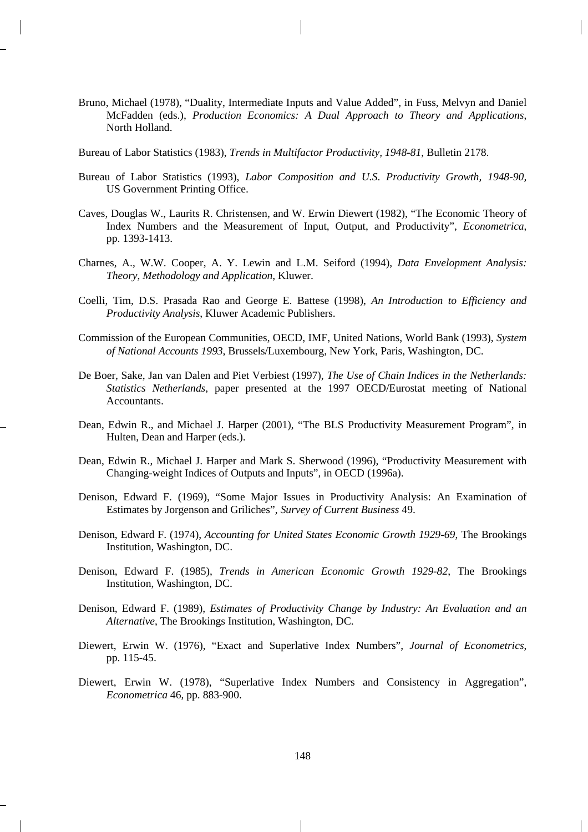- Bruno, Michael (1978), "Duality, Intermediate Inputs and Value Added", in Fuss, Melvyn and Daniel McFadden (eds.), *Production Economics: A Dual Approach to Theory and Applications*, North Holland.
- Bureau of Labor Statistics (1983), *Trends in Multifactor Productivity, 1948-81*, Bulletin 2178.
- Bureau of Labor Statistics (1993), *Labor Composition and U.S*. *Productivity Growth, 1948-90,* US Government Printing Office.
- Caves, Douglas W., Laurits R. Christensen, and W. Erwin Diewert (1982), "The Economic Theory of Index Numbers and the Measurement of Input, Output, and Productivity", *Econometrica*, pp. 1393-1413.
- Charnes, A., W.W. Cooper, A. Y. Lewin and L.M. Seiford (1994), *Data Envelopment Analysis: Theory*, *Methodology and Application*, Kluwer.
- Coelli, Tim, D.S. Prasada Rao and George E. Battese (1998), *An Introduction to Efficiency and Productivity Analysis*, Kluwer Academic Publishers.
- Commission of the European Communities, OECD, IMF, United Nations, World Bank (1993), *System of National Accounts 1993*, Brussels/Luxembourg, New York, Paris, Washington, DC.
- De Boer, Sake, Jan van Dalen and Piet Verbiest (1997), *The Use of Chain Indices in the Netherlands: Statistics Netherlands*, paper presented at the 1997 OECD/Eurostat meeting of National Accountants.
- Dean, Edwin R., and Michael J. Harper (2001), "The BLS Productivity Measurement Program", in Hulten, Dean and Harper (eds.).
- Dean, Edwin R., Michael J. Harper and Mark S. Sherwood (1996), "Productivity Measurement with Changing-weight Indices of Outputs and Inputs", in OECD (1996a).
- Denison, Edward F. (1969), "Some Major Issues in Productivity Analysis: An Examination of Estimates by Jorgenson and Griliches", *Survey of Current Business* 49.
- Denison, Edward F. (1974), *Accounting for United States Economic Growth 1929-69*, The Brookings Institution, Washington, DC.
- Denison, Edward F. (1985), *Trends in American Economic Growth 1929-82*, The Brookings Institution, Washington, DC.
- Denison, Edward F. (1989), *Estimates of Productivity Change by Industry: An Evaluation and an Alternative*, The Brookings Institution, Washington, DC.
- Diewert, Erwin W. (1976), "Exact and Superlative Index Numbers", *Journal of Econometrics*, pp. 115-45.
- Diewert, Erwin W. (1978), "Superlative Index Numbers and Consistency in Aggregation", *Econometrica* 46, pp. 883-900.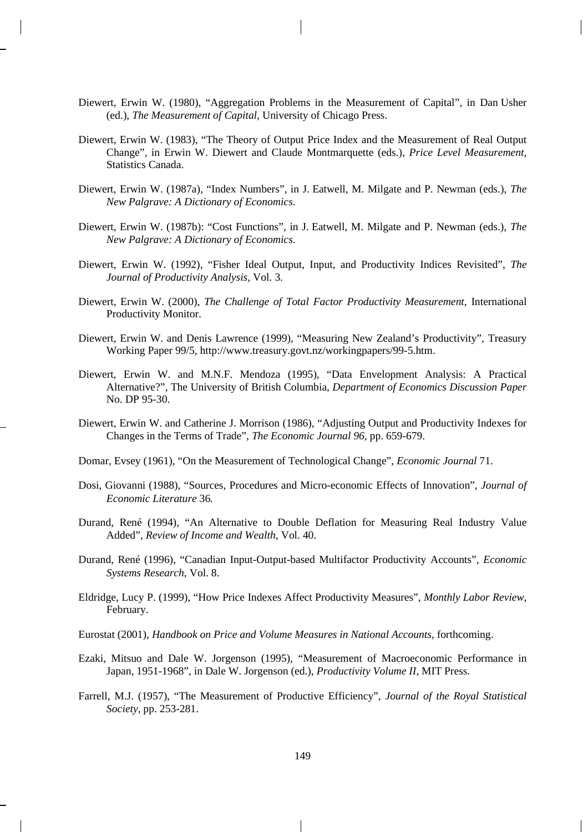- Diewert, Erwin W. (1980), "Aggregation Problems in the Measurement of Capital", in Dan Usher (ed.), *The Measurement of Capital*, University of Chicago Press.
- Diewert, Erwin W. (1983), "The Theory of Output Price Index and the Measurement of Real Output Change", in Erwin W. Diewert and Claude Montmarquette (eds.), *Price Level Measurement*, Statistics Canada.
- Diewert, Erwin W. (1987a), "Index Numbers", in J. Eatwell, M. Milgate and P. Newman (eds.), *The New Palgrave: A Dictionary of Economics*.
- Diewert, Erwin W. (1987b): "Cost Functions", in J. Eatwell, M. Milgate and P. Newman (eds.), *The New Palgrave: A Dictionary of Economics*.
- Diewert, Erwin W. (1992), "Fisher Ideal Output, Input, and Productivity Indices Revisited", *The Journal of Productivity Analysis*, Vol. 3.
- Diewert, Erwin W. (2000), *The Challenge of Total Factor Productivity Measurement*, International Productivity Monitor.
- Diewert, Erwin W. and Denis Lawrence (1999), "Measuring New Zealand's Productivity", Treasury Working Paper 99/5, http://www.treasury.govt.nz/workingpapers/99-5.htm.
- Diewert, Erwin W. and M.N.F. Mendoza (1995), "Data Envelopment Analysis: A Practical Alternative?", The University of British Columbia, *Department of Economics Discussion Paper* No. DP 95-30.
- Diewert, Erwin W. and Catherine J. Morrison (1986), "Adjusting Output and Productivity Indexes for Changes in the Terms of Trade", *The Economic Journal 96*, pp. 659-679.
- Domar, Evsey (1961), "On the Measurement of Technological Change", *Economic Journal* 71.
- Dosi, Giovanni (1988), "Sources, Procedures and Micro-economic Effects of Innovation", *Journal of Economic Literature* 36*.*
- Durand, René (1994), "An Alternative to Double Deflation for Measuring Real Industry Value Added", *Review of Income and Wealth*, Vol. 40.
- Durand, René (1996), "Canadian Input-Output-based Multifactor Productivity Accounts", *Economic Systems Research*, Vol. 8.
- Eldridge, Lucy P. (1999), "How Price Indexes Affect Productivity Measures", *Monthly Labor Review*, February.
- Eurostat (2001), *Handbook on Price and Volume Measures in National Accounts*, forthcoming.
- Ezaki, Mitsuo and Dale W. Jorgenson (1995), "Measurement of Macroeconomic Performance in Japan, 1951-1968", in Dale W. Jorgenson (ed.), *Productivity Volume II*, MIT Press.
- Farrell, M.J. (1957), "The Measurement of Productive Efficiency", *Journal of the Royal Statistical Society*, pp. 253-281.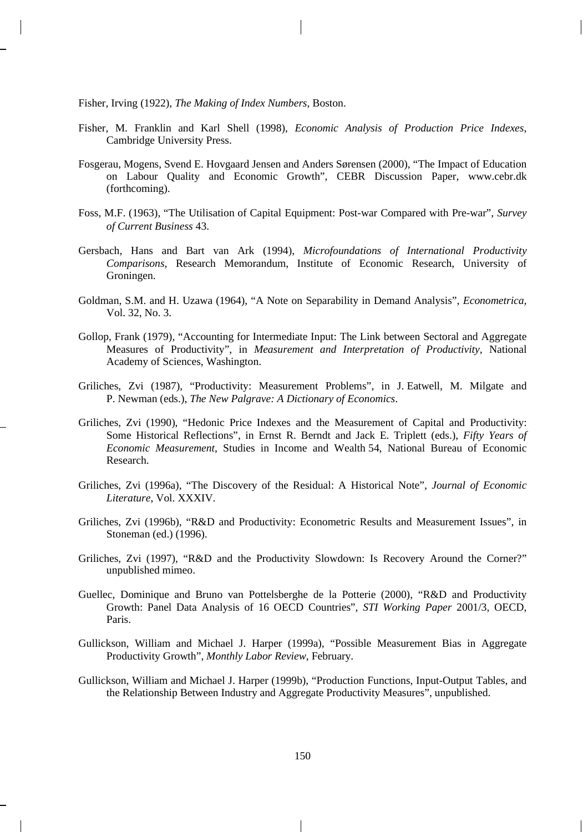Fisher, Irving (1922), *The Making of Index Numbers*, Boston.

- Fisher, M. Franklin and Karl Shell (1998), *Economic Analysis of Production Price Indexes*, Cambridge University Press.
- Fosgerau, Mogens, Svend E. Hovgaard Jensen and Anders Sørensen (2000), "The Impact of Education on Labour Quality and Economic Growth", CEBR Discussion Paper, www.cebr.dk (forthcoming).
- Foss, M.F. (1963), "The Utilisation of Capital Equipment: Post-war Compared with Pre-war", *Survey of Current Business* 43.
- Gersbach, Hans and Bart van Ark (1994), *Microfoundations of International Productivity Comparisons*, Research Memorandum, Institute of Economic Research, University of Groningen.
- Goldman, S.M. and H. Uzawa (1964), "A Note on Separability in Demand Analysis", *Econometrica,* Vol. 32, No. 3.
- Gollop, Frank (1979), "Accounting for Intermediate Input: The Link between Sectoral and Aggregate Measures of Productivity", in *Measurement and Interpretation of Productivity*, National Academy of Sciences, Washington.
- Griliches, Zvi (1987), "Productivity: Measurement Problems", in J. Eatwell, M. Milgate and P. Newman (eds.), *The New Palgrave: A Dictionary of Economics*.
- Griliches, Zvi (1990), "Hedonic Price Indexes and the Measurement of Capital and Productivity: Some Historical Reflections", in Ernst R. Berndt and Jack E. Triplett (eds.), *Fifty Years of Economic Measurement*, Studies in Income and Wealth 54, National Bureau of Economic Research.
- Griliches, Zvi (1996a), "The Discovery of the Residual: A Historical Note", *Journal of Economic Literature*, Vol. XXXIV.
- Griliches, Zvi (1996b), "R&D and Productivity: Econometric Results and Measurement Issues", in Stoneman (ed.) (1996).
- Griliches, Zvi (1997), "R&D and the Productivity Slowdown: Is Recovery Around the Corner?" unpublished mimeo.
- Guellec, Dominique and Bruno van Pottelsberghe de la Potterie (2000), "R&D and Productivity Growth: Panel Data Analysis of 16 OECD Countries", *STI Working Paper* 2001/3, OECD, Paris.
- Gullickson, William and Michael J. Harper (1999a), "Possible Measurement Bias in Aggregate Productivity Growth", *Monthly Labor Review*, February.
- Gullickson, William and Michael J. Harper (1999b), "Production Functions, Input-Output Tables, and the Relationship Between Industry and Aggregate Productivity Measures", unpublished.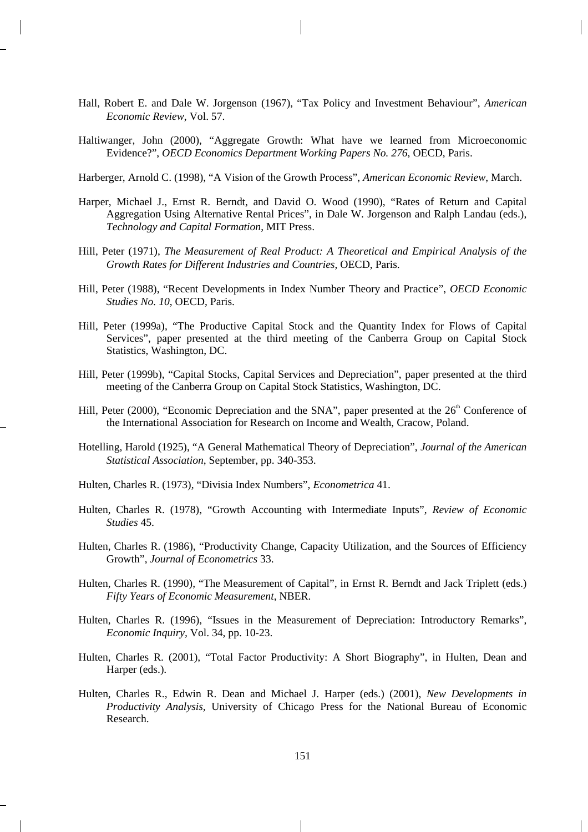- Hall, Robert E. and Dale W. Jorgenson (1967), "Tax Policy and Investment Behaviour", *American Economic Review*, Vol. 57.
- Haltiwanger, John (2000), "Aggregate Growth: What have we learned from Microeconomic Evidence?", *OECD Economics Department Working Papers No. 276*, OECD, Paris.
- Harberger, Arnold C. (1998), "A Vision of the Growth Process", *American Economic Review*, March.
- Harper, Michael J., Ernst R. Berndt, and David O. Wood (1990), "Rates of Return and Capital Aggregation Using Alternative Rental Prices", in Dale W. Jorgenson and Ralph Landau (eds.), *Technology and Capital Formation*, MIT Press.
- Hill, Peter (1971), *The Measurement of Real Product: A Theoretical and Empirical Analysis of the Growth Rates for Different Industries and Countries*, OECD, Paris.
- Hill, Peter (1988), "Recent Developments in Index Number Theory and Practice", *OECD Economic Studies No. 10*, OECD, Paris.
- Hill, Peter (1999a), "The Productive Capital Stock and the Quantity Index for Flows of Capital Services", paper presented at the third meeting of the Canberra Group on Capital Stock Statistics, Washington, DC.
- Hill, Peter (1999b), "Capital Stocks, Capital Services and Depreciation", paper presented at the third meeting of the Canberra Group on Capital Stock Statistics, Washington, DC.
- Hill, Peter (2000), "Economic Depreciation and the SNA", paper presented at the  $26<sup>th</sup>$  Conference of the International Association for Research on Income and Wealth, Cracow, Poland.
- Hotelling, Harold (1925), "A General Mathematical Theory of Depreciation", *Journal of the American Statistical Association*, September, pp. 340-353.
- Hulten, Charles R. (1973), "Divisia Index Numbers", *Econometrica* 41.
- Hulten, Charles R. (1978), "Growth Accounting with Intermediate Inputs", *Review of Economic Studies* 45.
- Hulten, Charles R. (1986), "Productivity Change, Capacity Utilization, and the Sources of Efficiency Growth", *Journal of Econometrics* 33.
- Hulten, Charles R. (1990), "The Measurement of Capital", in Ernst R. Berndt and Jack Triplett (eds.) *Fifty Years of Economic Measurement*, NBER.
- Hulten, Charles R. (1996), "Issues in the Measurement of Depreciation: Introductory Remarks", *Economic Inquiry,* Vol. 34, pp. 10-23.
- Hulten, Charles R. (2001), "Total Factor Productivity: A Short Biography", in Hulten, Dean and Harper (eds.).
- Hulten, Charles R., Edwin R. Dean and Michael J. Harper (eds.) (2001), *New Developments in Productivity Analysis,* University of Chicago Press for the National Bureau of Economic Research.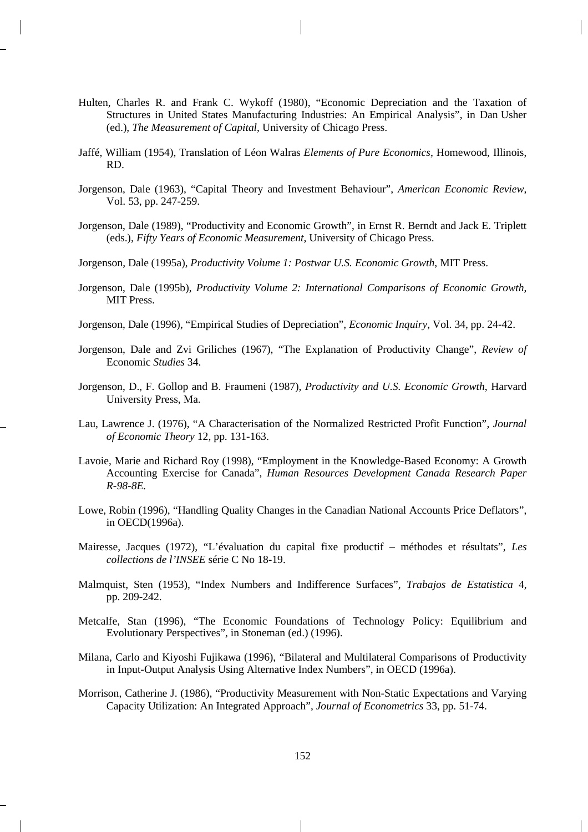- Hulten, Charles R. and Frank C. Wykoff (1980), "Economic Depreciation and the Taxation of Structures in United States Manufacturing Industries: An Empirical Analysis", in Dan Usher (ed.), *The Measurement of Capital*, University of Chicago Press.
- Jaffé, William (1954), Translation of Léon Walras *Elements of Pure Economics*, Homewood, Illinois, RD.
- Jorgenson, Dale (1963), "Capital Theory and Investment Behaviour", *American Economic Review*, Vol. 53, pp. 247-259.
- Jorgenson, Dale (1989), "Productivity and Economic Growth", in Ernst R. Berndt and Jack E. Triplett (eds.), *Fifty Years of Economic Measurement*, University of Chicago Press.
- Jorgenson, Dale (1995a), *Productivity Volume 1: Postwar U.S. Economic Growth*, MIT Press.
- Jorgenson, Dale (1995b), *Productivity Volume 2: International Comparisons of Economic Growth*, MIT Press.
- Jorgenson, Dale (1996), "Empirical Studies of Depreciation", *Economic Inquiry*, Vol. 34, pp. 24-42.
- Jorgenson, Dale and Zvi Griliches (1967), "The Explanation of Productivity Change", *Review of* Economic *Studies* 34.
- Jorgenson, D., F. Gollop and B. Fraumeni (1987), *Productivity and U.S. Economic Growth*, Harvard University Press, Ma.
- Lau, Lawrence J. (1976), "A Characterisation of the Normalized Restricted Profit Function", *Journal of Economic Theory* 12, pp. 131-163.
- Lavoie, Marie and Richard Roy (1998), "Employment in the Knowledge-Based Economy: A Growth Accounting Exercise for Canada", *Human Resources Development Canada Research Paper R-98-8E.*
- Lowe, Robin (1996), "Handling Quality Changes in the Canadian National Accounts Price Deflators", in OECD(1996a).
- Mairesse, Jacques (1972), "L'évaluation du capital fixe productif méthodes et résultats", *Les collections de l'INSEE* série C No 18-19.
- Malmquist, Sten (1953), "Index Numbers and Indifference Surfaces", *Trabajos de Estatistica* 4, pp. 209-242.
- Metcalfe, Stan (1996), "The Economic Foundations of Technology Policy: Equilibrium and Evolutionary Perspectives", in Stoneman (ed.) (1996).
- Milana, Carlo and Kiyoshi Fujikawa (1996), "Bilateral and Multilateral Comparisons of Productivity in Input-Output Analysis Using Alternative Index Numbers", in OECD (1996a).
- Morrison, Catherine J. (1986), "Productivity Measurement with Non-Static Expectations and Varying Capacity Utilization: An Integrated Approach", *Journal of Econometrics* 33, pp. 51-74.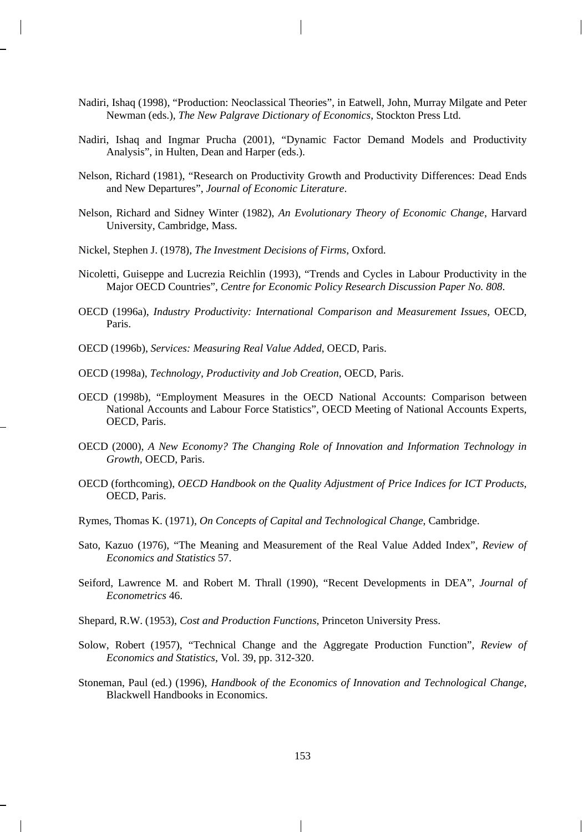- Nadiri, Ishaq (1998), "Production: Neoclassical Theories", in Eatwell, John, Murray Milgate and Peter Newman (eds.), *The New Palgrave Dictionary of Economics*, Stockton Press Ltd.
- Nadiri, Ishaq and Ingmar Prucha (2001), "Dynamic Factor Demand Models and Productivity Analysis", in Hulten, Dean and Harper (eds.).
- Nelson, Richard (1981), "Research on Productivity Growth and Productivity Differences: Dead Ends and New Departures", *Journal of Economic Literature*.
- Nelson, Richard and Sidney Winter (1982), *An Evolutionary Theory of Economic Change*, Harvard University, Cambridge, Mass.
- Nickel, Stephen J. (1978), *The Investment Decisions of Firms*, Oxford.
- Nicoletti, Guiseppe and Lucrezia Reichlin (1993), "Trends and Cycles in Labour Productivity in the Major OECD Countries", *Centre for Economic Policy Research Discussion Paper No. 808*.
- OECD (1996a), *Industry Productivity: International Comparison and Measurement Issues*, OECD, Paris.
- OECD (1996b), *Services: Measuring Real Value Added*, OECD, Paris.
- OECD (1998a), *Technology, Productivity and Job Creation*, OECD, Paris.
- OECD (1998b), "Employment Measures in the OECD National Accounts: Comparison between National Accounts and Labour Force Statistics", OECD Meeting of National Accounts Experts, OECD, Paris.
- OECD (2000), *A New Economy? The Changing Role of Innovation and Information Technology in Growth,* OECD, Paris.
- OECD (forthcoming), *OECD Handbook on the Quality Adjustment of Price Indices for ICT Products*, OECD, Paris.
- Rymes, Thomas K. (1971), *On Concepts of Capital and Technological Change*, Cambridge.
- Sato, Kazuo (1976), "The Meaning and Measurement of the Real Value Added Index", *Review of Economics and Statistics* 57.
- Seiford, Lawrence M. and Robert M. Thrall (1990), "Recent Developments in DEA", *Journal of Econometrics* 46.
- Shepard, R.W. (1953), *Cost and Production Functions*, Princeton University Press.
- Solow, Robert (1957), "Technical Change and the Aggregate Production Function", *Review of Economics and Statistics*, Vol. 39, pp. 312-320.
- Stoneman, Paul (ed.) (1996), *Handbook of the Economics of Innovation and Technological Change*, Blackwell Handbooks in Economics.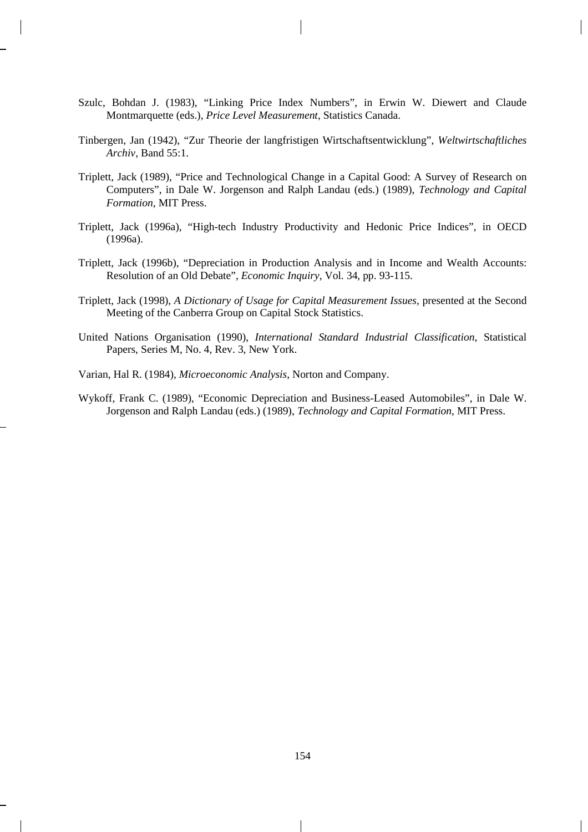- Szulc, Bohdan J. (1983), "Linking Price Index Numbers", in Erwin W. Diewert and Claude Montmarquette (eds.), *Price Level Measurement*, Statistics Canada.
- Tinbergen, Jan (1942), "Zur Theorie der langfristigen Wirtschaftsentwicklung", *Weltwirtschaftliches Archiv*, Band 55:1.
- Triplett, Jack (1989), "Price and Technological Change in a Capital Good: A Survey of Research on Computers", in Dale W. Jorgenson and Ralph Landau (eds.) (1989), *Technology and Capital Formation*, MIT Press.
- Triplett, Jack (1996a), "High-tech Industry Productivity and Hedonic Price Indices", in OECD (1996a).
- Triplett, Jack (1996b), "Depreciation in Production Analysis and in Income and Wealth Accounts: Resolution of an Old Debate", *Economic Inquiry*, Vol. 34, pp. 93-115.
- Triplett, Jack (1998), *A Dictionary of Usage for Capital Measurement Issues*, presented at the Second Meeting of the Canberra Group on Capital Stock Statistics.
- United Nations Organisation (1990), *International Standard Industrial Classification*, Statistical Papers, Series M, No. 4, Rev. 3, New York.
- Varian, Hal R. (1984), *Microeconomic Analysis*, Norton and Company.
- Wykoff, Frank C. (1989), "Economic Depreciation and Business-Leased Automobiles", in Dale W. Jorgenson and Ralph Landau (eds.) (1989), *Technology and Capital Formation*, MIT Press.